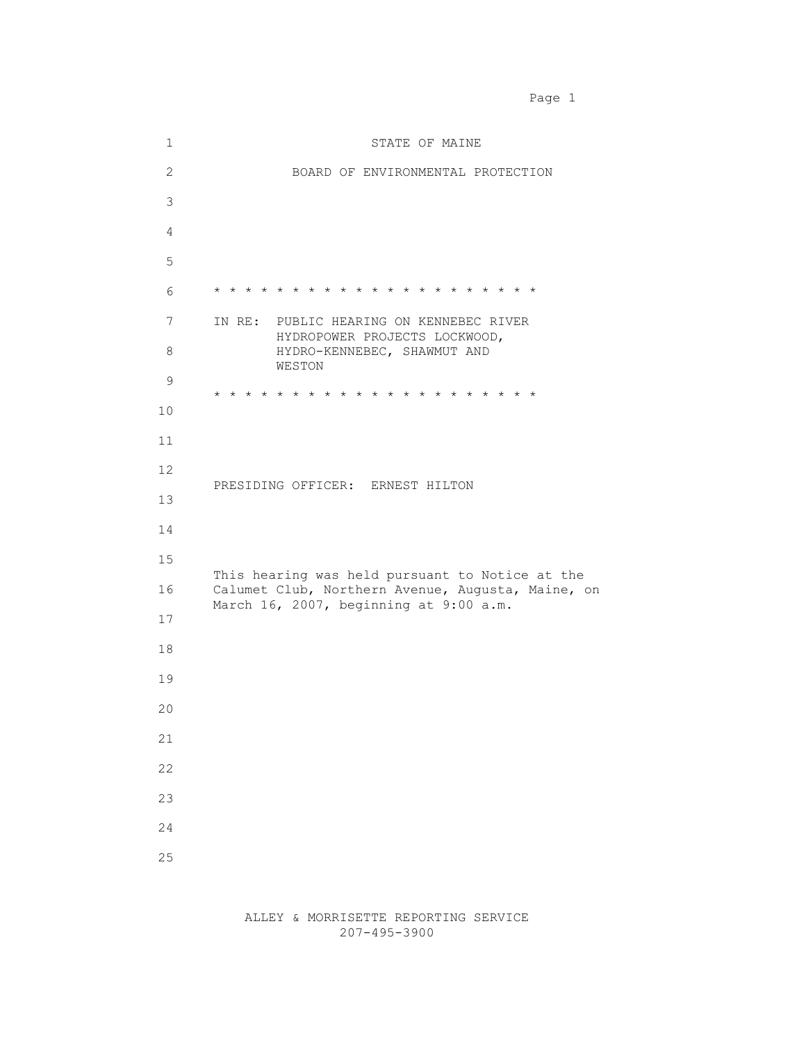1 STATE OF MAINE 2 BOARD OF ENVIRONMENTAL PROTECTION 3 4 5 6 \* \* \* \* \* \* \* \* \* \* \* \* \* \* \* \* \* \* \* \* \* 7 IN RE: PUBLIC HEARING ON KENNEBEC RIVER HYDROPOWER PROJECTS LOCKWOOD, 8 HYDRO-KENNEBEC, SHAWMUT AND WESTON 9 \* \* \* \* \* \* \* \* \* \* \* \* \* \* \* \* \* \* \* \* \* 10 11 12 PRESIDING OFFICER: ERNEST HILTON 13 14 15 This hearing was held pursuant to Notice at the 16 Calumet Club, Northern Avenue, Augusta, Maine, on March 16, 2007, beginning at 9:00 a.m. 17 18 19 20 21 22 23 24 25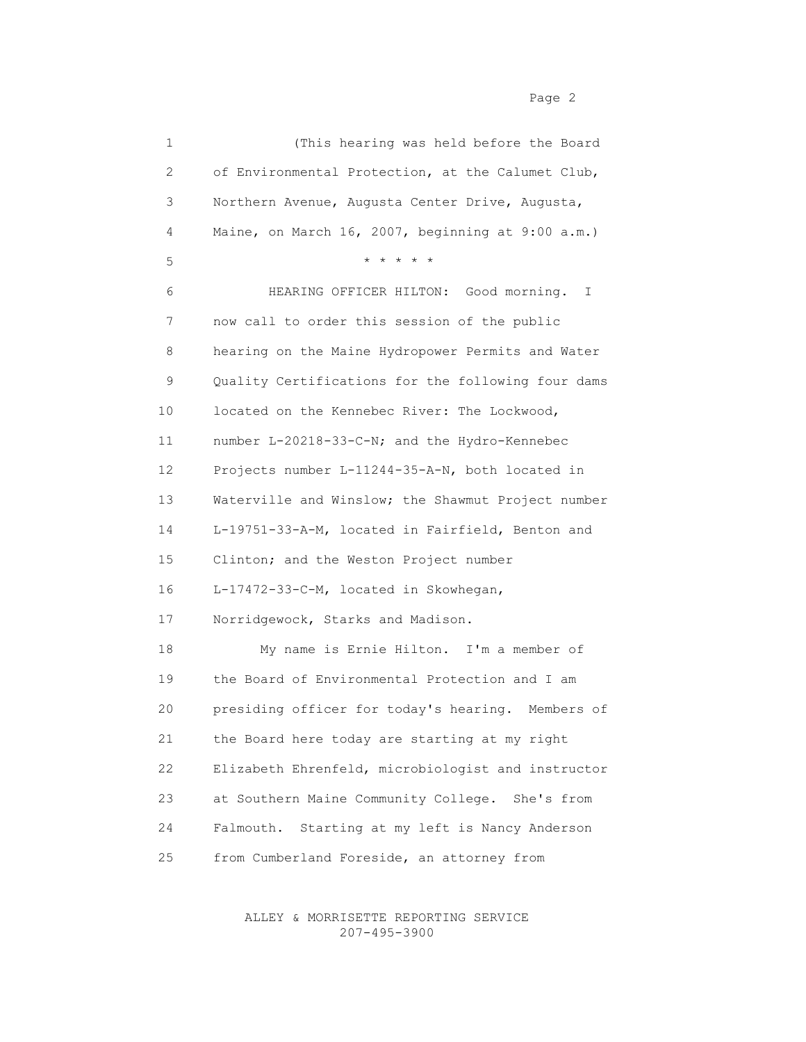| 1                     | (This hearing was held before the Board               |
|-----------------------|-------------------------------------------------------|
| $\mathbf{2}^{\prime}$ | of Environmental Protection, at the Calumet Club,     |
| 3                     | Northern Avenue, Augusta Center Drive, Augusta,       |
| 4                     | Maine, on March 16, 2007, beginning at 9:00 a.m.)     |
| 5                     | * * * * *                                             |
| 6                     | HEARING OFFICER HILTON: Good morning.<br>$\mathbb{I}$ |
| 7                     | now call to order this session of the public          |
| 8                     | hearing on the Maine Hydropower Permits and Water     |
| 9                     | Quality Certifications for the following four dams    |
| 10 <sub>o</sub>       | located on the Kennebec River: The Lockwood,          |
| 11                    | number L-20218-33-C-N; and the Hydro-Kennebec         |
| 12                    | Projects number L-11244-35-A-N, both located in       |
| 13                    | Waterville and Winslow; the Shawmut Project number    |
| 14                    | L-19751-33-A-M, located in Fairfield, Benton and      |
| 15                    | Clinton; and the Weston Project number                |
| 16                    | L-17472-33-C-M, located in Skowhegan,                 |
| 17                    | Norridgewock, Starks and Madison.                     |
| 18                    | My name is Ernie Hilton. I'm a member of              |
| 19                    | the Board of Environmental Protection and I am        |
| 20                    | presiding officer for today's hearing. Members of     |
| 21                    | the Board here today are starting at my right         |
| 22                    | Elizabeth Ehrenfeld, microbiologist and instructor    |
| 23                    | at Southern Maine Community College. She's from       |
| 24                    | Starting at my left is Nancy Anderson<br>Falmouth.    |
| 25                    | from Cumberland Foreside, an attorney from            |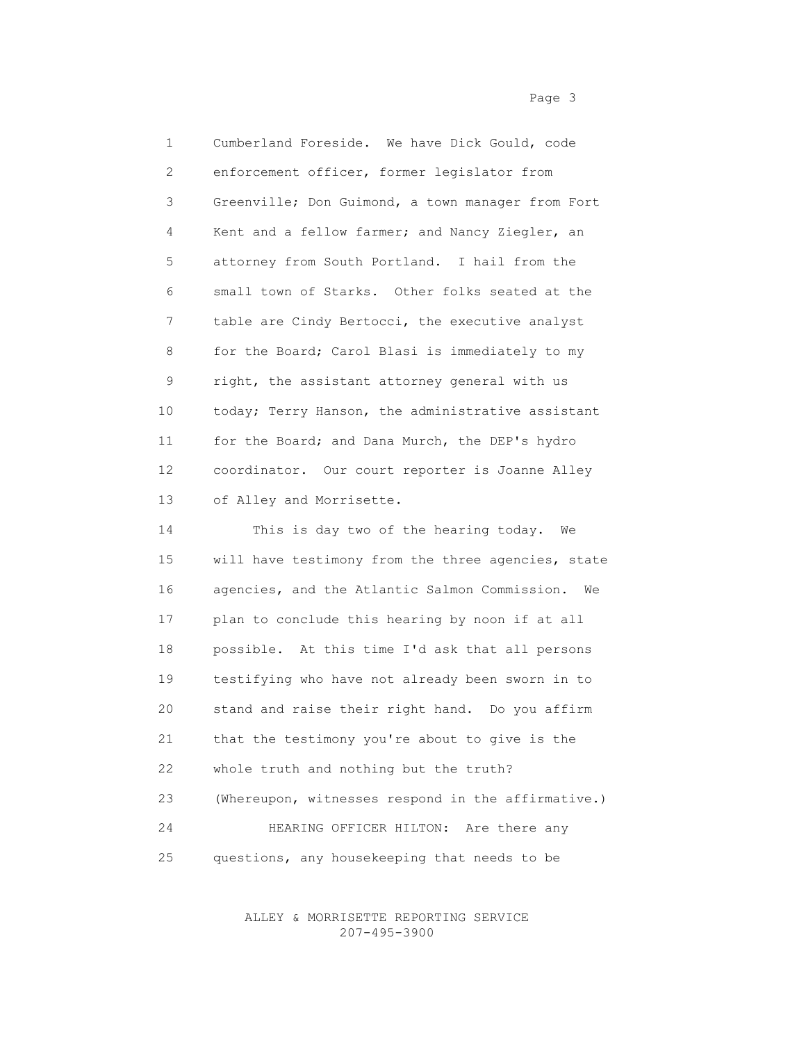1 Cumberland Foreside. We have Dick Gould, code 2 enforcement officer, former legislator from 3 Greenville; Don Guimond, a town manager from Fort 4 Kent and a fellow farmer; and Nancy Ziegler, an 5 attorney from South Portland. I hail from the 6 small town of Starks. Other folks seated at the 7 table are Cindy Bertocci, the executive analyst 8 for the Board; Carol Blasi is immediately to my 9 right, the assistant attorney general with us 10 today; Terry Hanson, the administrative assistant 11 for the Board; and Dana Murch, the DEP's hydro 12 coordinator. Our court reporter is Joanne Alley 13 of Alley and Morrisette.

 14 This is day two of the hearing today. We 15 will have testimony from the three agencies, state 16 agencies, and the Atlantic Salmon Commission. We 17 plan to conclude this hearing by noon if at all 18 possible. At this time I'd ask that all persons 19 testifying who have not already been sworn in to 20 stand and raise their right hand. Do you affirm 21 that the testimony you're about to give is the 22 whole truth and nothing but the truth? 23 (Whereupon, witnesses respond in the affirmative.) 24 HEARING OFFICER HILTON: Are there any 25 questions, any housekeeping that needs to be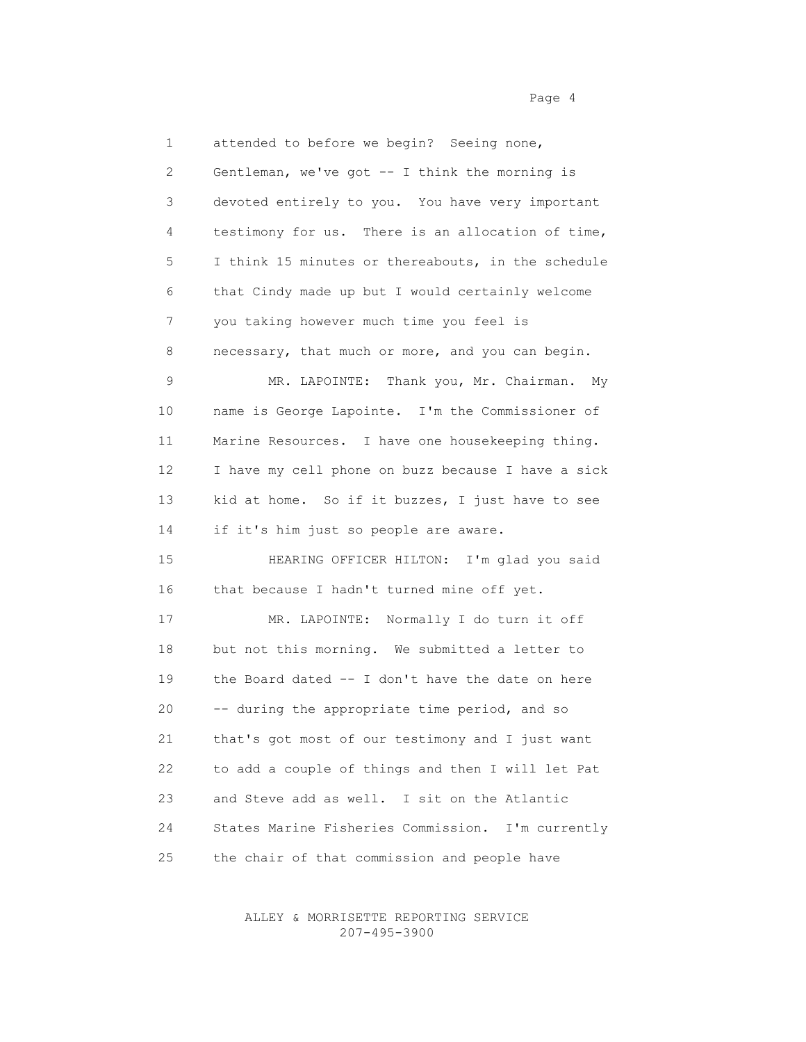1 attended to before we begin? Seeing none, 2 Gentleman, we've got -- I think the morning is 3 devoted entirely to you. You have very important 4 testimony for us. There is an allocation of time, 5 I think 15 minutes or thereabouts, in the schedule 6 that Cindy made up but I would certainly welcome 7 you taking however much time you feel is 8 necessary, that much or more, and you can begin. 9 MR. LAPOINTE: Thank you, Mr. Chairman. My 10 name is George Lapointe. I'm the Commissioner of 11 Marine Resources. I have one housekeeping thing. 12 I have my cell phone on buzz because I have a sick 13 kid at home. So if it buzzes, I just have to see 14 if it's him just so people are aware. 15 HEARING OFFICER HILTON: I'm glad you said 16 that because I hadn't turned mine off yet. 17 MR. LAPOINTE: Normally I do turn it off 18 but not this morning. We submitted a letter to 19 the Board dated -- I don't have the date on here 20 -- during the appropriate time period, and so 21 that's got most of our testimony and I just want 22 to add a couple of things and then I will let Pat 23 and Steve add as well. I sit on the Atlantic 24 States Marine Fisheries Commission. I'm currently 25 the chair of that commission and people have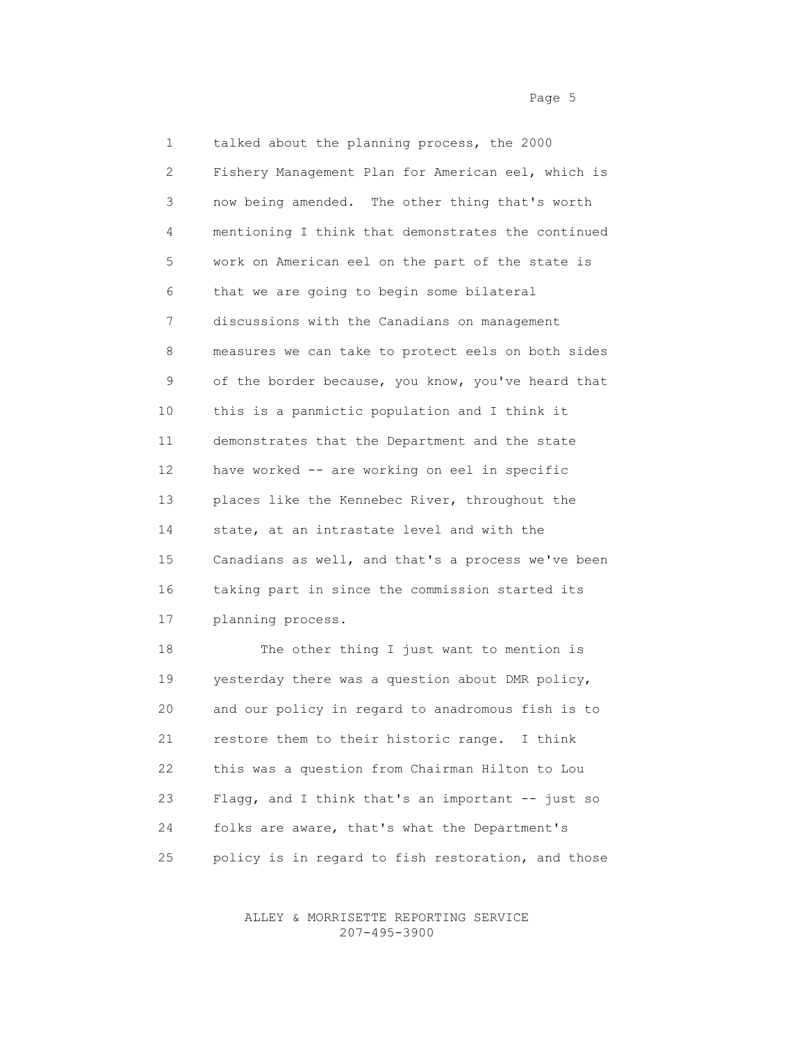1 talked about the planning process, the 2000 2 Fishery Management Plan for American eel, which is 3 now being amended. The other thing that's worth 4 mentioning I think that demonstrates the continued 5 work on American eel on the part of the state is 6 that we are going to begin some bilateral 7 discussions with the Canadians on management 8 measures we can take to protect eels on both sides 9 of the border because, you know, you've heard that 10 this is a panmictic population and I think it 11 demonstrates that the Department and the state 12 have worked -- are working on eel in specific 13 places like the Kennebec River, throughout the 14 state, at an intrastate level and with the 15 Canadians as well, and that's a process we've been 16 taking part in since the commission started its 17 planning process. 18 The other thing I just want to mention is 19 yesterday there was a question about DMR policy,

 20 and our policy in regard to anadromous fish is to 21 restore them to their historic range. I think 22 this was a question from Chairman Hilton to Lou 23 Flagg, and I think that's an important -- just so 24 folks are aware, that's what the Department's 25 policy is in regard to fish restoration, and those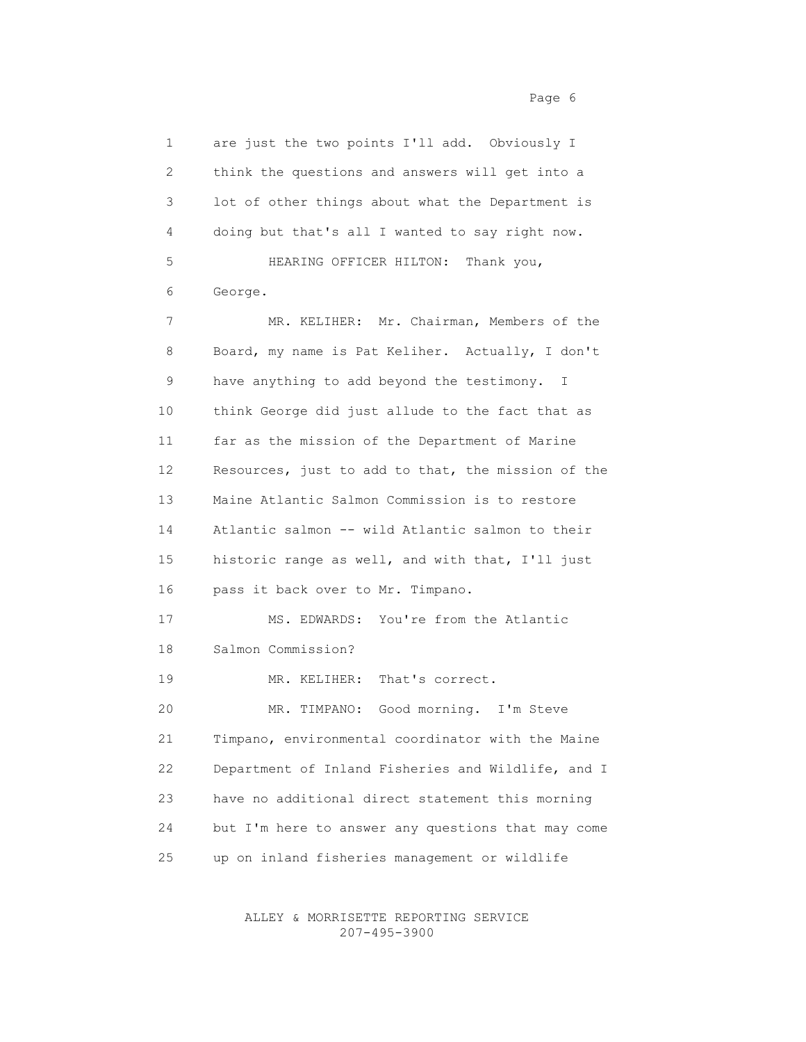1 are just the two points I'll add. Obviously I 2 think the questions and answers will get into a 3 lot of other things about what the Department is 4 doing but that's all I wanted to say right now. 5 HEARING OFFICER HILTON: Thank you, 6 George. 7 MR. KELIHER: Mr. Chairman, Members of the 8 Board, my name is Pat Keliher. Actually, I don't 9 have anything to add beyond the testimony. I 10 think George did just allude to the fact that as 11 far as the mission of the Department of Marine 12 Resources, just to add to that, the mission of the 13 Maine Atlantic Salmon Commission is to restore 14 Atlantic salmon -- wild Atlantic salmon to their 15 historic range as well, and with that, I'll just 16 pass it back over to Mr. Timpano. 17 MS. EDWARDS: You're from the Atlantic 18 Salmon Commission? 19 MR. KELIHER: That's correct. 20 MR. TIMPANO: Good morning. I'm Steve 21 Timpano, environmental coordinator with the Maine 22 Department of Inland Fisheries and Wildlife, and I 23 have no additional direct statement this morning 24 but I'm here to answer any questions that may come 25 up on inland fisheries management or wildlife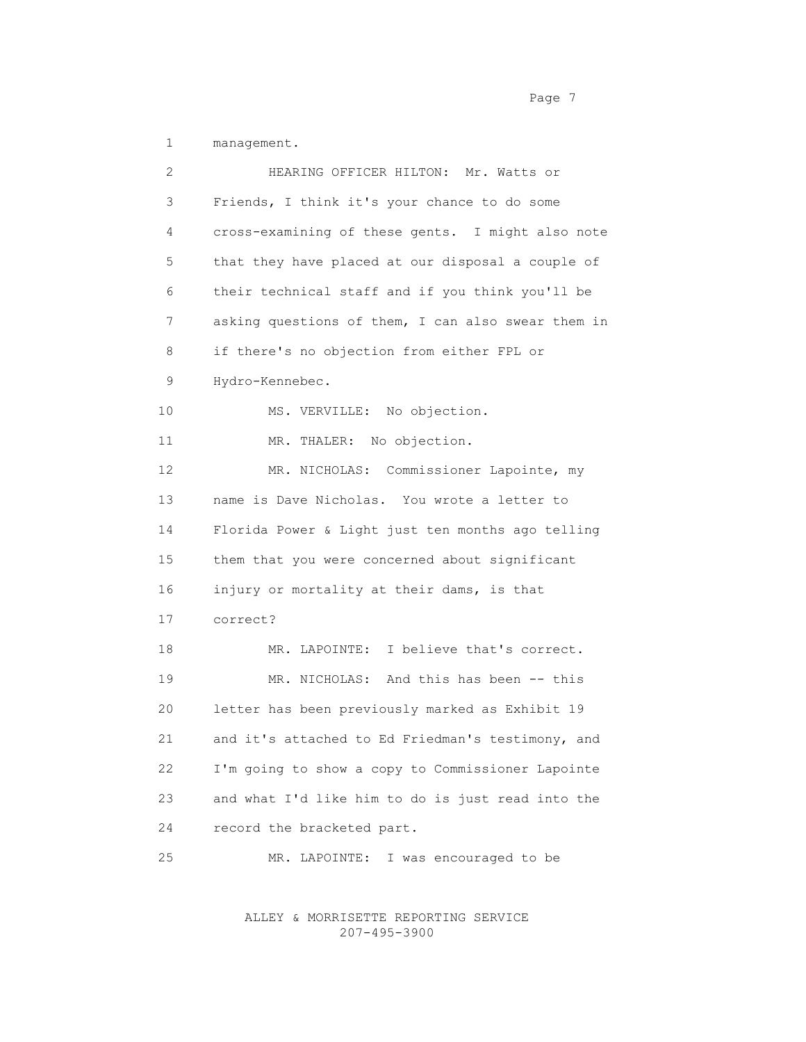1 management.

 2 HEARING OFFICER HILTON: Mr. Watts or 3 Friends, I think it's your chance to do some 4 cross-examining of these gents. I might also note 5 that they have placed at our disposal a couple of 6 their technical staff and if you think you'll be 7 asking questions of them, I can also swear them in 8 if there's no objection from either FPL or 9 Hydro-Kennebec. 10 MS. VERVILLE: No objection. 11 MR. THALER: No objection. 12 MR. NICHOLAS: Commissioner Lapointe, my 13 name is Dave Nicholas. You wrote a letter to 14 Florida Power & Light just ten months ago telling 15 them that you were concerned about significant 16 injury or mortality at their dams, is that 17 correct? 18 MR. LAPOINTE: I believe that's correct. 19 MR. NICHOLAS: And this has been -- this 20 letter has been previously marked as Exhibit 19 21 and it's attached to Ed Friedman's testimony, and 22 I'm going to show a copy to Commissioner Lapointe 23 and what I'd like him to do is just read into the 24 record the bracketed part. 25 MR. LAPOINTE: I was encouraged to be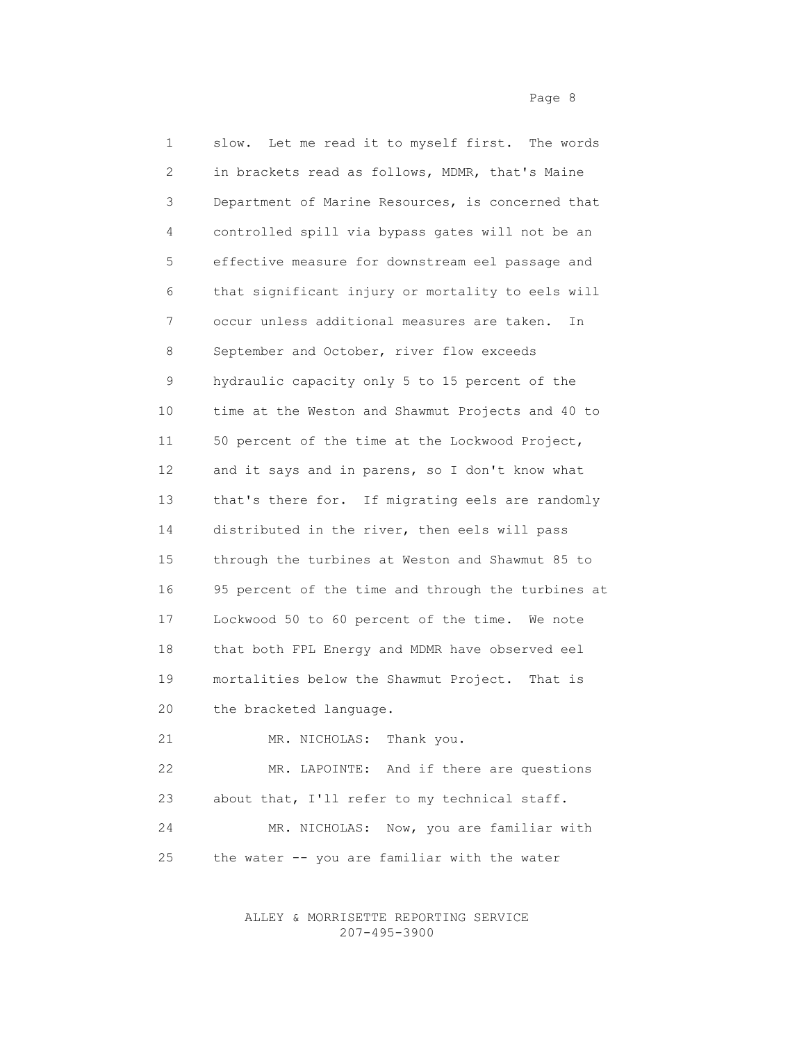1 slow. Let me read it to myself first. The words 2 in brackets read as follows, MDMR, that's Maine 3 Department of Marine Resources, is concerned that 4 controlled spill via bypass gates will not be an 5 effective measure for downstream eel passage and 6 that significant injury or mortality to eels will 7 occur unless additional measures are taken. In 8 September and October, river flow exceeds 9 hydraulic capacity only 5 to 15 percent of the 10 time at the Weston and Shawmut Projects and 40 to 11 50 percent of the time at the Lockwood Project, 12 and it says and in parens, so I don't know what 13 that's there for. If migrating eels are randomly 14 distributed in the river, then eels will pass 15 through the turbines at Weston and Shawmut 85 to 16 95 percent of the time and through the turbines at 17 Lockwood 50 to 60 percent of the time. We note 18 that both FPL Energy and MDMR have observed eel 19 mortalities below the Shawmut Project. That is 20 the bracketed language. 21 MR. NICHOLAS: Thank you. 22 MR. LAPOINTE: And if there are questions 23 about that, I'll refer to my technical staff.

 24 MR. NICHOLAS: Now, you are familiar with 25 the water -- you are familiar with the water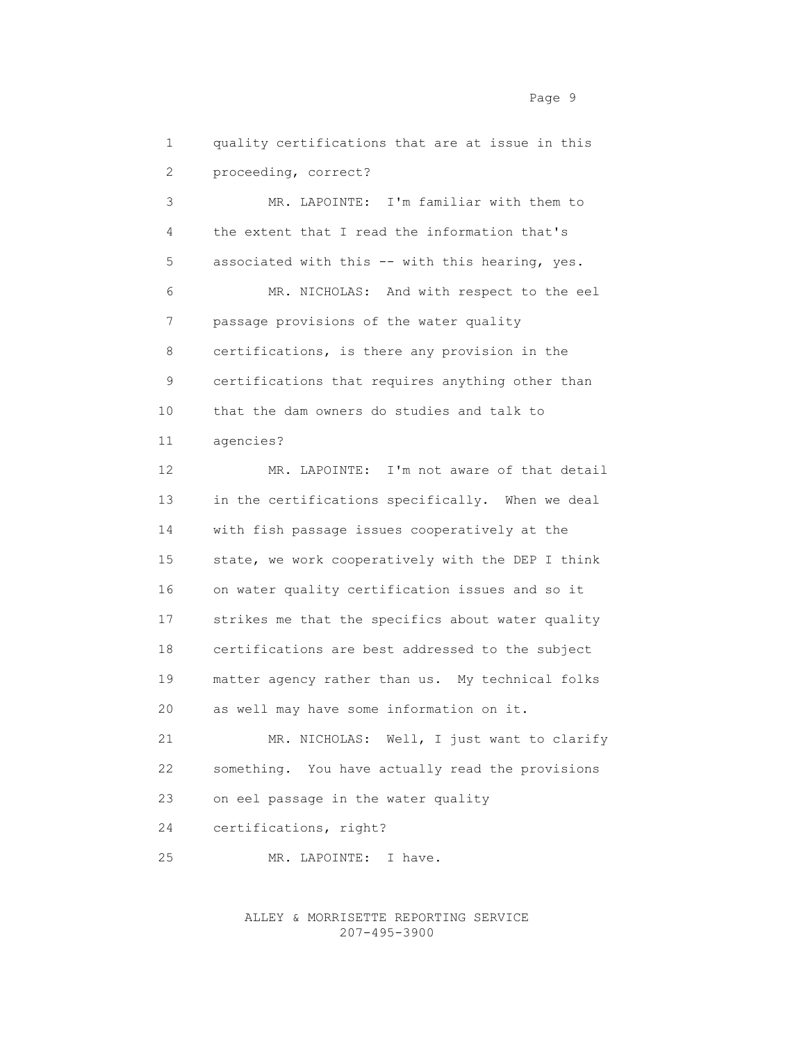1 quality certifications that are at issue in this 2 proceeding, correct?

 3 MR. LAPOINTE: I'm familiar with them to 4 the extent that I read the information that's 5 associated with this -- with this hearing, yes. 6 MR. NICHOLAS: And with respect to the eel 7 passage provisions of the water quality 8 certifications, is there any provision in the 9 certifications that requires anything other than 10 that the dam owners do studies and talk to 11 agencies?

 12 MR. LAPOINTE: I'm not aware of that detail 13 in the certifications specifically. When we deal 14 with fish passage issues cooperatively at the 15 state, we work cooperatively with the DEP I think 16 on water quality certification issues and so it 17 strikes me that the specifics about water quality 18 certifications are best addressed to the subject 19 matter agency rather than us. My technical folks 20 as well may have some information on it.

 21 MR. NICHOLAS: Well, I just want to clarify 22 something. You have actually read the provisions 23 on eel passage in the water quality 24 certifications, right?

25 MR. LAPOINTE: I have.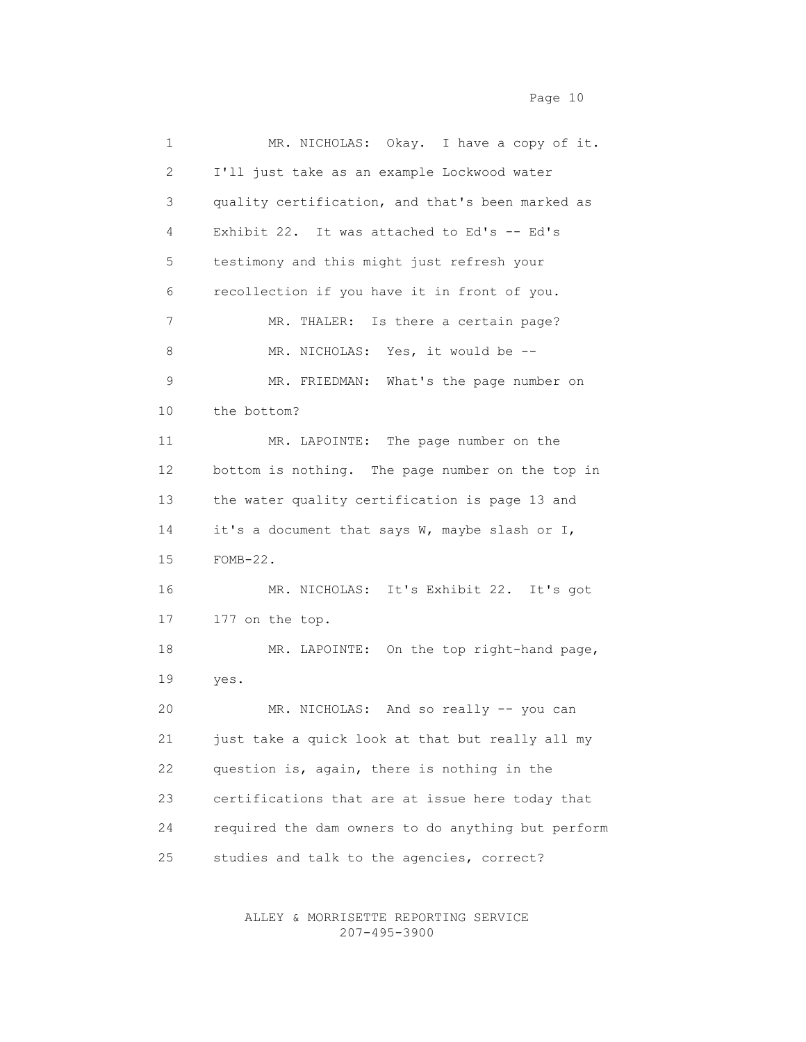| $\mathbf 1$     | MR. NICHOLAS: Okay. I have a copy of it.           |
|-----------------|----------------------------------------------------|
| 2               | I'll just take as an example Lockwood water        |
| 3               | quality certification, and that's been marked as   |
| 4               | Exhibit 22. It was attached to Ed's -- Ed's        |
| 5               | testimony and this might just refresh your         |
| 6               | recollection if you have it in front of you.       |
| 7               | MR. THALER: Is there a certain page?               |
| 8               | MR. NICHOLAS: Yes, it would be --                  |
| 9               | MR. FRIEDMAN: What's the page number on            |
| 10              | the bottom?                                        |
| 11              | MR. LAPOINTE: The page number on the               |
| 12 <sup>°</sup> | bottom is nothing. The page number on the top in   |
| 13              | the water quality certification is page 13 and     |
| 14              | it's a document that says W, maybe slash or I,     |
| 15              | $FOMB-22$ .                                        |
| 16              | MR. NICHOLAS: It's Exhibit 22. It's got            |
| 17              | 177 on the top.                                    |
| 18              | MR. LAPOINTE: On the top right-hand page,          |
| 19              | yes.                                               |
| 20              | MR. NICHOLAS: And so really -- you can             |
| 21              | just take a quick look at that but really all my   |
| 22              | question is, again, there is nothing in the        |
| 23              | certifications that are at issue here today that   |
| 24              | required the dam owners to do anything but perform |
| 25              | studies and talk to the agencies, correct?         |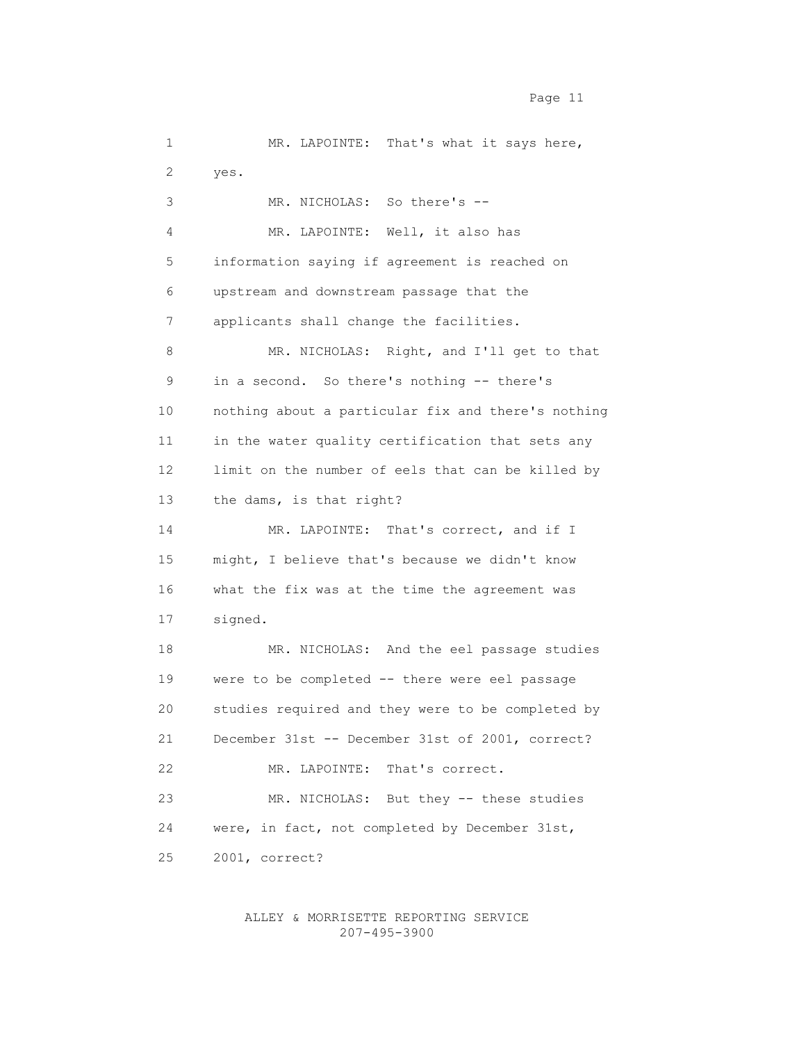1 MR. LAPOINTE: That's what it says here, 2 yes. 3 MR. NICHOLAS: So there's -- 4 MR. LAPOINTE: Well, it also has 5 information saying if agreement is reached on 6 upstream and downstream passage that the 7 applicants shall change the facilities. 8 MR. NICHOLAS: Right, and I'll get to that 9 in a second. So there's nothing -- there's 10 nothing about a particular fix and there's nothing 11 in the water quality certification that sets any 12 limit on the number of eels that can be killed by 13 the dams, is that right? 14 MR. LAPOINTE: That's correct, and if I 15 might, I believe that's because we didn't know 16 what the fix was at the time the agreement was 17 signed. 18 MR. NICHOLAS: And the eel passage studies 19 were to be completed -- there were eel passage 20 studies required and they were to be completed by 21 December 31st -- December 31st of 2001, correct? 22 MR. LAPOINTE: That's correct. 23 MR. NICHOLAS: But they -- these studies

24 were, in fact, not completed by December 31st,

25 2001, correct?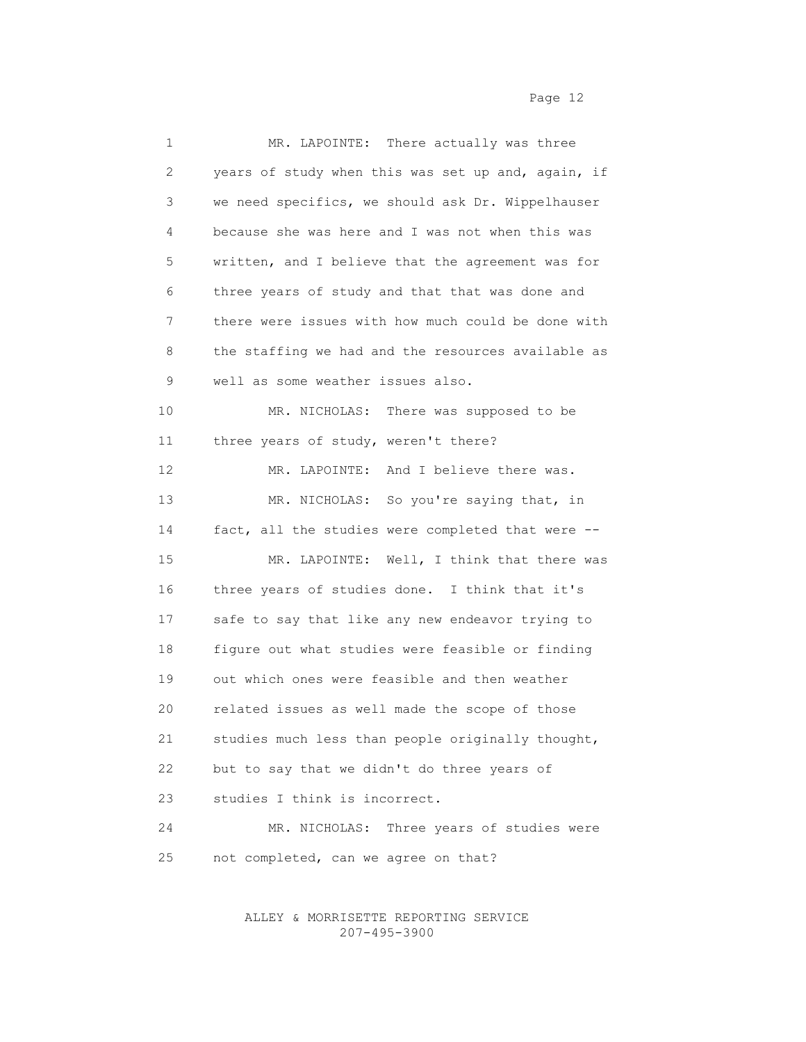| $\mathbf 1$ | MR. LAPOINTE: There actually was three             |
|-------------|----------------------------------------------------|
| 2           | years of study when this was set up and, again, if |
| 3           | we need specifics, we should ask Dr. Wippelhauser  |
| 4           | because she was here and I was not when this was   |
| 5           | written, and I believe that the agreement was for  |
| 6           | three years of study and that that was done and    |
| 7           | there were issues with how much could be done with |
| 8           | the staffing we had and the resources available as |
| 9           | well as some weather issues also.                  |
| 10          | MR. NICHOLAS: There was supposed to be             |
| 11          | three years of study, weren't there?               |
| 12          | MR. LAPOINTE: And I believe there was.             |
| 13          | MR. NICHOLAS: So you're saying that, in            |
| 14          | fact, all the studies were completed that were --  |
| 15          | MR. LAPOINTE: Well, I think that there was         |
| 16          | three years of studies done. I think that it's     |
| 17          | safe to say that like any new endeavor trying to   |
| 18          | figure out what studies were feasible or finding   |
| 19          | out which ones were feasible and then weather      |
| 20          | related issues as well made the scope of those     |
| 21          | studies much less than people originally thought,  |
| 22          | but to say that we didn't do three years of        |
| 23          | studies I think is incorrect.                      |
| 24          | MR. NICHOLAS: Three years of studies were          |
| 25          | not completed, can we agree on that?               |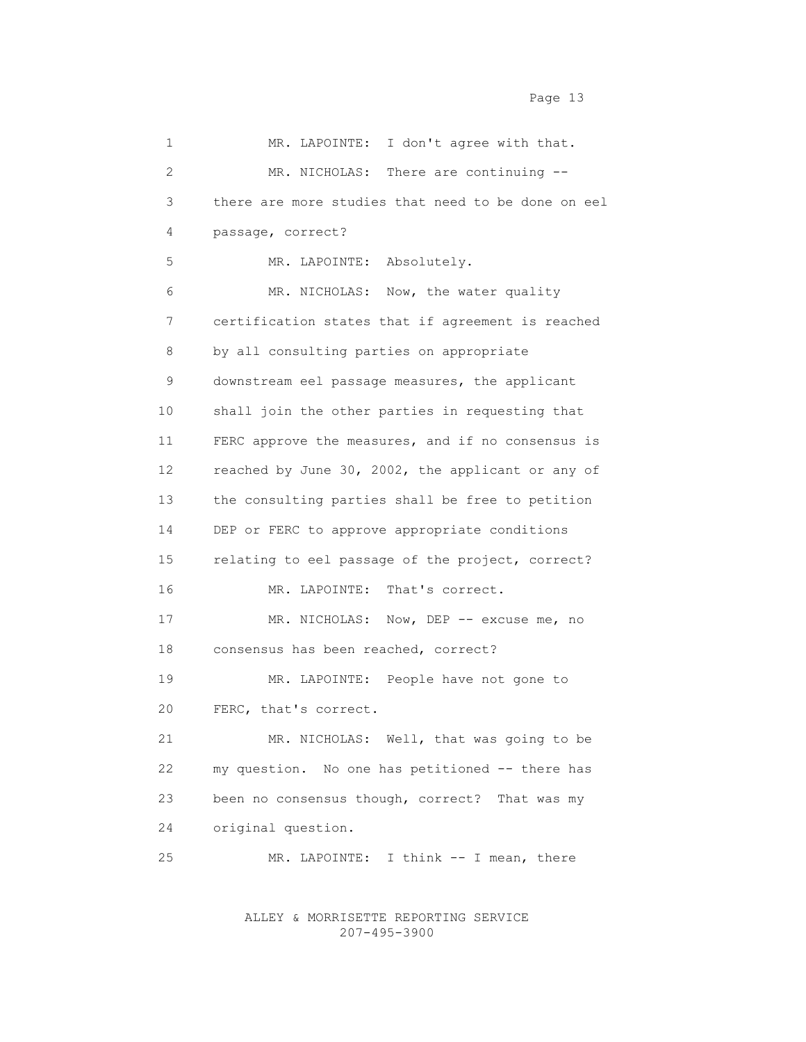| 1              | MR. LAPOINTE: I don't agree with that.             |
|----------------|----------------------------------------------------|
| $\overline{2}$ | MR. NICHOLAS: There are continuing --              |
| 3              | there are more studies that need to be done on eel |
| 4              | passage, correct?                                  |
| 5              | MR. LAPOINTE: Absolutely.                          |
| 6              | MR. NICHOLAS: Now, the water quality               |
| 7              | certification states that if agreement is reached  |
| 8              | by all consulting parties on appropriate           |
| 9              | downstream eel passage measures, the applicant     |
| 10             | shall join the other parties in requesting that    |
| 11             | FERC approve the measures, and if no consensus is  |
| 12             | reached by June 30, 2002, the applicant or any of  |
| 13             | the consulting parties shall be free to petition   |
| 14             | DEP or FERC to approve appropriate conditions      |
| 15             | relating to eel passage of the project, correct?   |
| 16             | MR. LAPOINTE: That's correct.                      |
| 17             | MR. NICHOLAS: Now, DEP -- excuse me, no            |
| 18             | consensus has been reached, correct?               |
| 19             | MR. LAPOINTE: People have not gone to              |
| 20             | FERC, that's correct.                              |
| 21             | MR. NICHOLAS: Well, that was going to be           |
| 22             | my question. No one has petitioned -- there has    |
| 23             | been no consensus though, correct? That was my     |
| 24             | original question.                                 |
| 25             | MR. LAPOINTE:<br>I think -- I mean, there          |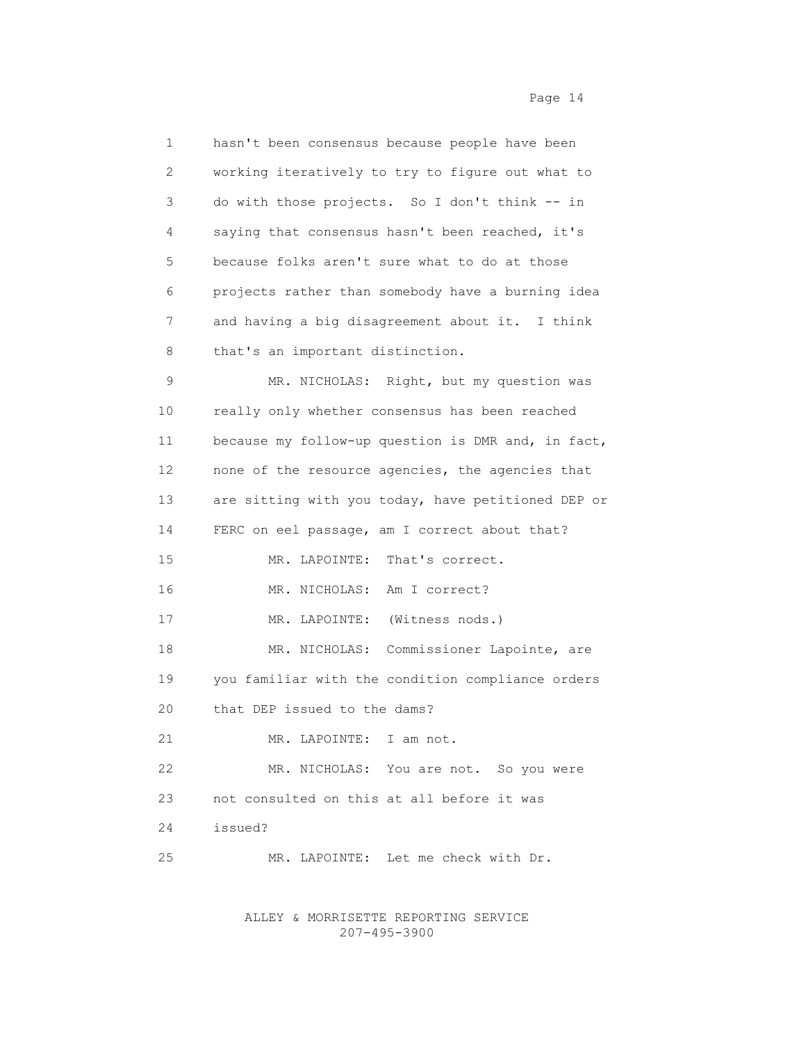| 1               | hasn't been consensus because people have been     |
|-----------------|----------------------------------------------------|
| 2               | working iteratively to try to figure out what to   |
| 3               | do with those projects. So I don't think -- in     |
| 4               | saying that consensus hasn't been reached, it's    |
| 5               | because folks aren't sure what to do at those      |
| 6               | projects rather than somebody have a burning idea  |
| 7               | and having a big disagreement about it. I think    |
| 8               | that's an important distinction.                   |
| 9               | MR. NICHOLAS: Right, but my question was           |
| 10              | really only whether consensus has been reached     |
| 11              | because my follow-up question is DMR and, in fact, |
| 12 <sup>°</sup> | none of the resource agencies, the agencies that   |
| 13              | are sitting with you today, have petitioned DEP or |
| 14              | FERC on eel passage, am I correct about that?      |
| 15              | That's correct.<br>MR. LAPOINTE:                   |
| 16              | MR. NICHOLAS:<br>Am I correct?                     |
| 17              | MR. LAPOINTE:<br>(Witness nods.)                   |
| 18              | MR. NICHOLAS: Commissioner Lapointe, are           |
| 19              | you familiar with the condition compliance orders  |
| 20              | that DEP issued to the dams?                       |
| 21              | MR. LAPOINTE: I am not.                            |
| 22              | MR. NICHOLAS: You are not. So you were             |
| 23              | not consulted on this at all before it was         |
| 24              | issued?                                            |
| 25              | MR. LAPOINTE: Let me check with Dr.                |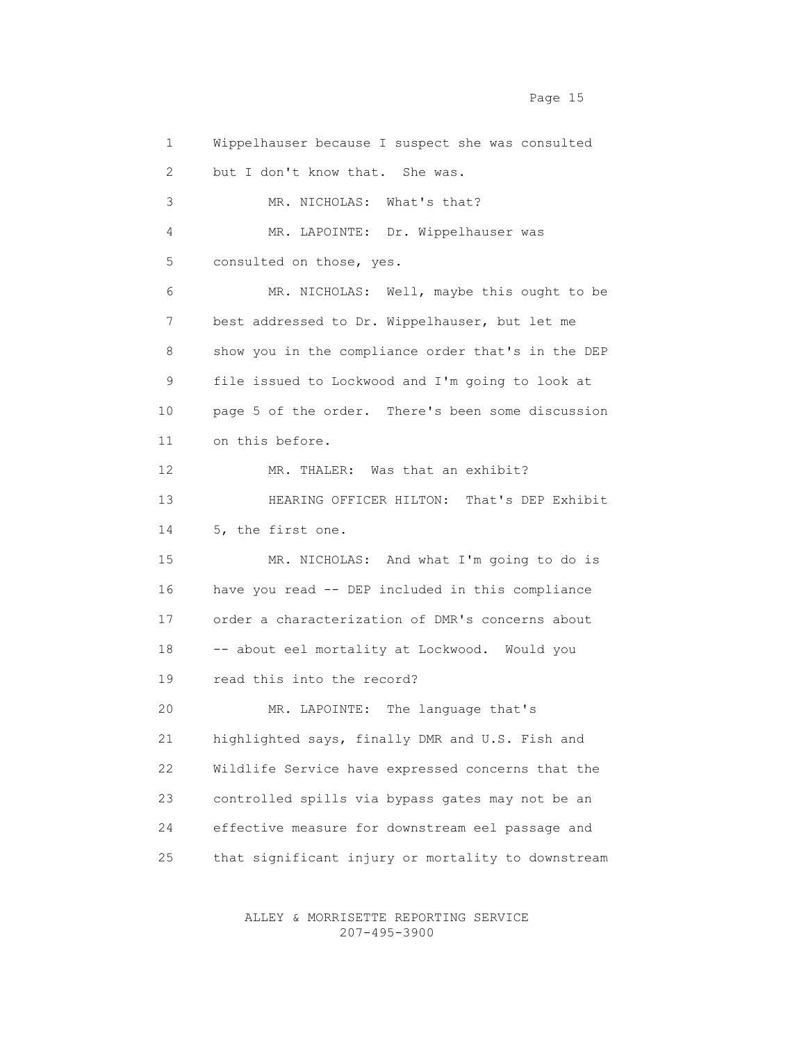1 Wippelhauser because I suspect she was consulted 2 but I don't know that. She was. 3 MR. NICHOLAS: What's that? 4 MR. LAPOINTE: Dr. Wippelhauser was 5 consulted on those, yes. 6 MR. NICHOLAS: Well, maybe this ought to be 7 best addressed to Dr. Wippelhauser, but let me 8 show you in the compliance order that's in the DEP 9 file issued to Lockwood and I'm going to look at 10 page 5 of the order. There's been some discussion 11 on this before. 12 MR. THALER: Was that an exhibit? 13 HEARING OFFICER HILTON: That's DEP Exhibit 14 5, the first one. 15 MR. NICHOLAS: And what I'm going to do is 16 have you read -- DEP included in this compliance 17 order a characterization of DMR's concerns about 18 -- about eel mortality at Lockwood. Would you 19 read this into the record? 20 MR. LAPOINTE: The language that's 21 highlighted says, finally DMR and U.S. Fish and 22 Wildlife Service have expressed concerns that the 23 controlled spills via bypass gates may not be an 24 effective measure for downstream eel passage and 25 that significant injury or mortality to downstream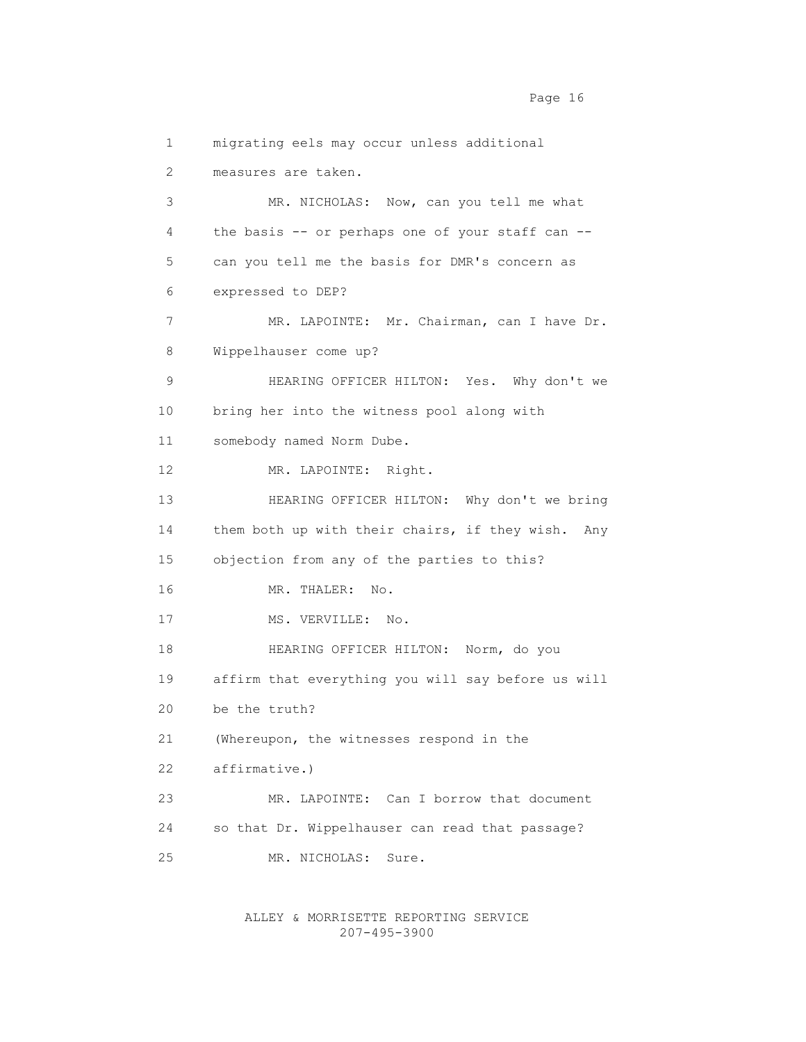1 migrating eels may occur unless additional 2 measures are taken. 3 MR. NICHOLAS: Now, can you tell me what 4 the basis -- or perhaps one of your staff can -- 5 can you tell me the basis for DMR's concern as 6 expressed to DEP? 7 MR. LAPOINTE: Mr. Chairman, can I have Dr. 8 Wippelhauser come up? 9 HEARING OFFICER HILTON: Yes. Why don't we 10 bring her into the witness pool along with 11 somebody named Norm Dube. 12 MR. LAPOINTE: Right. 13 HEARING OFFICER HILTON: Why don't we bring 14 them both up with their chairs, if they wish. Any 15 objection from any of the parties to this? 16 MR. THALER: No. 17 MS. VERVILLE: No. 18 HEARING OFFICER HILTON: Norm, do you 19 affirm that everything you will say before us will 20 be the truth? 21 (Whereupon, the witnesses respond in the 22 affirmative.) 23 MR. LAPOINTE: Can I borrow that document 24 so that Dr. Wippelhauser can read that passage? 25 MR. NICHOLAS: Sure.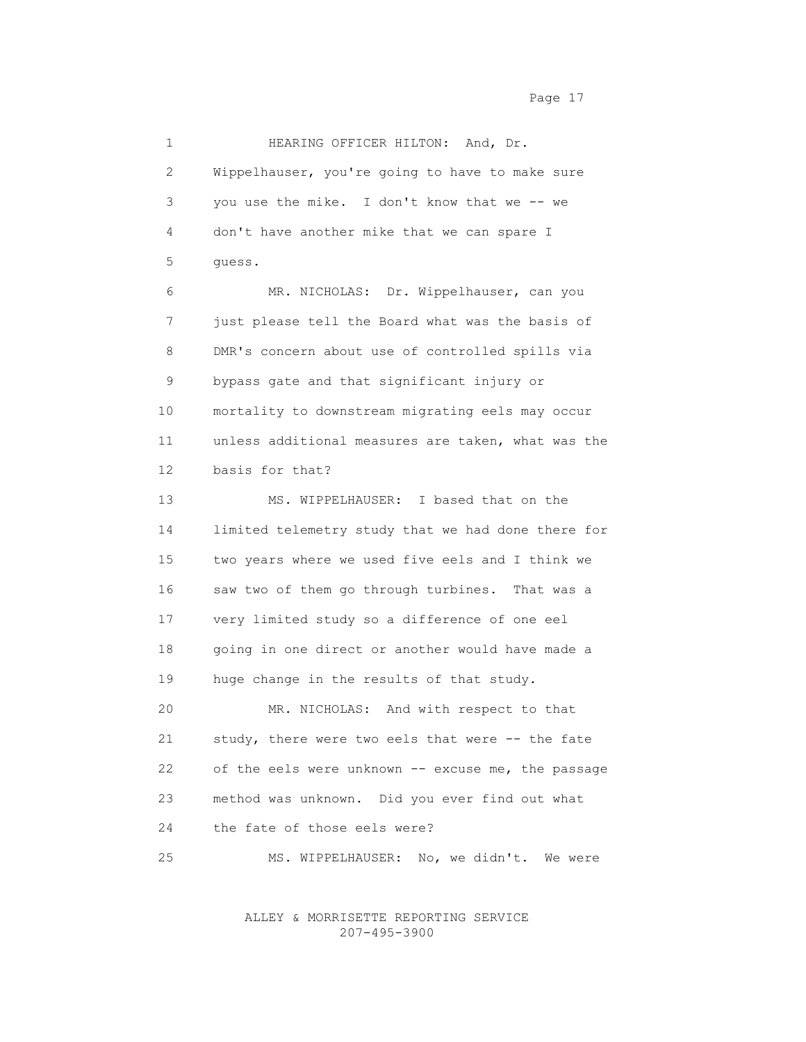1 HEARING OFFICER HILTON: And, Dr. 2 Wippelhauser, you're going to have to make sure 3 you use the mike. I don't know that we -- we 4 don't have another mike that we can spare I 5 guess. 6 MR. NICHOLAS: Dr. Wippelhauser, can you 7 just please tell the Board what was the basis of 8 DMR's concern about use of controlled spills via 9 bypass gate and that significant injury or 10 mortality to downstream migrating eels may occur 11 unless additional measures are taken, what was the 12 basis for that? 13 MS. WIPPELHAUSER: I based that on the 14 limited telemetry study that we had done there for 15 two years where we used five eels and I think we 16 saw two of them go through turbines. That was a 17 very limited study so a difference of one eel 18 going in one direct or another would have made a 19 huge change in the results of that study. 20 MR. NICHOLAS: And with respect to that 21 study, there were two eels that were -- the fate 22 of the eels were unknown -- excuse me, the passage 23 method was unknown. Did you ever find out what 24 the fate of those eels were? 25 MS. WIPPELHAUSER: No, we didn't. We were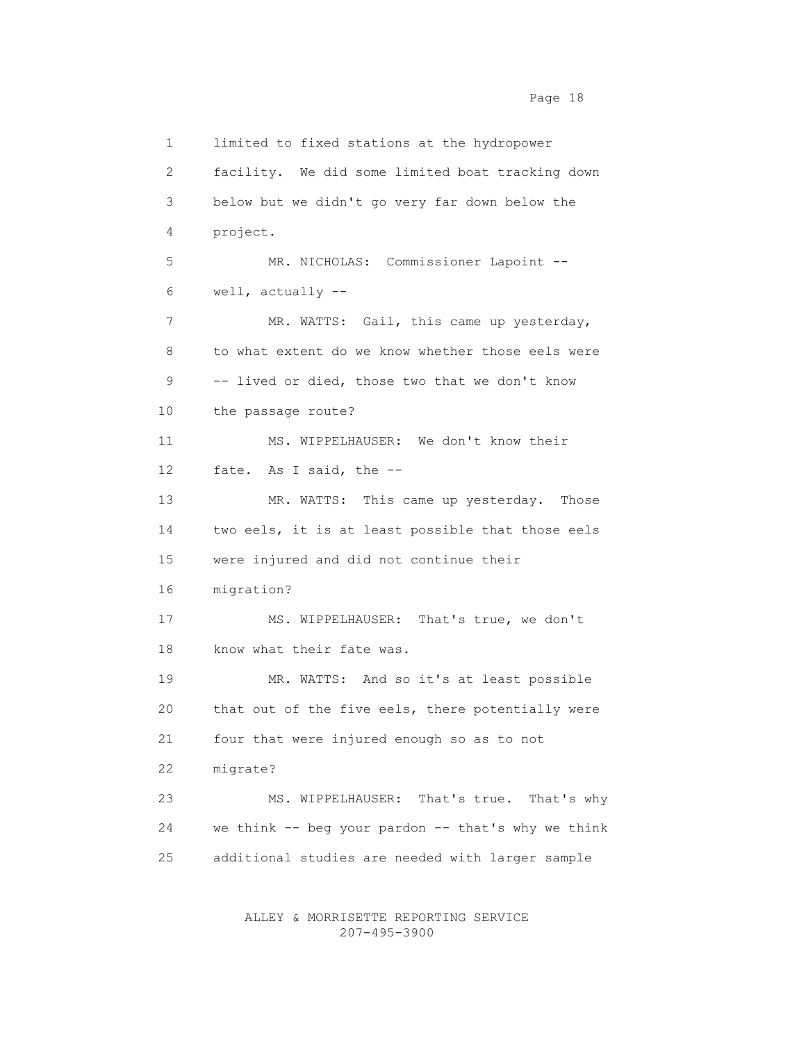1 limited to fixed stations at the hydropower 2 facility. We did some limited boat tracking down 3 below but we didn't go very far down below the 4 project. 5 MR. NICHOLAS: Commissioner Lapoint -- 6 well, actually -- 7 MR. WATTS: Gail, this came up yesterday, 8 to what extent do we know whether those eels were 9 -- lived or died, those two that we don't know 10 the passage route? 11 MS. WIPPELHAUSER: We don't know their 12 fate. As I said, the -- 13 MR. WATTS: This came up yesterday. Those 14 two eels, it is at least possible that those eels 15 were injured and did not continue their 16 migration? 17 MS. WIPPELHAUSER: That's true, we don't 18 know what their fate was. 19 MR. WATTS: And so it's at least possible 20 that out of the five eels, there potentially were 21 four that were injured enough so as to not 22 migrate? 23 MS. WIPPELHAUSER: That's true. That's why 24 we think -- beg your pardon -- that's why we think 25 additional studies are needed with larger sample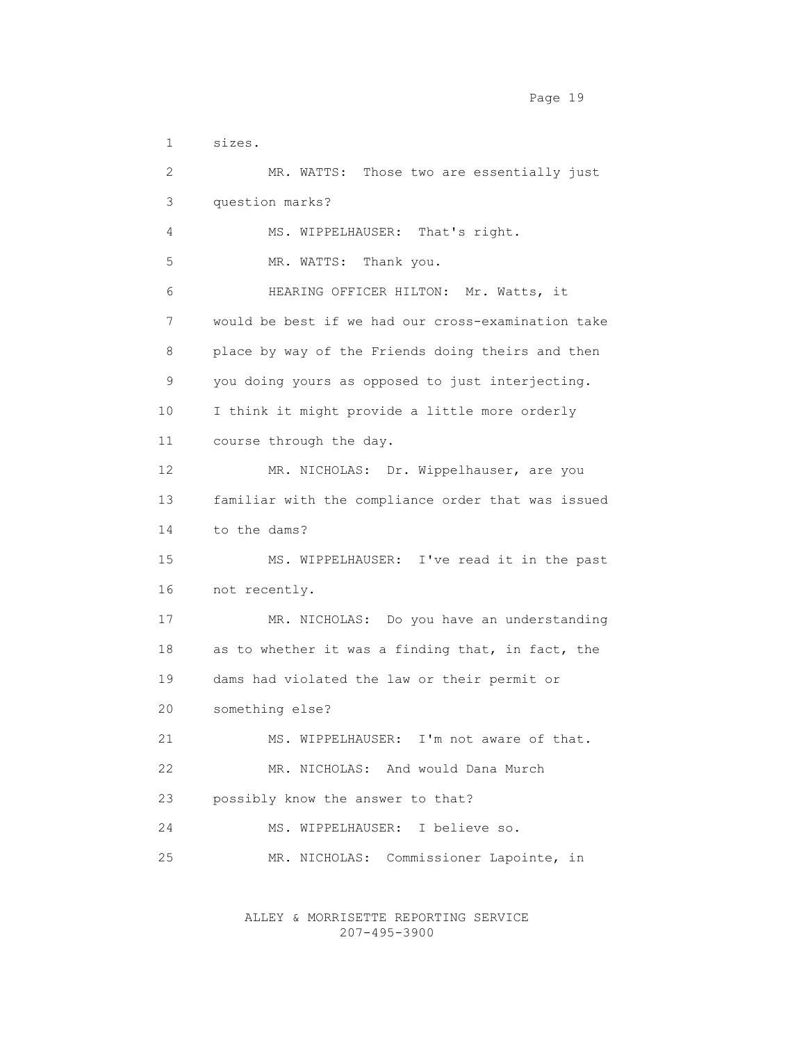1 sizes. 2 MR. WATTS: Those two are essentially just 3 question marks? 4 MS. WIPPELHAUSER: That's right. 5 MR. WATTS: Thank you. 6 HEARING OFFICER HILTON: Mr. Watts, it 7 would be best if we had our cross-examination take 8 place by way of the Friends doing theirs and then 9 you doing yours as opposed to just interjecting. 10 I think it might provide a little more orderly 11 course through the day. 12 MR. NICHOLAS: Dr. Wippelhauser, are you 13 familiar with the compliance order that was issued 14 to the dams? 15 MS. WIPPELHAUSER: I've read it in the past 16 not recently. 17 MR. NICHOLAS: Do you have an understanding 18 as to whether it was a finding that, in fact, the 19 dams had violated the law or their permit or 20 something else? 21 MS. WIPPELHAUSER: I'm not aware of that. 22 MR. NICHOLAS: And would Dana Murch 23 possibly know the answer to that? 24 MS. WIPPELHAUSER: I believe so. 25 MR. NICHOLAS: Commissioner Lapointe, in

> ALLEY & MORRISETTE REPORTING SERVICE 207-495-3900

Page 19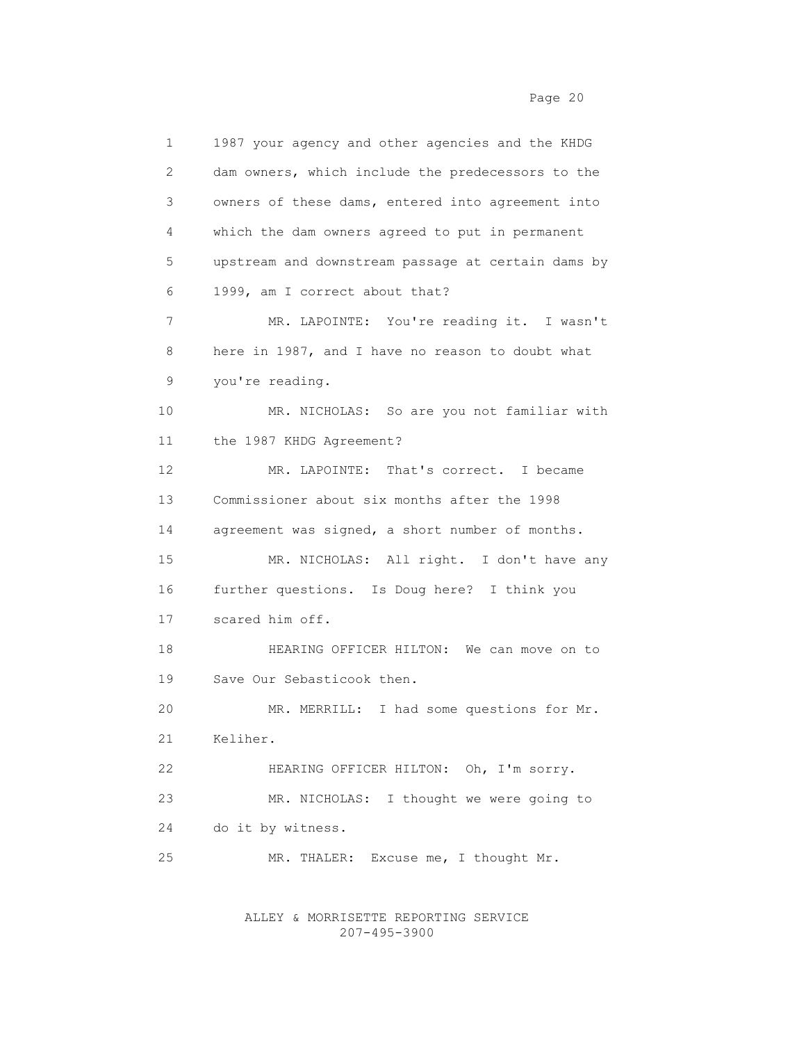1 1987 your agency and other agencies and the KHDG 2 dam owners, which include the predecessors to the 3 owners of these dams, entered into agreement into 4 which the dam owners agreed to put in permanent 5 upstream and downstream passage at certain dams by 6 1999, am I correct about that? 7 MR. LAPOINTE: You're reading it. I wasn't 8 here in 1987, and I have no reason to doubt what 9 you're reading. 10 MR. NICHOLAS: So are you not familiar with 11 the 1987 KHDG Agreement? 12 MR. LAPOINTE: That's correct. I became 13 Commissioner about six months after the 1998 14 agreement was signed, a short number of months. 15 MR. NICHOLAS: All right. I don't have any 16 further questions. Is Doug here? I think you 17 scared him off. 18 HEARING OFFICER HILTON: We can move on to 19 Save Our Sebasticook then. 20 MR. MERRILL: I had some questions for Mr. 21 Keliher. 22 HEARING OFFICER HILTON: Oh, I'm sorry. 23 MR. NICHOLAS: I thought we were going to 24 do it by witness. 25 MR. THALER: Excuse me, I thought Mr.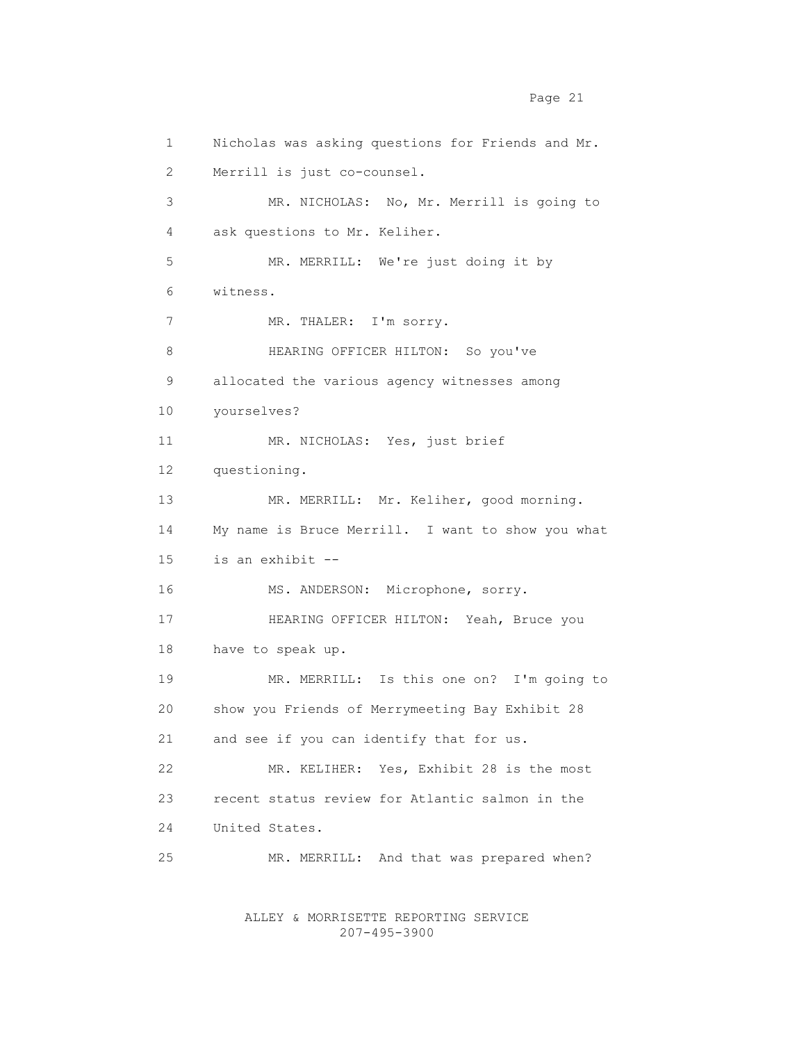1 Nicholas was asking questions for Friends and Mr. 2 Merrill is just co-counsel. 3 MR. NICHOLAS: No, Mr. Merrill is going to 4 ask questions to Mr. Keliher. 5 MR. MERRILL: We're just doing it by 6 witness. 7 MR. THALER: I'm sorry. 8 HEARING OFFICER HILTON: So you've 9 allocated the various agency witnesses among 10 yourselves? 11 MR. NICHOLAS: Yes, just brief 12 questioning. 13 MR. MERRILL: Mr. Keliher, good morning. 14 My name is Bruce Merrill. I want to show you what 15 is an exhibit -- 16 MS. ANDERSON: Microphone, sorry. 17 HEARING OFFICER HILTON: Yeah, Bruce you 18 have to speak up. 19 MR. MERRILL: Is this one on? I'm going to 20 show you Friends of Merrymeeting Bay Exhibit 28 21 and see if you can identify that for us. 22 MR. KELIHER: Yes, Exhibit 28 is the most 23 recent status review for Atlantic salmon in the 24 United States. 25 MR. MERRILL: And that was prepared when?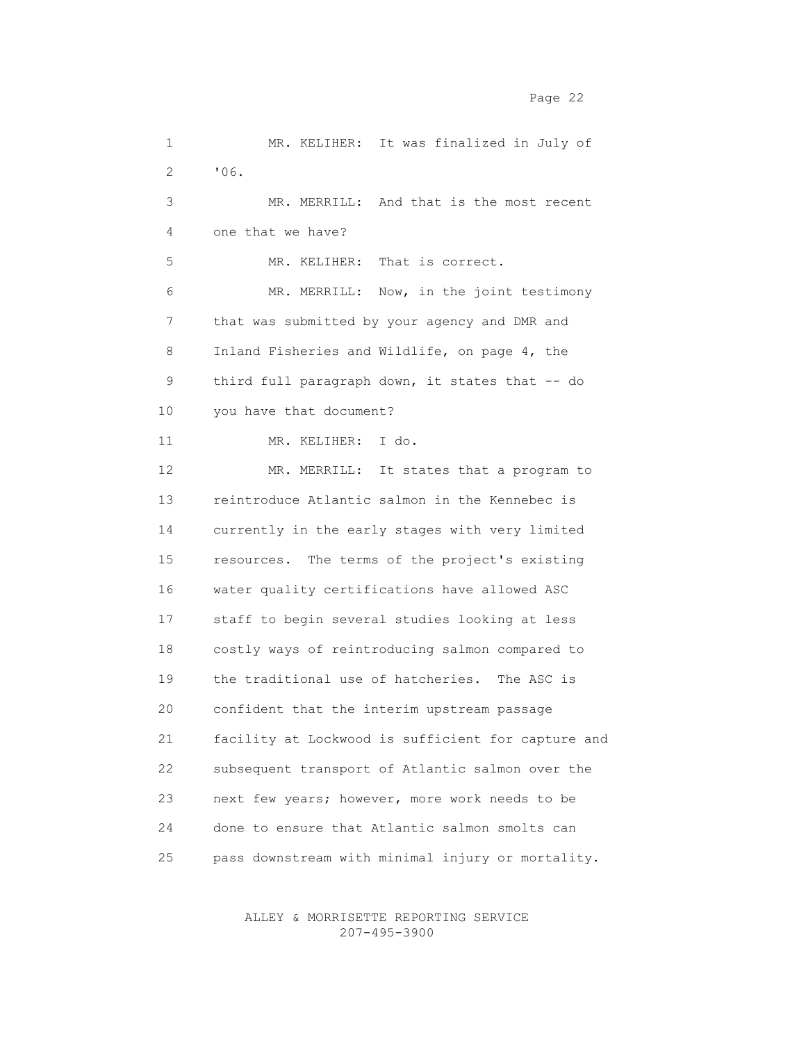2 '06. 3 MR. MERRILL: And that is the most recent 4 one that we have? 5 MR. KELIHER: That is correct. 6 MR. MERRILL: Now, in the joint testimony 7 that was submitted by your agency and DMR and 8 Inland Fisheries and Wildlife, on page 4, the 9 third full paragraph down, it states that -- do 10 you have that document? 11 MR. KELIHER: I do. 12 MR. MERRILL: It states that a program to 13 reintroduce Atlantic salmon in the Kennebec is 14 currently in the early stages with very limited 15 resources. The terms of the project's existing 16 water quality certifications have allowed ASC 17 staff to begin several studies looking at less 18 costly ways of reintroducing salmon compared to 19 the traditional use of hatcheries. The ASC is 20 confident that the interim upstream passage 21 facility at Lockwood is sufficient for capture and 22 subsequent transport of Atlantic salmon over the 23 next few years; however, more work needs to be 24 done to ensure that Atlantic salmon smolts can 25 pass downstream with minimal injury or mortality.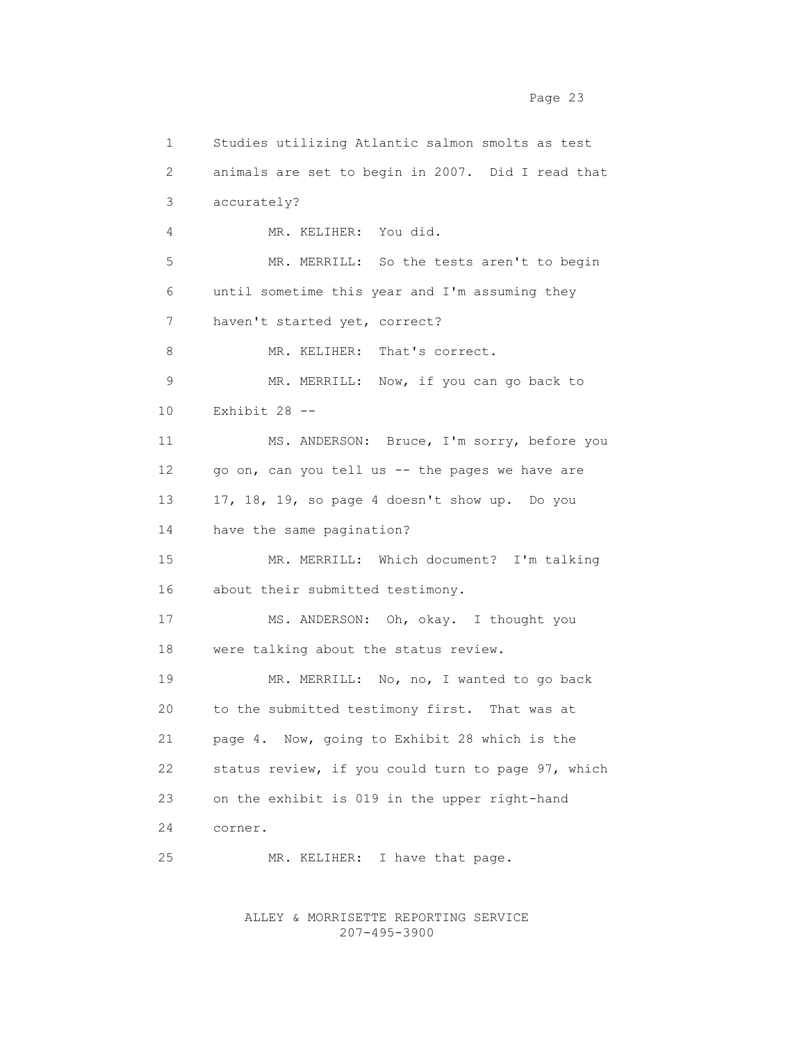1 Studies utilizing Atlantic salmon smolts as test 2 animals are set to begin in 2007. Did I read that 3 accurately? 4 MR. KELIHER: You did. 5 MR. MERRILL: So the tests aren't to begin 6 until sometime this year and I'm assuming they 7 haven't started yet, correct? 8 MR. KELIHER: That's correct. 9 MR. MERRILL: Now, if you can go back to 10 Exhibit 28 -- 11 MS. ANDERSON: Bruce, I'm sorry, before you 12 go on, can you tell us -- the pages we have are 13 17, 18, 19, so page 4 doesn't show up. Do you 14 have the same pagination? 15 MR. MERRILL: Which document? I'm talking 16 about their submitted testimony. 17 MS. ANDERSON: Oh, okay. I thought you 18 were talking about the status review. 19 MR. MERRILL: No, no, I wanted to go back 20 to the submitted testimony first. That was at 21 page 4. Now, going to Exhibit 28 which is the 22 status review, if you could turn to page 97, which 23 on the exhibit is 019 in the upper right-hand 24 corner. 25 MR. KELIHER: I have that page.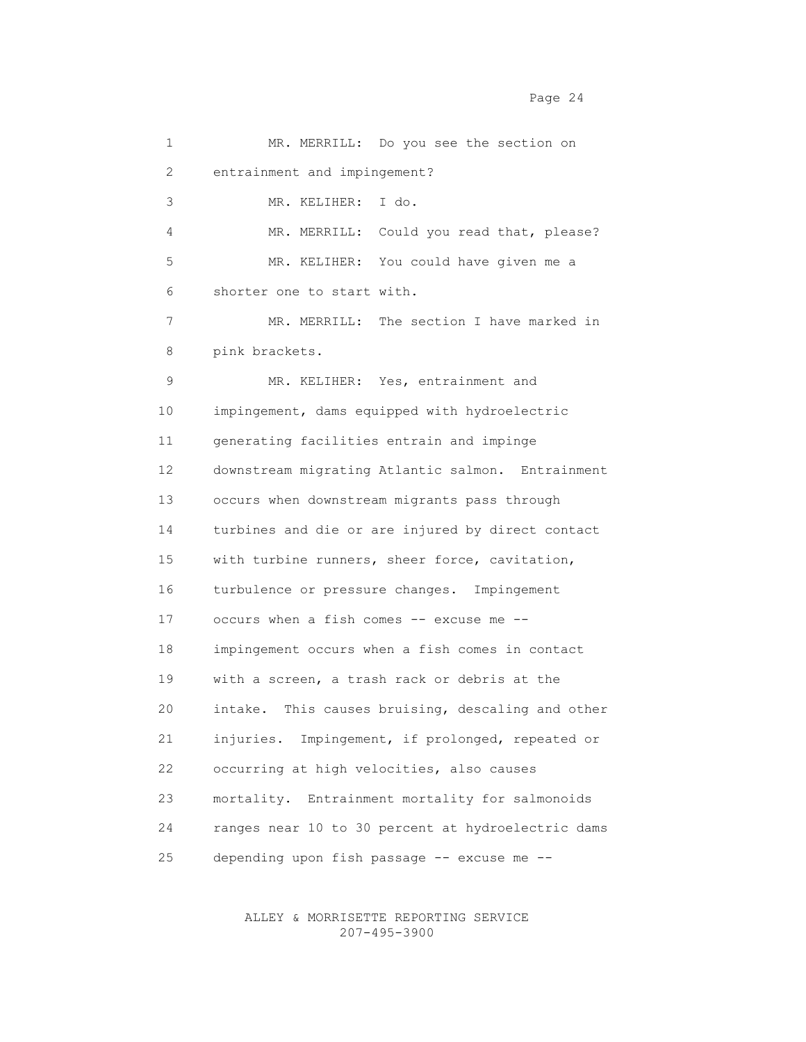Page 24

 1 MR. MERRILL: Do you see the section on 2 entrainment and impingement? 3 MR. KELIHER: I do. 4 MR. MERRILL: Could you read that, please? 5 MR. KELIHER: You could have given me a 6 shorter one to start with. 7 MR. MERRILL: The section I have marked in 8 pink brackets. 9 MR. KELIHER: Yes, entrainment and 10 impingement, dams equipped with hydroelectric 11 generating facilities entrain and impinge 12 downstream migrating Atlantic salmon. Entrainment 13 occurs when downstream migrants pass through 14 turbines and die or are injured by direct contact 15 with turbine runners, sheer force, cavitation, 16 turbulence or pressure changes. Impingement 17 occurs when a fish comes -- excuse me -- 18 impingement occurs when a fish comes in contact 19 with a screen, a trash rack or debris at the 20 intake. This causes bruising, descaling and other 21 injuries. Impingement, if prolonged, repeated or 22 occurring at high velocities, also causes 23 mortality. Entrainment mortality for salmonoids 24 ranges near 10 to 30 percent at hydroelectric dams 25 depending upon fish passage -- excuse me --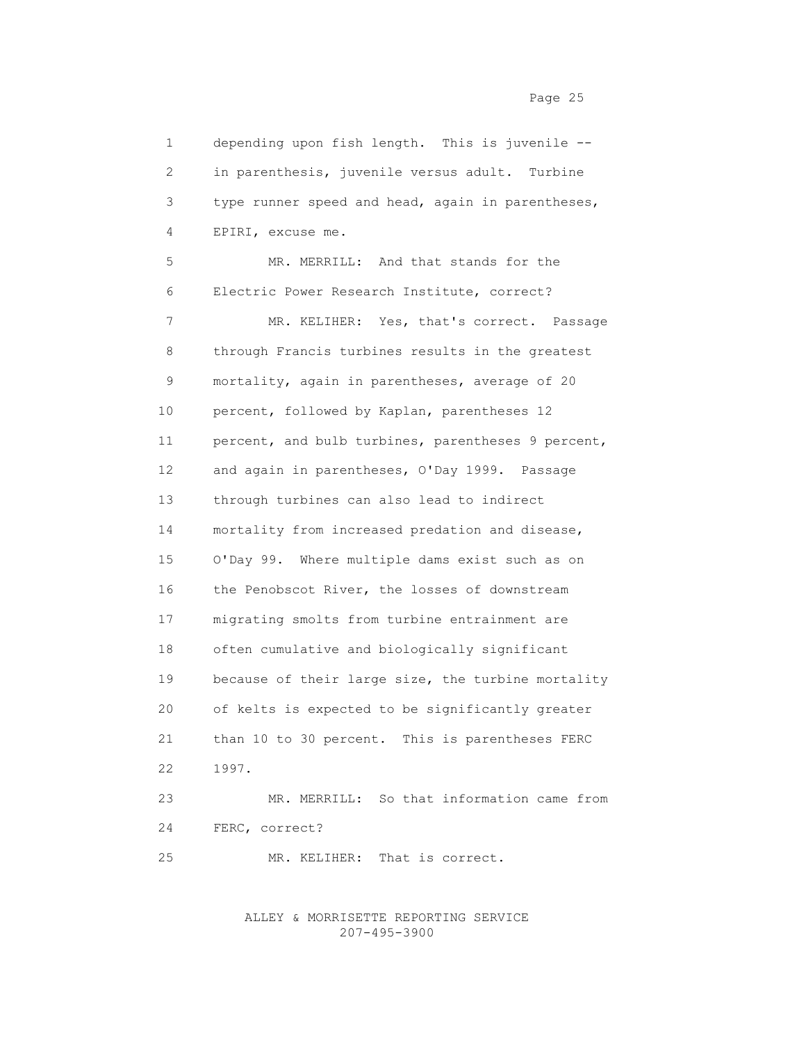1 depending upon fish length. This is juvenile -- 2 in parenthesis, juvenile versus adult. Turbine 3 type runner speed and head, again in parentheses, 4 EPIRI, excuse me. 5 MR. MERRILL: And that stands for the 6 Electric Power Research Institute, correct? 7 MR. KELIHER: Yes, that's correct. Passage 8 through Francis turbines results in the greatest 9 mortality, again in parentheses, average of 20 10 percent, followed by Kaplan, parentheses 12 11 percent, and bulb turbines, parentheses 9 percent, 12 and again in parentheses, O'Day 1999. Passage 13 through turbines can also lead to indirect 14 mortality from increased predation and disease, 15 O'Day 99. Where multiple dams exist such as on 16 the Penobscot River, the losses of downstream 17 migrating smolts from turbine entrainment are 18 often cumulative and biologically significant 19 because of their large size, the turbine mortality 20 of kelts is expected to be significantly greater 21 than 10 to 30 percent. This is parentheses FERC 22 1997. 23 MR. MERRILL: So that information came from 24 FERC, correct? 25 MR. KELIHER: That is correct.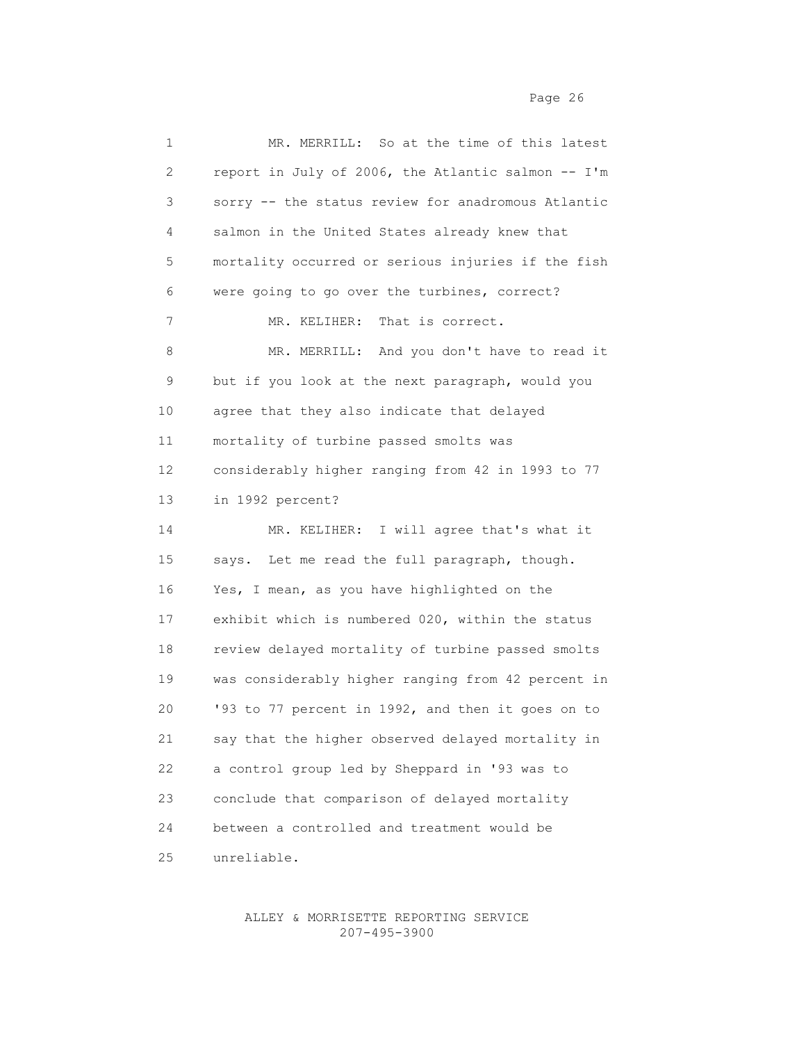| 1  | MR. MERRILL: So at the time of this latest         |
|----|----------------------------------------------------|
| 2  | report in July of 2006, the Atlantic salmon -- I'm |
| 3  | sorry -- the status review for anadromous Atlantic |
| 4  | salmon in the United States already knew that      |
| 5  | mortality occurred or serious injuries if the fish |
| 6  | were going to go over the turbines, correct?       |
| 7  | That is correct.<br>MR. KELIHER:                   |
| 8  | MR. MERRILL: And you don't have to read it         |
| 9  | but if you look at the next paragraph, would you   |
| 10 | agree that they also indicate that delayed         |
| 11 | mortality of turbine passed smolts was             |
| 12 | considerably higher ranging from 42 in 1993 to 77  |
| 13 | in 1992 percent?                                   |
| 14 | MR. KELIHER: I will agree that's what it           |
| 15 | says. Let me read the full paragraph, though.      |
| 16 | Yes, I mean, as you have highlighted on the        |
| 17 | exhibit which is numbered 020, within the status   |
| 18 | review delayed mortality of turbine passed smolts  |
| 19 | was considerably higher ranging from 42 percent in |
| 20 | '93 to 77 percent in 1992, and then it goes on to  |
| 21 | say that the higher observed delayed mortality in  |
| 22 | a control group led by Sheppard in '93 was to      |
| 23 | conclude that comparison of delayed mortality      |
| 24 | between a controlled and treatment would be        |
| 25 | unreliable.                                        |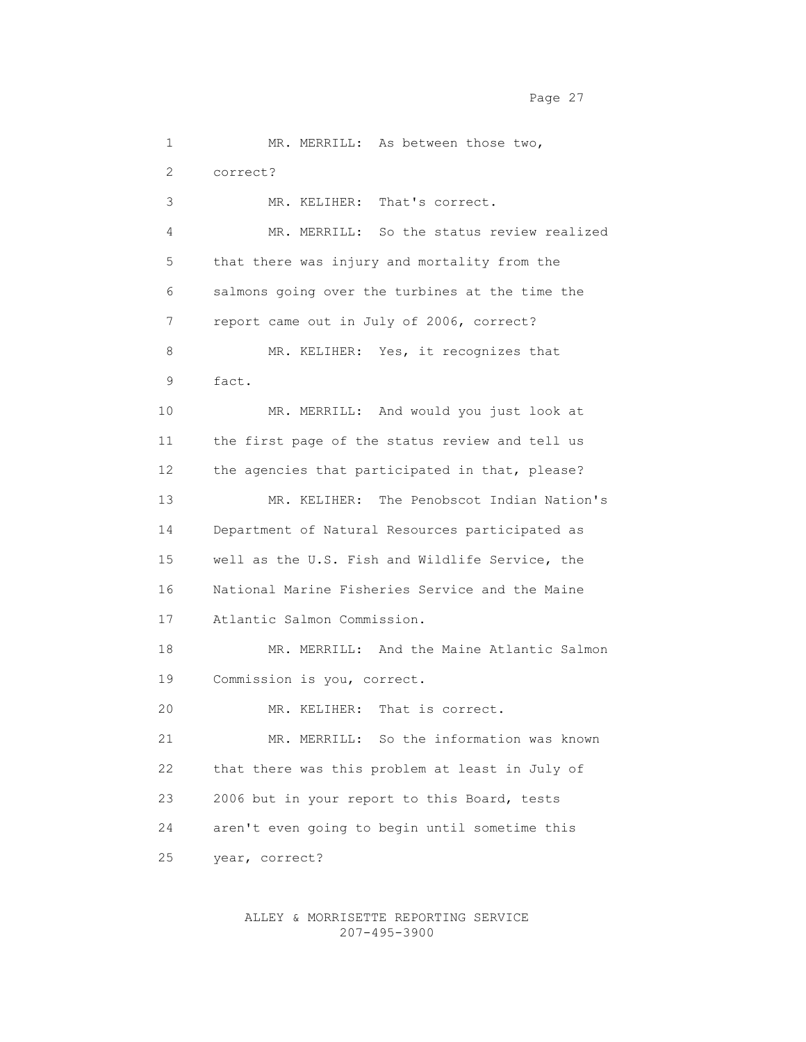1 MR. MERRILL: As between those two, 2 correct? 3 MR. KELIHER: That's correct. 4 MR. MERRILL: So the status review realized 5 that there was injury and mortality from the 6 salmons going over the turbines at the time the 7 report came out in July of 2006, correct? 8 MR. KELIHER: Yes, it recognizes that 9 fact. 10 MR. MERRILL: And would you just look at 11 the first page of the status review and tell us 12 the agencies that participated in that, please? 13 MR. KELIHER: The Penobscot Indian Nation's 14 Department of Natural Resources participated as 15 well as the U.S. Fish and Wildlife Service, the 16 National Marine Fisheries Service and the Maine 17 Atlantic Salmon Commission. 18 MR. MERRILL: And the Maine Atlantic Salmon 19 Commission is you, correct. 20 MR. KELIHER: That is correct. 21 MR. MERRILL: So the information was known 22 that there was this problem at least in July of 23 2006 but in your report to this Board, tests 24 aren't even going to begin until sometime this 25 year, correct?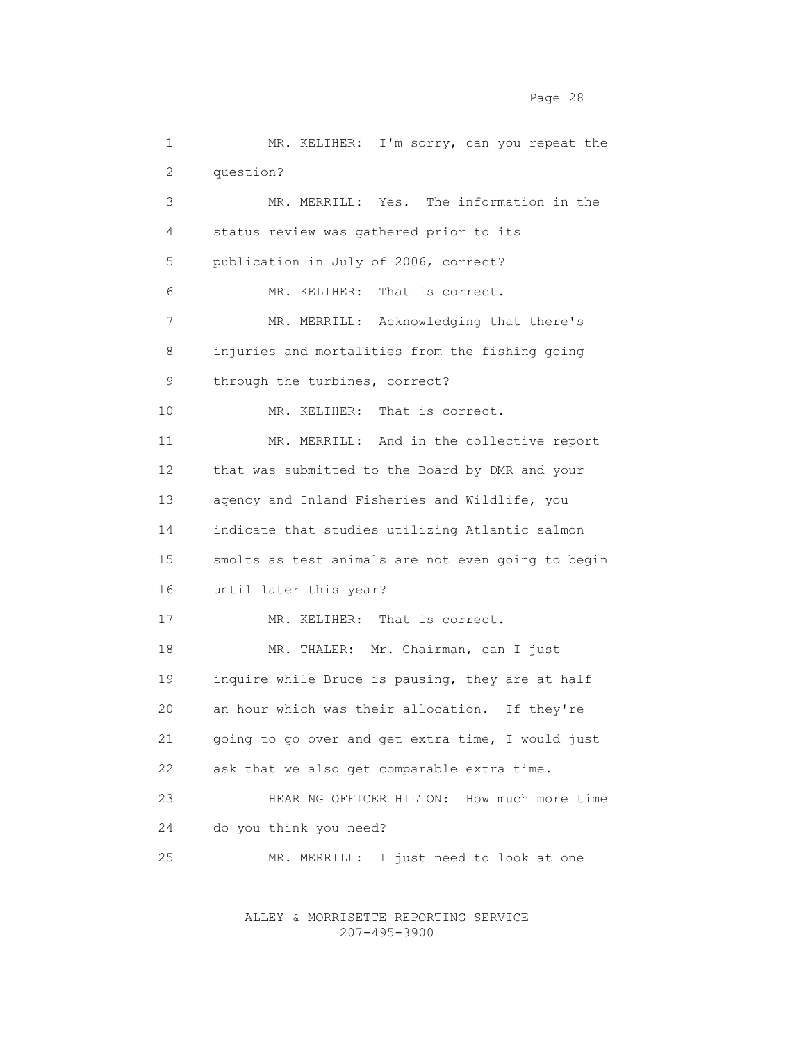Page 28 and the state of the state of the state of the state of the state of the state of the state of the state of the state of the state of the state of the state of the state of the state of the state of the state of th

 1 MR. KELIHER: I'm sorry, can you repeat the 2 question? 3 MR. MERRILL: Yes. The information in the 4 status review was gathered prior to its 5 publication in July of 2006, correct? 6 MR. KELIHER: That is correct. 7 MR. MERRILL: Acknowledging that there's 8 injuries and mortalities from the fishing going 9 through the turbines, correct? 10 MR. KELIHER: That is correct. 11 MR. MERRILL: And in the collective report 12 that was submitted to the Board by DMR and your 13 agency and Inland Fisheries and Wildlife, you 14 indicate that studies utilizing Atlantic salmon 15 smolts as test animals are not even going to begin 16 until later this year? 17 MR. KELIHER: That is correct. 18 MR. THALER: Mr. Chairman, can I just 19 inquire while Bruce is pausing, they are at half 20 an hour which was their allocation. If they're 21 going to go over and get extra time, I would just 22 ask that we also get comparable extra time. 23 HEARING OFFICER HILTON: How much more time 24 do you think you need? 25 MR. MERRILL: I just need to look at one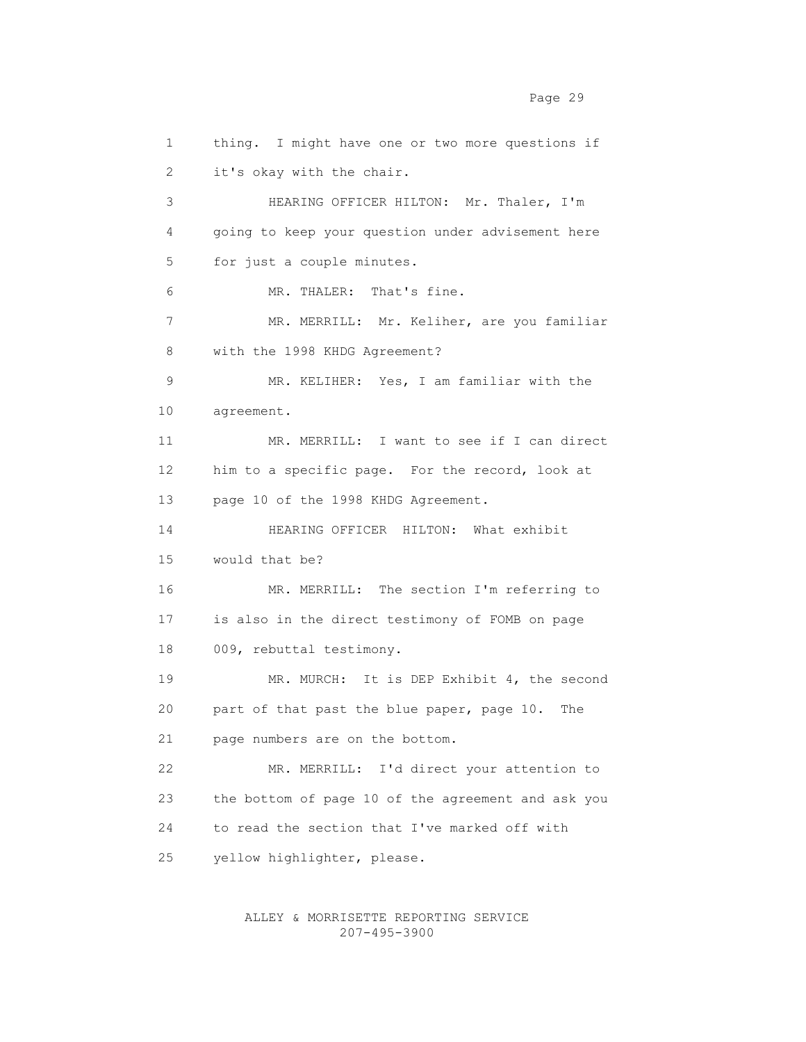1 thing. I might have one or two more questions if 2 it's okay with the chair. 3 HEARING OFFICER HILTON: Mr. Thaler, I'm 4 going to keep your question under advisement here 5 for just a couple minutes. 6 MR. THALER: That's fine. 7 MR. MERRILL: Mr. Keliher, are you familiar 8 with the 1998 KHDG Agreement? 9 MR. KELIHER: Yes, I am familiar with the 10 agreement. 11 MR. MERRILL: I want to see if I can direct 12 him to a specific page. For the record, look at 13 page 10 of the 1998 KHDG Agreement. 14 HEARING OFFICER HILTON: What exhibit 15 would that be? 16 MR. MERRILL: The section I'm referring to 17 is also in the direct testimony of FOMB on page 18 009, rebuttal testimony. 19 MR. MURCH: It is DEP Exhibit 4, the second 20 part of that past the blue paper, page 10. The 21 page numbers are on the bottom. 22 MR. MERRILL: I'd direct your attention to 23 the bottom of page 10 of the agreement and ask you 24 to read the section that I've marked off with 25 yellow highlighter, please.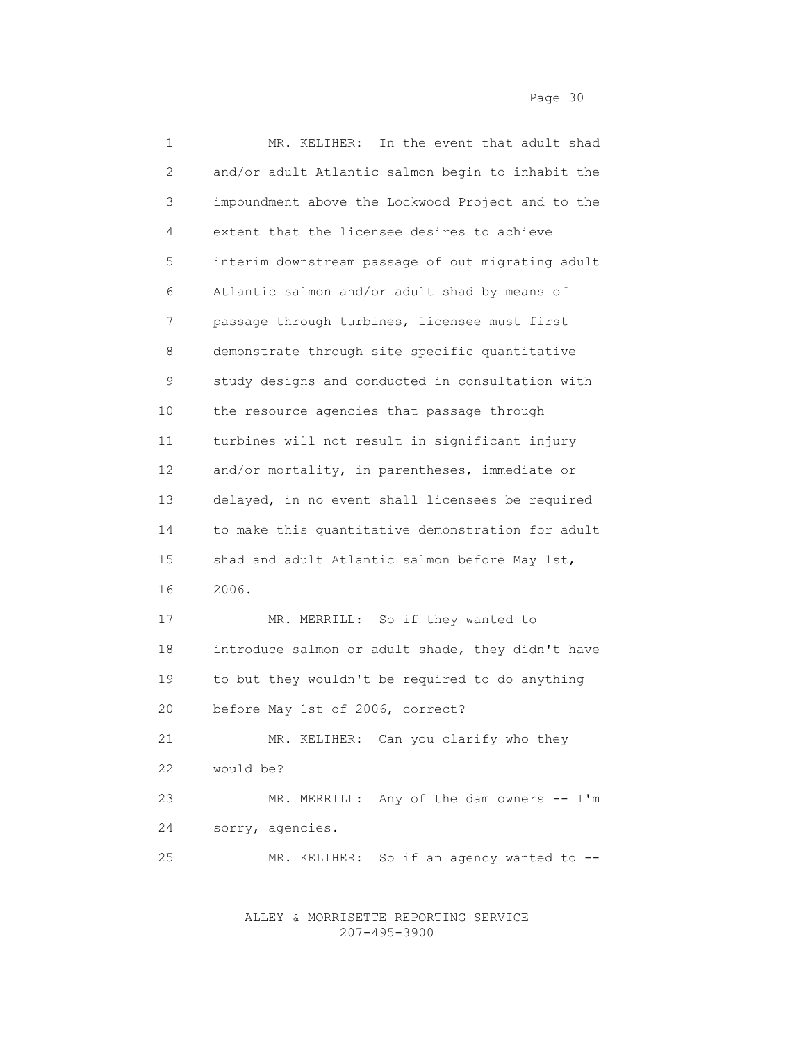| 1               | In the event that adult shad<br>MR. KELIHER:      |
|-----------------|---------------------------------------------------|
| 2               | and/or adult Atlantic salmon begin to inhabit the |
| 3               | impoundment above the Lockwood Project and to the |
| 4               | extent that the licensee desires to achieve       |
| 5               | interim downstream passage of out migrating adult |
| 6               | Atlantic salmon and/or adult shad by means of     |
| 7               | passage through turbines, licensee must first     |
| 8               | demonstrate through site specific quantitative    |
| 9               | study designs and conducted in consultation with  |
| 10              | the resource agencies that passage through        |
| 11              | turbines will not result in significant injury    |
| 12 <sup>°</sup> | and/or mortality, in parentheses, immediate or    |
| 13              | delayed, in no event shall licensees be required  |
| 14              | to make this quantitative demonstration for adult |
| 15              | shad and adult Atlantic salmon before May 1st,    |
| 16              | 2006.                                             |
| 17              | MR. MERRILL: So if they wanted to                 |
| 18              | introduce salmon or adult shade, they didn't have |
| 19              | to but they wouldn't be required to do anything   |
| 20              | before May 1st of 2006, correct?                  |
| 21              | MR. KELIHER: Can you clarify who they             |
| 22              | would be?                                         |
| 23              | MR. MERRILL: Any of the dam owners -- I'm         |
| 24              | sorry, agencies.                                  |
| 25              | So if an agency wanted to --<br>MR. KELIHER:      |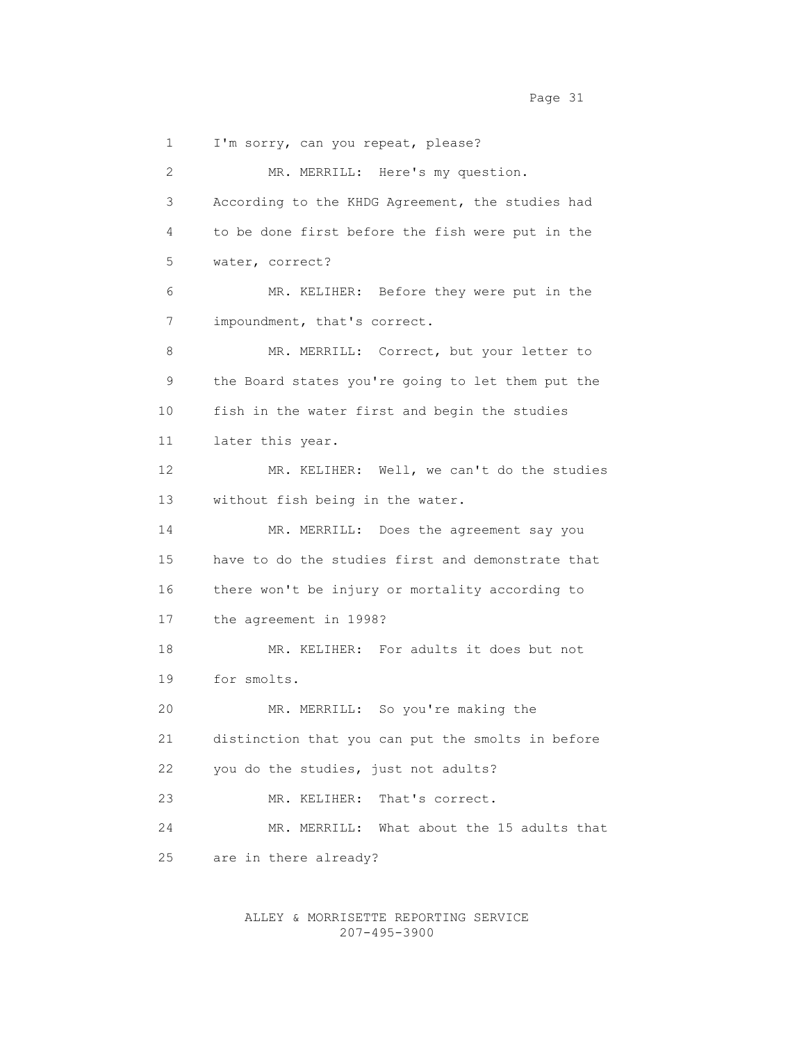1 I'm sorry, can you repeat, please? 2 MR. MERRILL: Here's my question. 3 According to the KHDG Agreement, the studies had 4 to be done first before the fish were put in the 5 water, correct? 6 MR. KELIHER: Before they were put in the 7 impoundment, that's correct. 8 MR. MERRILL: Correct, but your letter to 9 the Board states you're going to let them put the 10 fish in the water first and begin the studies 11 later this year. 12 MR. KELIHER: Well, we can't do the studies 13 without fish being in the water. 14 MR. MERRILL: Does the agreement say you 15 have to do the studies first and demonstrate that 16 there won't be injury or mortality according to 17 the agreement in 1998? 18 MR. KELIHER: For adults it does but not 19 for smolts. 20 MR. MERRILL: So you're making the 21 distinction that you can put the smolts in before 22 you do the studies, just not adults? 23 MR. KELIHER: That's correct. 24 MR. MERRILL: What about the 15 adults that 25 are in there already?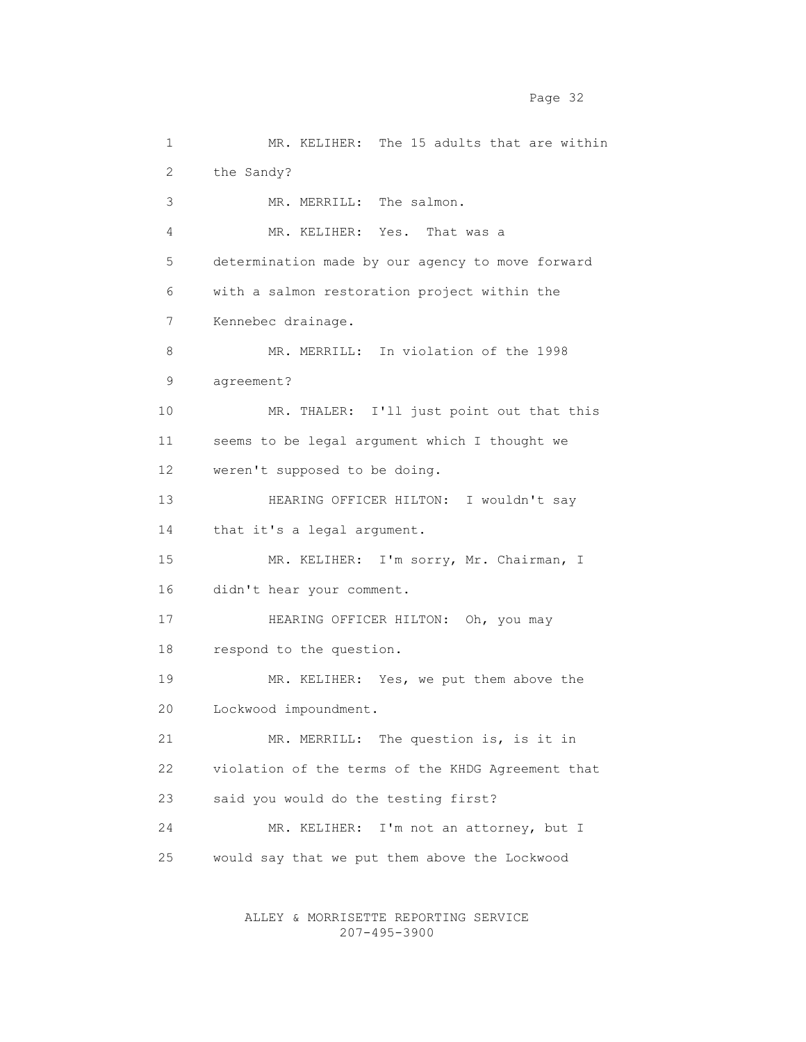1 MR. KELIHER: The 15 adults that are within 2 the Sandy? 3 MR. MERRILL: The salmon. 4 MR. KELIHER: Yes. That was a 5 determination made by our agency to move forward 6 with a salmon restoration project within the 7 Kennebec drainage. 8 MR. MERRILL: In violation of the 1998 9 agreement? 10 MR. THALER: I'll just point out that this 11 seems to be legal argument which I thought we 12 weren't supposed to be doing. 13 HEARING OFFICER HILTON: I wouldn't say 14 that it's a legal argument. 15 MR. KELIHER: I'm sorry, Mr. Chairman, I 16 didn't hear your comment. 17 HEARING OFFICER HILTON: Oh, you may 18 respond to the question. 19 MR. KELIHER: Yes, we put them above the 20 Lockwood impoundment. 21 MR. MERRILL: The question is, is it in 22 violation of the terms of the KHDG Agreement that 23 said you would do the testing first? 24 MR. KELIHER: I'm not an attorney, but I 25 would say that we put them above the Lockwood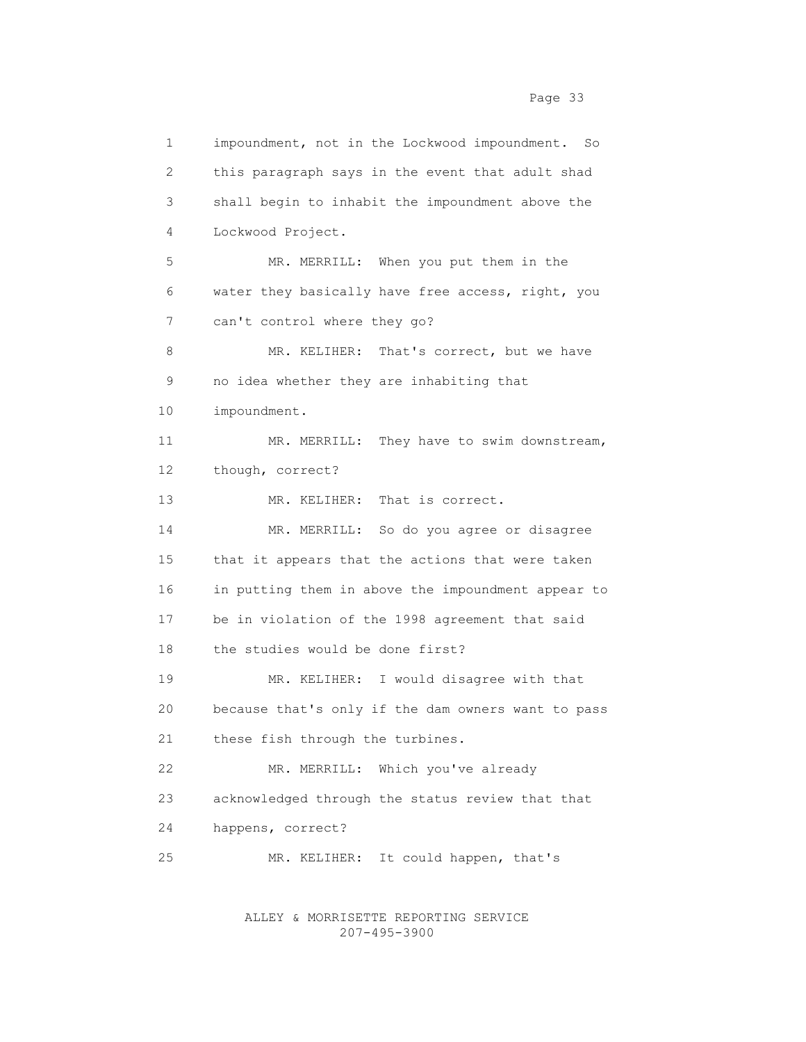1 impoundment, not in the Lockwood impoundment. So 2 this paragraph says in the event that adult shad 3 shall begin to inhabit the impoundment above the 4 Lockwood Project. 5 MR. MERRILL: When you put them in the 6 water they basically have free access, right, you 7 can't control where they go? 8 MR. KELIHER: That's correct, but we have 9 no idea whether they are inhabiting that 10 impoundment. 11 MR. MERRILL: They have to swim downstream, 12 though, correct? 13 MR. KELIHER: That is correct. 14 MR. MERRILL: So do you agree or disagree 15 that it appears that the actions that were taken 16 in putting them in above the impoundment appear to 17 be in violation of the 1998 agreement that said 18 the studies would be done first? 19 MR. KELIHER: I would disagree with that 20 because that's only if the dam owners want to pass 21 these fish through the turbines. 22 MR. MERRILL: Which you've already 23 acknowledged through the status review that that 24 happens, correct? 25 MR. KELIHER: It could happen, that's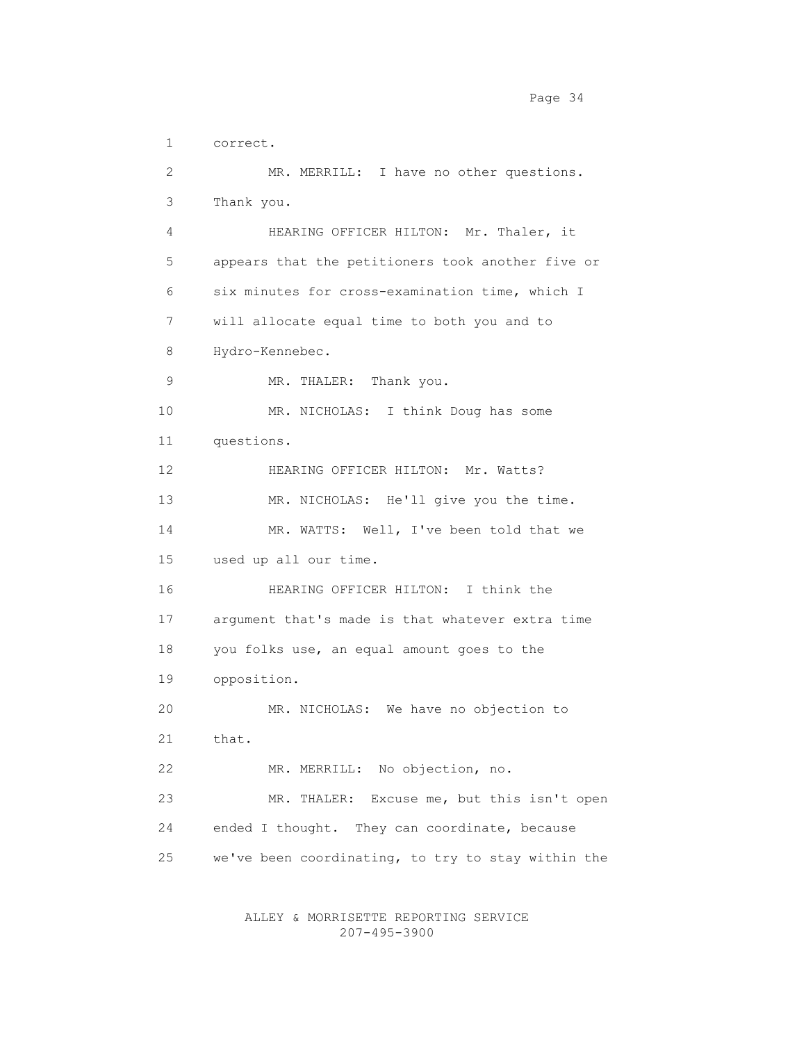1 correct. 2 MR. MERRILL: I have no other questions. 3 Thank you. 4 HEARING OFFICER HILTON: Mr. Thaler, it 5 appears that the petitioners took another five or 6 six minutes for cross-examination time, which I 7 will allocate equal time to both you and to 8 Hydro-Kennebec. 9 MR. THALER: Thank you. 10 MR. NICHOLAS: I think Doug has some 11 questions. 12 HEARING OFFICER HILTON: Mr. Watts? 13 MR. NICHOLAS: He'll give you the time. 14 MR. WATTS: Well, I've been told that we 15 used up all our time. 16 HEARING OFFICER HILTON: I think the 17 argument that's made is that whatever extra time 18 you folks use, an equal amount goes to the 19 opposition. 20 MR. NICHOLAS: We have no objection to 21 that. 22 MR. MERRILL: No objection, no. 23 MR. THALER: Excuse me, but this isn't open 24 ended I thought. They can coordinate, because 25 we've been coordinating, to try to stay within the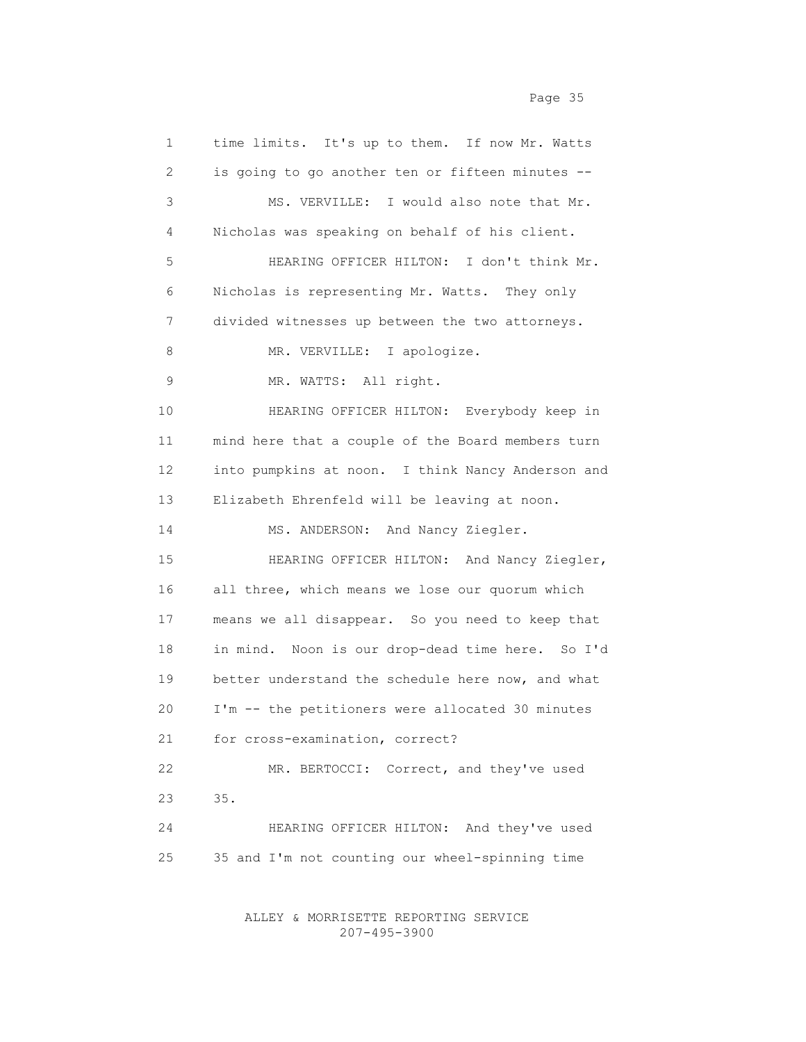| 1  | time limits. It's up to them. If now Mr. Watts    |
|----|---------------------------------------------------|
| 2  | is going to go another ten or fifteen minutes --  |
| 3  | MS. VERVILLE: I would also note that Mr.          |
| 4  | Nicholas was speaking on behalf of his client.    |
| 5  | HEARING OFFICER HILTON: I don't think Mr.         |
| 6  | Nicholas is representing Mr. Watts. They only     |
| 7  | divided witnesses up between the two attorneys.   |
| 8  | MR. VERVILLE: I apologize.                        |
| 9  | MR. WATTS: All right.                             |
| 10 | HEARING OFFICER HILTON: Everybody keep in         |
| 11 | mind here that a couple of the Board members turn |
| 12 | into pumpkins at noon. I think Nancy Anderson and |
| 13 | Elizabeth Ehrenfeld will be leaving at noon.      |
| 14 | MS. ANDERSON: And Nancy Ziegler.                  |
| 15 | HEARING OFFICER HILTON: And Nancy Ziegler,        |
| 16 | all three, which means we lose our quorum which   |
| 17 | means we all disappear. So you need to keep that  |
| 18 | in mind. Noon is our drop-dead time here. So I'd  |
| 19 | better understand the schedule here now, and what |
| 20 | I'm -- the petitioners were allocated 30 minutes  |
| 21 | for cross-examination, correct?                   |
| 22 | MR. BERTOCCI: Correct, and they've used           |
| 23 | 35.                                               |
| 24 | HEARING OFFICER HILTON: And they've used          |
| 25 | 35 and I'm not counting our wheel-spinning time   |
|    |                                                   |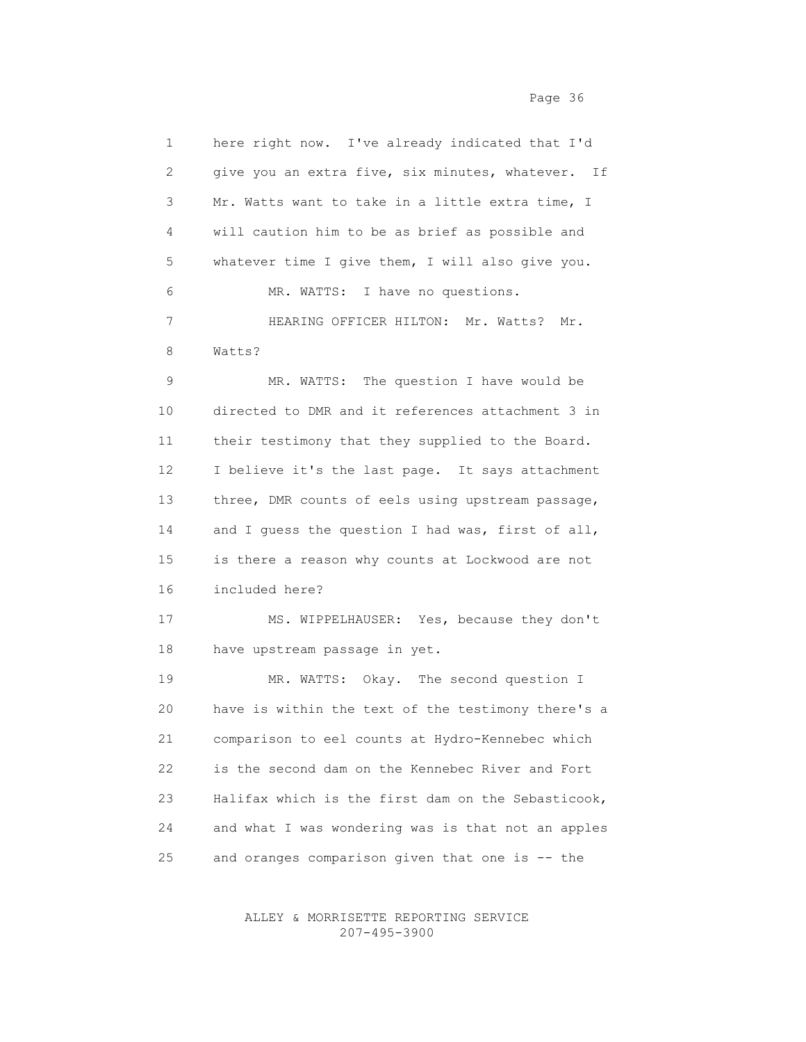1 here right now. I've already indicated that I'd 2 give you an extra five, six minutes, whatever. If 3 Mr. Watts want to take in a little extra time, I 4 will caution him to be as brief as possible and 5 whatever time I give them, I will also give you. 6 MR. WATTS: I have no questions. 7 HEARING OFFICER HILTON: Mr. Watts? Mr. 8 Watts? 9 MR. WATTS: The question I have would be 10 directed to DMR and it references attachment 3 in 11 their testimony that they supplied to the Board. 12 I believe it's the last page. It says attachment 13 three, DMR counts of eels using upstream passage, 14 and I guess the question I had was, first of all, 15 is there a reason why counts at Lockwood are not 16 included here? 17 MS. WIPPELHAUSER: Yes, because they don't 18 have upstream passage in yet. 19 MR. WATTS: Okay. The second question I 20 have is within the text of the testimony there's a 21 comparison to eel counts at Hydro-Kennebec which 22 is the second dam on the Kennebec River and Fort 23 Halifax which is the first dam on the Sebasticook, 24 and what I was wondering was is that not an apples 25 and oranges comparison given that one is -- the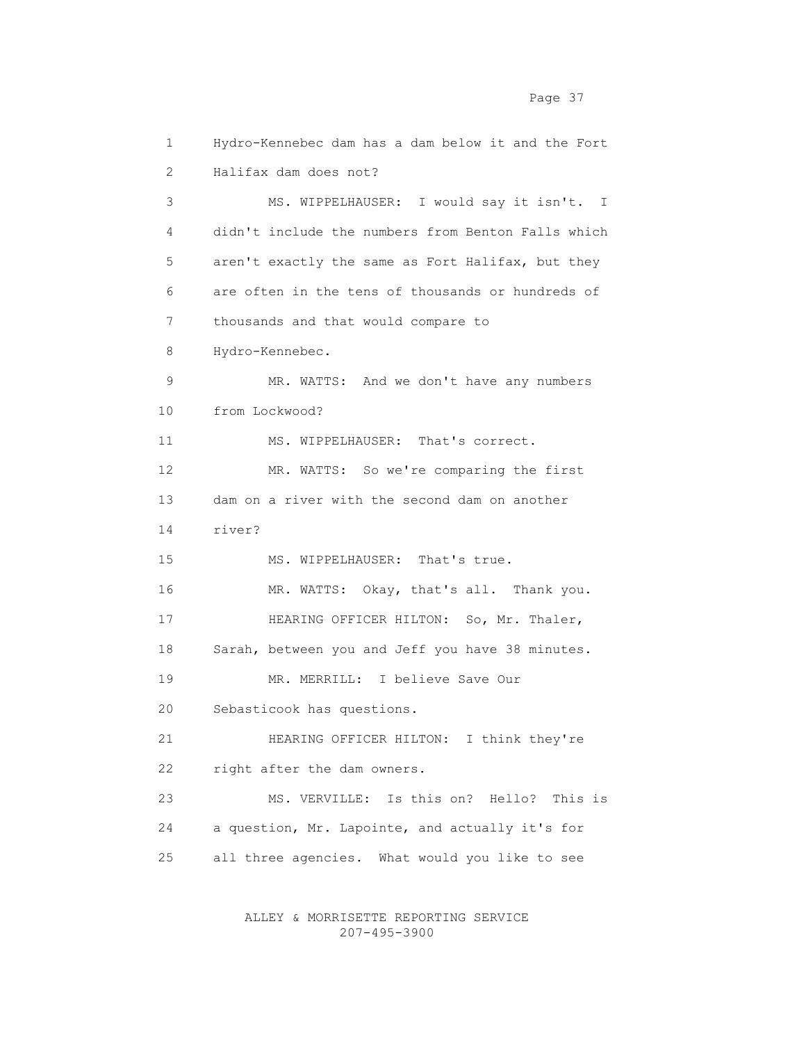1 Hydro-Kennebec dam has a dam below it and the Fort 2 Halifax dam does not? 3 MS. WIPPELHAUSER: I would say it isn't. I 4 didn't include the numbers from Benton Falls which 5 aren't exactly the same as Fort Halifax, but they 6 are often in the tens of thousands or hundreds of 7 thousands and that would compare to 8 Hydro-Kennebec. 9 MR. WATTS: And we don't have any numbers 10 from Lockwood? 11 MS. WIPPELHAUSER: That's correct. 12 MR. WATTS: So we're comparing the first 13 dam on a river with the second dam on another 14 river? 15 MS. WIPPELHAUSER: That's true. 16 MR. WATTS: Okay, that's all. Thank you. 17 HEARING OFFICER HILTON: So, Mr. Thaler, 18 Sarah, between you and Jeff you have 38 minutes. 19 MR. MERRILL: I believe Save Our 20 Sebasticook has questions. 21 HEARING OFFICER HILTON: I think they're 22 right after the dam owners. 23 MS. VERVILLE: Is this on? Hello? This is 24 a question, Mr. Lapointe, and actually it's for 25 all three agencies. What would you like to see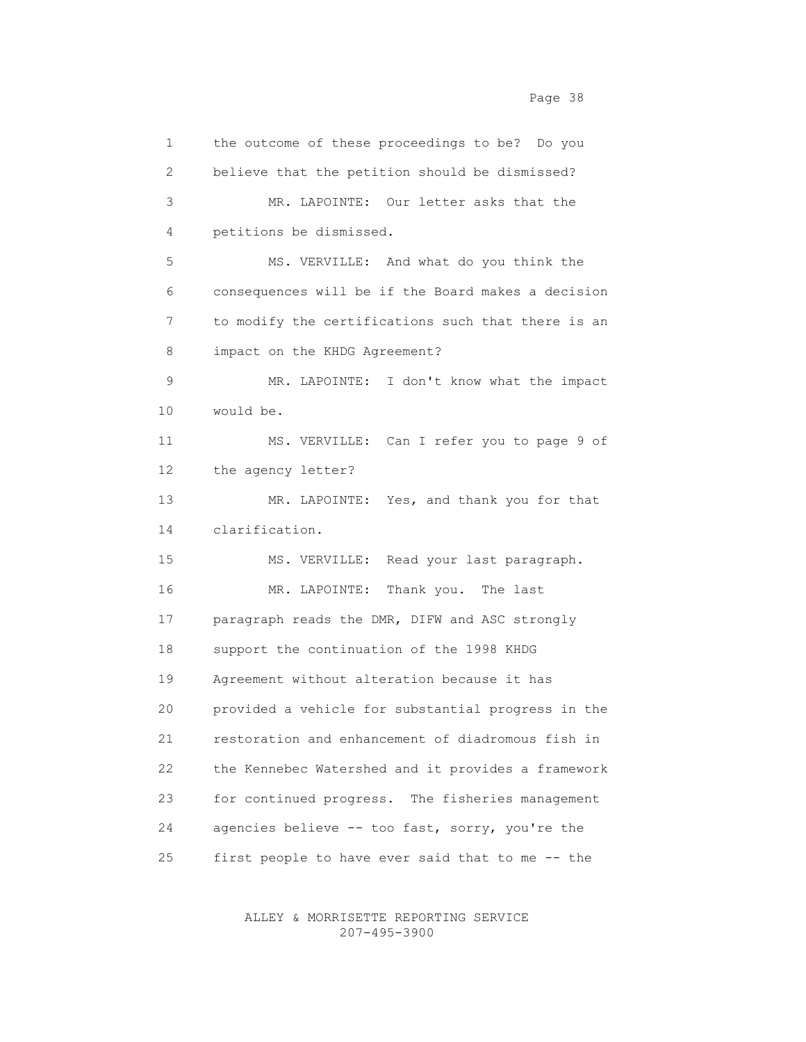1 the outcome of these proceedings to be? Do you 2 believe that the petition should be dismissed? 3 MR. LAPOINTE: Our letter asks that the 4 petitions be dismissed. 5 MS. VERVILLE: And what do you think the 6 consequences will be if the Board makes a decision 7 to modify the certifications such that there is an 8 impact on the KHDG Agreement? 9 MR. LAPOINTE: I don't know what the impact 10 would be. 11 MS. VERVILLE: Can I refer you to page 9 of 12 the agency letter? 13 MR. LAPOINTE: Yes, and thank you for that 14 clarification. 15 MS. VERVILLE: Read your last paragraph. 16 MR. LAPOINTE: Thank you. The last 17 paragraph reads the DMR, DIFW and ASC strongly 18 support the continuation of the 1998 KHDG 19 Agreement without alteration because it has 20 provided a vehicle for substantial progress in the 21 restoration and enhancement of diadromous fish in 22 the Kennebec Watershed and it provides a framework 23 for continued progress. The fisheries management 24 agencies believe -- too fast, sorry, you're the 25 first people to have ever said that to me -- the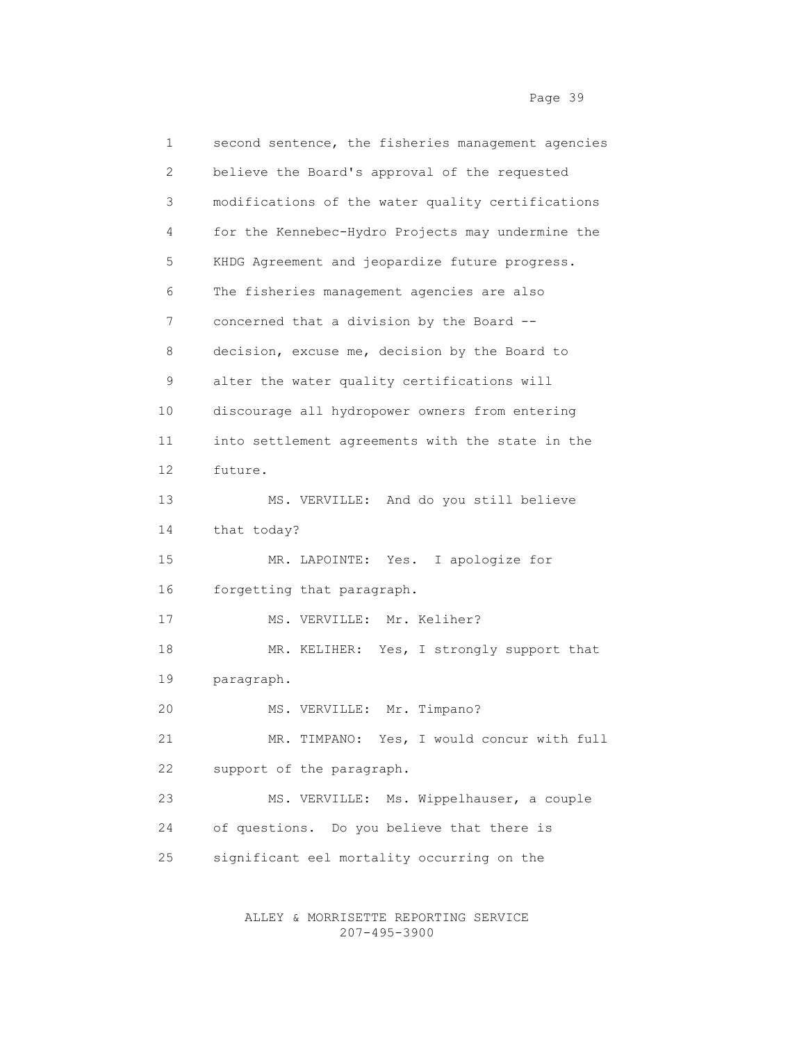1 second sentence, the fisheries management agencies 2 believe the Board's approval of the requested 3 modifications of the water quality certifications 4 for the Kennebec-Hydro Projects may undermine the 5 KHDG Agreement and jeopardize future progress. 6 The fisheries management agencies are also 7 concerned that a division by the Board -- 8 decision, excuse me, decision by the Board to 9 alter the water quality certifications will 10 discourage all hydropower owners from entering 11 into settlement agreements with the state in the 12 future. 13 MS. VERVILLE: And do you still believe 14 that today? 15 MR. LAPOINTE: Yes. I apologize for 16 forgetting that paragraph. 17 MS. VERVILLE: Mr. Keliher? 18 MR. KELIHER: Yes, I strongly support that 19 paragraph. 20 MS. VERVILLE: Mr. Timpano? 21 MR. TIMPANO: Yes, I would concur with full 22 support of the paragraph. 23 MS. VERVILLE: Ms. Wippelhauser, a couple 24 of questions. Do you believe that there is 25 significant eel mortality occurring on the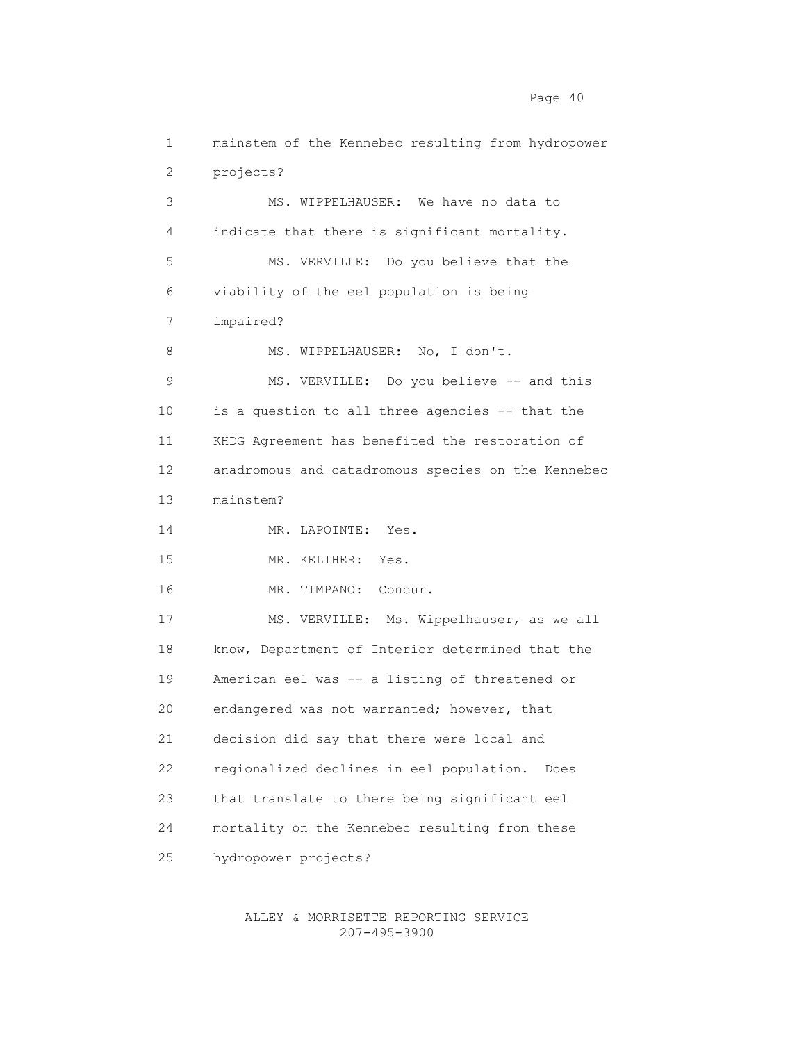1 mainstem of the Kennebec resulting from hydropower 2 projects? 3 MS. WIPPELHAUSER: We have no data to 4 indicate that there is significant mortality. 5 MS. VERVILLE: Do you believe that the 6 viability of the eel population is being 7 impaired? 8 MS. WIPPELHAUSER: No, I don't. 9 MS. VERVILLE: Do you believe -- and this 10 is a question to all three agencies -- that the 11 KHDG Agreement has benefited the restoration of 12 anadromous and catadromous species on the Kennebec 13 mainstem? 14 MR. LAPOINTE: Yes. 15 MR. KELIHER: Yes. 16 MR. TIMPANO: Concur. 17 MS. VERVILLE: Ms. Wippelhauser, as we all 18 know, Department of Interior determined that the 19 American eel was -- a listing of threatened or 20 endangered was not warranted; however, that 21 decision did say that there were local and 22 regionalized declines in eel population. Does 23 that translate to there being significant eel 24 mortality on the Kennebec resulting from these 25 hydropower projects?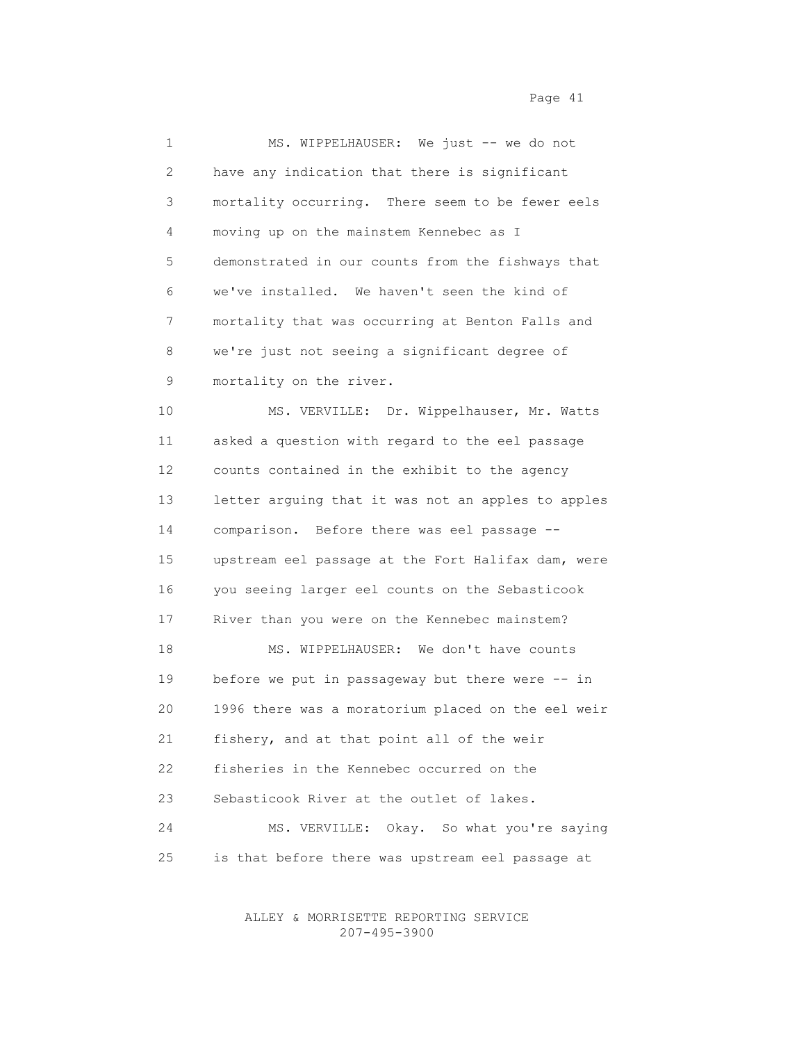1 MS. WIPPELHAUSER: We just -- we do not 2 have any indication that there is significant 3 mortality occurring. There seem to be fewer eels 4 moving up on the mainstem Kennebec as I 5 demonstrated in our counts from the fishways that 6 we've installed. We haven't seen the kind of 7 mortality that was occurring at Benton Falls and 8 we're just not seeing a significant degree of 9 mortality on the river.

 10 MS. VERVILLE: Dr. Wippelhauser, Mr. Watts 11 asked a question with regard to the eel passage 12 counts contained in the exhibit to the agency 13 letter arguing that it was not an apples to apples 14 comparison. Before there was eel passage -- 15 upstream eel passage at the Fort Halifax dam, were 16 you seeing larger eel counts on the Sebasticook 17 River than you were on the Kennebec mainstem? 18 MS. WIPPELHAUSER: We don't have counts 19 before we put in passageway but there were -- in 20 1996 there was a moratorium placed on the eel weir 21 fishery, and at that point all of the weir 22 fisheries in the Kennebec occurred on the 23 Sebasticook River at the outlet of lakes. 24 MS. VERVILLE: Okay. So what you're saying 25 is that before there was upstream eel passage at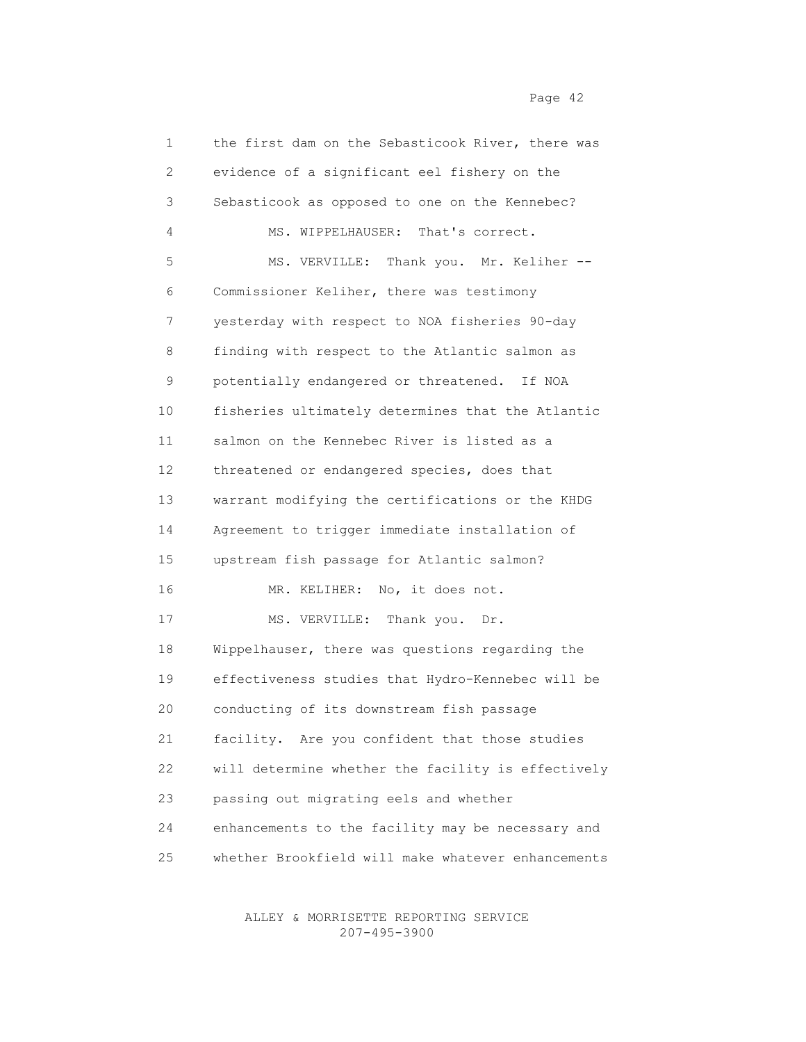1 the first dam on the Sebasticook River, there was 2 evidence of a significant eel fishery on the 3 Sebasticook as opposed to one on the Kennebec? 4 MS. WIPPELHAUSER: That's correct. 5 MS. VERVILLE: Thank you. Mr. Keliher -- 6 Commissioner Keliher, there was testimony 7 yesterday with respect to NOA fisheries 90-day 8 finding with respect to the Atlantic salmon as 9 potentially endangered or threatened. If NOA 10 fisheries ultimately determines that the Atlantic 11 salmon on the Kennebec River is listed as a 12 threatened or endangered species, does that 13 warrant modifying the certifications or the KHDG 14 Agreement to trigger immediate installation of 15 upstream fish passage for Atlantic salmon? 16 MR. KELIHER: No, it does not. 17 MS. VERVILLE: Thank you. Dr. 18 Wippelhauser, there was questions regarding the 19 effectiveness studies that Hydro-Kennebec will be 20 conducting of its downstream fish passage 21 facility. Are you confident that those studies 22 will determine whether the facility is effectively 23 passing out migrating eels and whether 24 enhancements to the facility may be necessary and 25 whether Brookfield will make whatever enhancements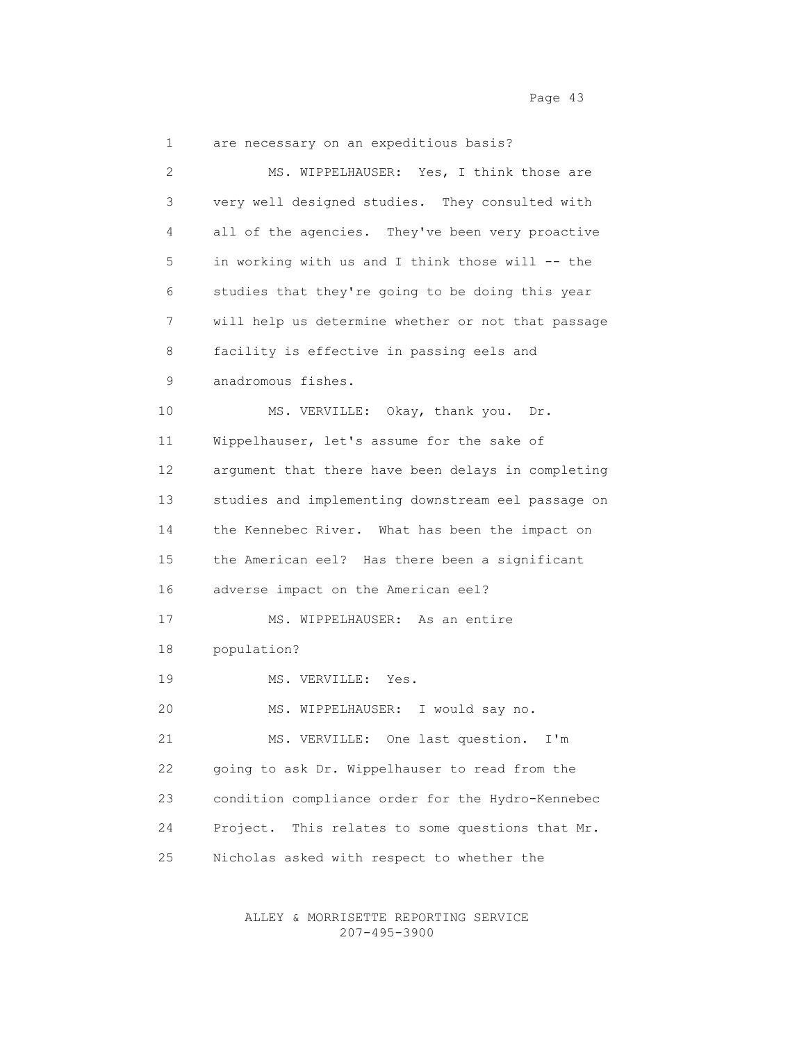1 are necessary on an expeditious basis? 2 MS. WIPPELHAUSER: Yes, I think those are 3 very well designed studies. They consulted with 4 all of the agencies. They've been very proactive 5 in working with us and I think those will -- the 6 studies that they're going to be doing this year 7 will help us determine whether or not that passage 8 facility is effective in passing eels and 9 anadromous fishes. 10 MS. VERVILLE: Okay, thank you. Dr. 11 Wippelhauser, let's assume for the sake of 12 argument that there have been delays in completing 13 studies and implementing downstream eel passage on 14 the Kennebec River. What has been the impact on 15 the American eel? Has there been a significant 16 adverse impact on the American eel? 17 MS. WIPPELHAUSER: As an entire 18 population? 19 MS. VERVILLE: Yes. 20 MS. WIPPELHAUSER: I would say no. 21 MS. VERVILLE: One last question. I'm 22 going to ask Dr. Wippelhauser to read from the 23 condition compliance order for the Hydro-Kennebec 24 Project. This relates to some questions that Mr. 25 Nicholas asked with respect to whether the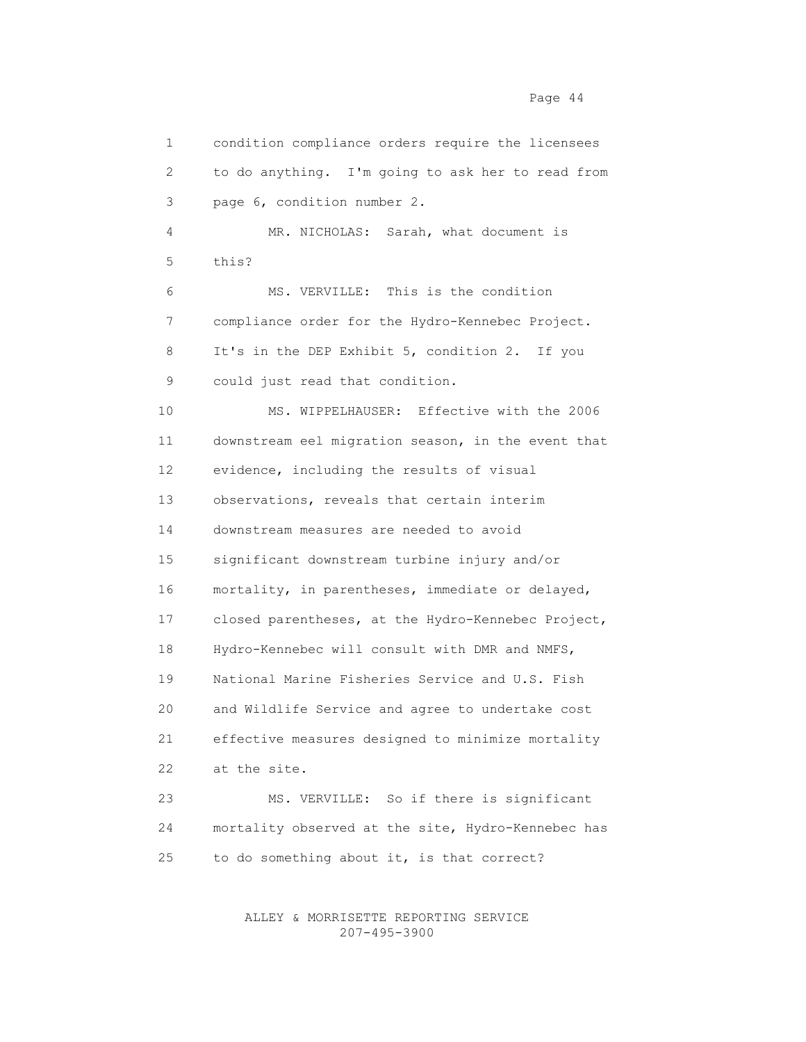1 condition compliance orders require the licensees 2 to do anything. I'm going to ask her to read from 3 page 6, condition number 2. 4 MR. NICHOLAS: Sarah, what document is 5 this? 6 MS. VERVILLE: This is the condition 7 compliance order for the Hydro-Kennebec Project. 8 It's in the DEP Exhibit 5, condition 2. If you 9 could just read that condition. 10 MS. WIPPELHAUSER: Effective with the 2006 11 downstream eel migration season, in the event that 12 evidence, including the results of visual 13 observations, reveals that certain interim 14 downstream measures are needed to avoid 15 significant downstream turbine injury and/or 16 mortality, in parentheses, immediate or delayed, 17 closed parentheses, at the Hydro-Kennebec Project, 18 Hydro-Kennebec will consult with DMR and NMFS, 19 National Marine Fisheries Service and U.S. Fish 20 and Wildlife Service and agree to undertake cost 21 effective measures designed to minimize mortality 22 at the site. 23 MS. VERVILLE: So if there is significant 24 mortality observed at the site, Hydro-Kennebec has 25 to do something about it, is that correct?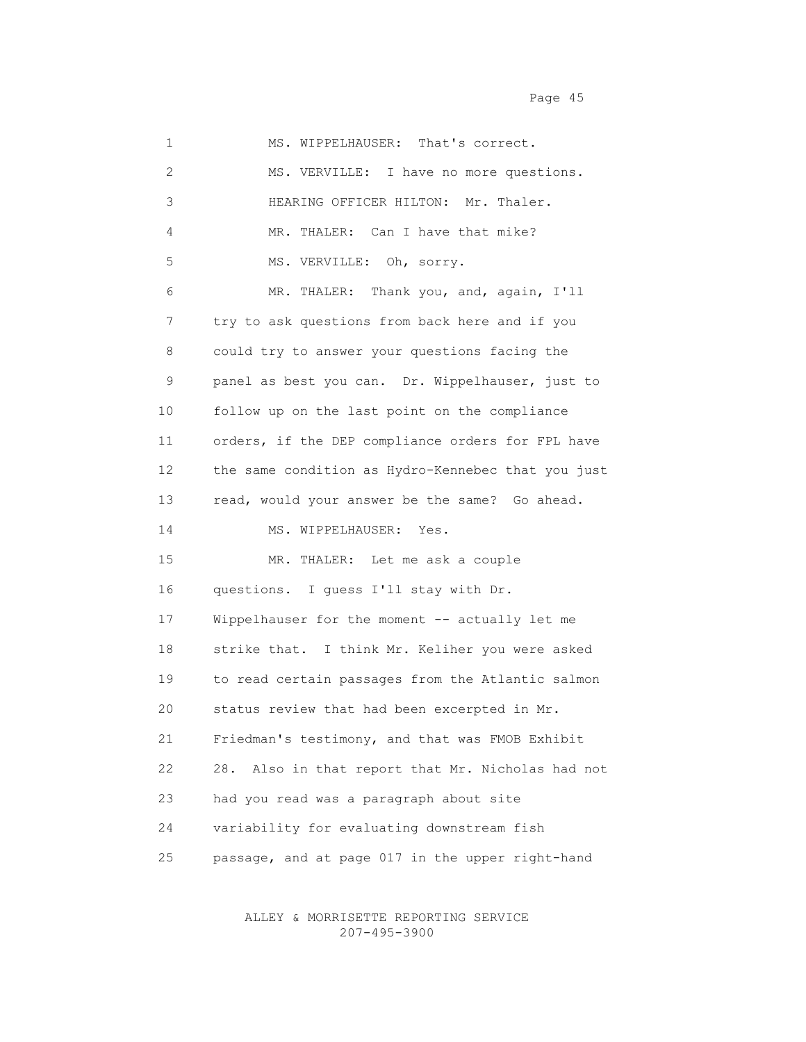1 MS. WIPPELHAUSER: That's correct. 2 MS. VERVILLE: I have no more questions. 3 HEARING OFFICER HILTON: Mr. Thaler. 4 MR. THALER: Can I have that mike? 5 MS. VERVILLE: Oh, sorry. 6 MR. THALER: Thank you, and, again, I'll 7 try to ask questions from back here and if you 8 could try to answer your questions facing the 9 panel as best you can. Dr. Wippelhauser, just to 10 follow up on the last point on the compliance 11 orders, if the DEP compliance orders for FPL have 12 the same condition as Hydro-Kennebec that you just 13 read, would your answer be the same? Go ahead. 14 MS. WIPPELHAUSER: Yes. 15 MR. THALER: Let me ask a couple 16 questions. I guess I'll stay with Dr. 17 Wippelhauser for the moment -- actually let me 18 strike that. I think Mr. Keliher you were asked 19 to read certain passages from the Atlantic salmon 20 status review that had been excerpted in Mr. 21 Friedman's testimony, and that was FMOB Exhibit 22 28. Also in that report that Mr. Nicholas had not 23 had you read was a paragraph about site 24 variability for evaluating downstream fish 25 passage, and at page 017 in the upper right-hand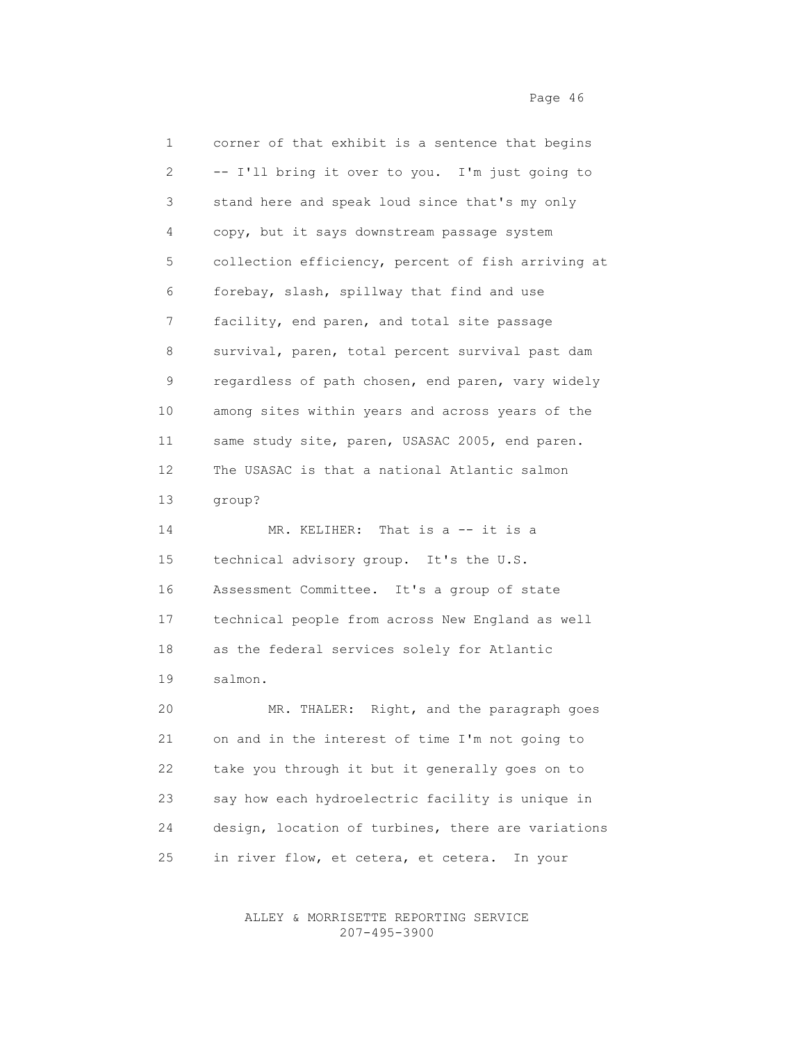1 corner of that exhibit is a sentence that begins 2 -- I'll bring it over to you. I'm just going to 3 stand here and speak loud since that's my only 4 copy, but it says downstream passage system 5 collection efficiency, percent of fish arriving at 6 forebay, slash, spillway that find and use 7 facility, end paren, and total site passage 8 survival, paren, total percent survival past dam 9 regardless of path chosen, end paren, vary widely 10 among sites within years and across years of the 11 same study site, paren, USASAC 2005, end paren. 12 The USASAC is that a national Atlantic salmon 13 group? 14 MR. KELIHER: That is a -- it is a 15 technical advisory group. It's the U.S. 16 Assessment Committee. It's a group of state 17 technical people from across New England as well 18 as the federal services solely for Atlantic 19 salmon. 20 MR. THALER: Right, and the paragraph goes 21 on and in the interest of time I'm not going to 22 take you through it but it generally goes on to 23 say how each hydroelectric facility is unique in 24 design, location of turbines, there are variations

25 in river flow, et cetera, et cetera. In your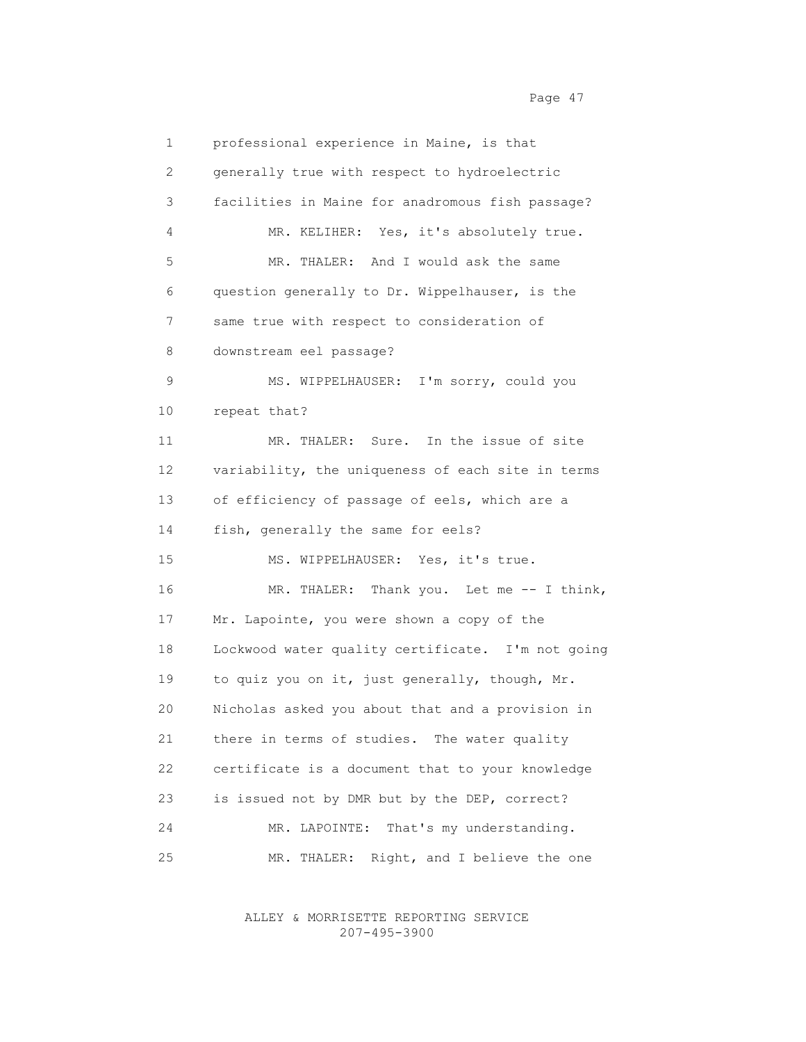1 professional experience in Maine, is that 2 generally true with respect to hydroelectric 3 facilities in Maine for anadromous fish passage? 4 MR. KELIHER: Yes, it's absolutely true. 5 MR. THALER: And I would ask the same 6 question generally to Dr. Wippelhauser, is the 7 same true with respect to consideration of 8 downstream eel passage? 9 MS. WIPPELHAUSER: I'm sorry, could you 10 repeat that? 11 MR. THALER: Sure. In the issue of site 12 variability, the uniqueness of each site in terms 13 of efficiency of passage of eels, which are a 14 fish, generally the same for eels? 15 MS. WIPPELHAUSER: Yes, it's true. 16 MR. THALER: Thank you. Let me -- I think, 17 Mr. Lapointe, you were shown a copy of the 18 Lockwood water quality certificate. I'm not going 19 to quiz you on it, just generally, though, Mr. 20 Nicholas asked you about that and a provision in 21 there in terms of studies. The water quality 22 certificate is a document that to your knowledge 23 is issued not by DMR but by the DEP, correct? 24 MR. LAPOINTE: That's my understanding. 25 MR. THALER: Right, and I believe the one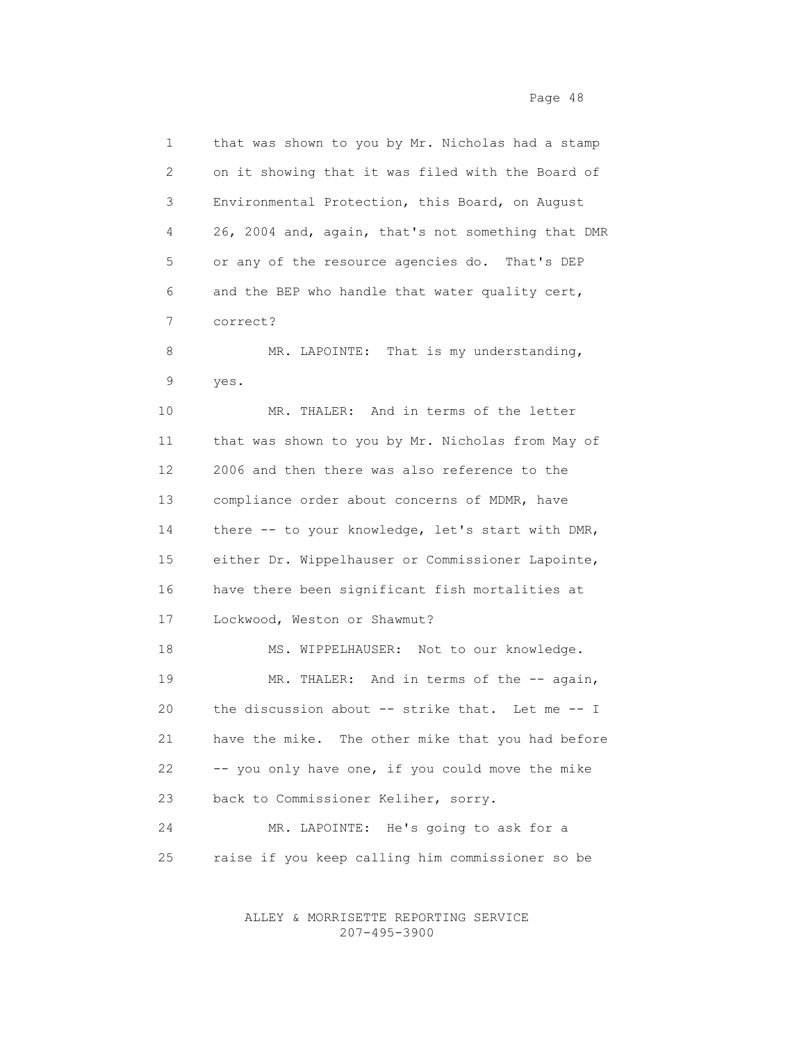1 that was shown to you by Mr. Nicholas had a stamp 2 on it showing that it was filed with the Board of 3 Environmental Protection, this Board, on August 4 26, 2004 and, again, that's not something that DMR 5 or any of the resource agencies do. That's DEP 6 and the BEP who handle that water quality cert, 7 correct? 8 MR. LAPOINTE: That is my understanding, 9 yes. 10 MR. THALER: And in terms of the letter 11 that was shown to you by Mr. Nicholas from May of 12 2006 and then there was also reference to the 13 compliance order about concerns of MDMR, have 14 there -- to your knowledge, let's start with DMR, 15 either Dr. Wippelhauser or Commissioner Lapointe, 16 have there been significant fish mortalities at 17 Lockwood, Weston or Shawmut? 18 MS. WIPPELHAUSER: Not to our knowledge. 19 MR. THALER: And in terms of the -- again, 20 the discussion about -- strike that. Let me -- I 21 have the mike. The other mike that you had before 22 -- you only have one, if you could move the mike 23 back to Commissioner Keliher, sorry. 24 MR. LAPOINTE: He's going to ask for a 25 raise if you keep calling him commissioner so be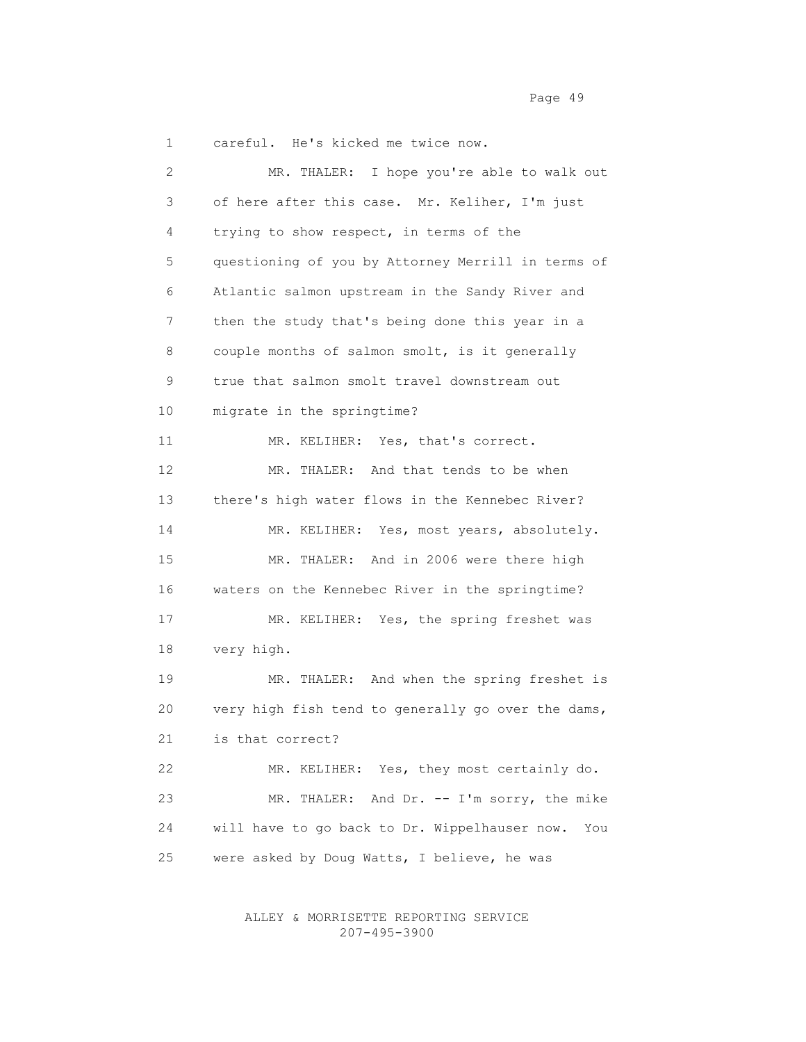1 careful. He's kicked me twice now.

 2 MR. THALER: I hope you're able to walk out 3 of here after this case. Mr. Keliher, I'm just 4 trying to show respect, in terms of the 5 questioning of you by Attorney Merrill in terms of 6 Atlantic salmon upstream in the Sandy River and 7 then the study that's being done this year in a 8 couple months of salmon smolt, is it generally 9 true that salmon smolt travel downstream out 10 migrate in the springtime? 11 MR. KELIHER: Yes, that's correct. 12 MR. THALER: And that tends to be when 13 there's high water flows in the Kennebec River? 14 MR. KELIHER: Yes, most years, absolutely. 15 MR. THALER: And in 2006 were there high 16 waters on the Kennebec River in the springtime? 17 MR. KELIHER: Yes, the spring freshet was 18 very high. 19 MR. THALER: And when the spring freshet is 20 very high fish tend to generally go over the dams, 21 is that correct? 22 MR. KELIHER: Yes, they most certainly do. 23 MR. THALER: And Dr. -- I'm sorry, the mike 24 will have to go back to Dr. Wippelhauser now. You 25 were asked by Doug Watts, I believe, he was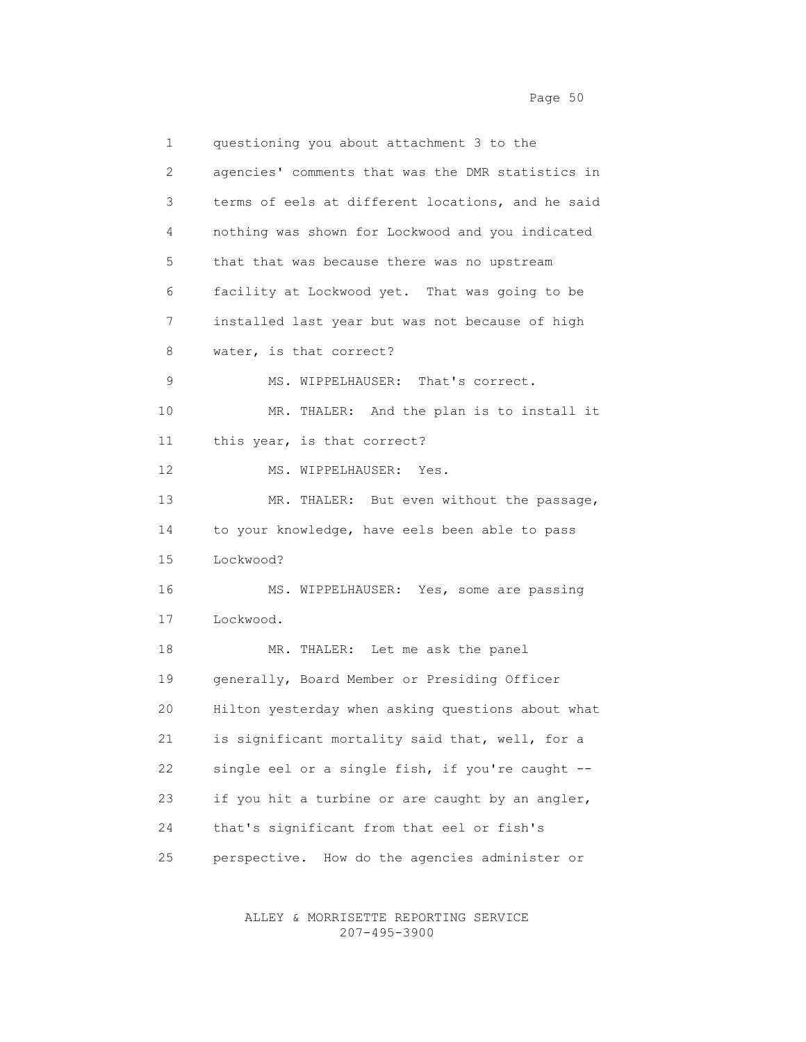1 questioning you about attachment 3 to the 2 agencies' comments that was the DMR statistics in 3 terms of eels at different locations, and he said 4 nothing was shown for Lockwood and you indicated 5 that that was because there was no upstream 6 facility at Lockwood yet. That was going to be 7 installed last year but was not because of high 8 water, is that correct? 9 MS. WIPPELHAUSER: That's correct. 10 MR. THALER: And the plan is to install it 11 this year, is that correct? 12 MS. WIPPELHAUSER: Yes. 13 MR. THALER: But even without the passage, 14 to your knowledge, have eels been able to pass 15 Lockwood? 16 MS. WIPPELHAUSER: Yes, some are passing 17 Lockwood. 18 MR. THALER: Let me ask the panel 19 generally, Board Member or Presiding Officer 20 Hilton yesterday when asking questions about what 21 is significant mortality said that, well, for a 22 single eel or a single fish, if you're caught -- 23 if you hit a turbine or are caught by an angler, 24 that's significant from that eel or fish's 25 perspective. How do the agencies administer or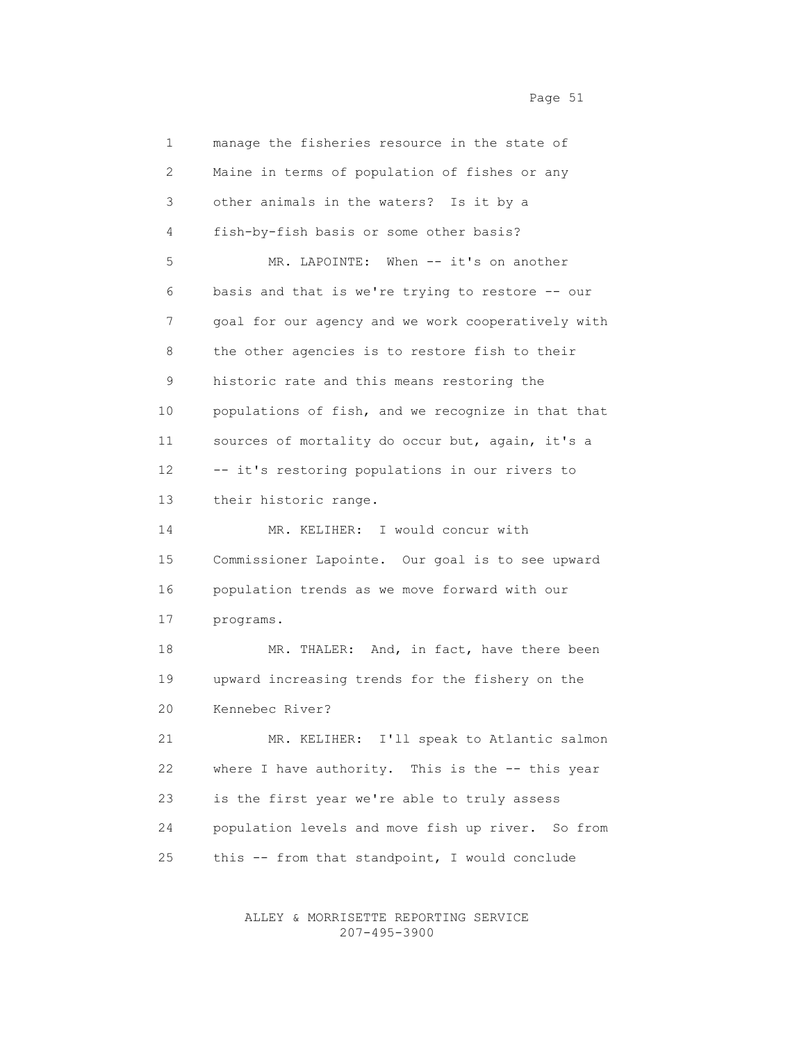1 manage the fisheries resource in the state of 2 Maine in terms of population of fishes or any 3 other animals in the waters? Is it by a 4 fish-by-fish basis or some other basis? 5 MR. LAPOINTE: When -- it's on another 6 basis and that is we're trying to restore -- our 7 goal for our agency and we work cooperatively with 8 the other agencies is to restore fish to their 9 historic rate and this means restoring the 10 populations of fish, and we recognize in that that 11 sources of mortality do occur but, again, it's a 12 -- it's restoring populations in our rivers to 13 their historic range. 14 MR. KELIHER: I would concur with 15 Commissioner Lapointe. Our goal is to see upward 16 population trends as we move forward with our 17 programs. 18 MR. THALER: And, in fact, have there been 19 upward increasing trends for the fishery on the 20 Kennebec River? 21 MR. KELIHER: I'll speak to Atlantic salmon 22 where I have authority. This is the -- this year 23 is the first year we're able to truly assess

 24 population levels and move fish up river. So from 25 this -- from that standpoint, I would conclude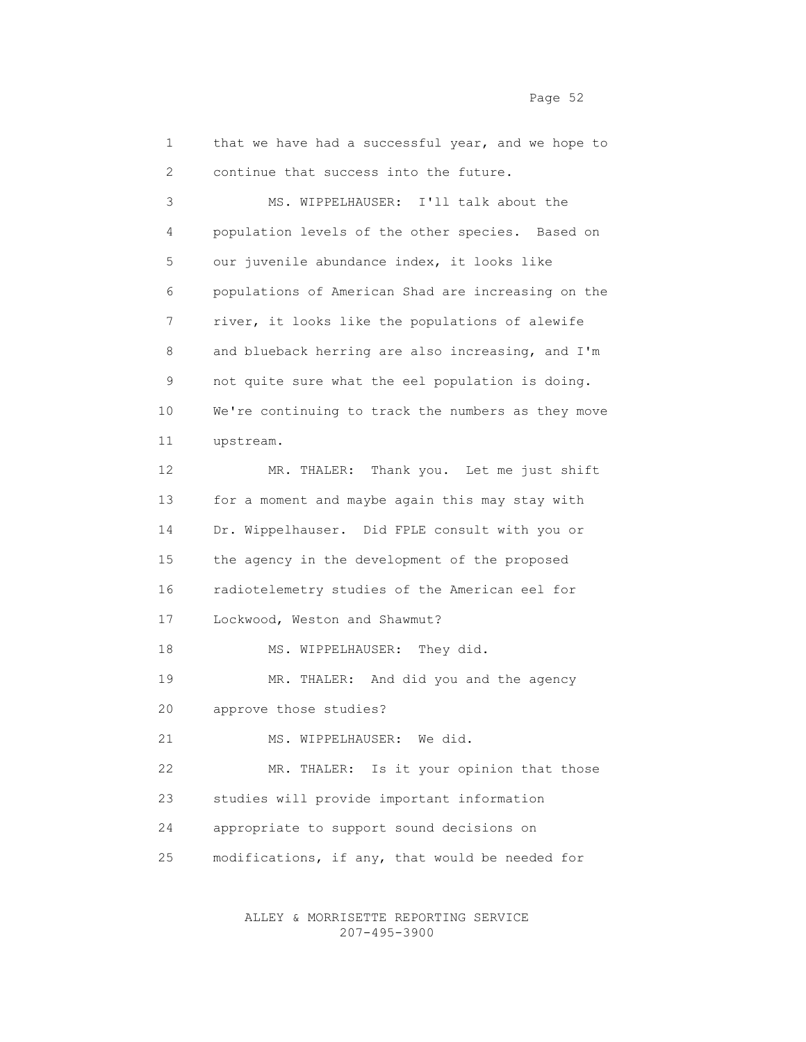1 that we have had a successful year, and we hope to 2 continue that success into the future. 3 MS. WIPPELHAUSER: I'll talk about the 4 population levels of the other species. Based on 5 our juvenile abundance index, it looks like 6 populations of American Shad are increasing on the 7 river, it looks like the populations of alewife 8 and blueback herring are also increasing, and I'm 9 not quite sure what the eel population is doing. 10 We're continuing to track the numbers as they move 11 upstream. 12 MR. THALER: Thank you. Let me just shift 13 for a moment and maybe again this may stay with 14 Dr. Wippelhauser. Did FPLE consult with you or 15 the agency in the development of the proposed 16 radiotelemetry studies of the American eel for 17 Lockwood, Weston and Shawmut? 18 MS. WIPPELHAUSER: They did. 19 MR. THALER: And did you and the agency 20 approve those studies? 21 MS. WIPPELHAUSER: We did. 22 MR. THALER: Is it your opinion that those 23 studies will provide important information 24 appropriate to support sound decisions on 25 modifications, if any, that would be needed for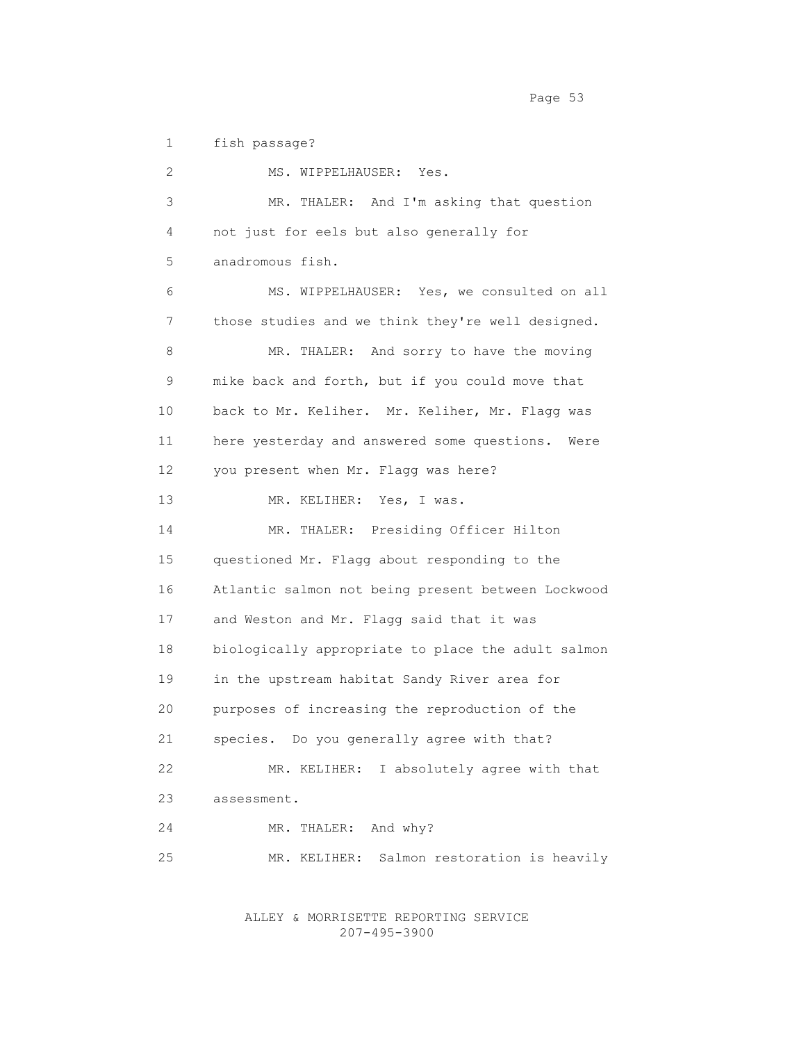1 fish passage?

 2 MS. WIPPELHAUSER: Yes. 3 MR. THALER: And I'm asking that question 4 not just for eels but also generally for 5 anadromous fish. 6 MS. WIPPELHAUSER: Yes, we consulted on all 7 those studies and we think they're well designed. 8 MR. THALER: And sorry to have the moving 9 mike back and forth, but if you could move that 10 back to Mr. Keliher. Mr. Keliher, Mr. Flagg was 11 here yesterday and answered some questions. Were 12 you present when Mr. Flagg was here? 13 MR. KELIHER: Yes, I was. 14 MR. THALER: Presiding Officer Hilton 15 questioned Mr. Flagg about responding to the 16 Atlantic salmon not being present between Lockwood 17 and Weston and Mr. Flagg said that it was 18 biologically appropriate to place the adult salmon 19 in the upstream habitat Sandy River area for 20 purposes of increasing the reproduction of the 21 species. Do you generally agree with that? 22 MR. KELIHER: I absolutely agree with that 23 assessment. 24 MR. THALER: And why? 25 MR. KELIHER: Salmon restoration is heavily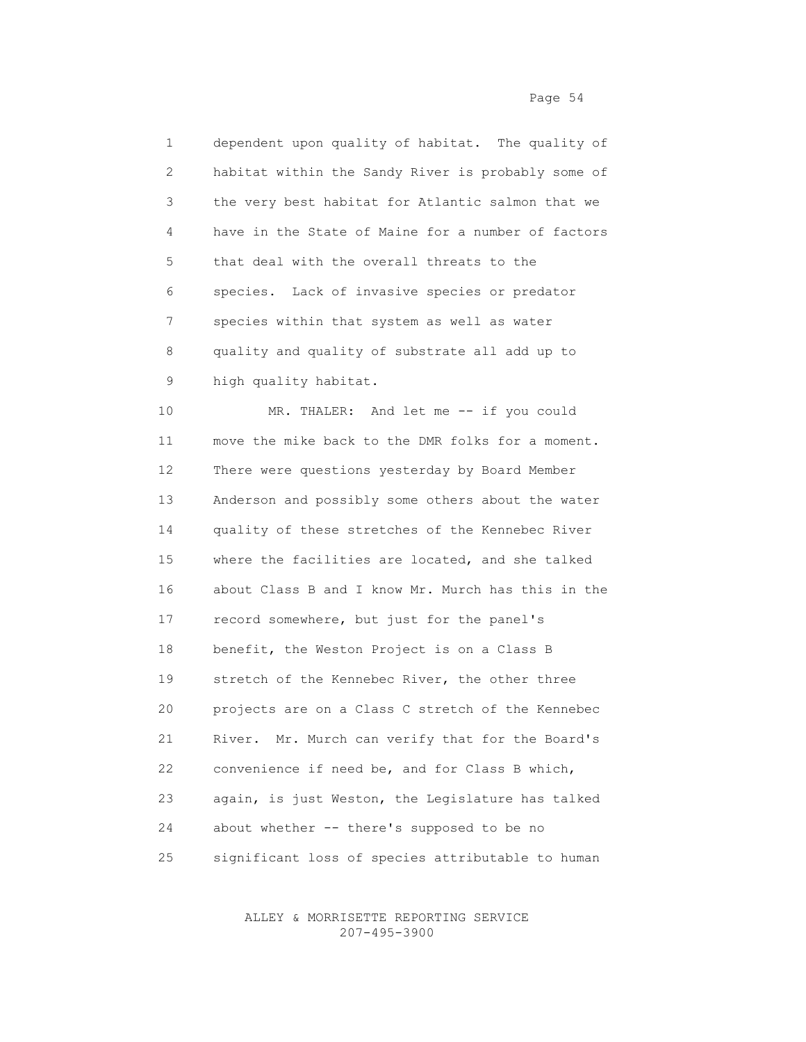1 dependent upon quality of habitat. The quality of 2 habitat within the Sandy River is probably some of 3 the very best habitat for Atlantic salmon that we 4 have in the State of Maine for a number of factors 5 that deal with the overall threats to the 6 species. Lack of invasive species or predator 7 species within that system as well as water 8 quality and quality of substrate all add up to 9 high quality habitat.

10 MR. THALER: And let me -- if you could 11 move the mike back to the DMR folks for a moment. 12 There were questions yesterday by Board Member 13 Anderson and possibly some others about the water 14 quality of these stretches of the Kennebec River 15 where the facilities are located, and she talked 16 about Class B and I know Mr. Murch has this in the 17 record somewhere, but just for the panel's 18 benefit, the Weston Project is on a Class B 19 stretch of the Kennebec River, the other three 20 projects are on a Class C stretch of the Kennebec 21 River. Mr. Murch can verify that for the Board's 22 convenience if need be, and for Class B which, 23 again, is just Weston, the Legislature has talked 24 about whether -- there's supposed to be no 25 significant loss of species attributable to human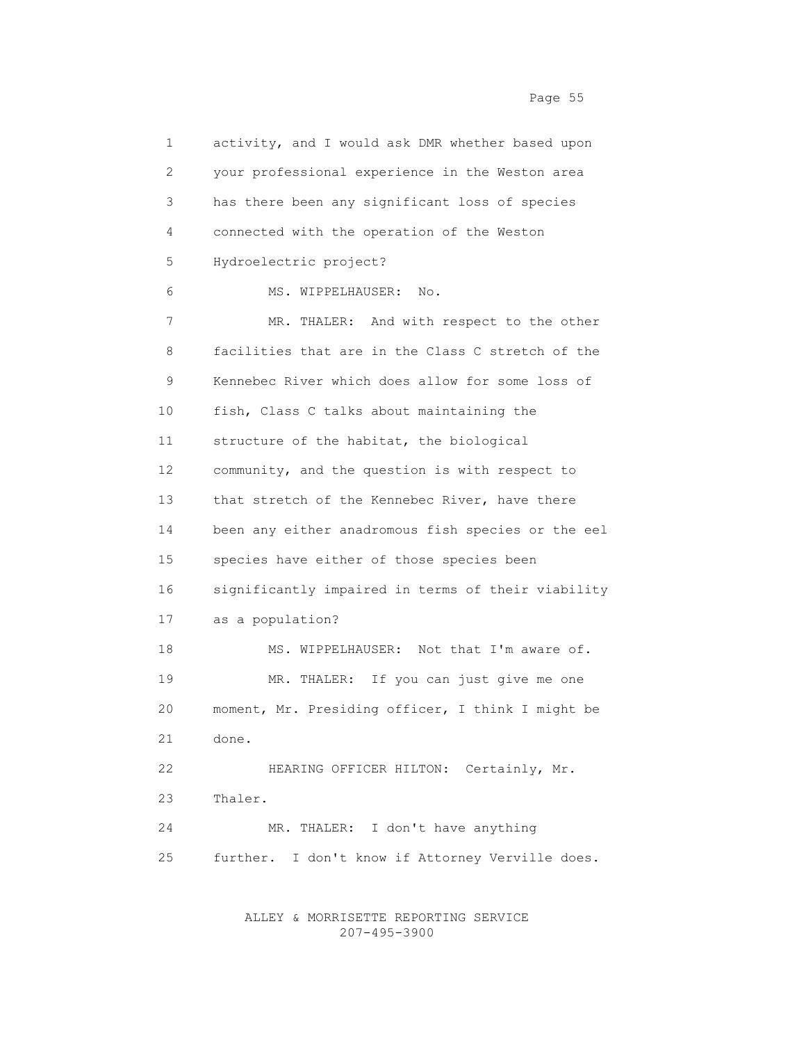1 activity, and I would ask DMR whether based upon 2 your professional experience in the Weston area 3 has there been any significant loss of species 4 connected with the operation of the Weston 5 Hydroelectric project? 6 MS. WIPPELHAUSER: No. 7 MR. THALER: And with respect to the other 8 facilities that are in the Class C stretch of the 9 Kennebec River which does allow for some loss of 10 fish, Class C talks about maintaining the 11 structure of the habitat, the biological 12 community, and the question is with respect to 13 that stretch of the Kennebec River, have there 14 been any either anadromous fish species or the eel 15 species have either of those species been 16 significantly impaired in terms of their viability 17 as a population? 18 MS. WIPPELHAUSER: Not that I'm aware of. 19 MR. THALER: If you can just give me one 20 moment, Mr. Presiding officer, I think I might be 21 done. 22 HEARING OFFICER HILTON: Certainly, Mr. 23 Thaler. 24 MR. THALER: I don't have anything 25 further. I don't know if Attorney Verville does.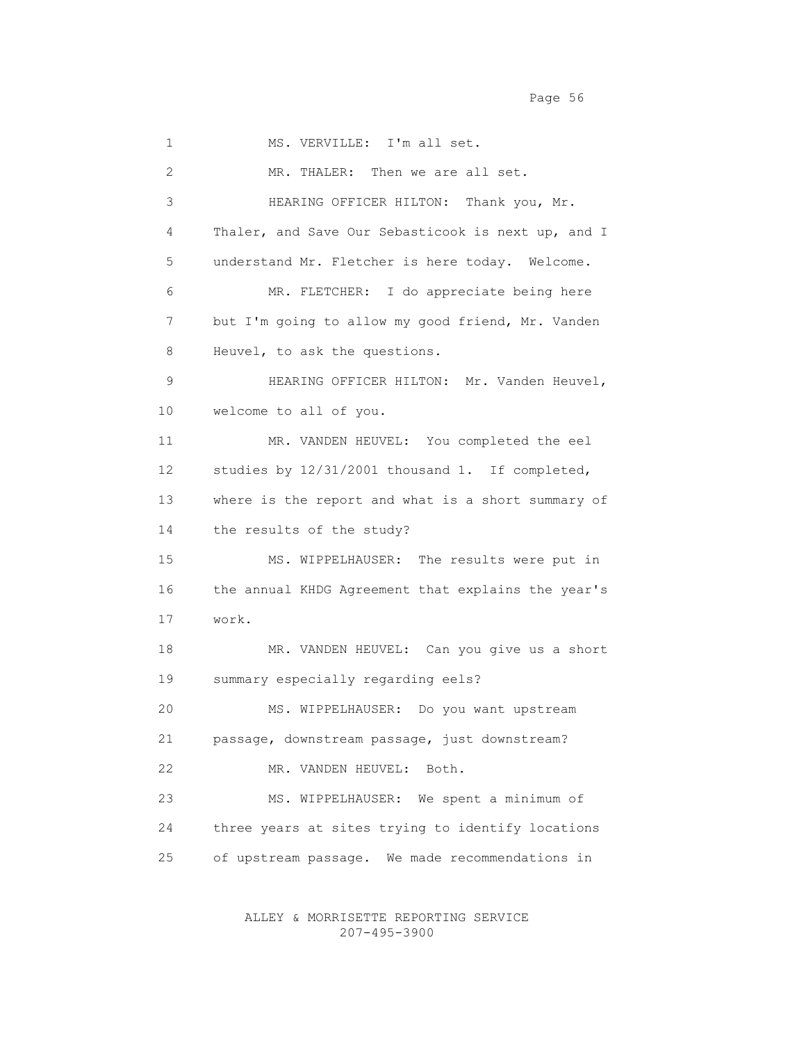1 MS. VERVILLE: I'm all set. 2 MR. THALER: Then we are all set. 3 HEARING OFFICER HILTON: Thank you, Mr. 4 Thaler, and Save Our Sebasticook is next up, and I 5 understand Mr. Fletcher is here today. Welcome. 6 MR. FLETCHER: I do appreciate being here 7 but I'm going to allow my good friend, Mr. Vanden 8 Heuvel, to ask the questions. 9 HEARING OFFICER HILTON: Mr. Vanden Heuvel, 10 welcome to all of you. 11 MR. VANDEN HEUVEL: You completed the eel 12 studies by 12/31/2001 thousand 1. If completed, 13 where is the report and what is a short summary of 14 the results of the study? 15 MS. WIPPELHAUSER: The results were put in 16 the annual KHDG Agreement that explains the year's 17 work. 18 MR. VANDEN HEUVEL: Can you give us a short 19 summary especially regarding eels? 20 MS. WIPPELHAUSER: Do you want upstream 21 passage, downstream passage, just downstream? 22 MR. VANDEN HEUVEL: Both. 23 MS. WIPPELHAUSER: We spent a minimum of 24 three years at sites trying to identify locations 25 of upstream passage. We made recommendations in

> ALLEY & MORRISETTE REPORTING SERVICE 207-495-3900

Page 56 and the state of the state of the state of the state of the state of the state of the state of the state of the state of the state of the state of the state of the state of the state of the state of the state of th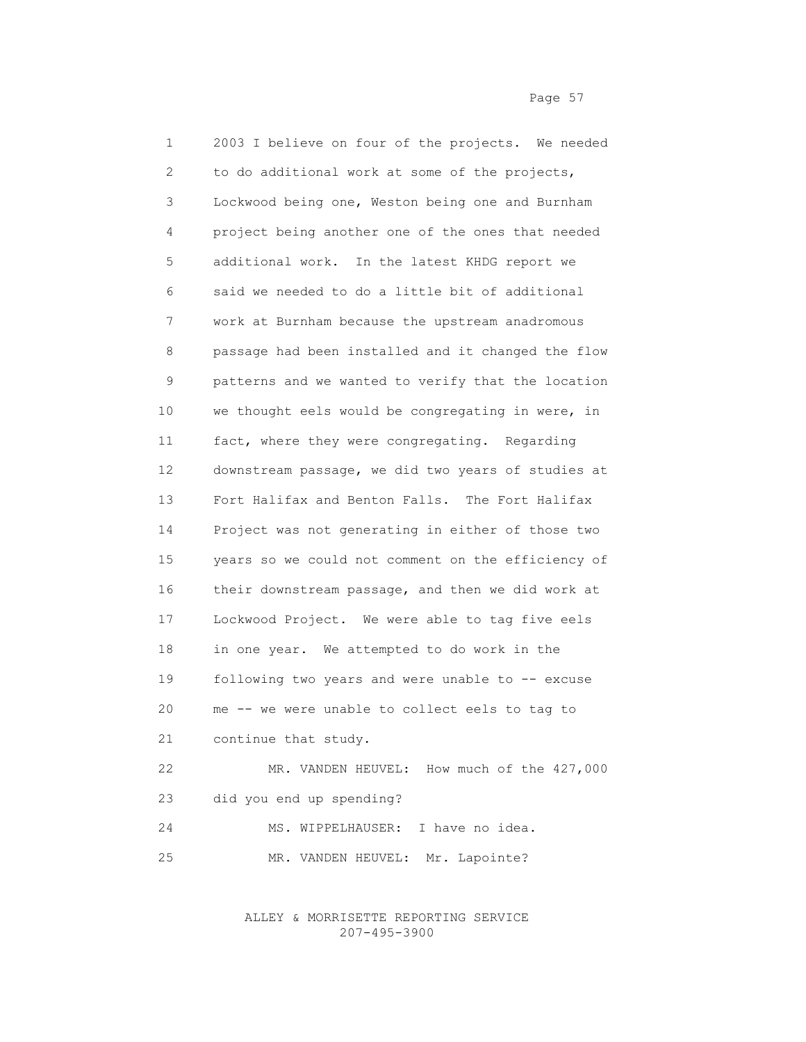1 2003 I believe on four of the projects. We needed 2 to do additional work at some of the projects, 3 Lockwood being one, Weston being one and Burnham 4 project being another one of the ones that needed 5 additional work. In the latest KHDG report we 6 said we needed to do a little bit of additional 7 work at Burnham because the upstream anadromous 8 passage had been installed and it changed the flow 9 patterns and we wanted to verify that the location 10 we thought eels would be congregating in were, in 11 fact, where they were congregating. Regarding 12 downstream passage, we did two years of studies at 13 Fort Halifax and Benton Falls. The Fort Halifax 14 Project was not generating in either of those two 15 years so we could not comment on the efficiency of 16 their downstream passage, and then we did work at 17 Lockwood Project. We were able to tag five eels 18 in one year. We attempted to do work in the 19 following two years and were unable to -- excuse 20 me -- we were unable to collect eels to tag to 21 continue that study. 22 MR. VANDEN HEUVEL: How much of the 427,000 23 did you end up spending? 24 MS. WIPPELHAUSER: I have no idea.

25 MR. VANDEN HEUVEL: Mr. Lapointe?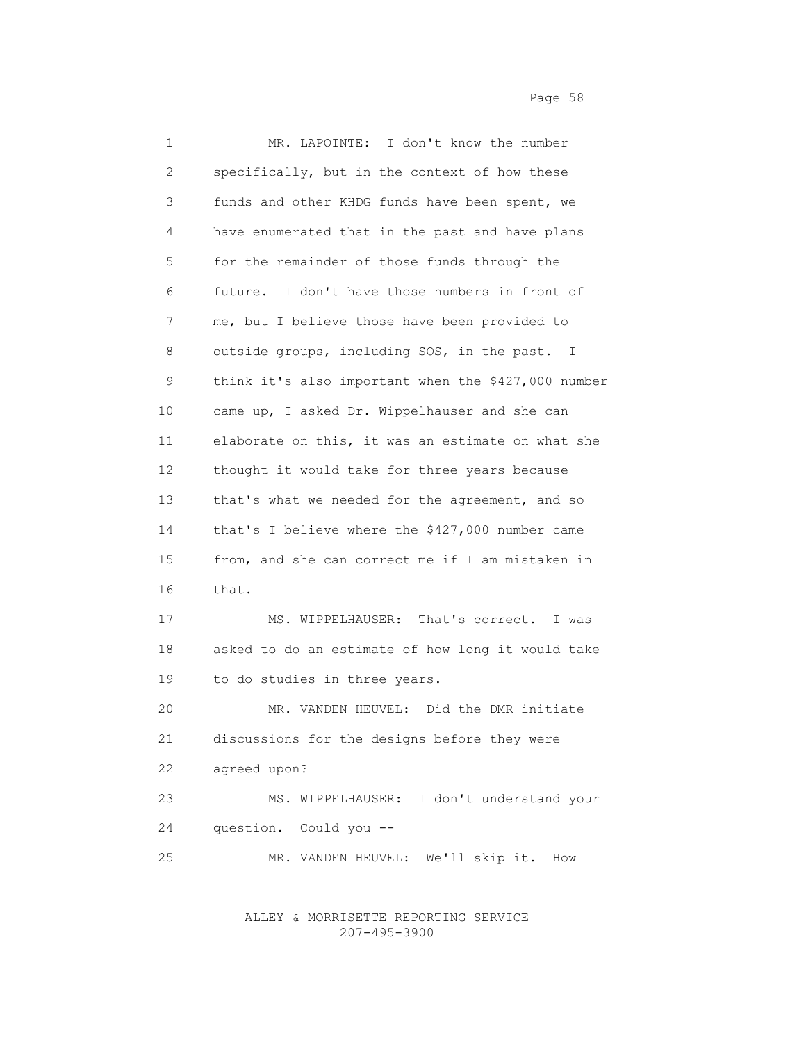1 MR. LAPOINTE: I don't know the number 2 specifically, but in the context of how these 3 funds and other KHDG funds have been spent, we 4 have enumerated that in the past and have plans 5 for the remainder of those funds through the 6 future. I don't have those numbers in front of 7 me, but I believe those have been provided to 8 outside groups, including SOS, in the past. I 9 think it's also important when the \$427,000 number 10 came up, I asked Dr. Wippelhauser and she can 11 elaborate on this, it was an estimate on what she 12 thought it would take for three years because 13 that's what we needed for the agreement, and so 14 that's I believe where the \$427,000 number came 15 from, and she can correct me if I am mistaken in 16 that. 17 MS. WIPPELHAUSER: That's correct. I was 18 asked to do an estimate of how long it would take 19 to do studies in three years. 20 MR. VANDEN HEUVEL: Did the DMR initiate 21 discussions for the designs before they were 22 agreed upon? 23 MS. WIPPELHAUSER: I don't understand your 24 question. Could you -- 25 MR. VANDEN HEUVEL: We'll skip it. How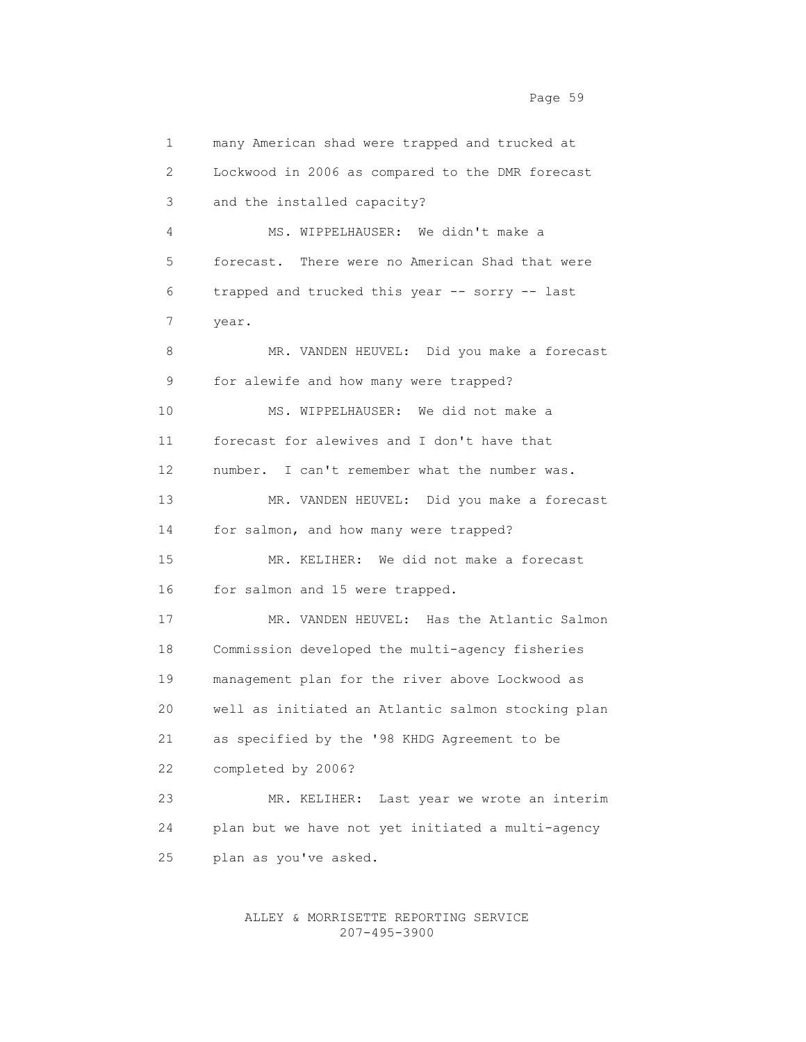1 many American shad were trapped and trucked at 2 Lockwood in 2006 as compared to the DMR forecast 3 and the installed capacity? 4 MS. WIPPELHAUSER: We didn't make a 5 forecast. There were no American Shad that were 6 trapped and trucked this year -- sorry -- last 7 year. 8 MR. VANDEN HEUVEL: Did you make a forecast 9 for alewife and how many were trapped? 10 MS. WIPPELHAUSER: We did not make a 11 forecast for alewives and I don't have that 12 number. I can't remember what the number was. 13 MR. VANDEN HEUVEL: Did you make a forecast 14 for salmon, and how many were trapped? 15 MR. KELIHER: We did not make a forecast 16 for salmon and 15 were trapped.

 17 MR. VANDEN HEUVEL: Has the Atlantic Salmon 18 Commission developed the multi-agency fisheries 19 management plan for the river above Lockwood as 20 well as initiated an Atlantic salmon stocking plan 21 as specified by the '98 KHDG Agreement to be 22 completed by 2006? 23 MR. KELIHER: Last year we wrote an interim

 24 plan but we have not yet initiated a multi-agency 25 plan as you've asked.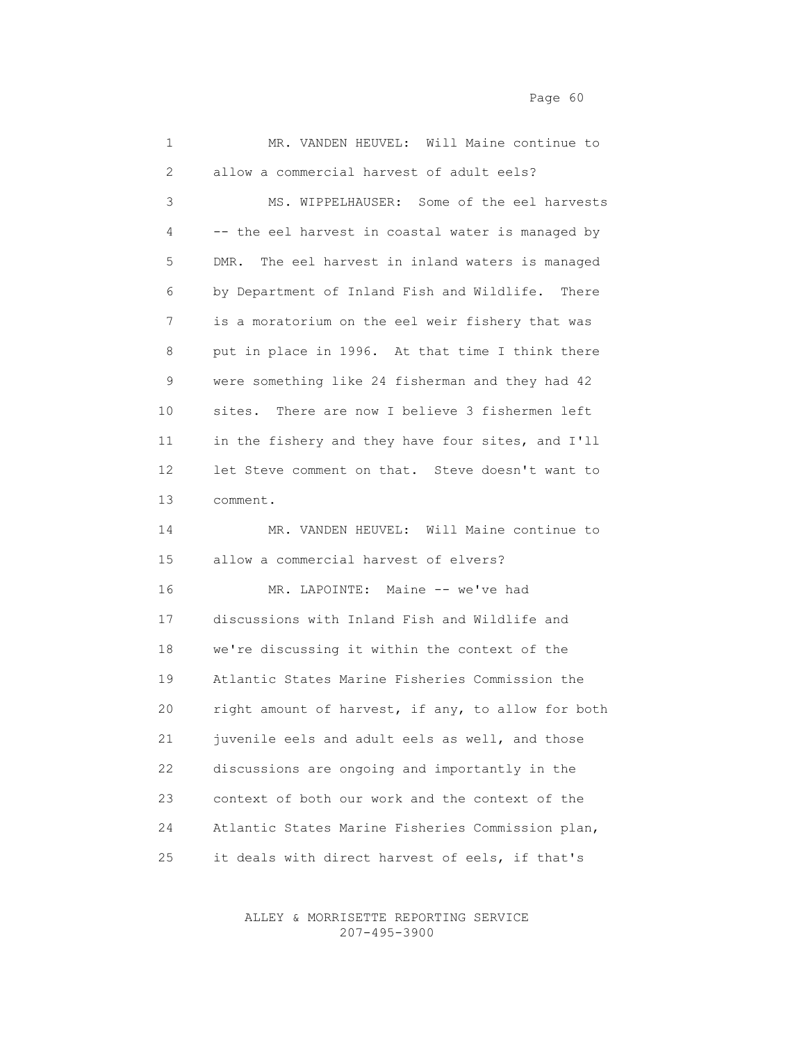1 MR. VANDEN HEUVEL: Will Maine continue to 2 allow a commercial harvest of adult eels? 3 MS. WIPPELHAUSER: Some of the eel harvests 4 -- the eel harvest in coastal water is managed by 5 DMR. The eel harvest in inland waters is managed 6 by Department of Inland Fish and Wildlife. There 7 is a moratorium on the eel weir fishery that was 8 put in place in 1996. At that time I think there 9 were something like 24 fisherman and they had 42 10 sites. There are now I believe 3 fishermen left 11 in the fishery and they have four sites, and I'll 12 let Steve comment on that. Steve doesn't want to 13 comment. 14 MR. VANDEN HEUVEL: Will Maine continue to 15 allow a commercial harvest of elvers? 16 MR. LAPOINTE: Maine -- we've had 17 discussions with Inland Fish and Wildlife and 18 we're discussing it within the context of the 19 Atlantic States Marine Fisheries Commission the 20 right amount of harvest, if any, to allow for both 21 juvenile eels and adult eels as well, and those 22 discussions are ongoing and importantly in the 23 context of both our work and the context of the 24 Atlantic States Marine Fisheries Commission plan, 25 it deals with direct harvest of eels, if that's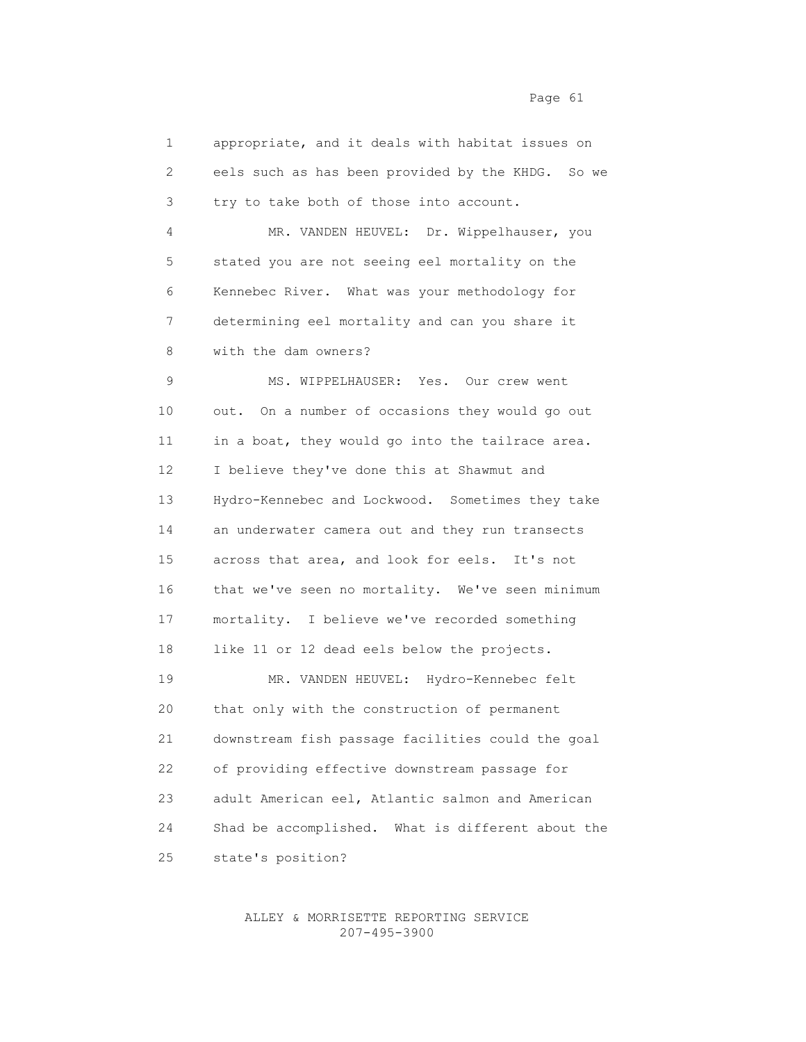| 1               | appropriate, and it deals with habitat issues on     |
|-----------------|------------------------------------------------------|
| 2               | eels such as has been provided by the KHDG. So we    |
| 3               | try to take both of those into account.              |
| 4               | MR. VANDEN HEUVEL: Dr. Wippelhauser, you             |
| 5               | stated you are not seeing eel mortality on the       |
| 6               | Kennebec River. What was your methodology for        |
| 7               | determining eel mortality and can you share it       |
| 8               | with the dam owners?                                 |
| 9               | MS. WIPPELHAUSER: Yes. Our crew went                 |
| 10              | out. On a number of occasions they would go out      |
| 11              | in a boat, they would go into the tailrace area.     |
| 12 <sup>°</sup> | I believe they've done this at Shawmut and           |
| 13              | Hydro-Kennebec and Lockwood. Sometimes they take     |
| 14              | an underwater camera out and they run transects      |
| 15              | across that area, and look for eels. It's not        |
| 16              | that we've seen no mortality. We've seen minimum     |
| 17              | mortality. I believe we've recorded something        |
| 18              | like 11 or 12 dead eels below the projects.          |
| 19              | MR. VANDEN HEUVEL: Hydro-Kennebec felt               |
| 20              | that only with the construction of permanent         |
| 21              | downstream fish passage facilities could the goal    |
| 22              | of providing effective downstream passage for        |
| 23              | adult American eel, Atlantic salmon and American     |
| 24              | Shad be accomplished.<br>What is different about the |
| 25              | state's position?                                    |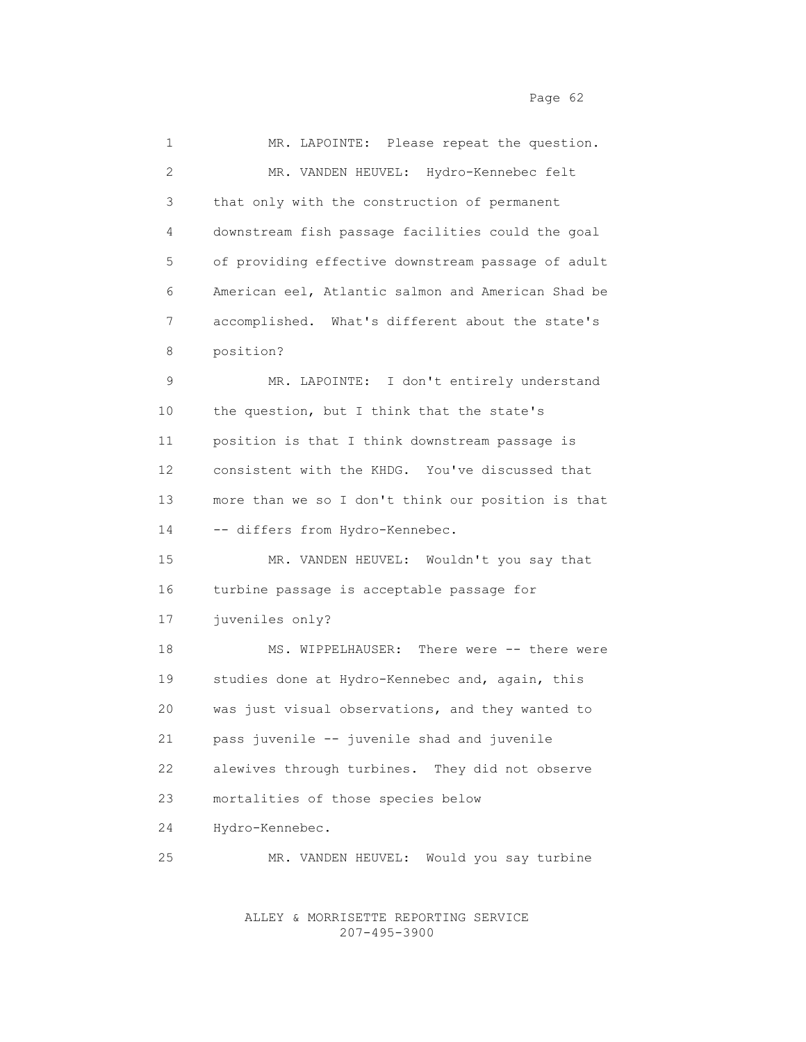1 MR. LAPOINTE: Please repeat the question. 2 MR. VANDEN HEUVEL: Hydro-Kennebec felt 3 that only with the construction of permanent 4 downstream fish passage facilities could the goal 5 of providing effective downstream passage of adult 6 American eel, Atlantic salmon and American Shad be 7 accomplished. What's different about the state's 8 position? 9 MR. LAPOINTE: I don't entirely understand 10 the question, but I think that the state's 11 position is that I think downstream passage is 12 consistent with the KHDG. You've discussed that 13 more than we so I don't think our position is that 14 -- differs from Hydro-Kennebec. 15 MR. VANDEN HEUVEL: Wouldn't you say that 16 turbine passage is acceptable passage for 17 juveniles only? 18 MS. WIPPELHAUSER: There were -- there were 19 studies done at Hydro-Kennebec and, again, this 20 was just visual observations, and they wanted to 21 pass juvenile -- juvenile shad and juvenile 22 alewives through turbines. They did not observe 23 mortalities of those species below 24 Hydro-Kennebec. 25 MR. VANDEN HEUVEL: Would you say turbine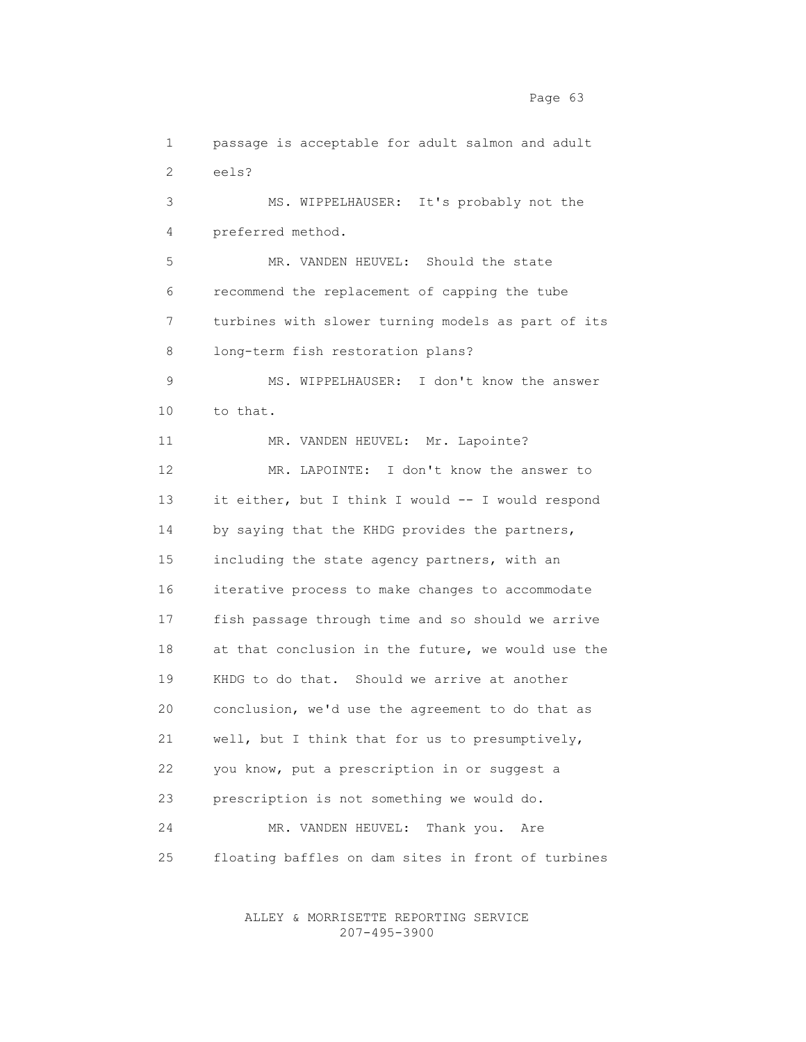1 passage is acceptable for adult salmon and adult 2 eels? 3 MS. WIPPELHAUSER: It's probably not the 4 preferred method. 5 MR. VANDEN HEUVEL: Should the state 6 recommend the replacement of capping the tube 7 turbines with slower turning models as part of its 8 long-term fish restoration plans? 9 MS. WIPPELHAUSER: I don't know the answer 10 to that. 11 MR. VANDEN HEUVEL: Mr. Lapointe? 12 MR. LAPOINTE: I don't know the answer to 13 it either, but I think I would -- I would respond 14 by saying that the KHDG provides the partners, 15 including the state agency partners, with an 16 iterative process to make changes to accommodate 17 fish passage through time and so should we arrive 18 at that conclusion in the future, we would use the 19 KHDG to do that. Should we arrive at another 20 conclusion, we'd use the agreement to do that as 21 well, but I think that for us to presumptively, 22 you know, put a prescription in or suggest a 23 prescription is not something we would do. 24 MR. VANDEN HEUVEL: Thank you. Are 25 floating baffles on dam sites in front of turbines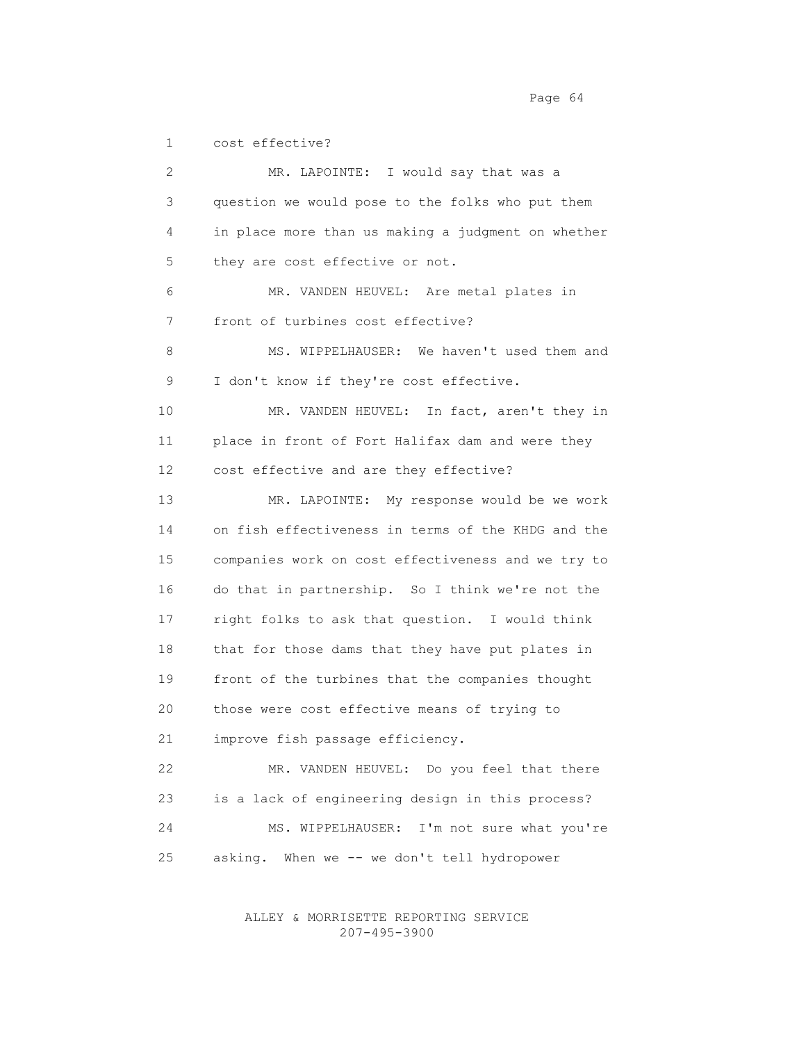1 cost effective?

 2 MR. LAPOINTE: I would say that was a 3 question we would pose to the folks who put them 4 in place more than us making a judgment on whether 5 they are cost effective or not. 6 MR. VANDEN HEUVEL: Are metal plates in 7 front of turbines cost effective? 8 MS. WIPPELHAUSER: We haven't used them and 9 I don't know if they're cost effective. 10 MR. VANDEN HEUVEL: In fact, aren't they in 11 place in front of Fort Halifax dam and were they 12 cost effective and are they effective? 13 MR. LAPOINTE: My response would be we work 14 on fish effectiveness in terms of the KHDG and the 15 companies work on cost effectiveness and we try to 16 do that in partnership. So I think we're not the 17 right folks to ask that question. I would think 18 that for those dams that they have put plates in 19 front of the turbines that the companies thought 20 those were cost effective means of trying to 21 improve fish passage efficiency. 22 MR. VANDEN HEUVEL: Do you feel that there 23 is a lack of engineering design in this process? 24 MS. WIPPELHAUSER: I'm not sure what you're 25 asking. When we -- we don't tell hydropower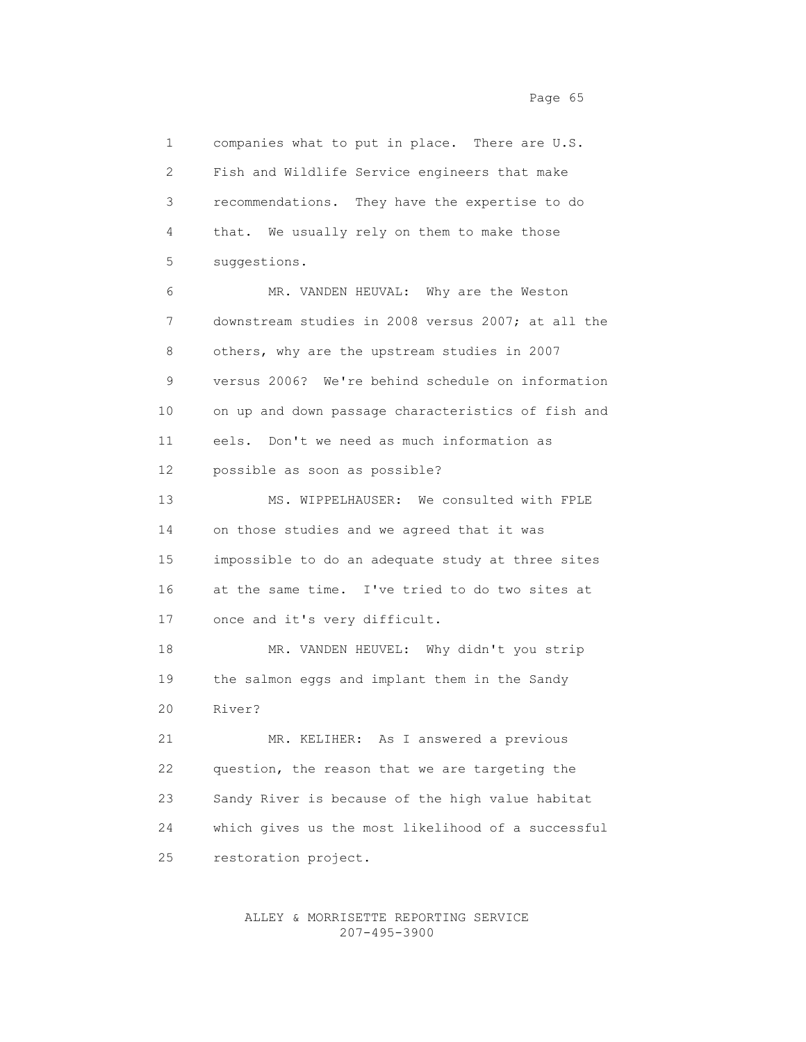1 companies what to put in place. There are U.S. 2 Fish and Wildlife Service engineers that make 3 recommendations. They have the expertise to do 4 that. We usually rely on them to make those 5 suggestions. 6 MR. VANDEN HEUVAL: Why are the Weston 7 downstream studies in 2008 versus 2007; at all the 8 others, why are the upstream studies in 2007 9 versus 2006? We're behind schedule on information 10 on up and down passage characteristics of fish and 11 eels. Don't we need as much information as 12 possible as soon as possible? 13 MS. WIPPELHAUSER: We consulted with FPLE 14 on those studies and we agreed that it was 15 impossible to do an adequate study at three sites 16 at the same time. I've tried to do two sites at 17 once and it's very difficult. 18 MR. VANDEN HEUVEL: Why didn't you strip 19 the salmon eggs and implant them in the Sandy 20 River? 21 MR. KELIHER: As I answered a previous 22 question, the reason that we are targeting the 23 Sandy River is because of the high value habitat 24 which gives us the most likelihood of a successful 25 restoration project.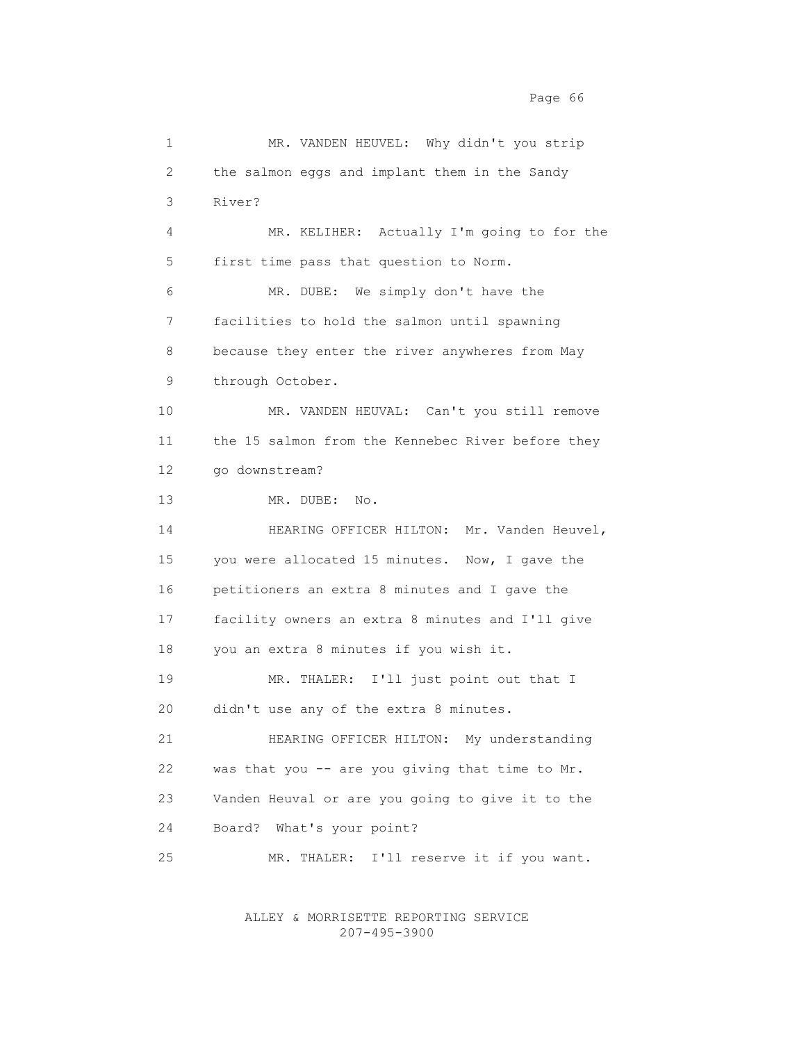1 MR. VANDEN HEUVEL: Why didn't you strip 2 the salmon eggs and implant them in the Sandy 3 River? 4 MR. KELIHER: Actually I'm going to for the 5 first time pass that question to Norm. 6 MR. DUBE: We simply don't have the 7 facilities to hold the salmon until spawning 8 because they enter the river anywheres from May 9 through October. 10 MR. VANDEN HEUVAL: Can't you still remove 11 the 15 salmon from the Kennebec River before they 12 go downstream? 13 MR. DUBE: No. 14 HEARING OFFICER HILTON: Mr. Vanden Heuvel, 15 you were allocated 15 minutes. Now, I gave the 16 petitioners an extra 8 minutes and I gave the 17 facility owners an extra 8 minutes and I'll give 18 you an extra 8 minutes if you wish it. 19 MR. THALER: I'll just point out that I 20 didn't use any of the extra 8 minutes. 21 HEARING OFFICER HILTON: My understanding 22 was that you -- are you giving that time to Mr. 23 Vanden Heuval or are you going to give it to the 24 Board? What's your point? 25 MR. THALER: I'll reserve it if you want.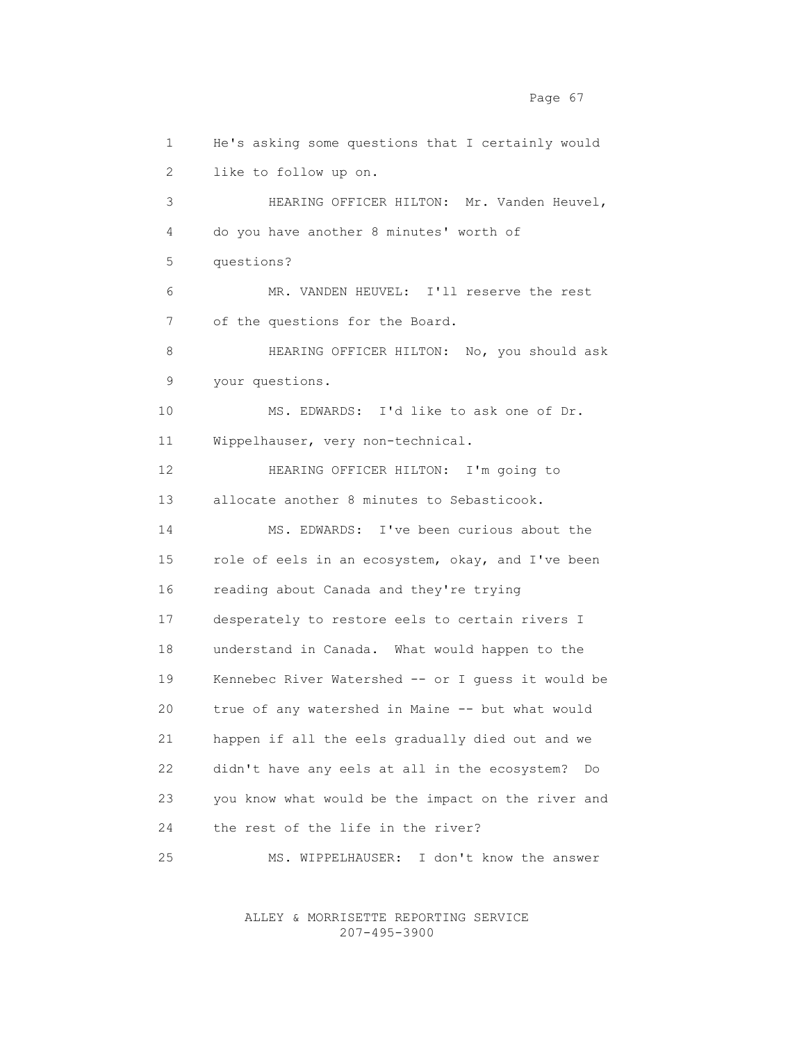1 He's asking some questions that I certainly would 2 like to follow up on. 3 HEARING OFFICER HILTON: Mr. Vanden Heuvel, 4 do you have another 8 minutes' worth of 5 questions? 6 MR. VANDEN HEUVEL: I'll reserve the rest 7 of the questions for the Board. 8 **HEARING OFFICER HILTON:** No, you should ask 9 your questions. 10 MS. EDWARDS: I'd like to ask one of Dr. 11 Wippelhauser, very non-technical. 12 HEARING OFFICER HILTON: I'm going to 13 allocate another 8 minutes to Sebasticook. 14 MS. EDWARDS: I've been curious about the 15 role of eels in an ecosystem, okay, and I've been 16 reading about Canada and they're trying 17 desperately to restore eels to certain rivers I 18 understand in Canada. What would happen to the 19 Kennebec River Watershed -- or I guess it would be 20 true of any watershed in Maine -- but what would 21 happen if all the eels gradually died out and we 22 didn't have any eels at all in the ecosystem? Do 23 you know what would be the impact on the river and 24 the rest of the life in the river? 25 MS. WIPPELHAUSER: I don't know the answer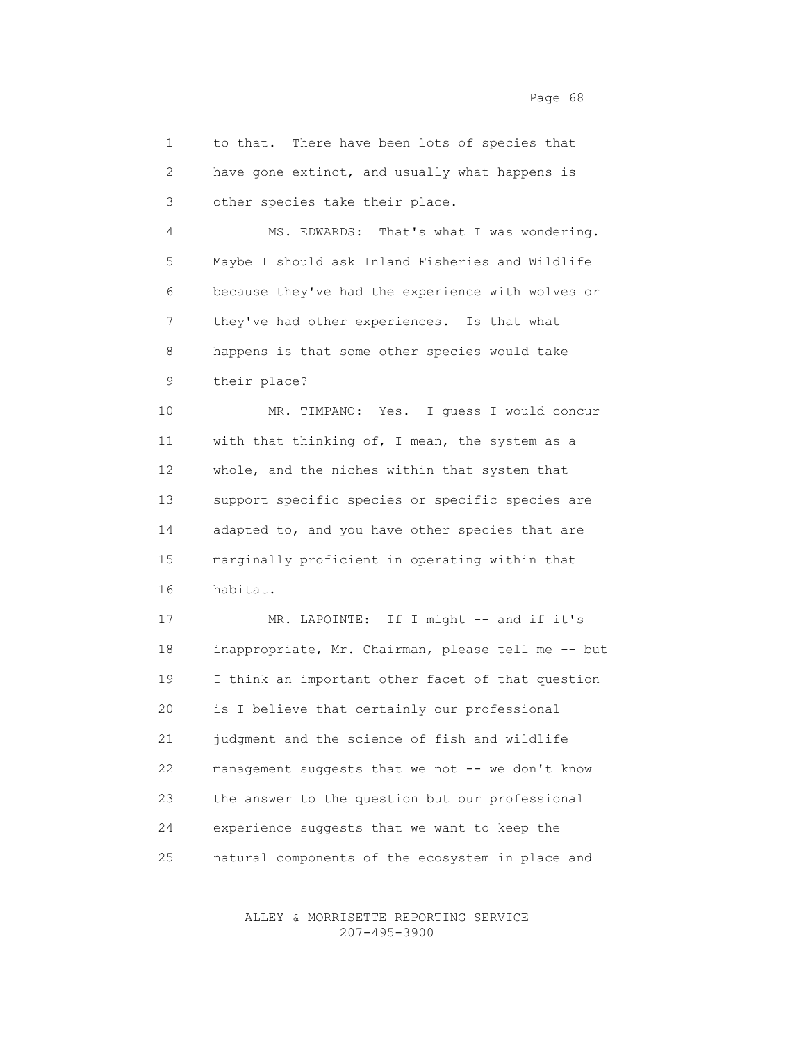1 to that. There have been lots of species that 2 have gone extinct, and usually what happens is 3 other species take their place.

 4 MS. EDWARDS: That's what I was wondering. 5 Maybe I should ask Inland Fisheries and Wildlife 6 because they've had the experience with wolves or 7 they've had other experiences. Is that what 8 happens is that some other species would take 9 their place?

 10 MR. TIMPANO: Yes. I guess I would concur 11 with that thinking of, I mean, the system as a 12 whole, and the niches within that system that 13 support specific species or specific species are 14 adapted to, and you have other species that are 15 marginally proficient in operating within that 16 habitat.

17 MR. LAPOINTE: If I might -- and if it's 18 inappropriate, Mr. Chairman, please tell me -- but 19 I think an important other facet of that question 20 is I believe that certainly our professional 21 judgment and the science of fish and wildlife 22 management suggests that we not -- we don't know 23 the answer to the question but our professional 24 experience suggests that we want to keep the 25 natural components of the ecosystem in place and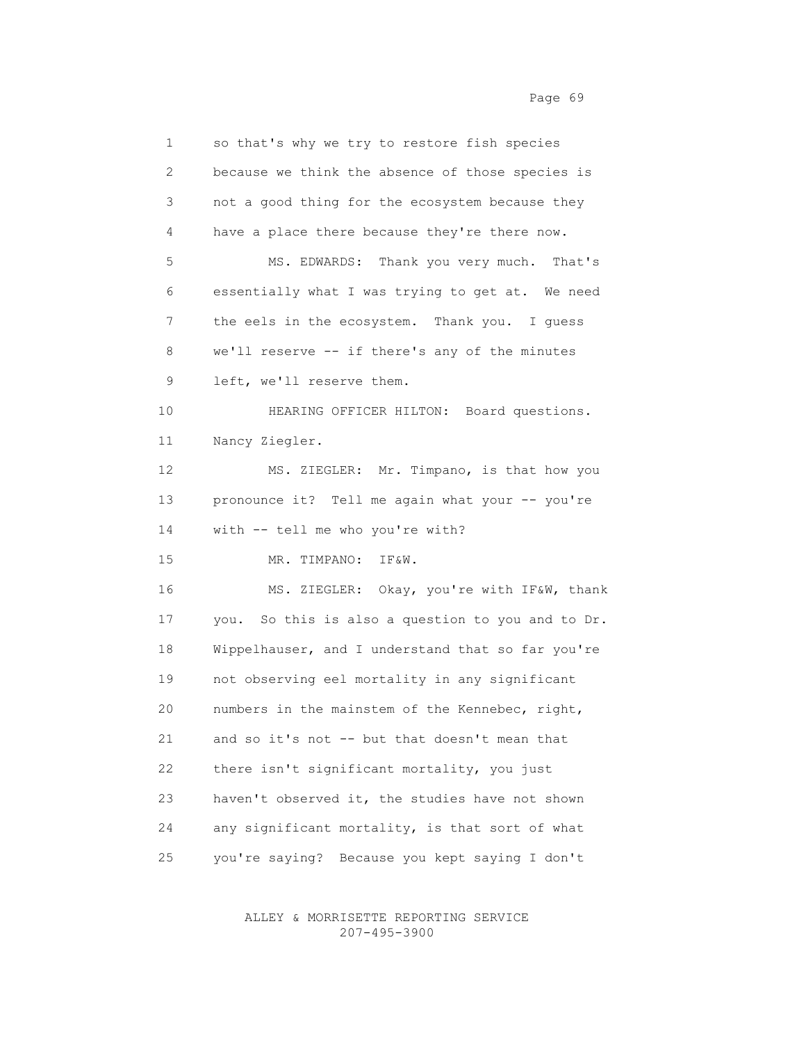1 so that's why we try to restore fish species 2 because we think the absence of those species is 3 not a good thing for the ecosystem because they 4 have a place there because they're there now. 5 MS. EDWARDS: Thank you very much. That's 6 essentially what I was trying to get at. We need 7 the eels in the ecosystem. Thank you. I guess 8 we'll reserve -- if there's any of the minutes 9 left, we'll reserve them. 10 HEARING OFFICER HILTON: Board questions. 11 Nancy Ziegler. 12 MS. ZIEGLER: Mr. Timpano, is that how you 13 pronounce it? Tell me again what your -- you're 14 with -- tell me who you're with? 15 MR. TIMPANO: IF&W. 16 MS. ZIEGLER: Okay, you're with IF&W, thank 17 you. So this is also a question to you and to Dr. 18 Wippelhauser, and I understand that so far you're 19 not observing eel mortality in any significant 20 numbers in the mainstem of the Kennebec, right, 21 and so it's not -- but that doesn't mean that 22 there isn't significant mortality, you just 23 haven't observed it, the studies have not shown

25 you're saying? Because you kept saying I don't

24 any significant mortality, is that sort of what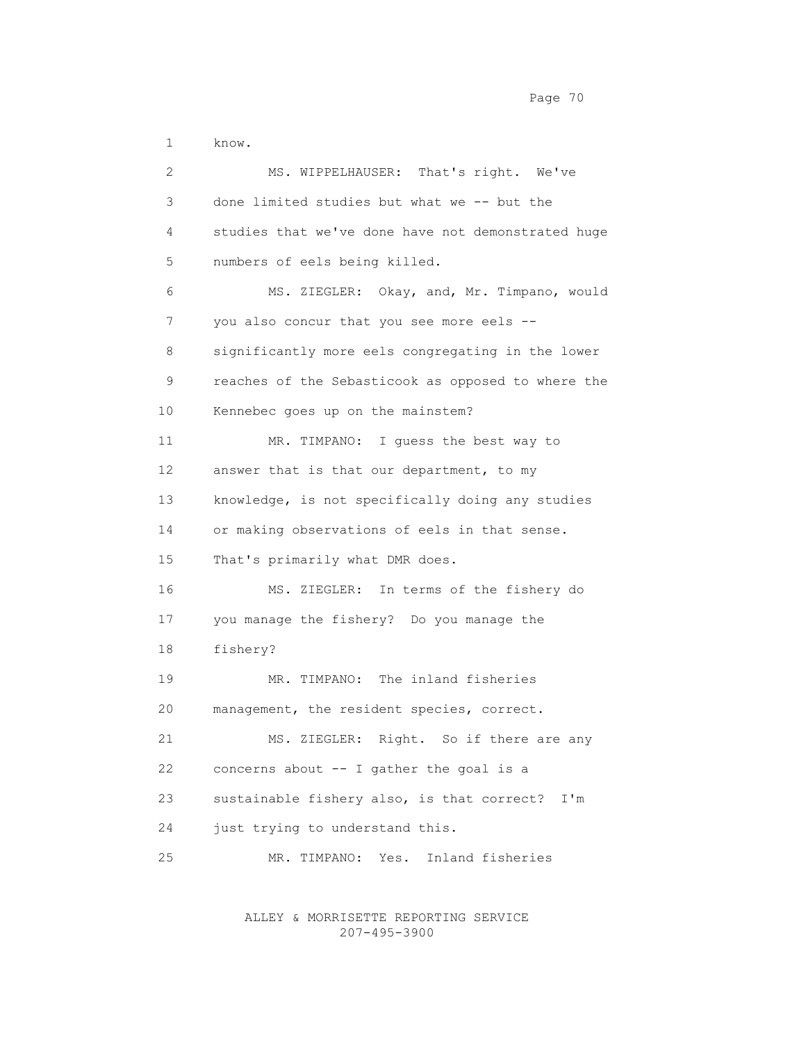1 know.

 2 MS. WIPPELHAUSER: That's right. We've 3 done limited studies but what we -- but the 4 studies that we've done have not demonstrated huge 5 numbers of eels being killed. 6 MS. ZIEGLER: Okay, and, Mr. Timpano, would 7 you also concur that you see more eels -- 8 significantly more eels congregating in the lower 9 reaches of the Sebasticook as opposed to where the 10 Kennebec goes up on the mainstem? 11 MR. TIMPANO: I guess the best way to 12 answer that is that our department, to my 13 knowledge, is not specifically doing any studies 14 or making observations of eels in that sense. 15 That's primarily what DMR does. 16 MS. ZIEGLER: In terms of the fishery do 17 you manage the fishery? Do you manage the 18 fishery? 19 MR. TIMPANO: The inland fisheries 20 management, the resident species, correct. 21 MS. ZIEGLER: Right. So if there are any 22 concerns about -- I gather the goal is a 23 sustainable fishery also, is that correct? I'm 24 just trying to understand this. 25 MR. TIMPANO: Yes. Inland fisheries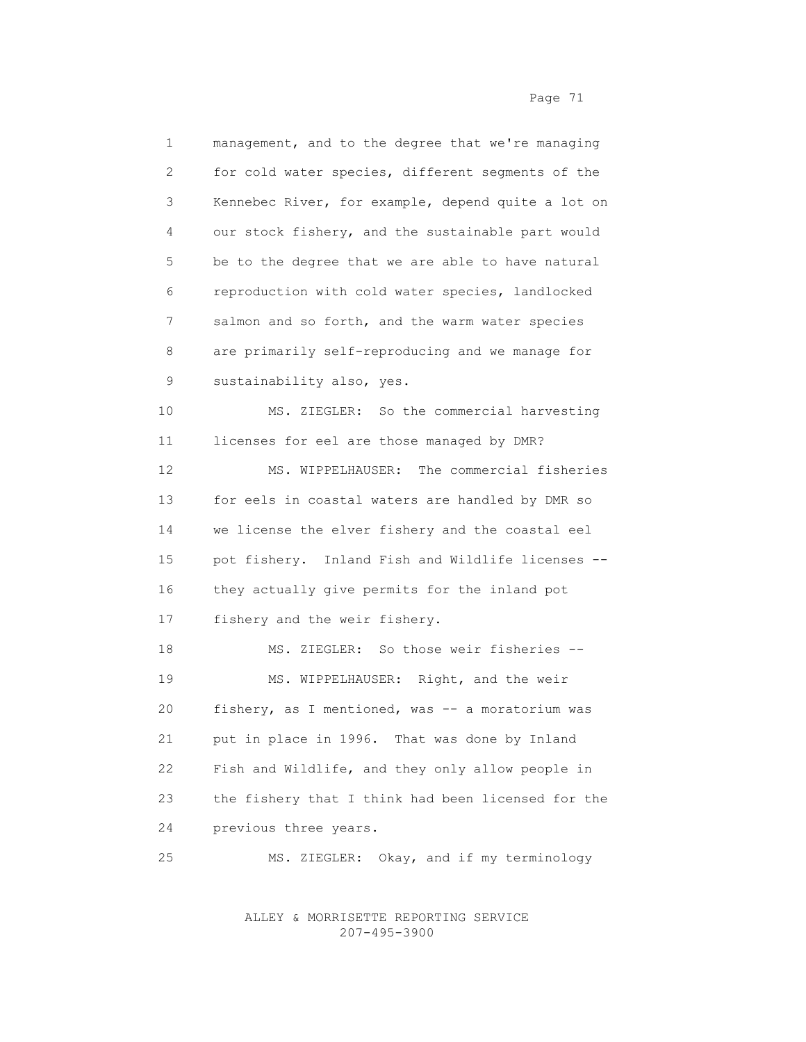1 management, and to the degree that we're managing 2 for cold water species, different segments of the 3 Kennebec River, for example, depend quite a lot on 4 our stock fishery, and the sustainable part would 5 be to the degree that we are able to have natural 6 reproduction with cold water species, landlocked 7 salmon and so forth, and the warm water species 8 are primarily self-reproducing and we manage for 9 sustainability also, yes. 10 MS. ZIEGLER: So the commercial harvesting 11 licenses for eel are those managed by DMR? 12 MS. WIPPELHAUSER: The commercial fisheries 13 for eels in coastal waters are handled by DMR so 14 we license the elver fishery and the coastal eel 15 pot fishery. Inland Fish and Wildlife licenses -- 16 they actually give permits for the inland pot 17 fishery and the weir fishery. 18 MS. ZIEGLER: So those weir fisheries -- 19 MS. WIPPELHAUSER: Right, and the weir 20 fishery, as I mentioned, was -- a moratorium was 21 put in place in 1996. That was done by Inland 22 Fish and Wildlife, and they only allow people in 23 the fishery that I think had been licensed for the 24 previous three years. 25 MS. ZIEGLER: Okay, and if my terminology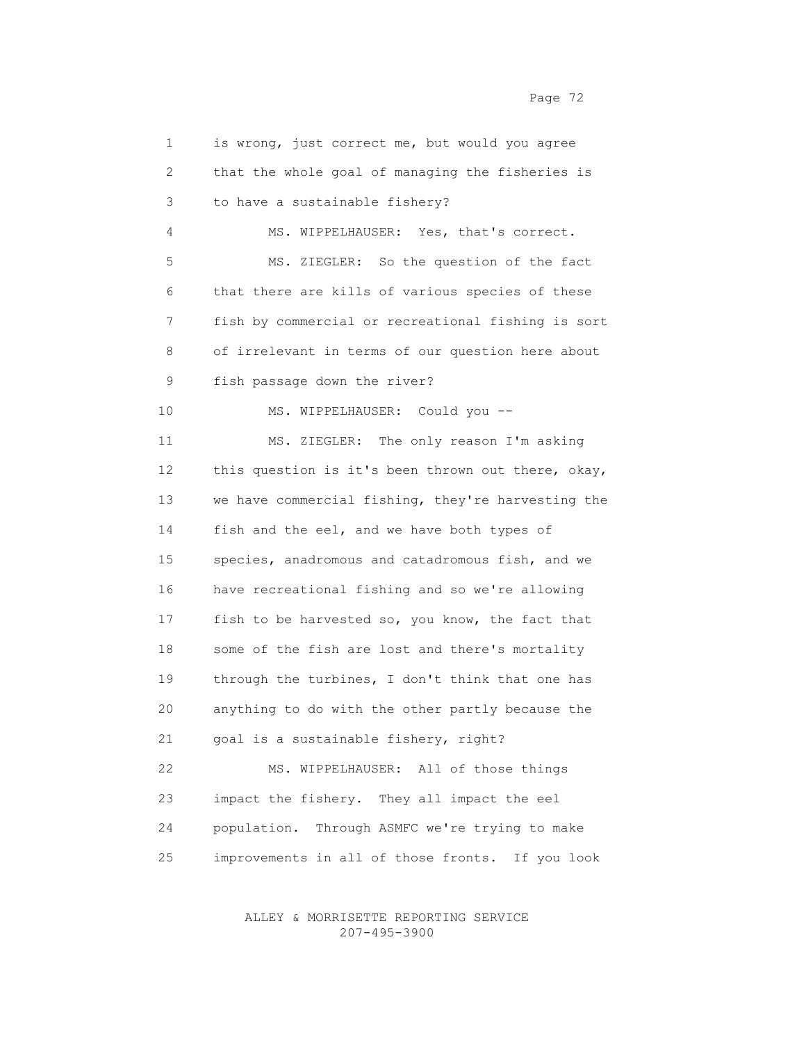| 2  | that the whole goal of managing the fisheries is   |
|----|----------------------------------------------------|
| 3  | to have a sustainable fishery?                     |
| 4  | MS. WIPPELHAUSER: Yes, that's correct.             |
| 5  | MS. ZIEGLER: So the question of the fact           |
| 6  | that there are kills of various species of these   |
| 7  | fish by commercial or recreational fishing is sort |
| 8  | of irrelevant in terms of our question here about  |
| 9  | fish passage down the river?                       |
| 10 | MS. WIPPELHAUSER: Could you --                     |
| 11 | MS. ZIEGLER: The only reason I'm asking            |
| 12 | this question is it's been thrown out there, okay, |
| 13 | we have commercial fishing, they're harvesting the |
| 14 | fish and the eel, and we have both types of        |
| 15 | species, anadromous and catadromous fish, and we   |
| 16 | have recreational fishing and so we're allowing    |
| 17 | fish to be harvested so, you know, the fact that   |
| 18 | some of the fish are lost and there's mortality    |
| 19 | through the turbines, I don't think that one has   |
| 20 | anything to do with the other partly because the   |
| 21 | goal is a sustainable fishery, right?              |
| 22 | MS. WIPPELHAUSER: All of those things              |
| 23 | impact the fishery. They all impact the eel        |
| 24 | population. Through ASMFC we're trying to make     |
| 25 | improvements in all of those fronts. If you look   |
|    |                                                    |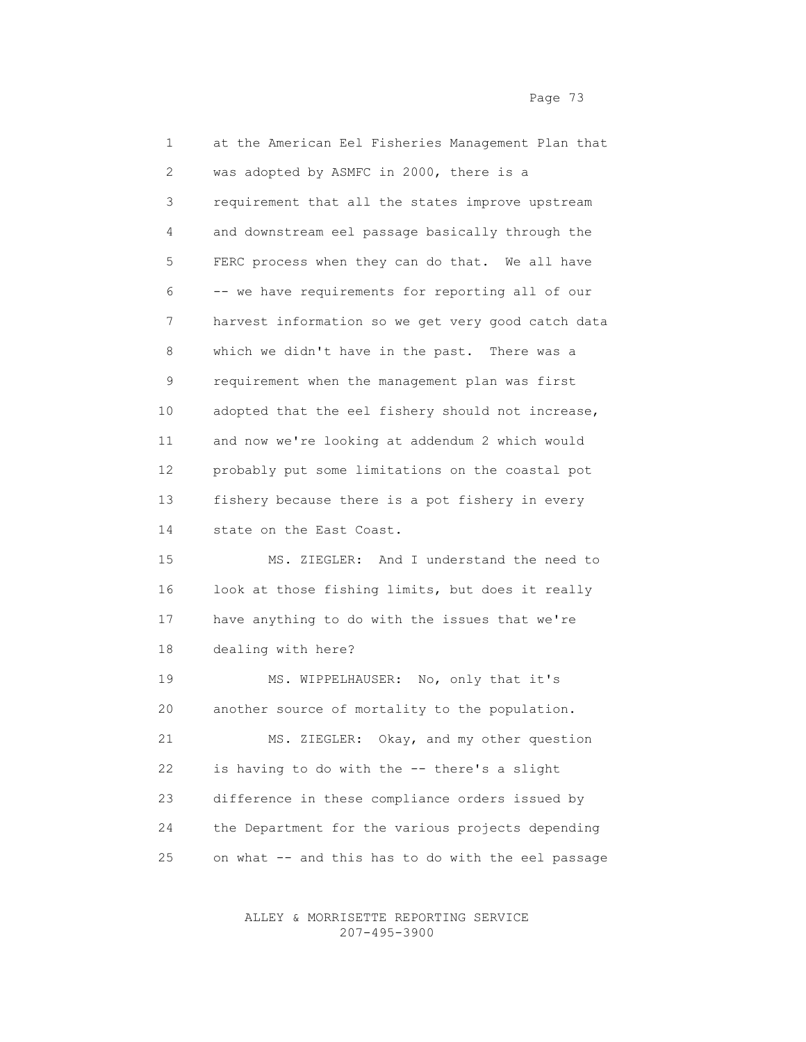1 at the American Eel Fisheries Management Plan that 2 was adopted by ASMFC in 2000, there is a 3 requirement that all the states improve upstream 4 and downstream eel passage basically through the 5 FERC process when they can do that. We all have 6 -- we have requirements for reporting all of our 7 harvest information so we get very good catch data 8 which we didn't have in the past. There was a 9 requirement when the management plan was first 10 adopted that the eel fishery should not increase, 11 and now we're looking at addendum 2 which would 12 probably put some limitations on the coastal pot 13 fishery because there is a pot fishery in every 14 state on the East Coast. 15 MS. ZIEGLER: And I understand the need to 16 look at those fishing limits, but does it really 17 have anything to do with the issues that we're 18 dealing with here? 19 MS. WIPPELHAUSER: No, only that it's 20 another source of mortality to the population. 21 MS. ZIEGLER: Okay, and my other question 22 is having to do with the -- there's a slight 23 difference in these compliance orders issued by 24 the Department for the various projects depending

> ALLEY & MORRISETTE REPORTING SERVICE 207-495-3900

25 on what -- and this has to do with the eel passage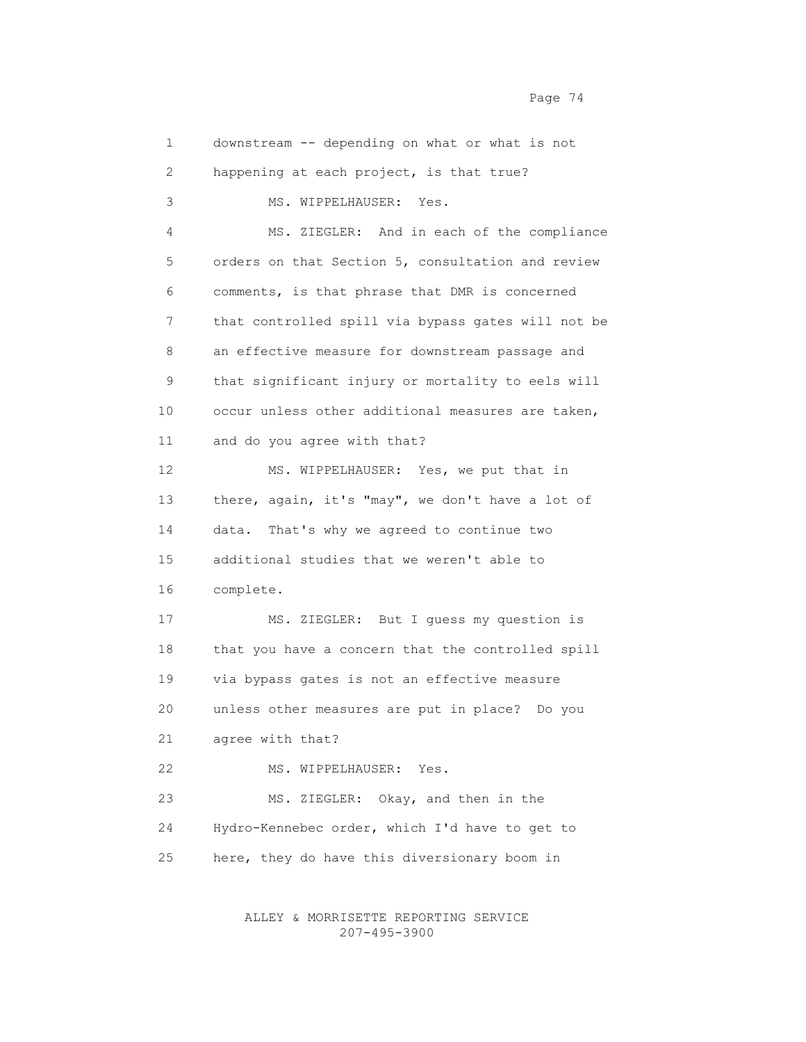1 downstream -- depending on what or what is not 2 happening at each project, is that true? 3 MS. WIPPELHAUSER: Yes. 4 MS. ZIEGLER: And in each of the compliance 5 orders on that Section 5, consultation and review 6 comments, is that phrase that DMR is concerned 7 that controlled spill via bypass gates will not be 8 an effective measure for downstream passage and 9 that significant injury or mortality to eels will 10 occur unless other additional measures are taken, 11 and do you agree with that? 12 MS. WIPPELHAUSER: Yes, we put that in 13 there, again, it's "may", we don't have a lot of 14 data. That's why we agreed to continue two 15 additional studies that we weren't able to 16 complete. 17 MS. ZIEGLER: But I guess my question is 18 that you have a concern that the controlled spill 19 via bypass gates is not an effective measure 20 unless other measures are put in place? Do you 21 agree with that? 22 MS. WIPPELHAUSER: Yes. 23 MS. ZIEGLER: Okay, and then in the 24 Hydro-Kennebec order, which I'd have to get to 25 here, they do have this diversionary boom in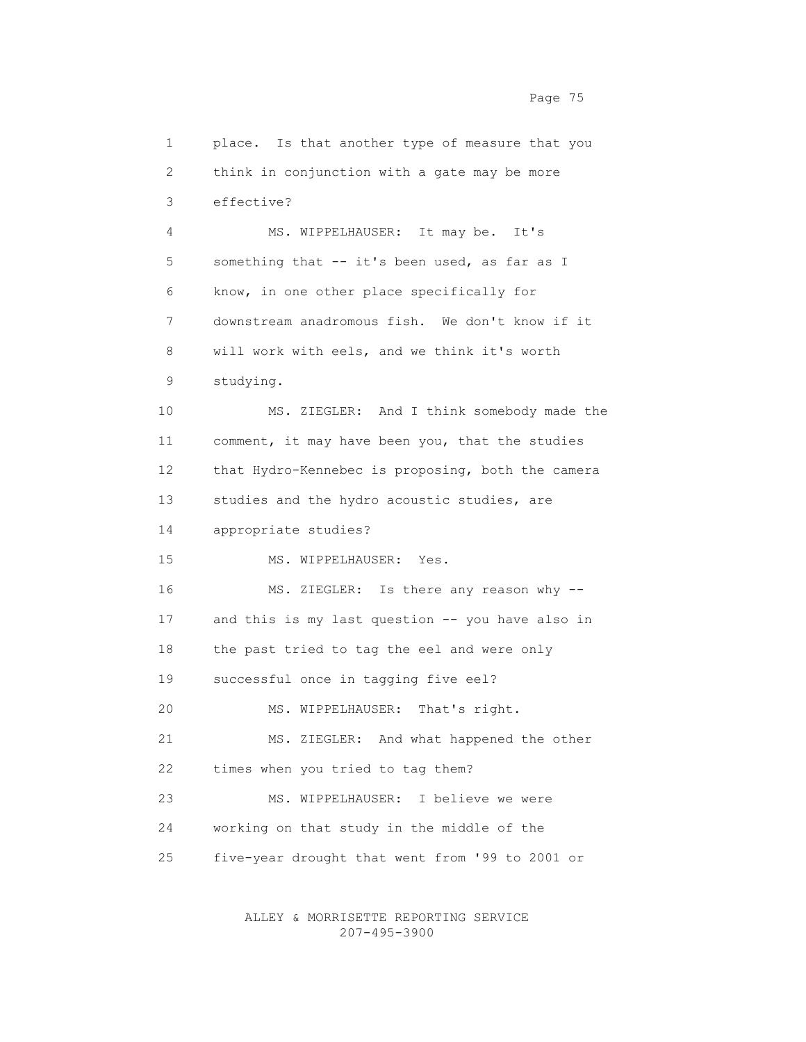2 think in conjunction with a gate may be more 3 effective? 4 MS. WIPPELHAUSER: It may be. It's 5 something that -- it's been used, as far as I 6 know, in one other place specifically for 7 downstream anadromous fish. We don't know if it 8 will work with eels, and we think it's worth 9 studying. 10 MS. ZIEGLER: And I think somebody made the 11 comment, it may have been you, that the studies 12 that Hydro-Kennebec is proposing, both the camera 13 studies and the hydro acoustic studies, are 14 appropriate studies? 15 MS. WIPPELHAUSER: Yes. 16 MS. ZIEGLER: Is there any reason why -- 17 and this is my last question -- you have also in 18 the past tried to tag the eel and were only 19 successful once in tagging five eel? 20 MS. WIPPELHAUSER: That's right. 21 MS. ZIEGLER: And what happened the other 22 times when you tried to tag them? 23 MS. WIPPELHAUSER: I believe we were 24 working on that study in the middle of the 25 five-year drought that went from '99 to 2001 or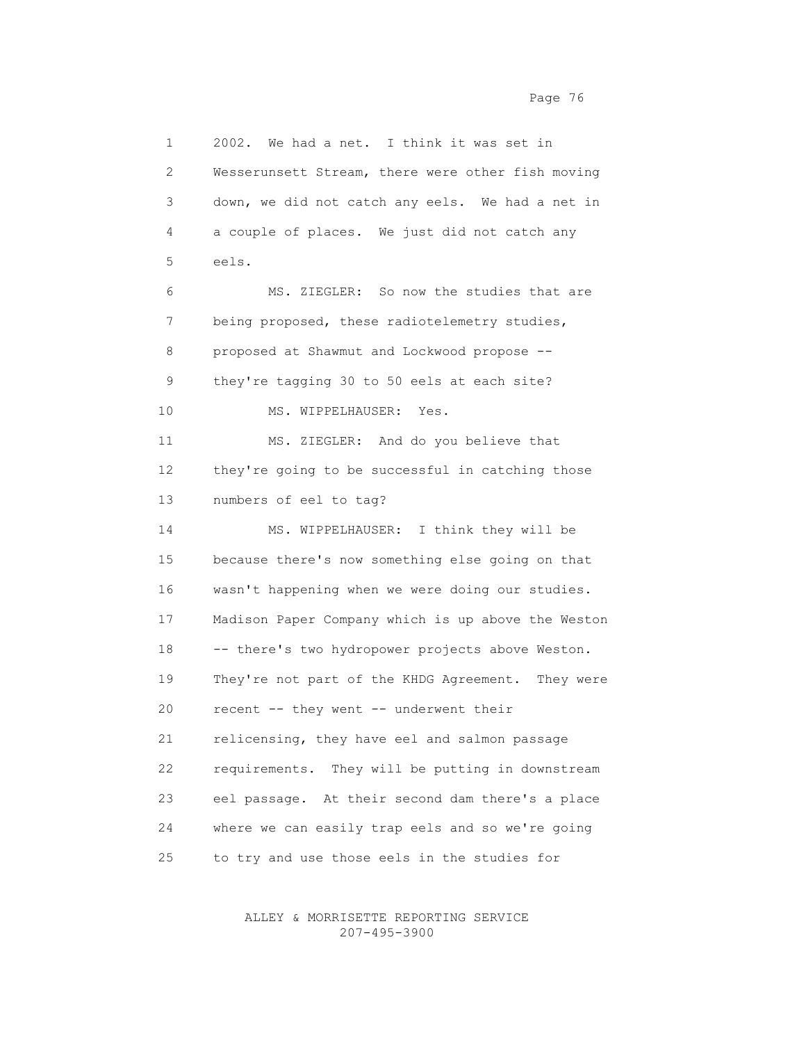1 2002. We had a net. I think it was set in 2 Wesserunsett Stream, there were other fish moving 3 down, we did not catch any eels. We had a net in 4 a couple of places. We just did not catch any 5 eels. 6 MS. ZIEGLER: So now the studies that are 7 being proposed, these radiotelemetry studies, 8 proposed at Shawmut and Lockwood propose -- 9 they're tagging 30 to 50 eels at each site? 10 MS. WIPPELHAUSER: Yes. 11 MS. ZIEGLER: And do you believe that 12 they're going to be successful in catching those 13 numbers of eel to tag? 14 MS. WIPPELHAUSER: I think they will be 15 because there's now something else going on that 16 wasn't happening when we were doing our studies. 17 Madison Paper Company which is up above the Weston 18 -- there's two hydropower projects above Weston. 19 They're not part of the KHDG Agreement. They were 20 recent -- they went -- underwent their 21 relicensing, they have eel and salmon passage 22 requirements. They will be putting in downstream 23 eel passage. At their second dam there's a place 24 where we can easily trap eels and so we're going

ALLEY & MORRISETTE REPORTING SERVICE

25 to try and use those eels in the studies for

207-495-3900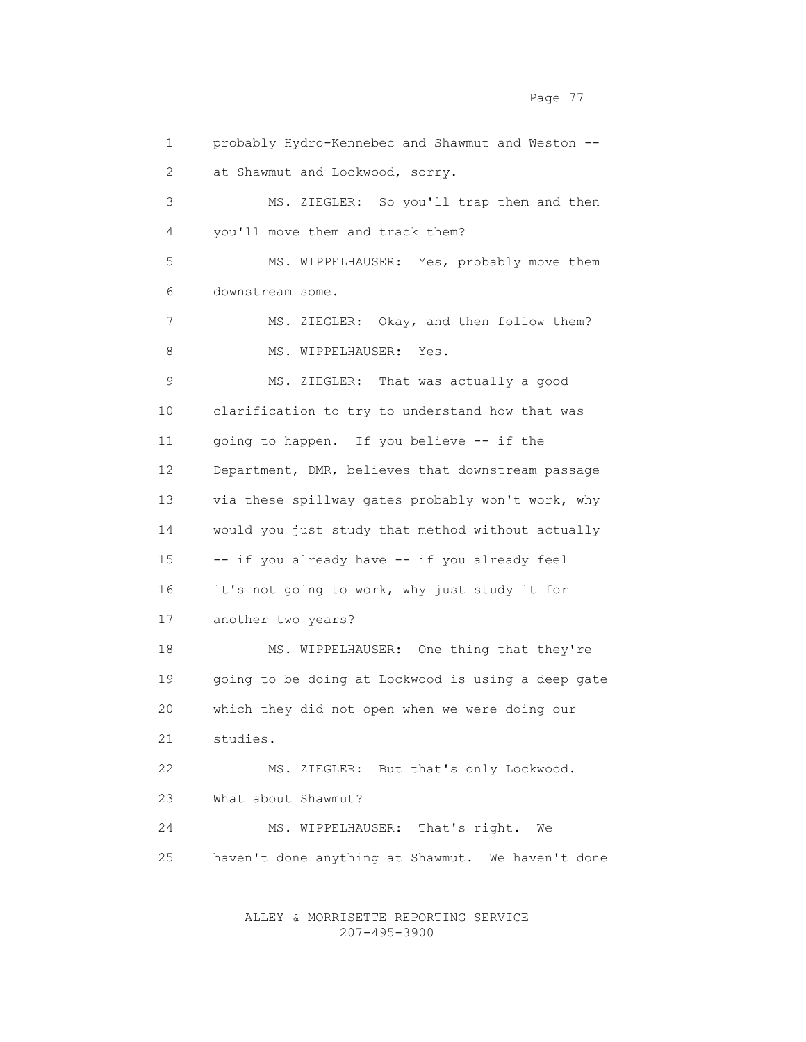Page 77

 1 probably Hydro-Kennebec and Shawmut and Weston -- 2 at Shawmut and Lockwood, sorry. 3 MS. ZIEGLER: So you'll trap them and then 4 you'll move them and track them? 5 MS. WIPPELHAUSER: Yes, probably move them 6 downstream some. 7 MS. ZIEGLER: Okay, and then follow them? 8 MS. WIPPELHAUSER: Yes. 9 MS. ZIEGLER: That was actually a good 10 clarification to try to understand how that was 11 going to happen. If you believe -- if the 12 Department, DMR, believes that downstream passage 13 via these spillway gates probably won't work, why 14 would you just study that method without actually 15 -- if you already have -- if you already feel 16 it's not going to work, why just study it for 17 another two years? 18 MS. WIPPELHAUSER: One thing that they're 19 going to be doing at Lockwood is using a deep gate 20 which they did not open when we were doing our 21 studies. 22 MS. ZIEGLER: But that's only Lockwood. 23 What about Shawmut? 24 MS. WIPPELHAUSER: That's right. We 25 haven't done anything at Shawmut. We haven't done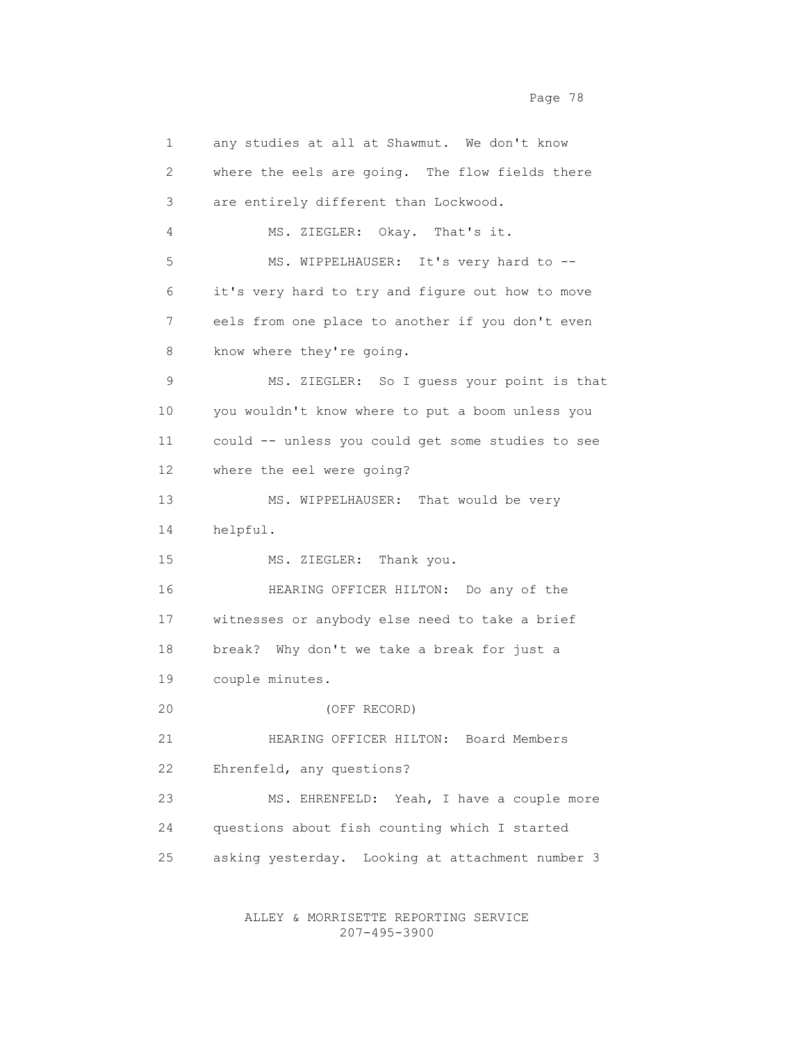1 any studies at all at Shawmut. We don't know 2 where the eels are going. The flow fields there 3 are entirely different than Lockwood. 4 MS. ZIEGLER: Okay. That's it. 5 MS. WIPPELHAUSER: It's very hard to -- 6 it's very hard to try and figure out how to move 7 eels from one place to another if you don't even 8 know where they're going. 9 MS. ZIEGLER: So I guess your point is that 10 you wouldn't know where to put a boom unless you 11 could -- unless you could get some studies to see 12 where the eel were going? 13 MS. WIPPELHAUSER: That would be very 14 helpful. 15 MS. ZIEGLER: Thank you. 16 HEARING OFFICER HILTON: Do any of the 17 witnesses or anybody else need to take a brief 18 break? Why don't we take a break for just a 19 couple minutes. 20 (OFF RECORD) 21 HEARING OFFICER HILTON: Board Members 22 Ehrenfeld, any questions? 23 MS. EHRENFELD: Yeah, I have a couple more 24 questions about fish counting which I started 25 asking yesterday. Looking at attachment number 3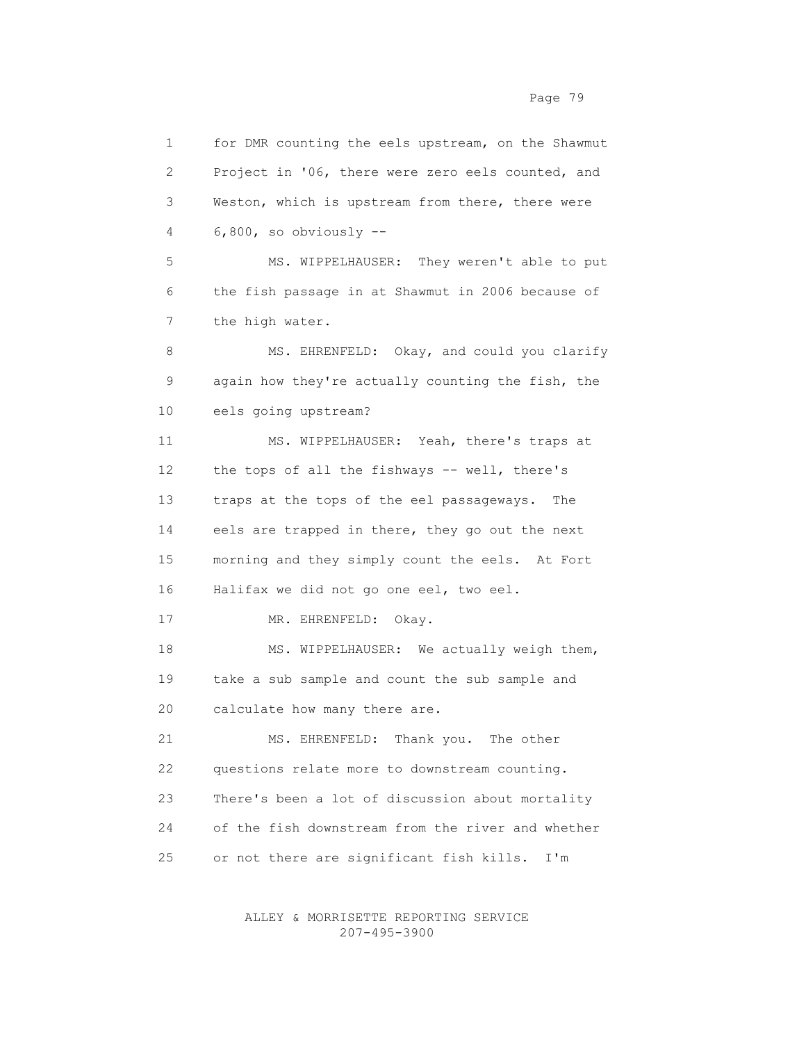1 for DMR counting the eels upstream, on the Shawmut 2 Project in '06, there were zero eels counted, and 3 Weston, which is upstream from there, there were 4 6,800, so obviously -- 5 MS. WIPPELHAUSER: They weren't able to put 6 the fish passage in at Shawmut in 2006 because of 7 the high water. 8 MS. EHRENFELD: Okay, and could you clarify 9 again how they're actually counting the fish, the 10 eels going upstream? 11 MS. WIPPELHAUSER: Yeah, there's traps at 12 the tops of all the fishways -- well, there's 13 traps at the tops of the eel passageways. The 14 eels are trapped in there, they go out the next 15 morning and they simply count the eels. At Fort 16 Halifax we did not go one eel, two eel. 17 MR. EHRENFELD: Okay. 18 MS. WIPPELHAUSER: We actually weigh them, 19 take a sub sample and count the sub sample and 20 calculate how many there are. 21 MS. EHRENFELD: Thank you. The other 22 questions relate more to downstream counting. 23 There's been a lot of discussion about mortality 24 of the fish downstream from the river and whether 25 or not there are significant fish kills. I'm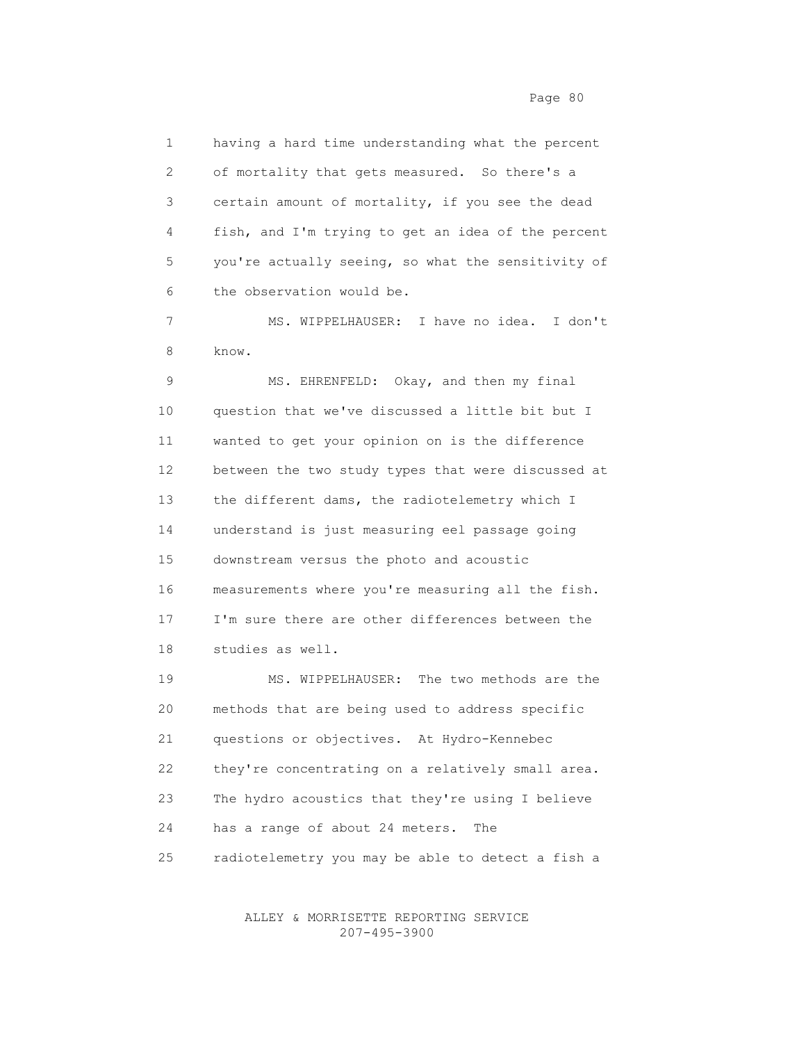1 having a hard time understanding what the percent 2 of mortality that gets measured. So there's a 3 certain amount of mortality, if you see the dead 4 fish, and I'm trying to get an idea of the percent 5 you're actually seeing, so what the sensitivity of 6 the observation would be.

 7 MS. WIPPELHAUSER: I have no idea. I don't 8 know.

 9 MS. EHRENFELD: Okay, and then my final 10 question that we've discussed a little bit but I 11 wanted to get your opinion on is the difference 12 between the two study types that were discussed at 13 the different dams, the radiotelemetry which I 14 understand is just measuring eel passage going 15 downstream versus the photo and acoustic 16 measurements where you're measuring all the fish. 17 I'm sure there are other differences between the 18 studies as well.

 19 MS. WIPPELHAUSER: The two methods are the 20 methods that are being used to address specific 21 questions or objectives. At Hydro-Kennebec 22 they're concentrating on a relatively small area. 23 The hydro acoustics that they're using I believe 24 has a range of about 24 meters. The 25 radiotelemetry you may be able to detect a fish a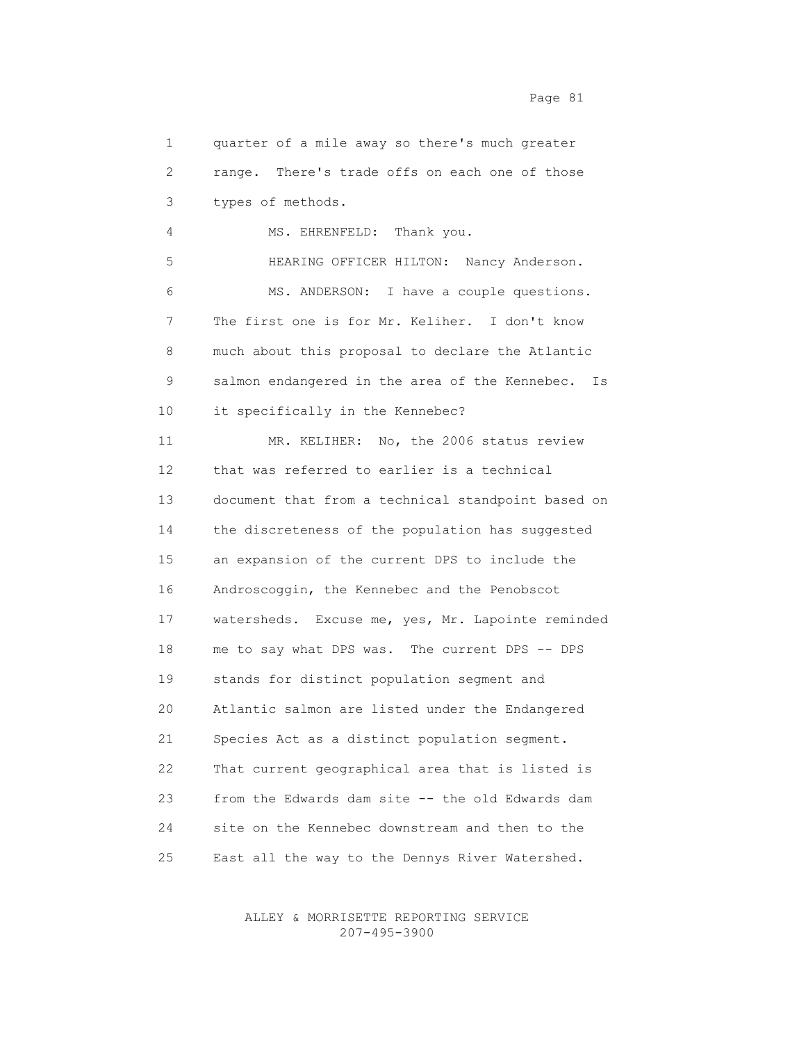1 quarter of a mile away so there's much greater 2 range. There's trade offs on each one of those 3 types of methods. 4 MS. EHRENFELD: Thank you. 5 HEARING OFFICER HILTON: Nancy Anderson. 6 MS. ANDERSON: I have a couple questions. 7 The first one is for Mr. Keliher. I don't know 8 much about this proposal to declare the Atlantic 9 salmon endangered in the area of the Kennebec. Is 10 it specifically in the Kennebec? 11 MR. KELIHER: No, the 2006 status review 12 that was referred to earlier is a technical 13 document that from a technical standpoint based on 14 the discreteness of the population has suggested 15 an expansion of the current DPS to include the 16 Androscoggin, the Kennebec and the Penobscot 17 watersheds. Excuse me, yes, Mr. Lapointe reminded 18 me to say what DPS was. The current DPS -- DPS 19 stands for distinct population segment and 20 Atlantic salmon are listed under the Endangered 21 Species Act as a distinct population segment. 22 That current geographical area that is listed is 23 from the Edwards dam site -- the old Edwards dam 24 site on the Kennebec downstream and then to the 25 East all the way to the Dennys River Watershed.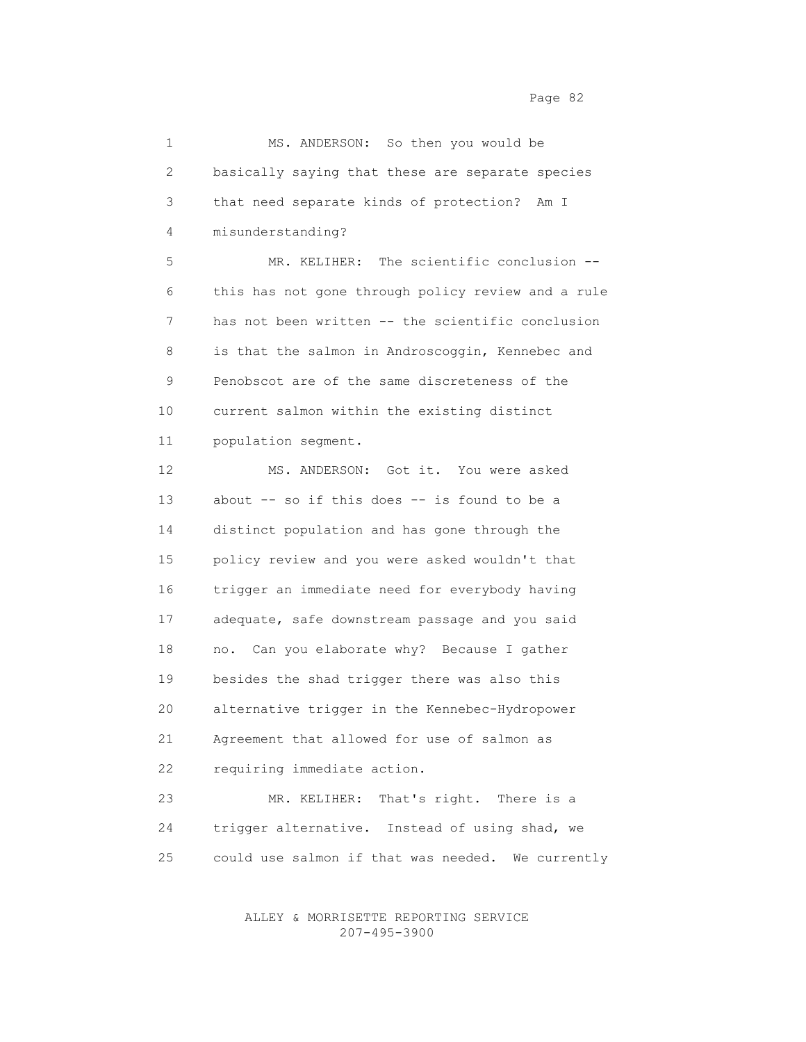1 MS. ANDERSON: So then you would be 2 basically saying that these are separate species 3 that need separate kinds of protection? Am I 4 misunderstanding? 5 MR. KELIHER: The scientific conclusion -- 6 this has not gone through policy review and a rule 7 has not been written -- the scientific conclusion 8 is that the salmon in Androscoggin, Kennebec and 9 Penobscot are of the same discreteness of the 10 current salmon within the existing distinct 11 population segment. 12 MS. ANDERSON: Got it. You were asked 13 about -- so if this does -- is found to be a 14 distinct population and has gone through the 15 policy review and you were asked wouldn't that 16 trigger an immediate need for everybody having 17 adequate, safe downstream passage and you said 18 no. Can you elaborate why? Because I gather 19 besides the shad trigger there was also this

 20 alternative trigger in the Kennebec-Hydropower 21 Agreement that allowed for use of salmon as 22 requiring immediate action.

 23 MR. KELIHER: That's right. There is a 24 trigger alternative. Instead of using shad, we 25 could use salmon if that was needed. We currently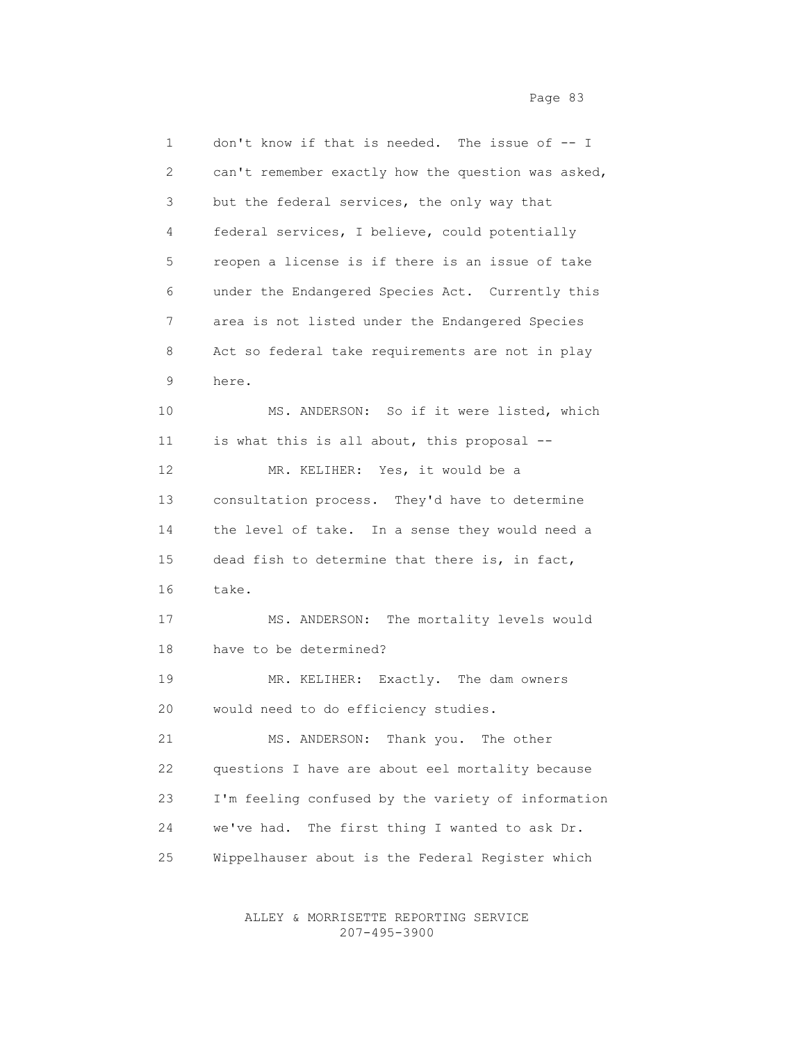1 don't know if that is needed. The issue of -- I 2 can't remember exactly how the question was asked, 3 but the federal services, the only way that 4 federal services, I believe, could potentially 5 reopen a license is if there is an issue of take 6 under the Endangered Species Act. Currently this 7 area is not listed under the Endangered Species 8 Act so federal take requirements are not in play 9 here. 10 MS. ANDERSON: So if it were listed, which 11 is what this is all about, this proposal -- 12 MR. KELIHER: Yes, it would be a 13 consultation process. They'd have to determine 14 the level of take. In a sense they would need a 15 dead fish to determine that there is, in fact, 16 take. 17 MS. ANDERSON: The mortality levels would 18 have to be determined? 19 MR. KELIHER: Exactly. The dam owners 20 would need to do efficiency studies. 21 MS. ANDERSON: Thank you. The other 22 questions I have are about eel mortality because 23 I'm feeling confused by the variety of information 24 we've had. The first thing I wanted to ask Dr. 25 Wippelhauser about is the Federal Register which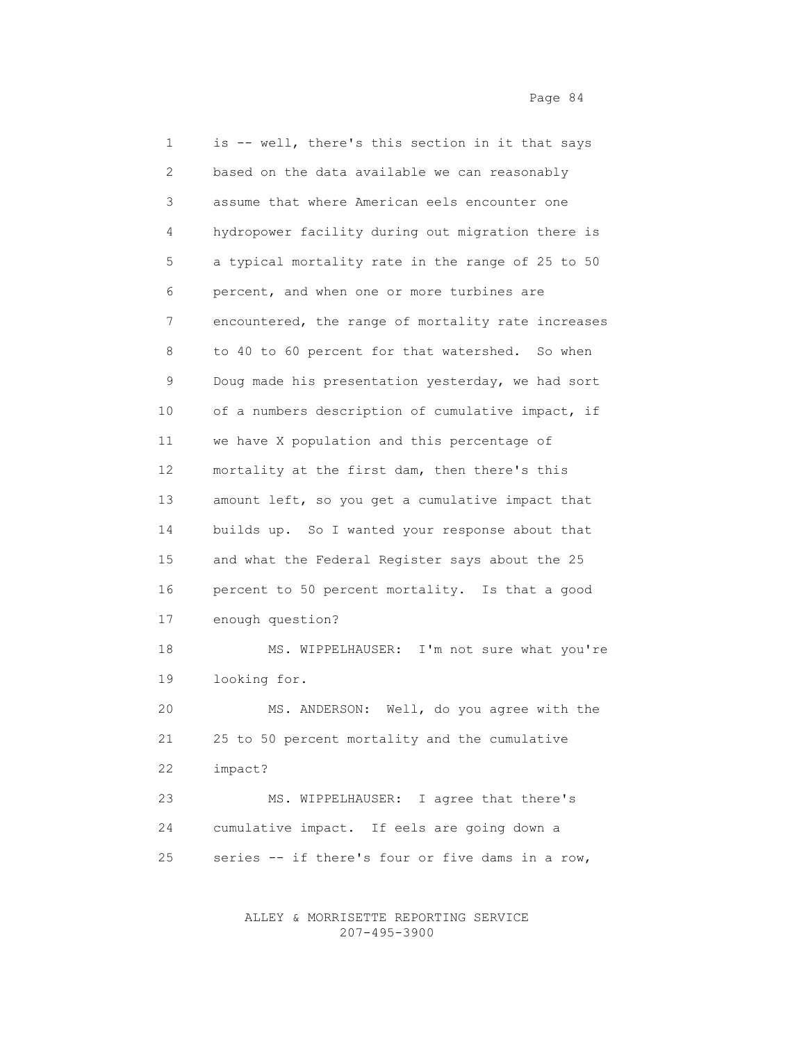1 is -- well, there's this section in it that says 2 based on the data available we can reasonably 3 assume that where American eels encounter one 4 hydropower facility during out migration there is 5 a typical mortality rate in the range of 25 to 50 6 percent, and when one or more turbines are 7 encountered, the range of mortality rate increases 8 to 40 to 60 percent for that watershed. So when 9 Doug made his presentation yesterday, we had sort 10 of a numbers description of cumulative impact, if 11 we have X population and this percentage of 12 mortality at the first dam, then there's this 13 amount left, so you get a cumulative impact that 14 builds up. So I wanted your response about that 15 and what the Federal Register says about the 25 16 percent to 50 percent mortality. Is that a good 17 enough question? 18 MS. WIPPELHAUSER: I'm not sure what you're 19 looking for. 20 MS. ANDERSON: Well, do you agree with the 21 25 to 50 percent mortality and the cumulative 22 impact? 23 MS. WIPPELHAUSER: I agree that there's 24 cumulative impact. If eels are going down a 25 series -- if there's four or five dams in a row,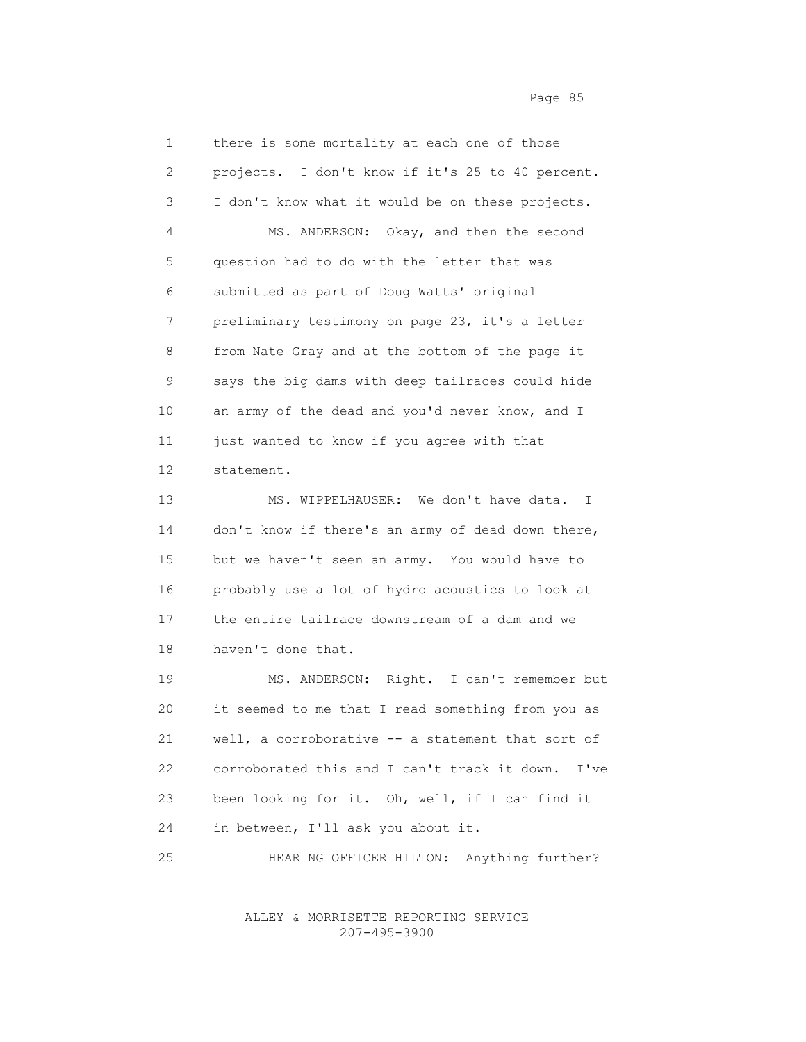1 there is some mortality at each one of those 2 projects. I don't know if it's 25 to 40 percent. 3 I don't know what it would be on these projects. 4 MS. ANDERSON: Okay, and then the second 5 question had to do with the letter that was 6 submitted as part of Doug Watts' original 7 preliminary testimony on page 23, it's a letter 8 from Nate Gray and at the bottom of the page it 9 says the big dams with deep tailraces could hide 10 an army of the dead and you'd never know, and I 11 just wanted to know if you agree with that 12 statement. 13 MS. WIPPELHAUSER: We don't have data. I 14 don't know if there's an army of dead down there, 15 but we haven't seen an army. You would have to 16 probably use a lot of hydro acoustics to look at 17 the entire tailrace downstream of a dam and we 18 haven't done that. 19 MS. ANDERSON: Right. I can't remember but

 20 it seemed to me that I read something from you as 21 well, a corroborative -- a statement that sort of 22 corroborated this and I can't track it down. I've 23 been looking for it. Oh, well, if I can find it 24 in between, I'll ask you about it.

25 HEARING OFFICER HILTON: Anything further?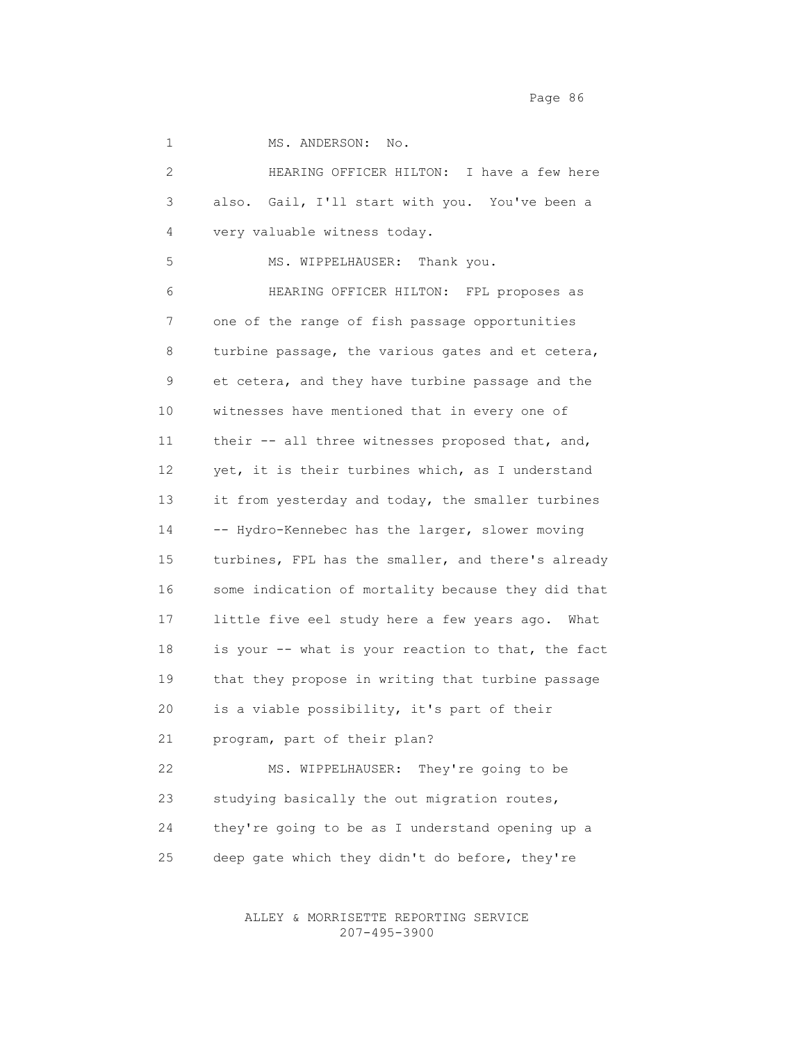Page 86 and the state of the state of the state and the state and the state of the state and the state of the state  $P$ 

1 MS. ANDERSON: No.

 2 HEARING OFFICER HILTON: I have a few here 3 also. Gail, I'll start with you. You've been a 4 very valuable witness today. 5 MS. WIPPELHAUSER: Thank you. 6 HEARING OFFICER HILTON: FPL proposes as 7 one of the range of fish passage opportunities 8 turbine passage, the various gates and et cetera, 9 et cetera, and they have turbine passage and the 10 witnesses have mentioned that in every one of 11 their -- all three witnesses proposed that, and, 12 yet, it is their turbines which, as I understand 13 it from yesterday and today, the smaller turbines 14 -- Hydro-Kennebec has the larger, slower moving 15 turbines, FPL has the smaller, and there's already 16 some indication of mortality because they did that 17 little five eel study here a few years ago. What 18 is your -- what is your reaction to that, the fact 19 that they propose in writing that turbine passage 20 is a viable possibility, it's part of their 21 program, part of their plan? 22 MS. WIPPELHAUSER: They're going to be 23 studying basically the out migration routes, 24 they're going to be as I understand opening up a

25 deep gate which they didn't do before, they're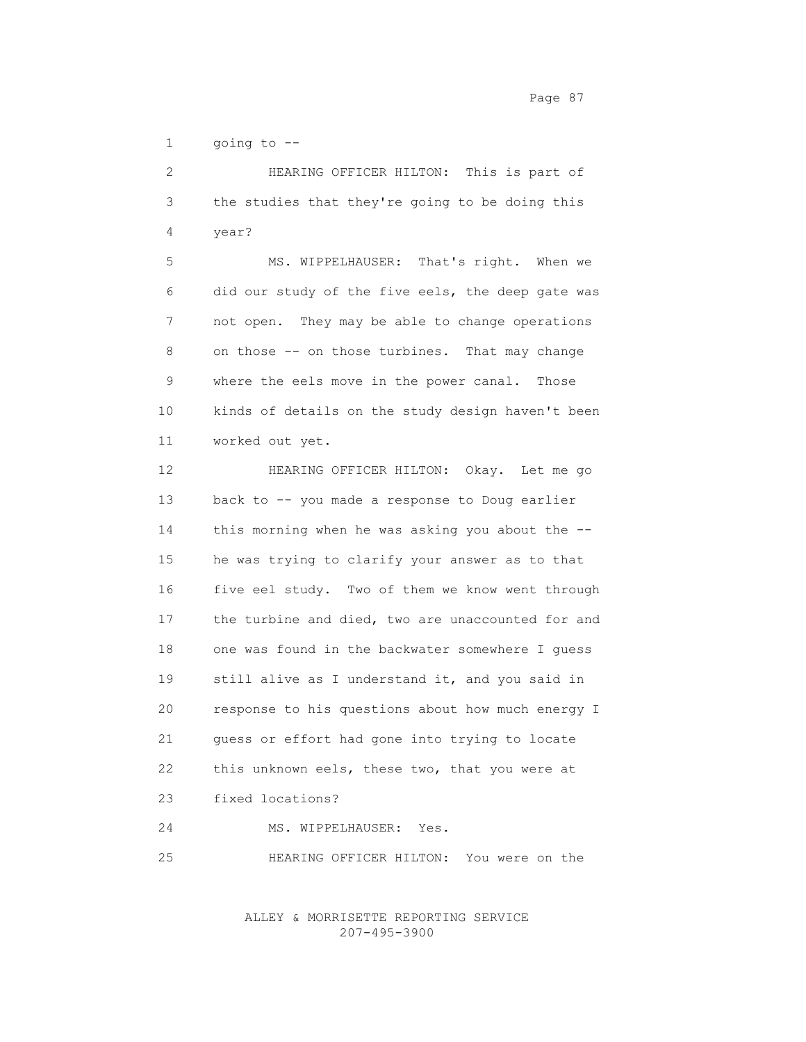Page 87

1 going to --

 2 HEARING OFFICER HILTON: This is part of 3 the studies that they're going to be doing this 4 year? 5 MS. WIPPELHAUSER: That's right. When we 6 did our study of the five eels, the deep gate was 7 not open. They may be able to change operations 8 on those -- on those turbines. That may change 9 where the eels move in the power canal. Those 10 kinds of details on the study design haven't been 11 worked out yet. 12 HEARING OFFICER HILTON: Okay. Let me go 13 back to -- you made a response to Doug earlier 14 this morning when he was asking you about the -- 15 he was trying to clarify your answer as to that

 16 five eel study. Two of them we know went through 17 the turbine and died, two are unaccounted for and 18 one was found in the backwater somewhere I guess 19 still alive as I understand it, and you said in 20 response to his questions about how much energy I 21 guess or effort had gone into trying to locate 22 this unknown eels, these two, that you were at 23 fixed locations?

24 MS. WIPPELHAUSER: Yes.

25 HEARING OFFICER HILTON: You were on the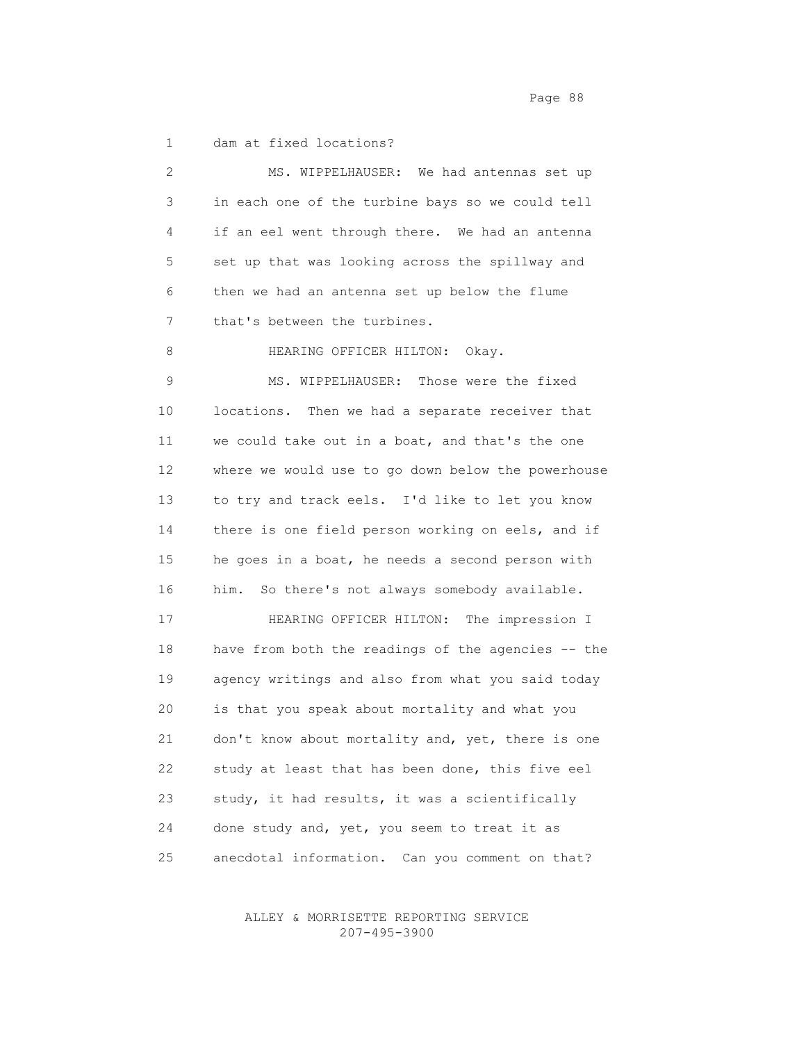Page 88

1 dam at fixed locations?

| 2           | MS. WIPPELHAUSER: We had antennas set up           |
|-------------|----------------------------------------------------|
| 3           | in each one of the turbine bays so we could tell   |
| 4           | if an eel went through there. We had an antenna    |
| 5           | set up that was looking across the spillway and    |
| 6           | then we had an antenna set up below the flume      |
| 7           | that's between the turbines.                       |
| 8           | HEARING OFFICER HILTON: Okay.                      |
| $\mathsf 9$ | MS. WIPPELHAUSER: Those were the fixed             |
| 10          | locations. Then we had a separate receiver that    |
| 11          | we could take out in a boat, and that's the one    |
| 12          | where we would use to go down below the powerhouse |
| 13          | to try and track eels. I'd like to let you know    |
| 14          | there is one field person working on eels, and if  |
| 15          | he goes in a boat, he needs a second person with   |
| 16          | him. So there's not always somebody available.     |
| 17          | HEARING OFFICER HILTON: The impression I           |
| 18          | have from both the readings of the agencies -- the |
| 19          | agency writings and also from what you said today  |
| 20          | is that you speak about mortality and what you     |
| 21          | don't know about mortality and, yet, there is one  |
| 22          | study at least that has been done, this five eel   |
| 23          | study, it had results, it was a scientifically     |
| 24          | done study and, yet, you seem to treat it as       |
| 25          | anecdotal information.<br>Can you comment on that? |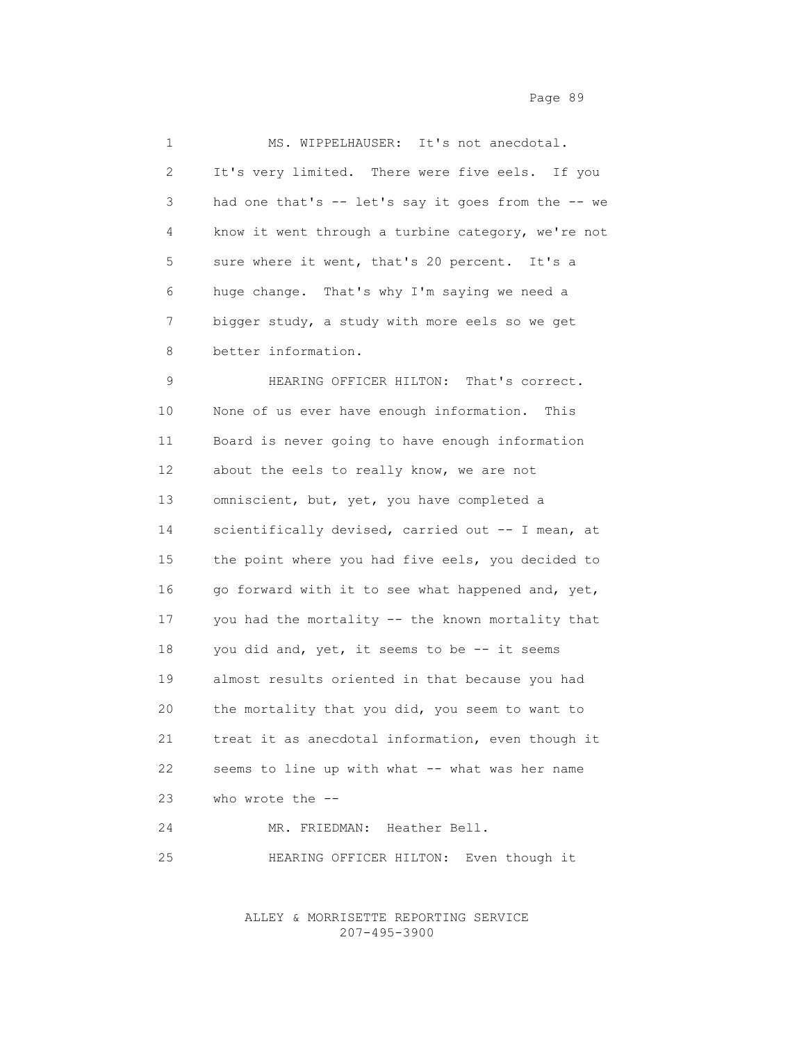| $\mathbf 1$           | MS. WIPPELHAUSER: It's not anecdotal.              |
|-----------------------|----------------------------------------------------|
| $\mathbf{2}^{\prime}$ | It's very limited. There were five eels. If you    |
| 3                     | had one that's -- let's say it goes from the -- we |
| 4                     | know it went through a turbine category, we're not |
| 5                     | sure where it went, that's 20 percent. It's a      |
| 6                     | huge change. That's why I'm saying we need a       |
| 7                     | bigger study, a study with more eels so we get     |
| 8                     | better information.                                |
| 9                     | HEARING OFFICER HILTON: That's correct.            |
| 10                    | None of us ever have enough information. This      |
| 11                    | Board is never going to have enough information    |
| 12                    | about the eels to really know, we are not          |
| 13                    | omniscient, but, yet, you have completed a         |
| 14                    | scientifically devised, carried out -- I mean, at  |
| 15                    | the point where you had five eels, you decided to  |
| 16                    | go forward with it to see what happened and, yet,  |
| 17                    | you had the mortality -- the known mortality that  |
| 18                    | you did and, yet, it seems to be -- it seems       |
| 19                    | almost results oriented in that because you had    |
| 20                    | the mortality that you did, you seem to want to    |
| 21                    | treat it as anecdotal information, even though it  |
| 22                    | seems to line up with what -- what was her name    |
| 23                    | who wrote the --                                   |
| 24                    | MR. FRIEDMAN: Heather Bell.                        |
| 25                    | HEARING OFFICER HILTON:<br>Even though it          |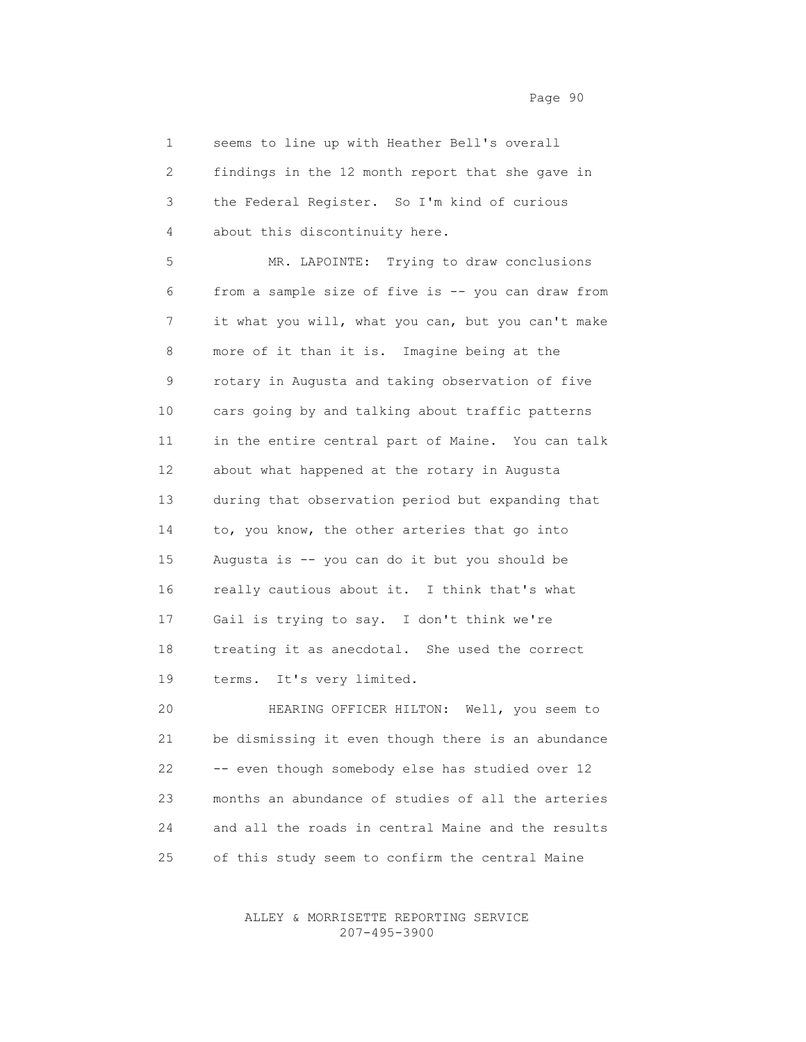1 seems to line up with Heather Bell's overall 2 findings in the 12 month report that she gave in 3 the Federal Register. So I'm kind of curious 4 about this discontinuity here.

 5 MR. LAPOINTE: Trying to draw conclusions 6 from a sample size of five is -- you can draw from 7 it what you will, what you can, but you can't make 8 more of it than it is. Imagine being at the 9 rotary in Augusta and taking observation of five 10 cars going by and talking about traffic patterns 11 in the entire central part of Maine. You can talk 12 about what happened at the rotary in Augusta 13 during that observation period but expanding that 14 to, you know, the other arteries that go into 15 Augusta is -- you can do it but you should be 16 really cautious about it. I think that's what 17 Gail is trying to say. I don't think we're 18 treating it as anecdotal. She used the correct 19 terms. It's very limited.

 20 HEARING OFFICER HILTON: Well, you seem to 21 be dismissing it even though there is an abundance 22 -- even though somebody else has studied over 12 23 months an abundance of studies of all the arteries 24 and all the roads in central Maine and the results 25 of this study seem to confirm the central Maine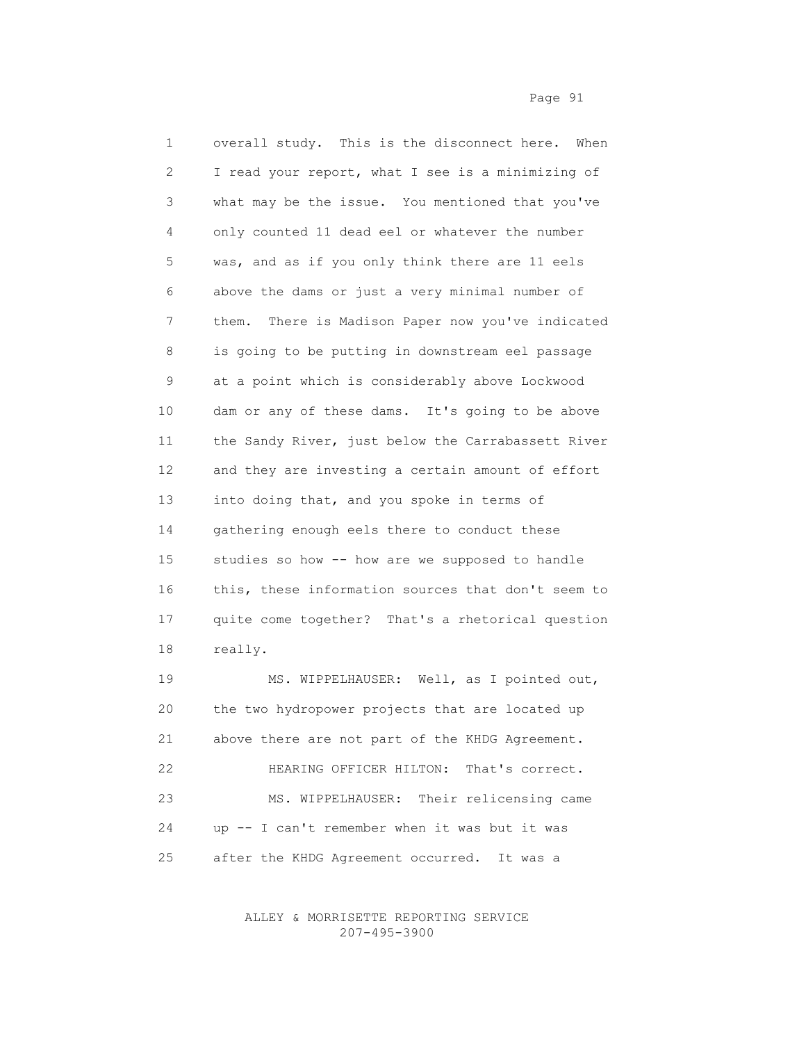1 overall study. This is the disconnect here. When 2 I read your report, what I see is a minimizing of 3 what may be the issue. You mentioned that you've 4 only counted 11 dead eel or whatever the number 5 was, and as if you only think there are 11 eels 6 above the dams or just a very minimal number of 7 them. There is Madison Paper now you've indicated 8 is going to be putting in downstream eel passage 9 at a point which is considerably above Lockwood 10 dam or any of these dams. It's going to be above 11 the Sandy River, just below the Carrabassett River 12 and they are investing a certain amount of effort 13 into doing that, and you spoke in terms of 14 gathering enough eels there to conduct these 15 studies so how -- how are we supposed to handle 16 this, these information sources that don't seem to 17 quite come together? That's a rhetorical question 18 really.

 19 MS. WIPPELHAUSER: Well, as I pointed out, 20 the two hydropower projects that are located up 21 above there are not part of the KHDG Agreement. 22 HEARING OFFICER HILTON: That's correct. 23 MS. WIPPELHAUSER: Their relicensing came 24 up -- I can't remember when it was but it was 25 after the KHDG Agreement occurred. It was a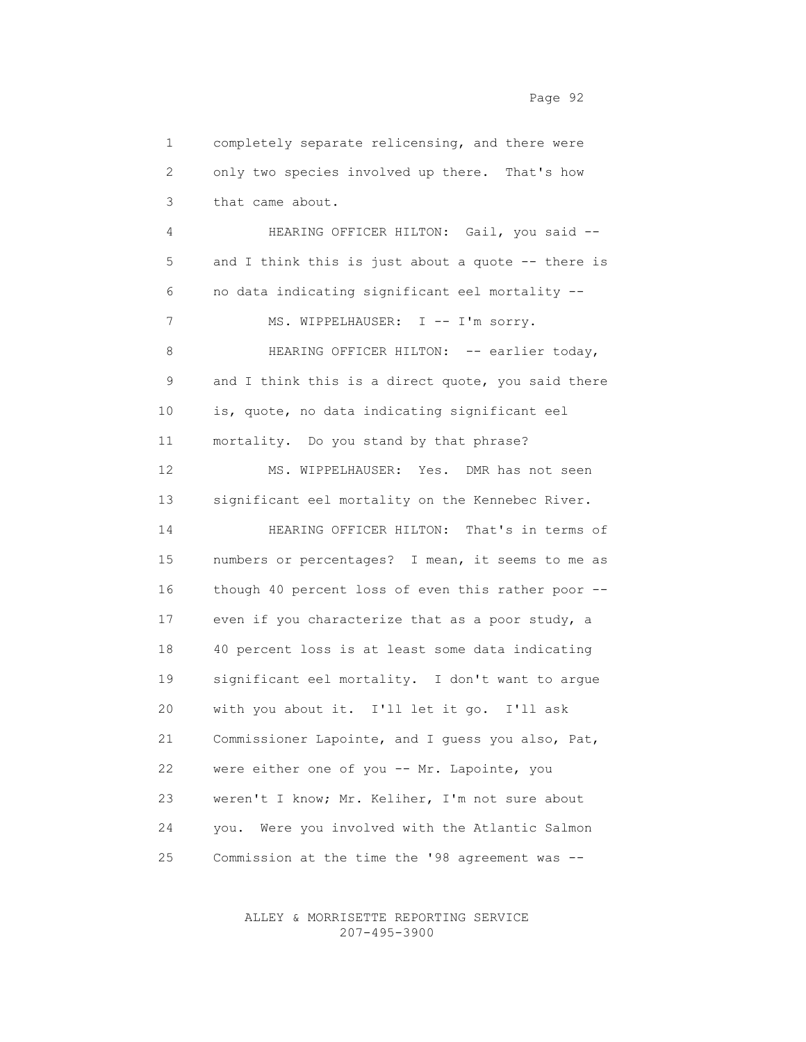1 completely separate relicensing, and there were 2 only two species involved up there. That's how 3 that came about. 4 HEARING OFFICER HILTON: Gail, you said -- 5 and I think this is just about a quote -- there is 6 no data indicating significant eel mortality -- 7 MS. WIPPELHAUSER: I -- I'm sorry. 8 HEARING OFFICER HILTON: -- earlier today, 9 and I think this is a direct quote, you said there 10 is, quote, no data indicating significant eel 11 mortality. Do you stand by that phrase? 12 MS. WIPPELHAUSER: Yes. DMR has not seen 13 significant eel mortality on the Kennebec River. 14 HEARING OFFICER HILTON: That's in terms of 15 numbers or percentages? I mean, it seems to me as 16 though 40 percent loss of even this rather poor -- 17 even if you characterize that as a poor study, a 18 40 percent loss is at least some data indicating 19 significant eel mortality. I don't want to argue 20 with you about it. I'll let it go. I'll ask 21 Commissioner Lapointe, and I guess you also, Pat, 22 were either one of you -- Mr. Lapointe, you 23 weren't I know; Mr. Keliher, I'm not sure about 24 you. Were you involved with the Atlantic Salmon 25 Commission at the time the '98 agreement was --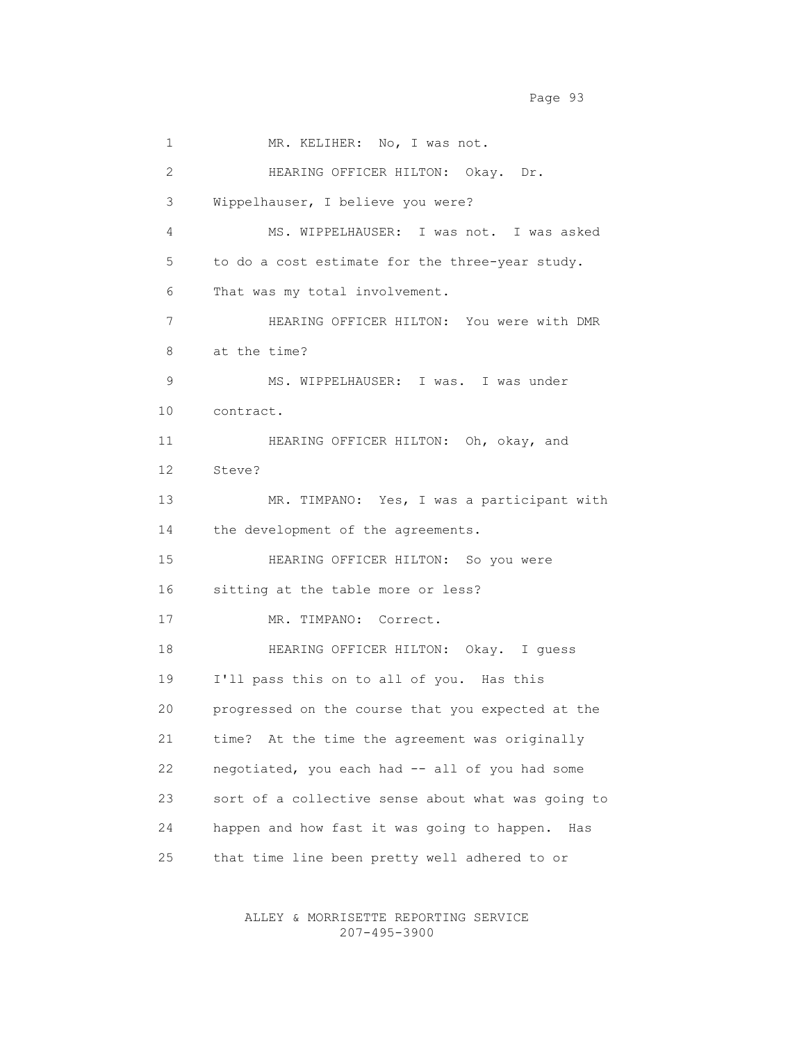1 MR. KELIHER: No, I was not. 2 HEARING OFFICER HILTON: Okay. Dr. 3 Wippelhauser, I believe you were? 4 MS. WIPPELHAUSER: I was not. I was asked 5 to do a cost estimate for the three-year study. 6 That was my total involvement. 7 HEARING OFFICER HILTON: You were with DMR 8 at the time? 9 MS. WIPPELHAUSER: I was. I was under 10 contract. 11 HEARING OFFICER HILTON: Oh, okay, and 12 Steve? 13 MR. TIMPANO: Yes, I was a participant with 14 the development of the agreements. 15 HEARING OFFICER HILTON: So you were 16 sitting at the table more or less? 17 MR. TIMPANO: Correct. 18 HEARING OFFICER HILTON: Okay. I guess 19 I'll pass this on to all of you. Has this 20 progressed on the course that you expected at the 21 time? At the time the agreement was originally 22 negotiated, you each had -- all of you had some 23 sort of a collective sense about what was going to 24 happen and how fast it was going to happen. Has 25 that time line been pretty well adhered to or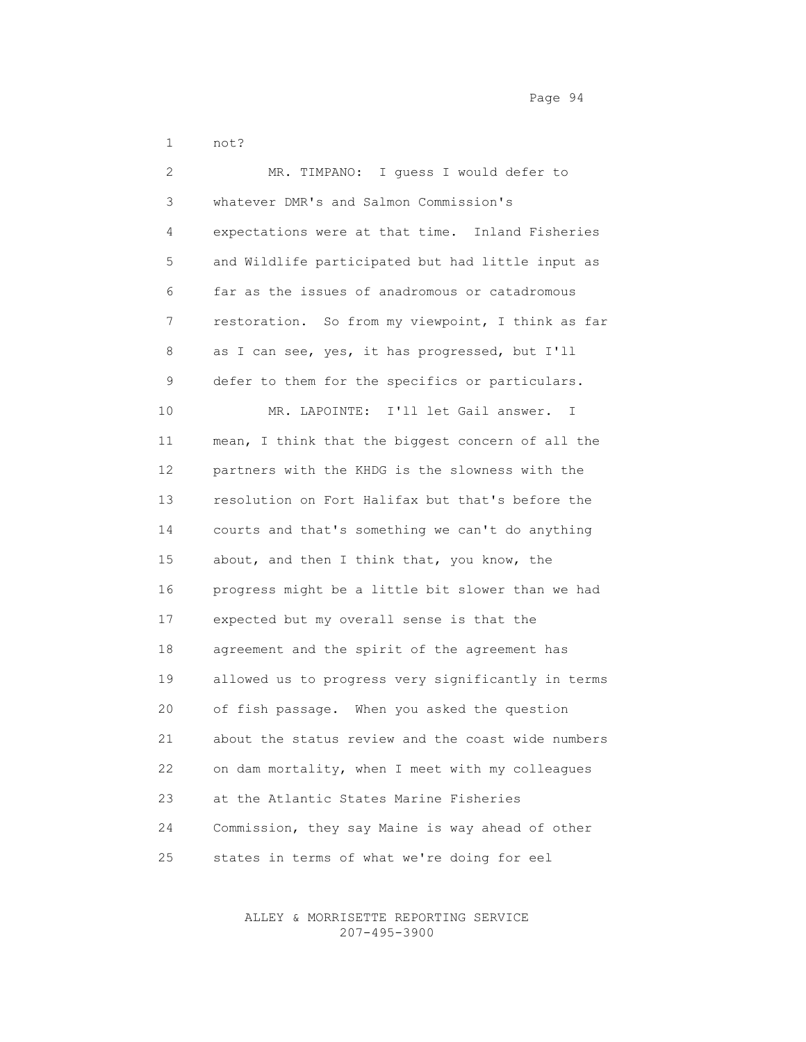1 not?

 2 MR. TIMPANO: I guess I would defer to 3 whatever DMR's and Salmon Commission's 4 expectations were at that time. Inland Fisheries 5 and Wildlife participated but had little input as 6 far as the issues of anadromous or catadromous 7 restoration. So from my viewpoint, I think as far 8 as I can see, yes, it has progressed, but I'll 9 defer to them for the specifics or particulars. 10 MR. LAPOINTE: I'll let Gail answer. I 11 mean, I think that the biggest concern of all the 12 partners with the KHDG is the slowness with the 13 resolution on Fort Halifax but that's before the 14 courts and that's something we can't do anything 15 about, and then I think that, you know, the 16 progress might be a little bit slower than we had 17 expected but my overall sense is that the 18 agreement and the spirit of the agreement has 19 allowed us to progress very significantly in terms 20 of fish passage. When you asked the question 21 about the status review and the coast wide numbers 22 on dam mortality, when I meet with my colleagues 23 at the Atlantic States Marine Fisheries 24 Commission, they say Maine is way ahead of other 25 states in terms of what we're doing for eel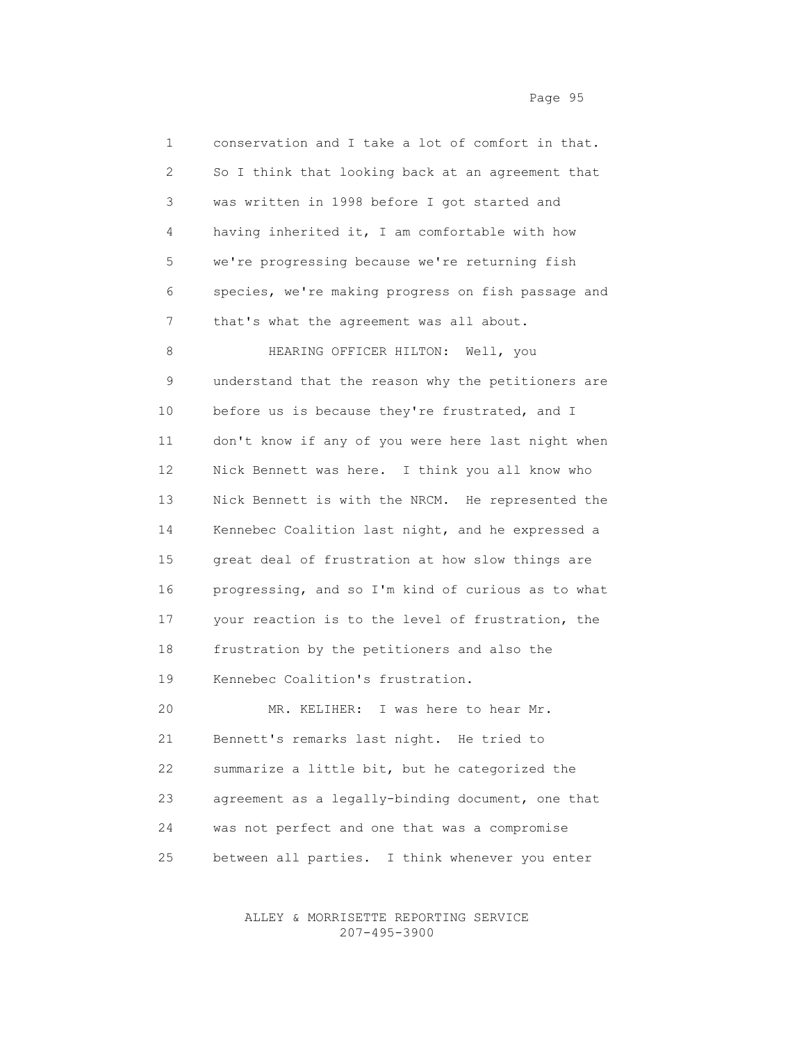| 1  | conservation and I take a lot of comfort in that.  |
|----|----------------------------------------------------|
| 2  | So I think that looking back at an agreement that  |
| 3  | was written in 1998 before I got started and       |
| 4  | having inherited it, I am comfortable with how     |
| 5  | we're progressing because we're returning fish     |
| 6  | species, we're making progress on fish passage and |
| 7  | that's what the agreement was all about.           |
| 8  | HEARING OFFICER HILTON:<br>Well, you               |
| 9  | understand that the reason why the petitioners are |
| 10 | before us is because they're frustrated, and I     |
| 11 | don't know if any of you were here last night when |
| 12 | Nick Bennett was here. I think you all know who    |
| 13 | Nick Bennett is with the NRCM. He represented the  |
| 14 | Kennebec Coalition last night, and he expressed a  |
| 15 | great deal of frustration at how slow things are   |
| 16 | progressing, and so I'm kind of curious as to what |
| 17 | your reaction is to the level of frustration, the  |
| 18 | frustration by the petitioners and also the        |
| 19 | Kennebec Coalition's frustration.                  |
| 20 | MR. KELIHER: I was here to hear Mr.                |
| 21 | Bennett's remarks last night. He tried to          |
| 22 | summarize a little bit, but he categorized the     |
| 23 | agreement as a legally-binding document, one that  |
| 24 | was not perfect and one that was a compromise      |
| 25 | between all parties.<br>I think whenever you enter |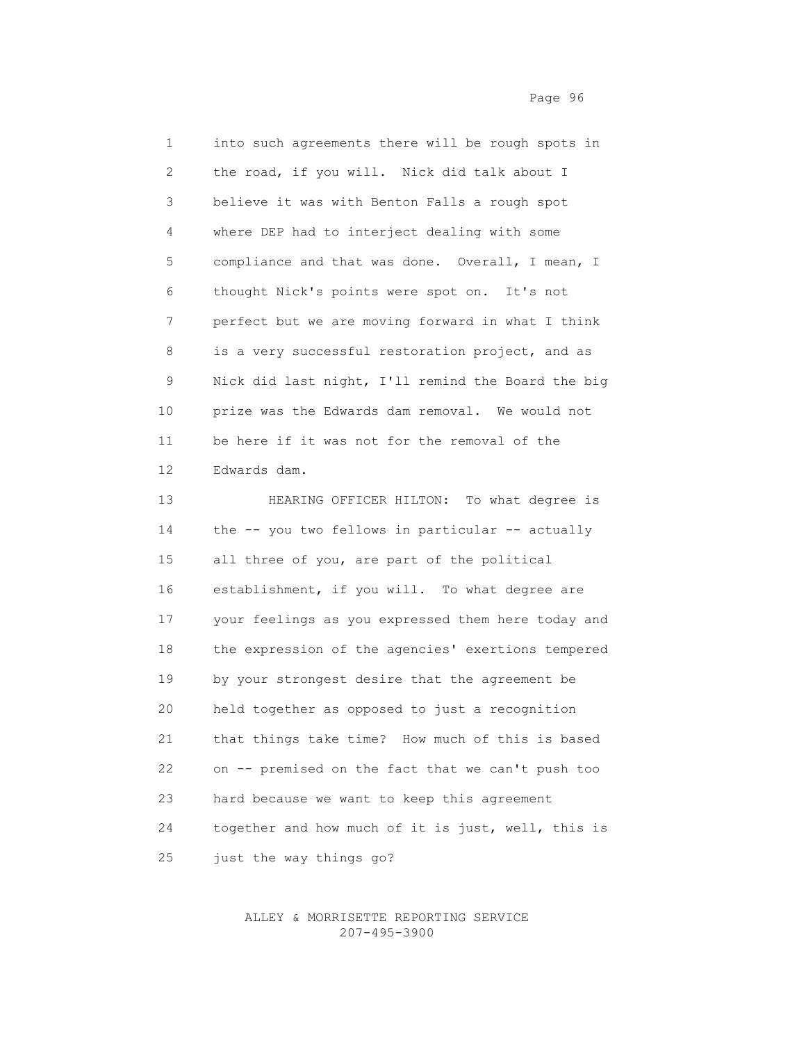1 into such agreements there will be rough spots in 2 the road, if you will. Nick did talk about I 3 believe it was with Benton Falls a rough spot 4 where DEP had to interject dealing with some 5 compliance and that was done. Overall, I mean, I 6 thought Nick's points were spot on. It's not 7 perfect but we are moving forward in what I think 8 is a very successful restoration project, and as 9 Nick did last night, I'll remind the Board the big 10 prize was the Edwards dam removal. We would not 11 be here if it was not for the removal of the 12 Edwards dam. 13 HEARING OFFICER HILTON: To what degree is

14 the -- you two fellows in particular -- actually 15 all three of you, are part of the political 16 establishment, if you will. To what degree are 17 your feelings as you expressed them here today and 18 the expression of the agencies' exertions tempered 19 by your strongest desire that the agreement be 20 held together as opposed to just a recognition 21 that things take time? How much of this is based 22 on -- premised on the fact that we can't push too 23 hard because we want to keep this agreement 24 together and how much of it is just, well, this is 25 just the way things go?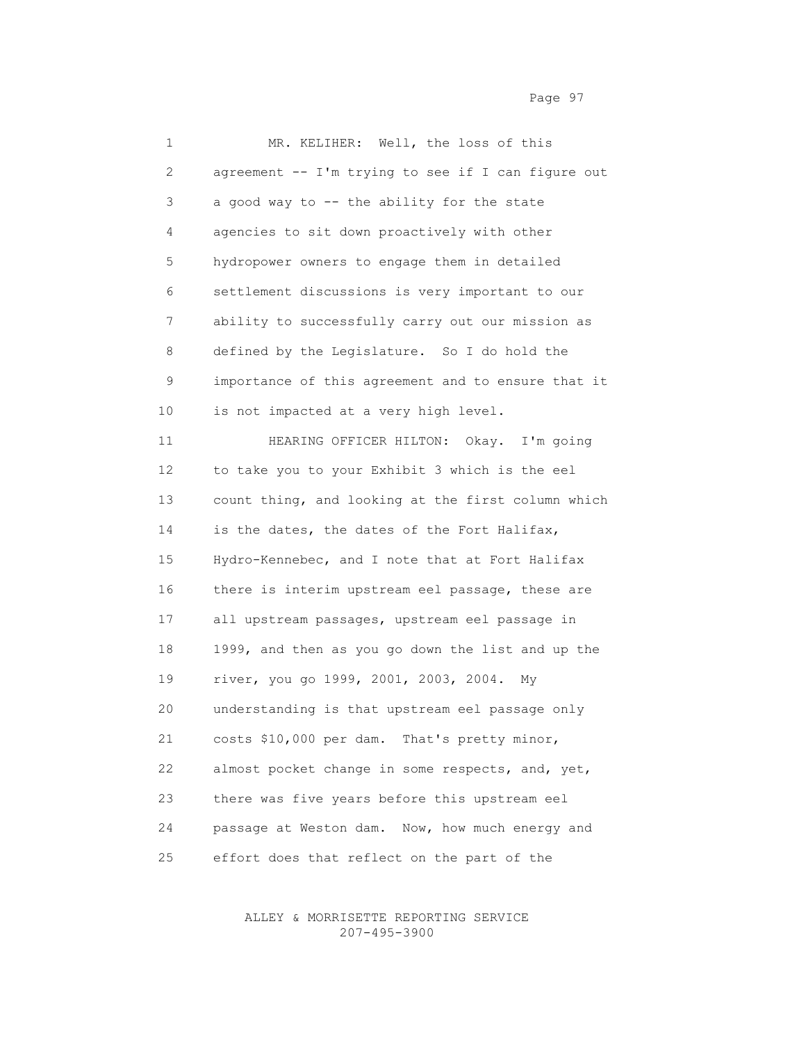1 MR. KELIHER: Well, the loss of this 2 agreement -- I'm trying to see if I can figure out 3 a good way to -- the ability for the state 4 agencies to sit down proactively with other 5 hydropower owners to engage them in detailed 6 settlement discussions is very important to our 7 ability to successfully carry out our mission as 8 defined by the Legislature. So I do hold the 9 importance of this agreement and to ensure that it 10 is not impacted at a very high level. 11 HEARING OFFICER HILTON: Okay. I'm going 12 to take you to your Exhibit 3 which is the eel 13 count thing, and looking at the first column which 14 is the dates, the dates of the Fort Halifax, 15 Hydro-Kennebec, and I note that at Fort Halifax 16 there is interim upstream eel passage, these are 17 all upstream passages, upstream eel passage in 18 1999, and then as you go down the list and up the 19 river, you go 1999, 2001, 2003, 2004. My 20 understanding is that upstream eel passage only 21 costs \$10,000 per dam. That's pretty minor, 22 almost pocket change in some respects, and, yet, 23 there was five years before this upstream eel 24 passage at Weston dam. Now, how much energy and 25 effort does that reflect on the part of the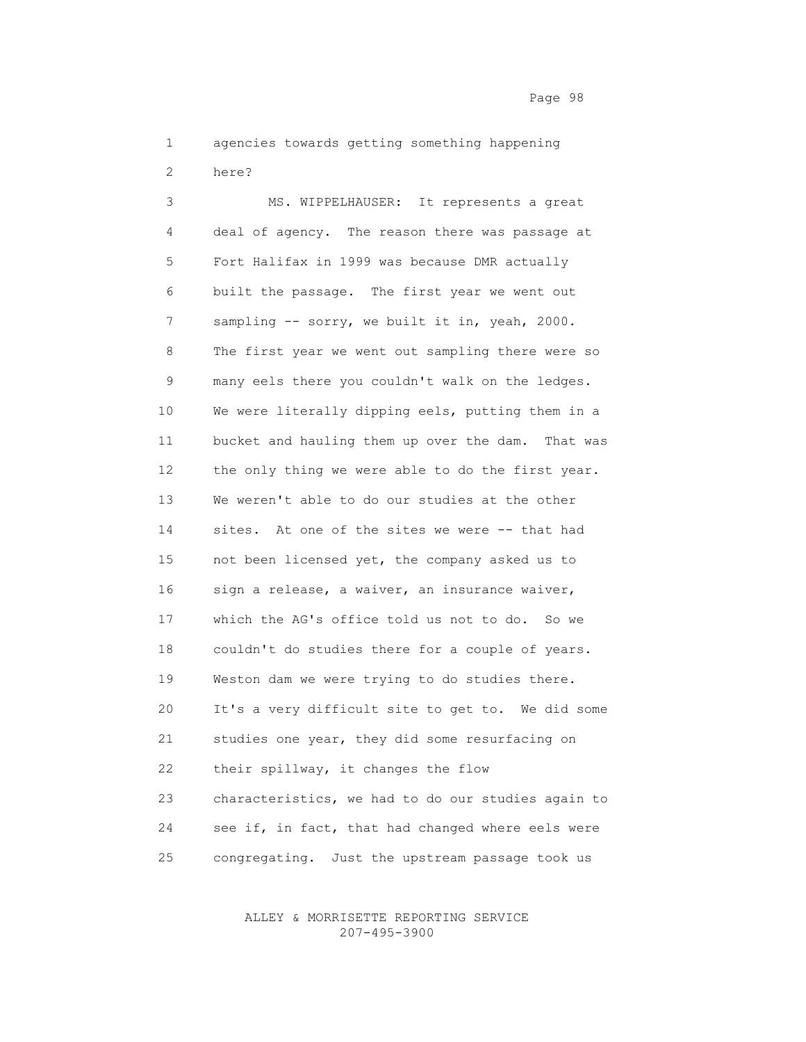1 agencies towards getting something happening 2 here?

 3 MS. WIPPELHAUSER: It represents a great 4 deal of agency. The reason there was passage at 5 Fort Halifax in 1999 was because DMR actually 6 built the passage. The first year we went out 7 sampling -- sorry, we built it in, yeah, 2000. 8 The first year we went out sampling there were so 9 many eels there you couldn't walk on the ledges. 10 We were literally dipping eels, putting them in a 11 bucket and hauling them up over the dam. That was 12 the only thing we were able to do the first year. 13 We weren't able to do our studies at the other 14 sites. At one of the sites we were -- that had 15 not been licensed yet, the company asked us to 16 sign a release, a waiver, an insurance waiver, 17 which the AG's office told us not to do. So we 18 couldn't do studies there for a couple of years. 19 Weston dam we were trying to do studies there. 20 It's a very difficult site to get to. We did some 21 studies one year, they did some resurfacing on 22 their spillway, it changes the flow 23 characteristics, we had to do our studies again to 24 see if, in fact, that had changed where eels were 25 congregating. Just the upstream passage took us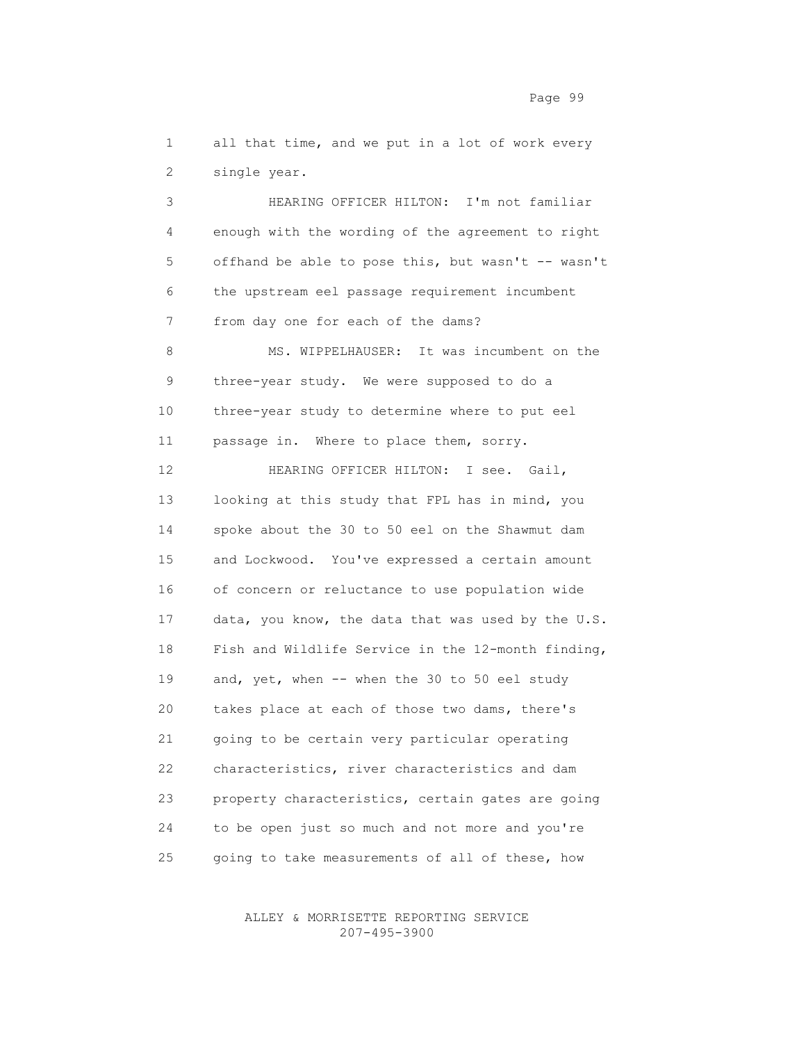1 all that time, and we put in a lot of work every 2 single year.

 3 HEARING OFFICER HILTON: I'm not familiar 4 enough with the wording of the agreement to right 5 offhand be able to pose this, but wasn't -- wasn't 6 the upstream eel passage requirement incumbent 7 from day one for each of the dams? 8 MS. WIPPELHAUSER: It was incumbent on the 9 three-year study. We were supposed to do a 10 three-year study to determine where to put eel 11 passage in. Where to place them, sorry. 12 HEARING OFFICER HILTON: I see. Gail, 13 looking at this study that FPL has in mind, you 14 spoke about the 30 to 50 eel on the Shawmut dam 15 and Lockwood. You've expressed a certain amount 16 of concern or reluctance to use population wide 17 data, you know, the data that was used by the U.S. 18 Fish and Wildlife Service in the 12-month finding, 19 and, yet, when -- when the 30 to 50 eel study 20 takes place at each of those two dams, there's 21 going to be certain very particular operating 22 characteristics, river characteristics and dam 23 property characteristics, certain gates are going 24 to be open just so much and not more and you're 25 going to take measurements of all of these, how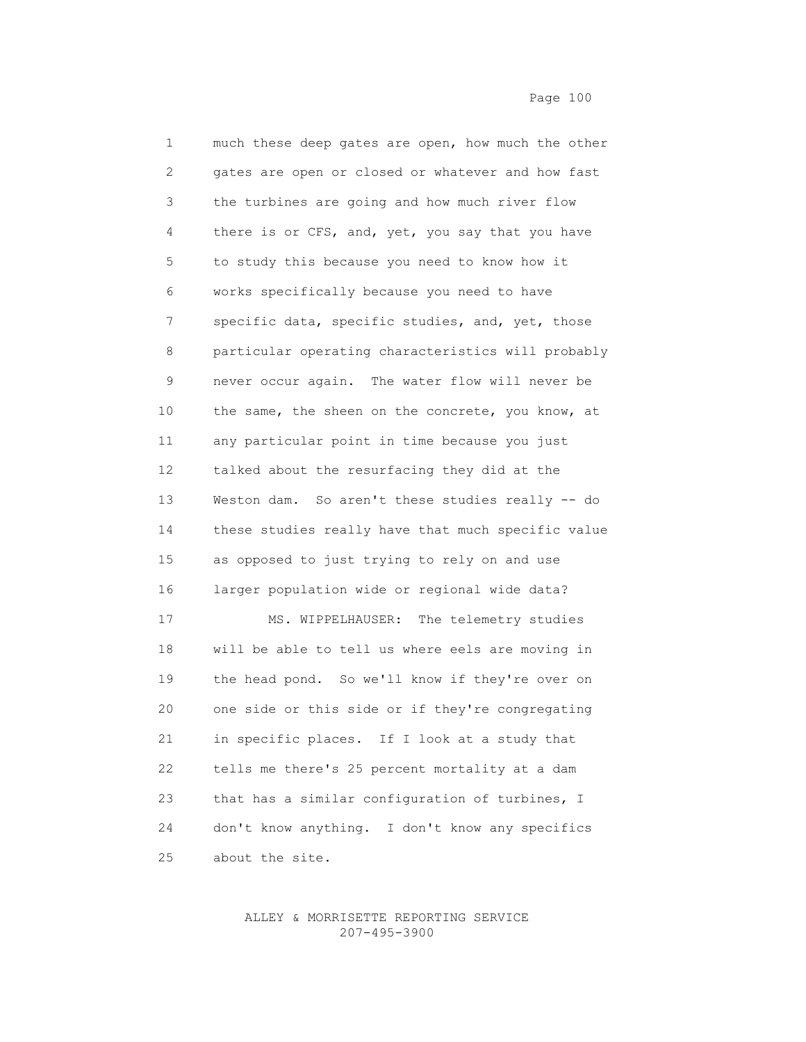| $\mathbf 1$ | much these deep gates are open, how much the other |
|-------------|----------------------------------------------------|
| 2           | gates are open or closed or whatever and how fast  |
| 3           | the turbines are going and how much river flow     |
| 4           | there is or CFS, and, yet, you say that you have   |
| 5           | to study this because you need to know how it      |
| 6           | works specifically because you need to have        |
| 7           | specific data, specific studies, and, yet, those   |
| 8           | particular operating characteristics will probably |
| 9           | never occur again. The water flow will never be    |
| 10          | the same, the sheen on the concrete, you know, at  |
| 11          | any particular point in time because you just      |
| 12          | talked about the resurfacing they did at the       |
| 13          | Weston dam. So aren't these studies really -- do   |
| 14          | these studies really have that much specific value |
| 15          | as opposed to just trying to rely on and use       |
| 16          | larger population wide or regional wide data?      |
| 17          | MS. WIPPELHAUSER: The telemetry studies            |
| 18          | will be able to tell us where eels are moving in   |
| 19          | the head pond. So we'll know if they're over on    |
| 20          | one side or this side or if they're congregating   |
| 21          | in specific places. If I look at a study that      |
| 22          | tells me there's 25 percent mortality at a dam     |
| 23          | that has a similar configuration of turbines, I    |
| 24          | don't know anything. I don't know any specifics    |
| 25          | about the site.                                    |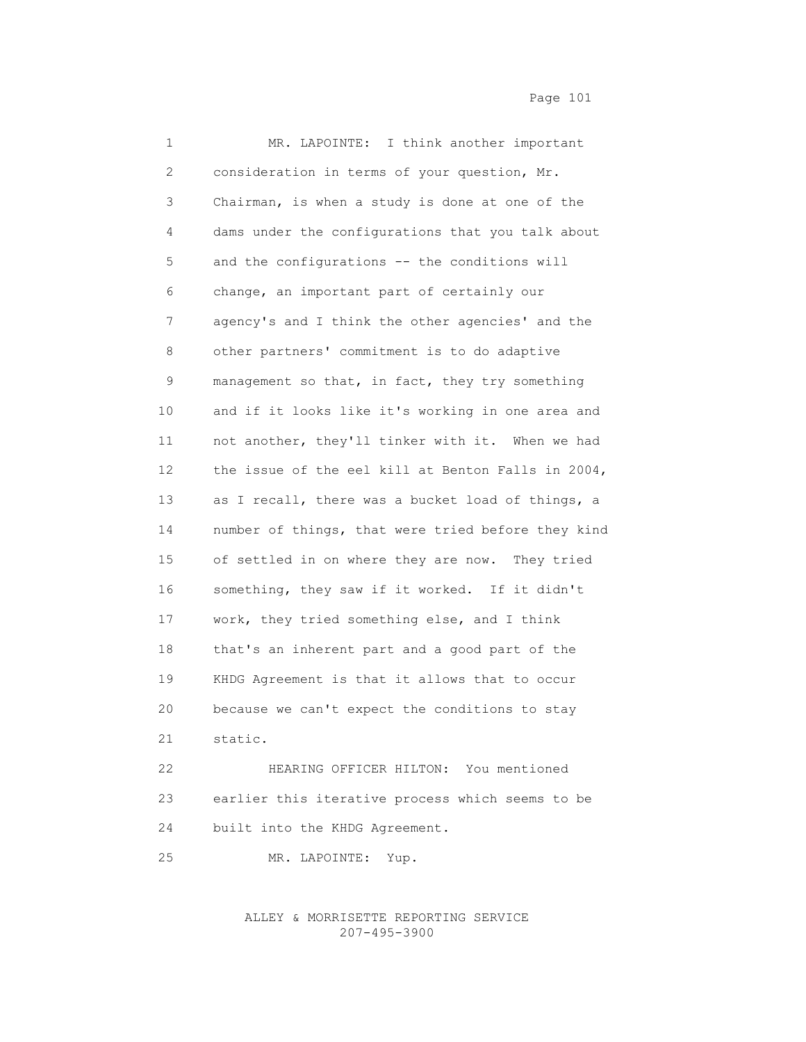2 consideration in terms of your question, Mr. 3 Chairman, is when a study is done at one of the 4 dams under the configurations that you talk about 5 and the configurations -- the conditions will 6 change, an important part of certainly our 7 agency's and I think the other agencies' and the 8 other partners' commitment is to do adaptive 9 management so that, in fact, they try something 10 and if it looks like it's working in one area and 11 not another, they'll tinker with it. When we had 12 the issue of the eel kill at Benton Falls in 2004, 13 as I recall, there was a bucket load of things, a 14 number of things, that were tried before they kind 15 of settled in on where they are now. They tried 16 something, they saw if it worked. If it didn't 17 work, they tried something else, and I think 18 that's an inherent part and a good part of the 19 KHDG Agreement is that it allows that to occur 20 because we can't expect the conditions to stay 21 static.

1 MR. LAPOINTE: I think another important

 22 HEARING OFFICER HILTON: You mentioned 23 earlier this iterative process which seems to be 24 built into the KHDG Agreement.

25 MR. LAPOINTE: Yup.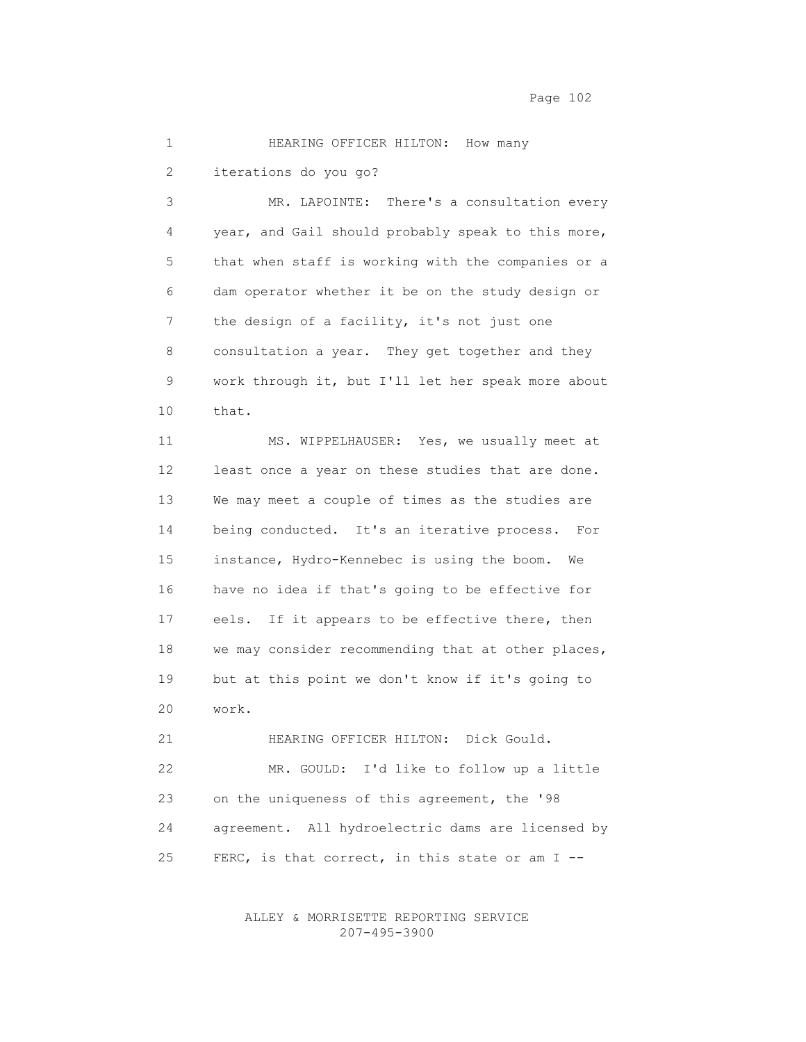## 1 HEARING OFFICER HILTON: How many

2 iterations do you go?

 3 MR. LAPOINTE: There's a consultation every 4 year, and Gail should probably speak to this more, 5 that when staff is working with the companies or a 6 dam operator whether it be on the study design or 7 the design of a facility, it's not just one 8 consultation a year. They get together and they 9 work through it, but I'll let her speak more about 10 that.

 11 MS. WIPPELHAUSER: Yes, we usually meet at 12 least once a year on these studies that are done. 13 We may meet a couple of times as the studies are 14 being conducted. It's an iterative process. For 15 instance, Hydro-Kennebec is using the boom. We 16 have no idea if that's going to be effective for 17 eels. If it appears to be effective there, then 18 we may consider recommending that at other places, 19 but at this point we don't know if it's going to 20 work.

 21 HEARING OFFICER HILTON: Dick Gould. 22 MR. GOULD: I'd like to follow up a little 23 on the uniqueness of this agreement, the '98 24 agreement. All hydroelectric dams are licensed by 25 FERC, is that correct, in this state or am I --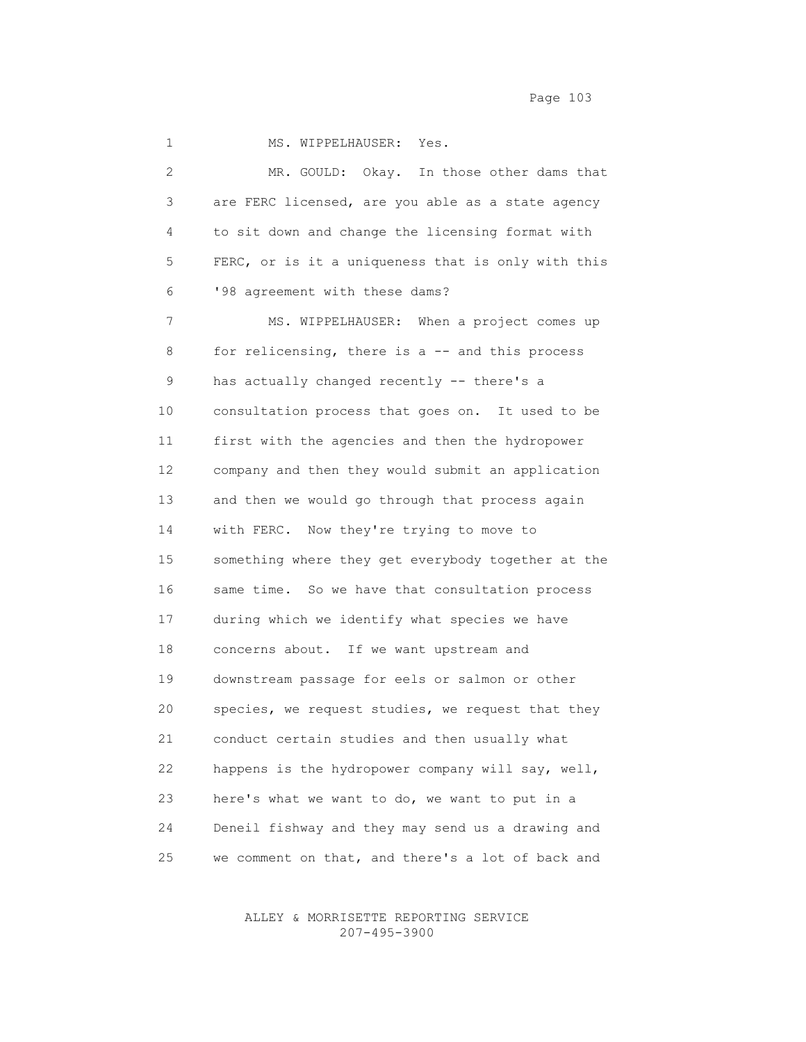Page 103

1 MS. WIPPELHAUSER: Yes. 2 MR. GOULD: Okay. In those other dams that 3 are FERC licensed, are you able as a state agency 4 to sit down and change the licensing format with 5 FERC, or is it a uniqueness that is only with this 6 '98 agreement with these dams? 7 MS. WIPPELHAUSER: When a project comes up 8 for relicensing, there is a -- and this process 9 has actually changed recently -- there's a 10 consultation process that goes on. It used to be 11 first with the agencies and then the hydropower 12 company and then they would submit an application 13 and then we would go through that process again 14 with FERC. Now they're trying to move to 15 something where they get everybody together at the 16 same time. So we have that consultation process 17 during which we identify what species we have 18 concerns about. If we want upstream and 19 downstream passage for eels or salmon or other 20 species, we request studies, we request that they 21 conduct certain studies and then usually what 22 happens is the hydropower company will say, well, 23 here's what we want to do, we want to put in a 24 Deneil fishway and they may send us a drawing and 25 we comment on that, and there's a lot of back and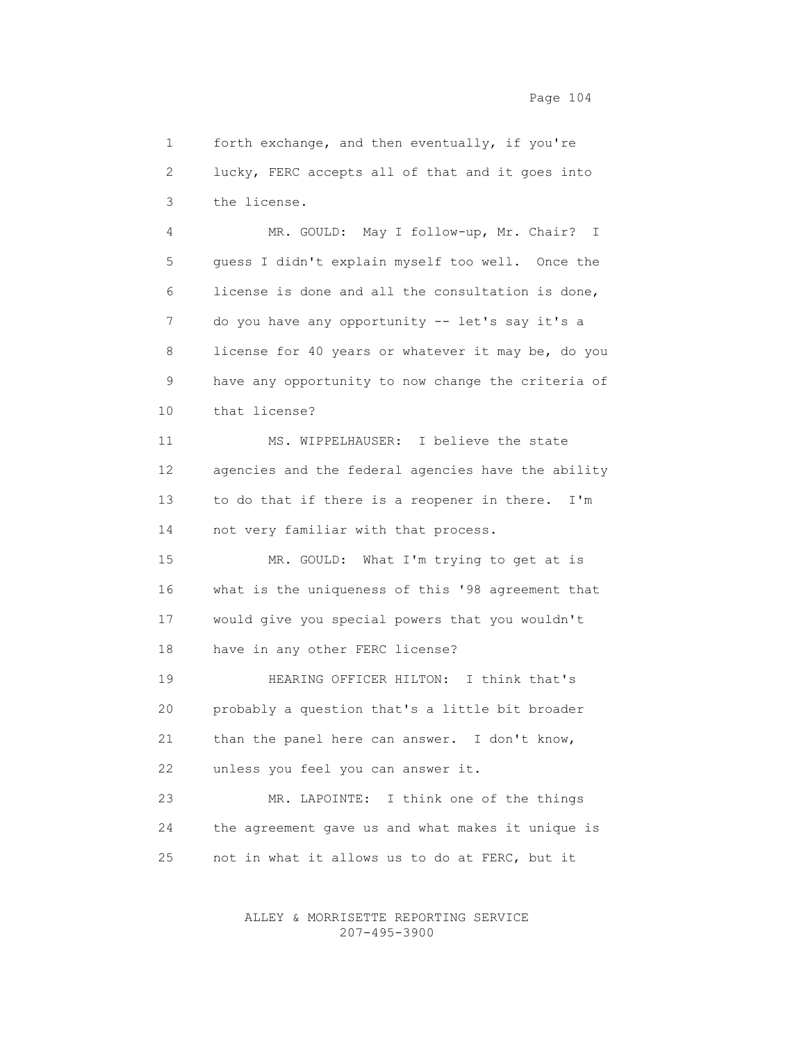1 forth exchange, and then eventually, if you're 2 lucky, FERC accepts all of that and it goes into 3 the license.

 4 MR. GOULD: May I follow-up, Mr. Chair? I 5 guess I didn't explain myself too well. Once the 6 license is done and all the consultation is done, 7 do you have any opportunity -- let's say it's a 8 license for 40 years or whatever it may be, do you 9 have any opportunity to now change the criteria of 10 that license?

 11 MS. WIPPELHAUSER: I believe the state 12 agencies and the federal agencies have the ability 13 to do that if there is a reopener in there. I'm 14 not very familiar with that process.

 15 MR. GOULD: What I'm trying to get at is 16 what is the uniqueness of this '98 agreement that 17 would give you special powers that you wouldn't 18 have in any other FERC license?

 19 HEARING OFFICER HILTON: I think that's 20 probably a question that's a little bit broader 21 than the panel here can answer. I don't know, 22 unless you feel you can answer it.

 23 MR. LAPOINTE: I think one of the things 24 the agreement gave us and what makes it unique is 25 not in what it allows us to do at FERC, but it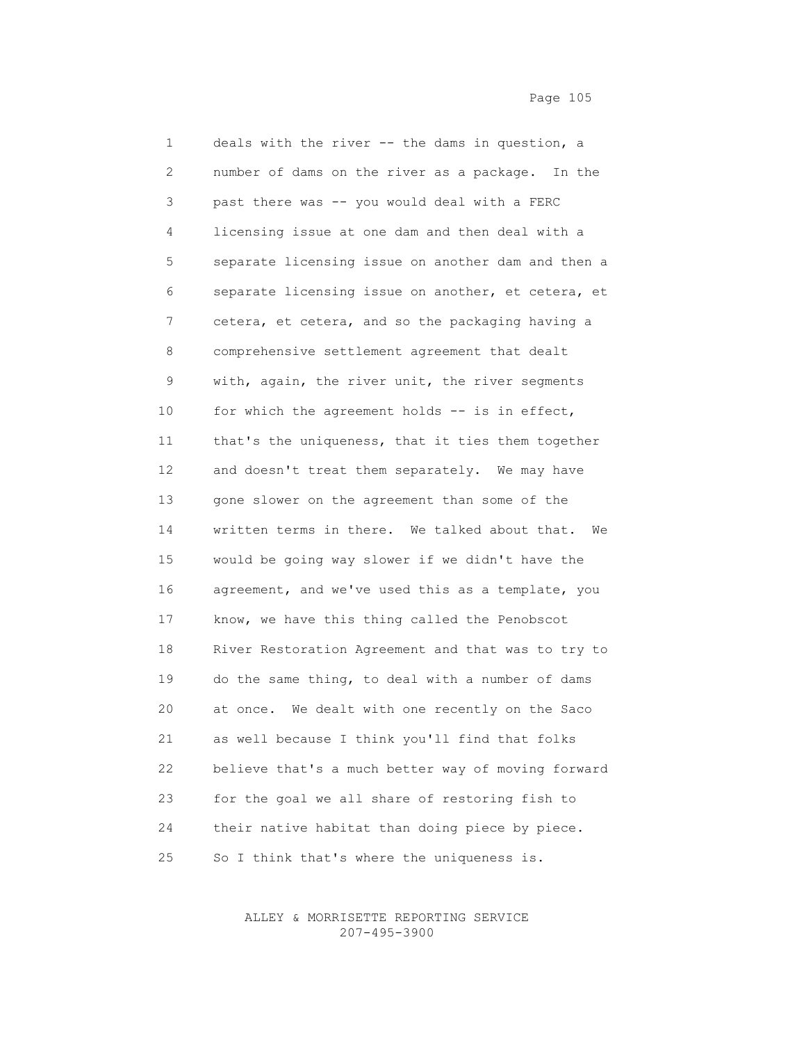1 deals with the river -- the dams in question, a 2 number of dams on the river as a package. In the 3 past there was -- you would deal with a FERC 4 licensing issue at one dam and then deal with a 5 separate licensing issue on another dam and then a 6 separate licensing issue on another, et cetera, et 7 cetera, et cetera, and so the packaging having a 8 comprehensive settlement agreement that dealt 9 with, again, the river unit, the river segments 10 for which the agreement holds -- is in effect, 11 that's the uniqueness, that it ties them together 12 and doesn't treat them separately. We may have 13 gone slower on the agreement than some of the 14 written terms in there. We talked about that. We 15 would be going way slower if we didn't have the 16 agreement, and we've used this as a template, you 17 know, we have this thing called the Penobscot 18 River Restoration Agreement and that was to try to 19 do the same thing, to deal with a number of dams 20 at once. We dealt with one recently on the Saco 21 as well because I think you'll find that folks 22 believe that's a much better way of moving forward 23 for the goal we all share of restoring fish to 24 their native habitat than doing piece by piece. 25 So I think that's where the uniqueness is.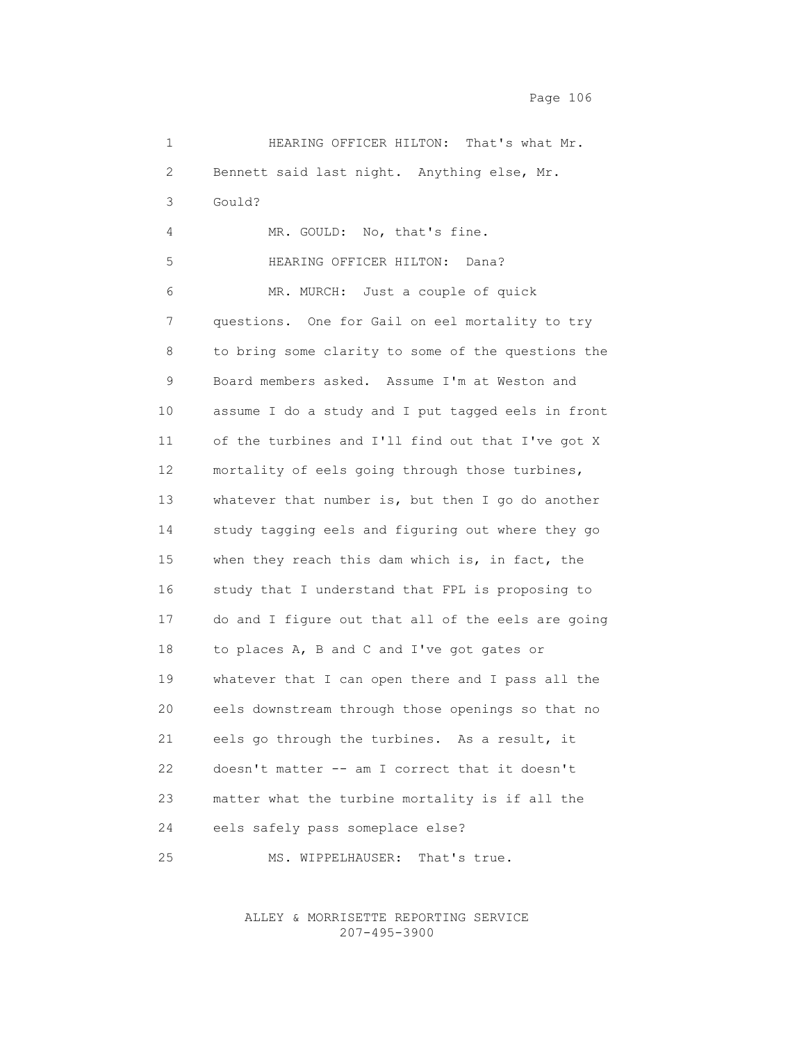Page 106

| $\mathbf 1$ | HEARING OFFICER HILTON:<br>That's what Mr.         |
|-------------|----------------------------------------------------|
| 2           | Bennett said last night. Anything else, Mr.        |
| 3           | Gould?                                             |
| 4           | MR. GOULD: No, that's fine.                        |
| 5           | HEARING OFFICER HILTON:<br>Dana?                   |
| 6           | MR. MURCH: Just a couple of quick                  |
| 7           | questions. One for Gail on eel mortality to try    |
| 8           | to bring some clarity to some of the questions the |
| 9           | Board members asked. Assume I'm at Weston and      |
| 10          | assume I do a study and I put tagged eels in front |
| 11          | of the turbines and I'll find out that I've got X  |
| 12          | mortality of eels going through those turbines,    |
| 13          | whatever that number is, but then I go do another  |
| 14          | study tagging eels and figuring out where they go  |
| 15          | when they reach this dam which is, in fact, the    |
| 16          | study that I understand that FPL is proposing to   |
| 17          | do and I figure out that all of the eels are going |
| 18          | to places A, B and C and I've got gates or         |
| 19          | whatever that I can open there and I pass all the  |
| 20          | eels downstream through those openings so that no  |
| 21          | eels go through the turbines. As a result, it      |
| 22          | doesn't matter -- am I correct that it doesn't     |
| 23          | matter what the turbine mortality is if all the    |
| 24          | eels safely pass someplace else?                   |
| 25          | MS. WIPPELHAUSER:<br>That's true.                  |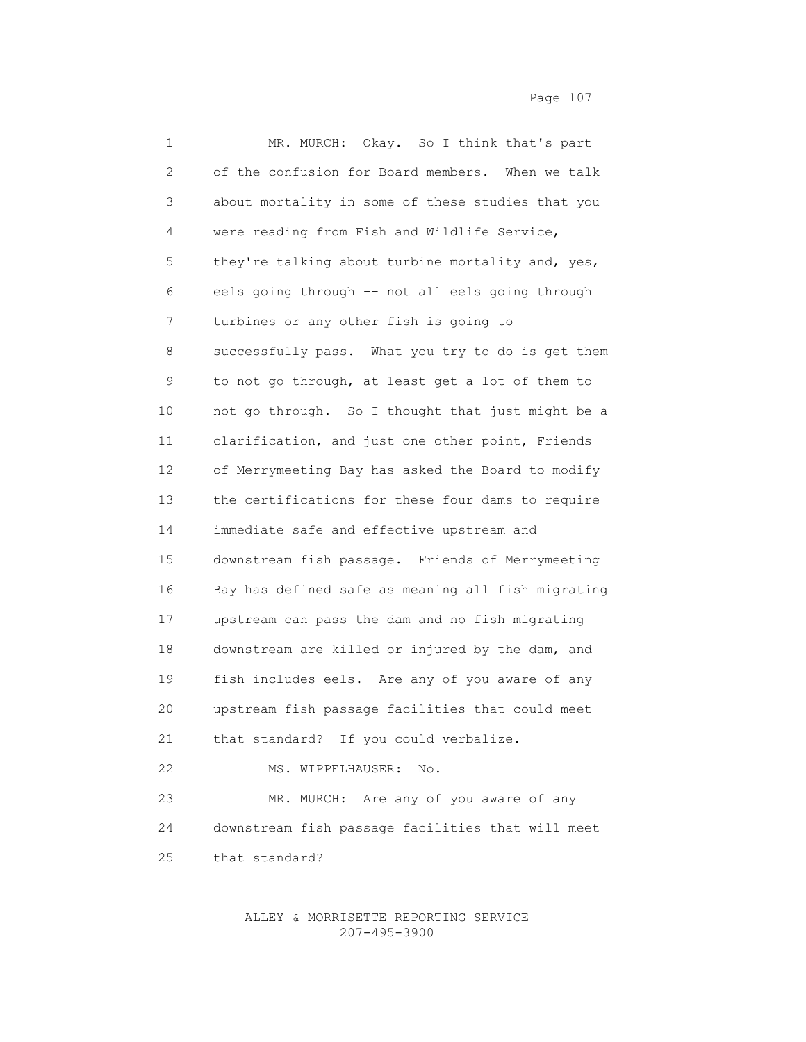| 1  | MR. MURCH: Okay. So I think that's part            |
|----|----------------------------------------------------|
| 2  | of the confusion for Board members. When we talk   |
| 3  | about mortality in some of these studies that you  |
| 4  | were reading from Fish and Wildlife Service,       |
| 5  | they're talking about turbine mortality and, yes,  |
| 6  | eels going through -- not all eels going through   |
| 7  | turbines or any other fish is going to             |
| 8  | successfully pass. What you try to do is get them  |
| 9  | to not go through, at least get a lot of them to   |
| 10 | not go through. So I thought that just might be a  |
| 11 | clarification, and just one other point, Friends   |
| 12 | of Merrymeeting Bay has asked the Board to modify  |
| 13 | the certifications for these four dams to require  |
| 14 | immediate safe and effective upstream and          |
| 15 | downstream fish passage. Friends of Merrymeeting   |
| 16 | Bay has defined safe as meaning all fish migrating |
| 17 | upstream can pass the dam and no fish migrating    |
| 18 | downstream are killed or injured by the dam, and   |
| 19 | fish includes eels. Are any of you aware of any    |
| 20 | upstream fish passage facilities that could meet   |
| 21 | that standard? If you could verbalize.             |
| 22 | MS. WIPPELHAUSER:<br>No.                           |
| 23 | MR. MURCH: Are any of you aware of any             |
| 24 | downstream fish passage facilities that will meet  |
| 25 | that standard?                                     |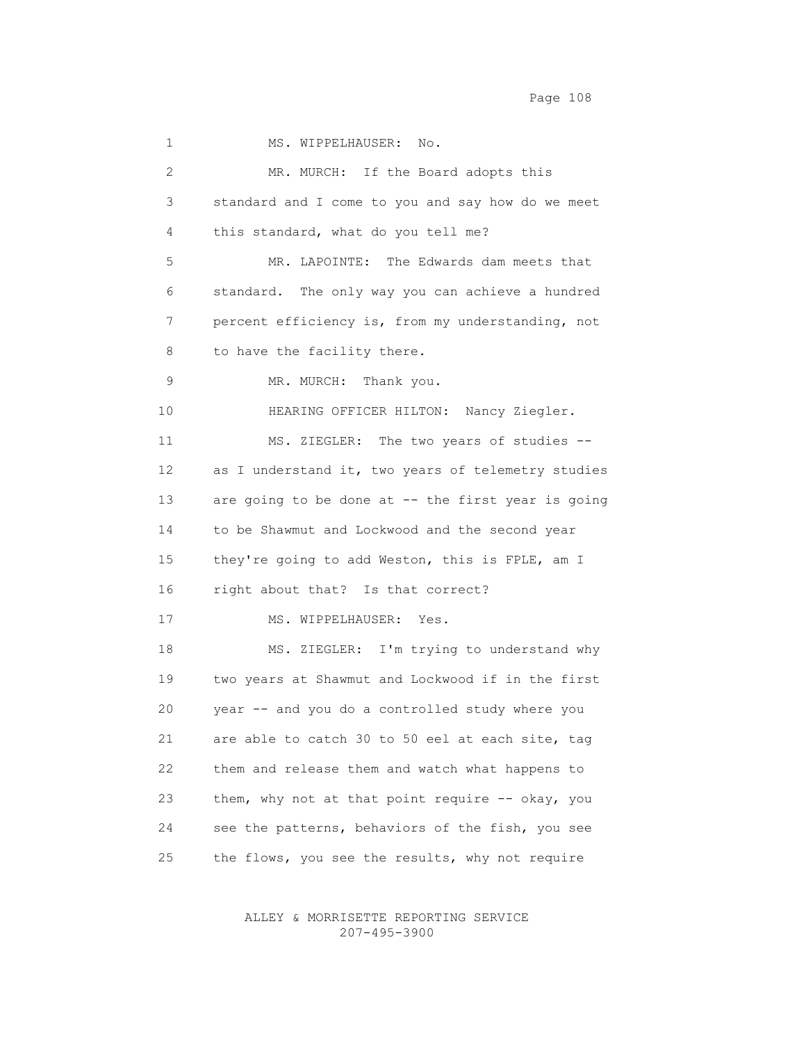Page 108 and the state of the state of the state of the state of the state of the state of the state of the state of the state of the state of the state of the state of the state of the state of the state of the state of t

1 MS. WIPPELHAUSER: No. 2 MR. MURCH: If the Board adopts this 3 standard and I come to you and say how do we meet 4 this standard, what do you tell me? 5 MR. LAPOINTE: The Edwards dam meets that 6 standard. The only way you can achieve a hundred 7 percent efficiency is, from my understanding, not 8 to have the facility there. 9 MR. MURCH: Thank you. 10 HEARING OFFICER HILTON: Nancy Ziegler. 11 MS. ZIEGLER: The two years of studies -- 12 as I understand it, two years of telemetry studies 13 are going to be done at -- the first year is going 14 to be Shawmut and Lockwood and the second year 15 they're going to add Weston, this is FPLE, am I 16 right about that? Is that correct? 17 MS. WIPPELHAUSER: Yes. 18 MS. ZIEGLER: I'm trying to understand why 19 two years at Shawmut and Lockwood if in the first 20 year -- and you do a controlled study where you 21 are able to catch 30 to 50 eel at each site, tag 22 them and release them and watch what happens to 23 them, why not at that point require -- okay, you 24 see the patterns, behaviors of the fish, you see 25 the flows, you see the results, why not require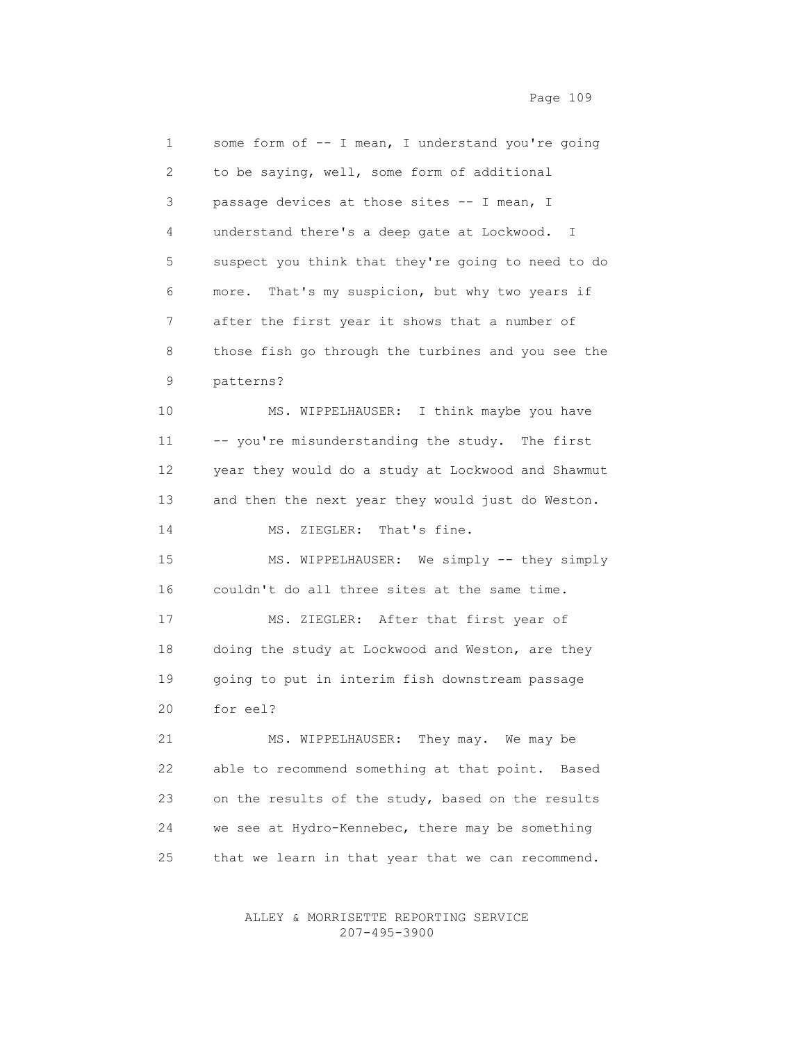1 some form of -- I mean, I understand you're going 2 to be saying, well, some form of additional 3 passage devices at those sites -- I mean, I 4 understand there's a deep gate at Lockwood. I 5 suspect you think that they're going to need to do 6 more. That's my suspicion, but why two years if 7 after the first year it shows that a number of 8 those fish go through the turbines and you see the 9 patterns? 10 MS. WIPPELHAUSER: I think maybe you have 11 -- you're misunderstanding the study. The first 12 year they would do a study at Lockwood and Shawmut 13 and then the next year they would just do Weston. 14 MS. ZIEGLER: That's fine. 15 MS. WIPPELHAUSER: We simply -- they simply 16 couldn't do all three sites at the same time. 17 MS. ZIEGLER: After that first year of 18 doing the study at Lockwood and Weston, are they 19 going to put in interim fish downstream passage 20 for eel? 21 MS. WIPPELHAUSER: They may. We may be

 22 able to recommend something at that point. Based 23 on the results of the study, based on the results 24 we see at Hydro-Kennebec, there may be something 25 that we learn in that year that we can recommend.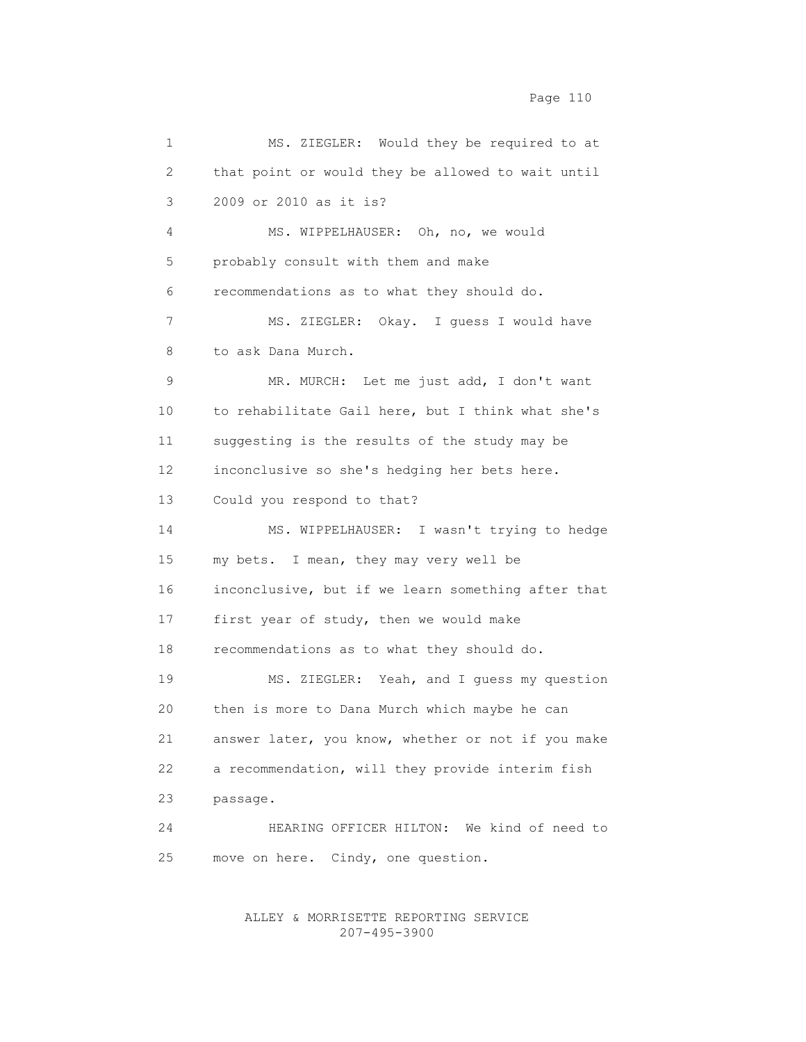1 MS. ZIEGLER: Would they be required to at 2 that point or would they be allowed to wait until 3 2009 or 2010 as it is? 4 MS. WIPPELHAUSER: Oh, no, we would 5 probably consult with them and make 6 recommendations as to what they should do. 7 MS. ZIEGLER: Okay. I guess I would have 8 to ask Dana Murch. 9 MR. MURCH: Let me just add, I don't want 10 to rehabilitate Gail here, but I think what she's 11 suggesting is the results of the study may be 12 inconclusive so she's hedging her bets here. 13 Could you respond to that? 14 MS. WIPPELHAUSER: I wasn't trying to hedge 15 my bets. I mean, they may very well be 16 inconclusive, but if we learn something after that 17 first year of study, then we would make 18 recommendations as to what they should do. 19 MS. ZIEGLER: Yeah, and I guess my question 20 then is more to Dana Murch which maybe he can 21 answer later, you know, whether or not if you make 22 a recommendation, will they provide interim fish 23 passage. 24 HEARING OFFICER HILTON: We kind of need to 25 move on here. Cindy, one question.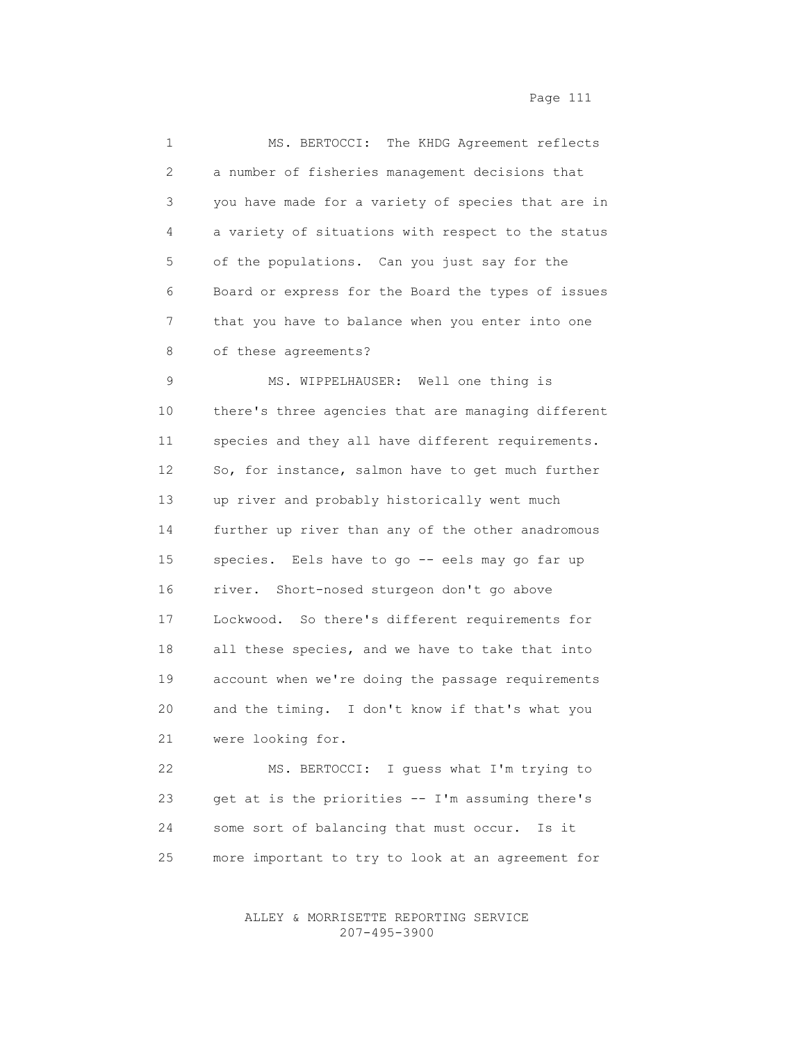| 1  | MS. BERTOCCI: The KHDG Agreement reflects          |
|----|----------------------------------------------------|
| 2  | a number of fisheries management decisions that    |
| 3  | you have made for a variety of species that are in |
| 4  | a variety of situations with respect to the status |
| 5  | of the populations. Can you just say for the       |
| 6  | Board or express for the Board the types of issues |
| 7  | that you have to balance when you enter into one   |
| 8  | of these agreements?                               |
| 9  | MS. WIPPELHAUSER: Well one thing is                |
| 10 | there's three agencies that are managing different |
| 11 | species and they all have different requirements.  |
| 12 | So, for instance, salmon have to get much further  |
| 13 | up river and probably historically went much       |
| 14 | further up river than any of the other anadromous  |
| 15 | species. Eels have to go -- eels may go far up     |
| 16 | river. Short-nosed sturgeon don't go above         |
| 17 | Lockwood. So there's different requirements for    |
| 18 | all these species, and we have to take that into   |
| 19 | account when we're doing the passage requirements  |
| 20 | and the timing. I don't know if that's what you    |
| 21 | were looking for.                                  |
| 22 | MS. BERTOCCI: I guess what I'm trying to           |
| 23 | get at is the priorities -- I'm assuming there's   |
| 24 | some sort of balancing that must occur.<br>Is it   |

25 more important to try to look at an agreement for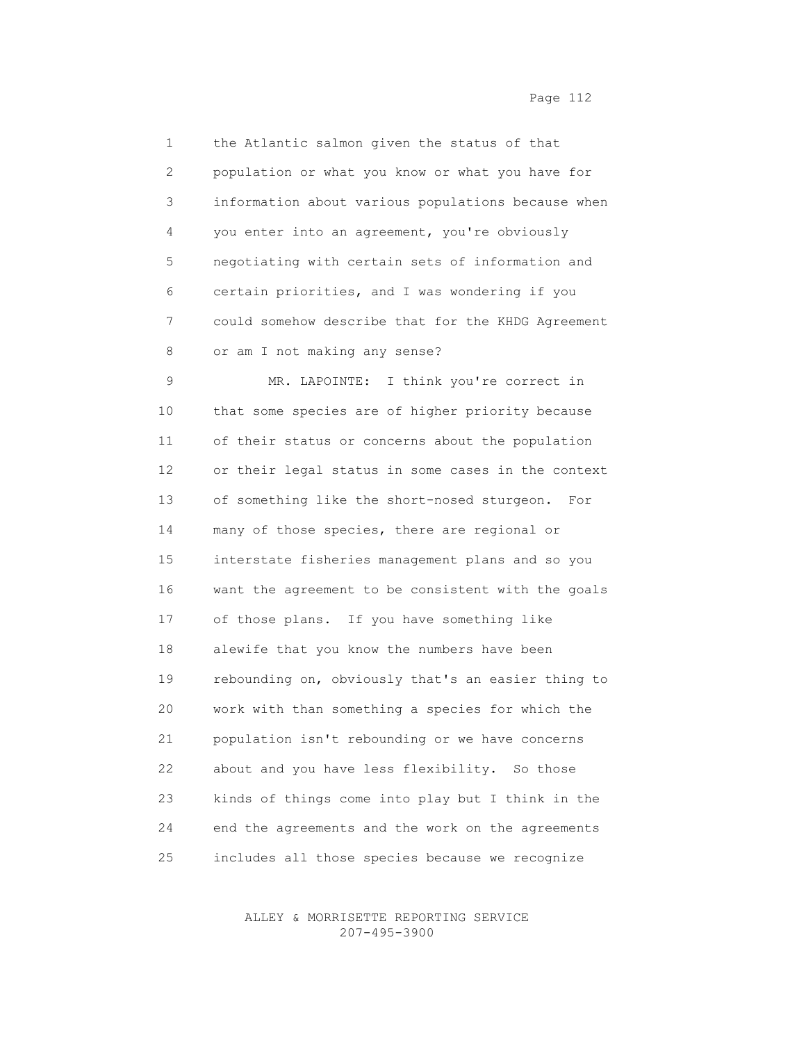1 the Atlantic salmon given the status of that 2 population or what you know or what you have for 3 information about various populations because when 4 you enter into an agreement, you're obviously 5 negotiating with certain sets of information and 6 certain priorities, and I was wondering if you 7 could somehow describe that for the KHDG Agreement 8 or am I not making any sense? 9 MR. LAPOINTE: I think you're correct in 10 that some species are of higher priority because

 11 of their status or concerns about the population 12 or their legal status in some cases in the context 13 of something like the short-nosed sturgeon. For 14 many of those species, there are regional or 15 interstate fisheries management plans and so you 16 want the agreement to be consistent with the goals 17 of those plans. If you have something like 18 alewife that you know the numbers have been 19 rebounding on, obviously that's an easier thing to 20 work with than something a species for which the 21 population isn't rebounding or we have concerns 22 about and you have less flexibility. So those 23 kinds of things come into play but I think in the 24 end the agreements and the work on the agreements 25 includes all those species because we recognize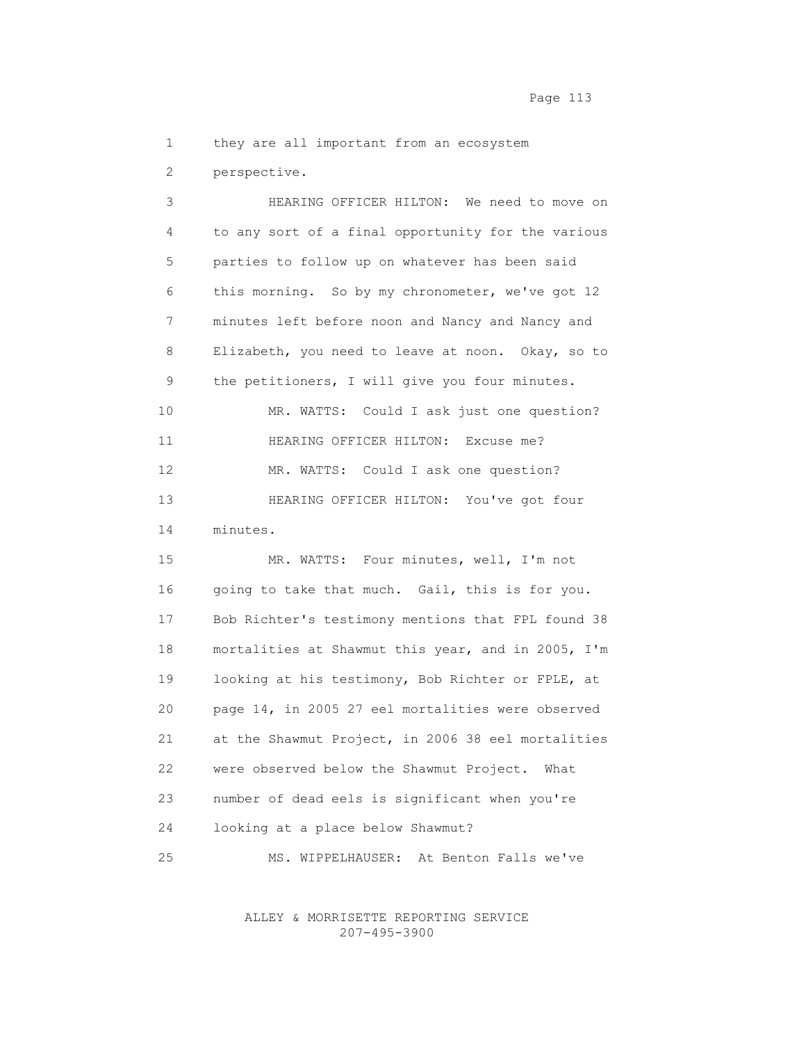Page 113

1 they are all important from an ecosystem

2 perspective.

 3 HEARING OFFICER HILTON: We need to move on 4 to any sort of a final opportunity for the various 5 parties to follow up on whatever has been said 6 this morning. So by my chronometer, we've got 12 7 minutes left before noon and Nancy and Nancy and 8 Elizabeth, you need to leave at noon. Okay, so to 9 the petitioners, I will give you four minutes. 10 MR. WATTS: Could I ask just one question? 11 HEARING OFFICER HILTON: Excuse me? 12 MR. WATTS: Could I ask one question? 13 HEARING OFFICER HILTON: You've got four 14 minutes. 15 MR. WATTS: Four minutes, well, I'm not 16 going to take that much. Gail, this is for you. 17 Bob Richter's testimony mentions that FPL found 38 18 mortalities at Shawmut this year, and in 2005, I'm

 19 looking at his testimony, Bob Richter or FPLE, at 20 page 14, in 2005 27 eel mortalities were observed 21 at the Shawmut Project, in 2006 38 eel mortalities 22 were observed below the Shawmut Project. What 23 number of dead eels is significant when you're 24 looking at a place below Shawmut?

25 MS. WIPPELHAUSER: At Benton Falls we've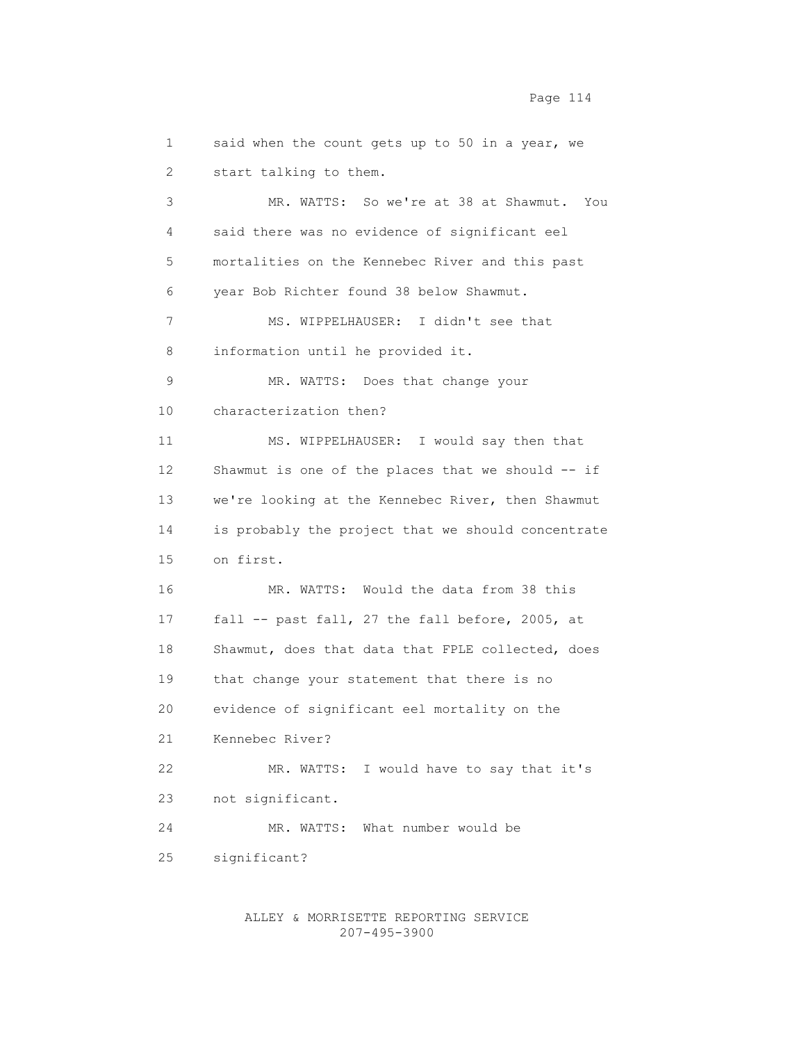1 said when the count gets up to 50 in a year, we 2 start talking to them. 3 MR. WATTS: So we're at 38 at Shawmut. You 4 said there was no evidence of significant eel 5 mortalities on the Kennebec River and this past 6 year Bob Richter found 38 below Shawmut. 7 MS. WIPPELHAUSER: I didn't see that 8 information until he provided it. 9 MR. WATTS: Does that change your 10 characterization then? 11 MS. WIPPELHAUSER: I would say then that 12 Shawmut is one of the places that we should -- if 13 we're looking at the Kennebec River, then Shawmut 14 is probably the project that we should concentrate 15 on first. 16 MR. WATTS: Would the data from 38 this 17 fall -- past fall, 27 the fall before, 2005, at 18 Shawmut, does that data that FPLE collected, does 19 that change your statement that there is no 20 evidence of significant eel mortality on the 21 Kennebec River? 22 MR. WATTS: I would have to say that it's 23 not significant. 24 MR. WATTS: What number would be 25 significant?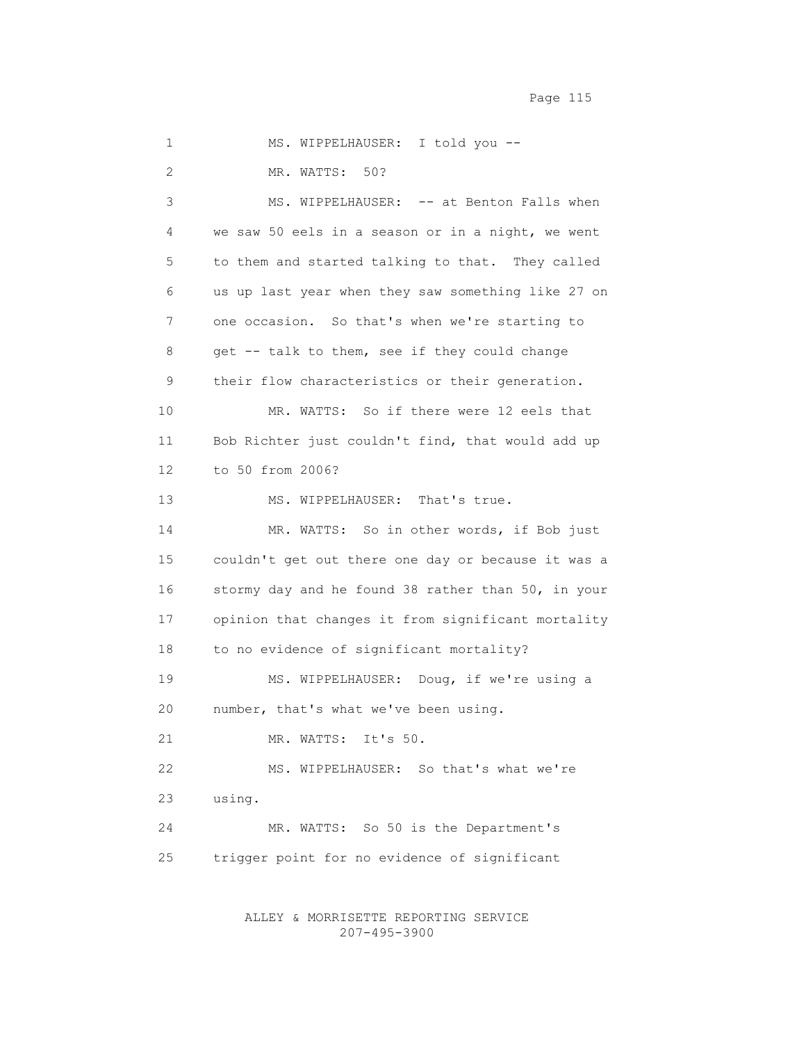Page 115

 1 MS. WIPPELHAUSER: I told you -- 2 MR. WATTS: 50? 3 MS. WIPPELHAUSER: -- at Benton Falls when 4 we saw 50 eels in a season or in a night, we went 5 to them and started talking to that. They called 6 us up last year when they saw something like 27 on 7 one occasion. So that's when we're starting to 8 get -- talk to them, see if they could change 9 their flow characteristics or their generation. 10 MR. WATTS: So if there were 12 eels that 11 Bob Richter just couldn't find, that would add up 12 to 50 from 2006? 13 MS. WIPPELHAUSER: That's true. 14 MR. WATTS: So in other words, if Bob just 15 couldn't get out there one day or because it was a 16 stormy day and he found 38 rather than 50, in your 17 opinion that changes it from significant mortality 18 to no evidence of significant mortality? 19 MS. WIPPELHAUSER: Doug, if we're using a 20 number, that's what we've been using. 21 MR. WATTS: It's 50. 22 MS. WIPPELHAUSER: So that's what we're 23 using. 24 MR. WATTS: So 50 is the Department's 25 trigger point for no evidence of significant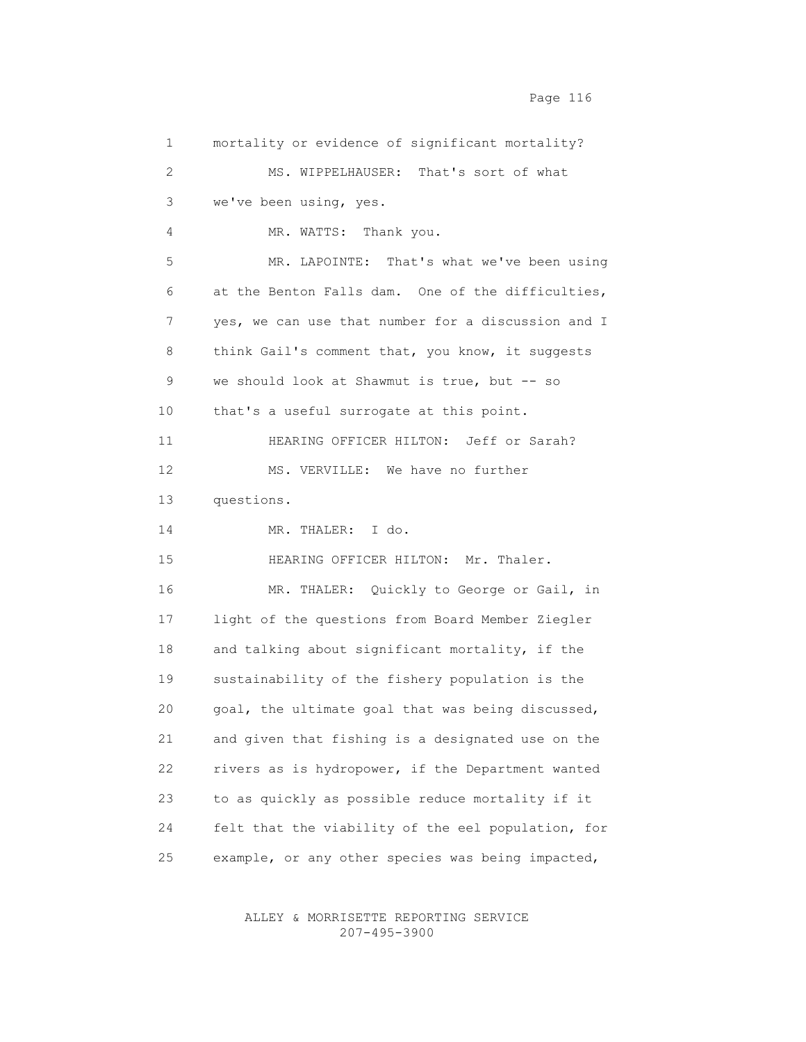1 mortality or evidence of significant mortality? 2 MS. WIPPELHAUSER: That's sort of what 3 we've been using, yes. 4 MR. WATTS: Thank you. 5 MR. LAPOINTE: That's what we've been using 6 at the Benton Falls dam. One of the difficulties, 7 yes, we can use that number for a discussion and I 8 think Gail's comment that, you know, it suggests 9 we should look at Shawmut is true, but -- so 10 that's a useful surrogate at this point. 11 HEARING OFFICER HILTON: Jeff or Sarah? 12 MS. VERVILLE: We have no further 13 questions. 14 MR. THALER: I do. 15 HEARING OFFICER HILTON: Mr. Thaler. 16 MR. THALER: Quickly to George or Gail, in 17 light of the questions from Board Member Ziegler 18 and talking about significant mortality, if the 19 sustainability of the fishery population is the 20 goal, the ultimate goal that was being discussed, 21 and given that fishing is a designated use on the 22 rivers as is hydropower, if the Department wanted 23 to as quickly as possible reduce mortality if it 24 felt that the viability of the eel population, for 25 example, or any other species was being impacted,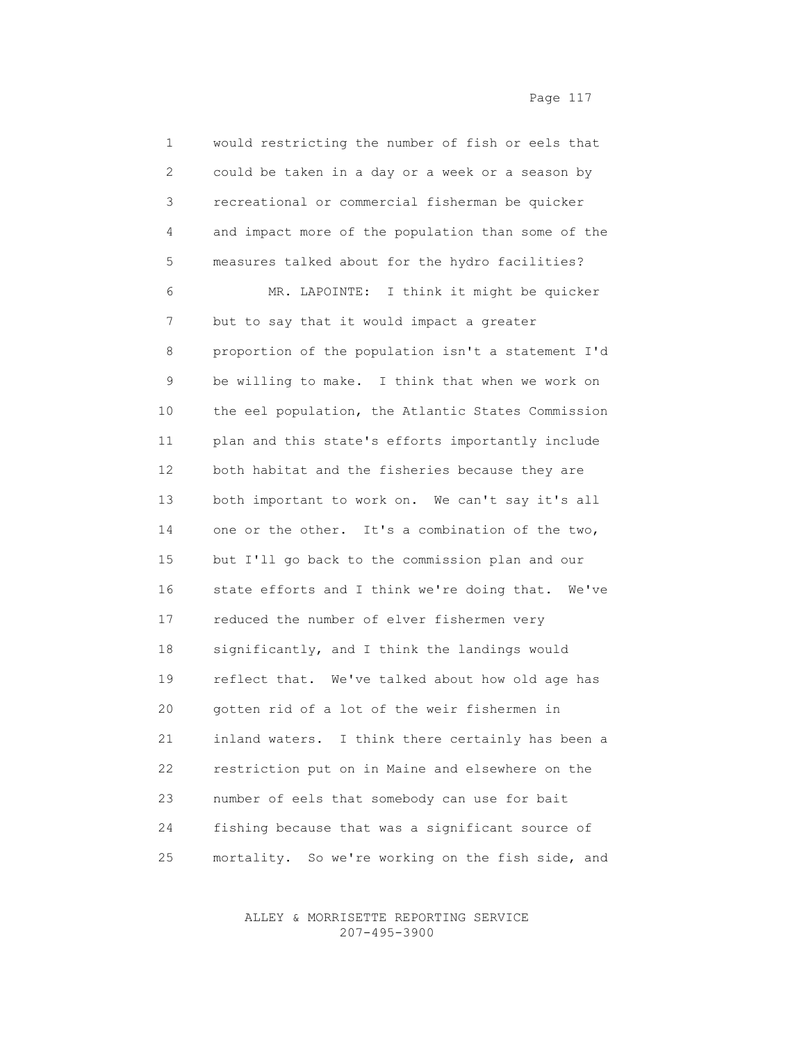| 1  | would restricting the number of fish or eels that    |
|----|------------------------------------------------------|
| 2  | could be taken in a day or a week or a season by     |
| 3  | recreational or commercial fisherman be quicker      |
| 4  | and impact more of the population than some of the   |
| 5  | measures talked about for the hydro facilities?      |
| 6  | MR. LAPOINTE: I think it might be quicker            |
| 7  | but to say that it would impact a greater            |
| 8  | proportion of the population isn't a statement I'd   |
| 9  | be willing to make. I think that when we work on     |
| 10 | the eel population, the Atlantic States Commission   |
| 11 | plan and this state's efforts importantly include    |
| 12 | both habitat and the fisheries because they are      |
| 13 | both important to work on. We can't say it's all     |
| 14 | one or the other. It's a combination of the two,     |
| 15 | but I'll go back to the commission plan and our      |
| 16 | state efforts and I think we're doing that.<br>We've |
| 17 | reduced the number of elver fishermen very           |
| 18 | significantly, and I think the landings would        |
| 19 | reflect that. We've talked about how old age has     |
| 20 | gotten rid of a lot of the weir fishermen in         |
| 21 | I think there certainly has been a<br>inland waters. |
| 22 | restriction put on in Maine and elsewhere on the     |
| 23 | number of eels that somebody can use for bait        |
| 24 | fishing because that was a significant source of     |
| 25 | mortality. So we're working on the fish side, and    |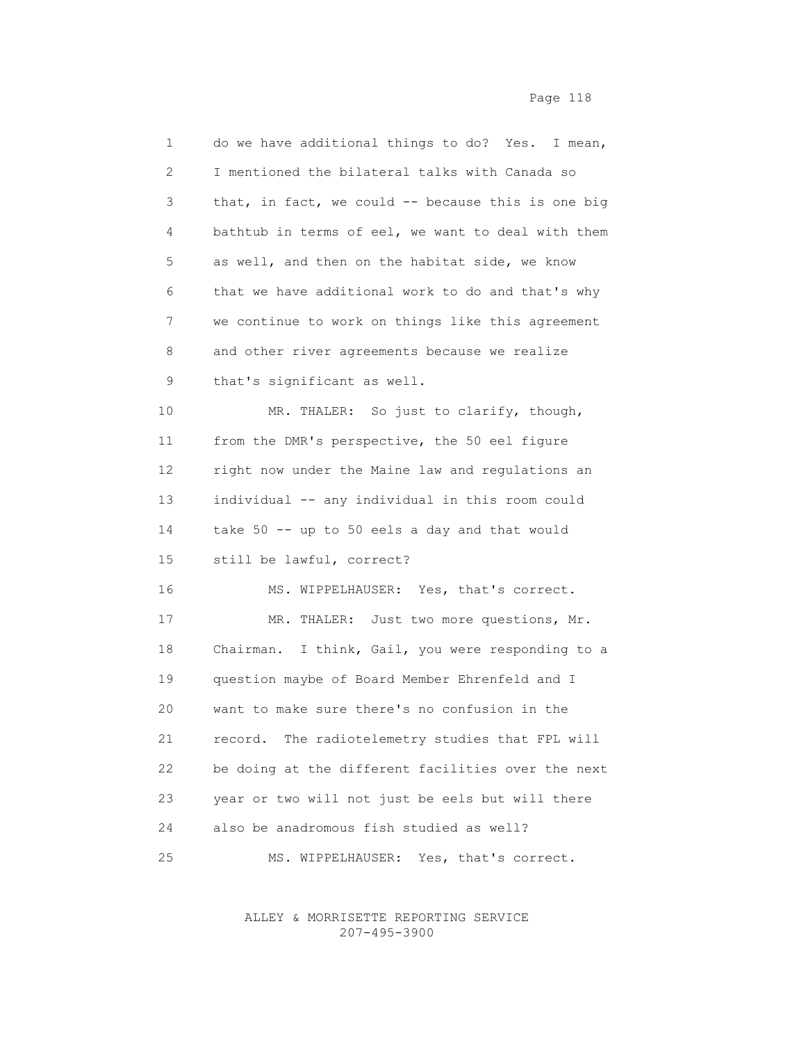| 1  | do we have additional things to do? Yes. I mean,     |
|----|------------------------------------------------------|
| 2  | I mentioned the bilateral talks with Canada so       |
| 3  | that, in fact, we could $-$ because this is one big  |
| 4  | bathtub in terms of eel, we want to deal with them   |
| 5  | as well, and then on the habitat side, we know       |
| 6  | that we have additional work to do and that's why    |
| 7  | we continue to work on things like this agreement    |
| 8  | and other river agreements because we realize        |
| 9  | that's significant as well.                          |
| 10 | MR. THALER: So just to clarify, though,              |
| 11 | from the DMR's perspective, the 50 eel figure        |
| 12 | right now under the Maine law and regulations an     |
| 13 | individual -- any individual in this room could      |
| 14 | take 50 -- up to 50 eels a day and that would        |
| 15 | still be lawful, correct?                            |
| 16 | MS. WIPPELHAUSER: Yes, that's correct.               |
| 17 | MR. THALER: Just two more questions, Mr.             |
| 18 | I think, Gail, you were responding to a<br>Chairman. |
| 19 | question maybe of Board Member Ehrenfeld and I       |
| 20 | want to make sure there's no confusion in the        |
| 21 | The radiotelemetry studies that FPL will<br>record.  |
| 22 | be doing at the different facilities over the next   |
| 23 | year or two will not just be eels but will there     |
| 24 | also be anadromous fish studied as well?             |
| 25 | Yes, that's correct.<br>WIPPELHAUSER:<br>MS.         |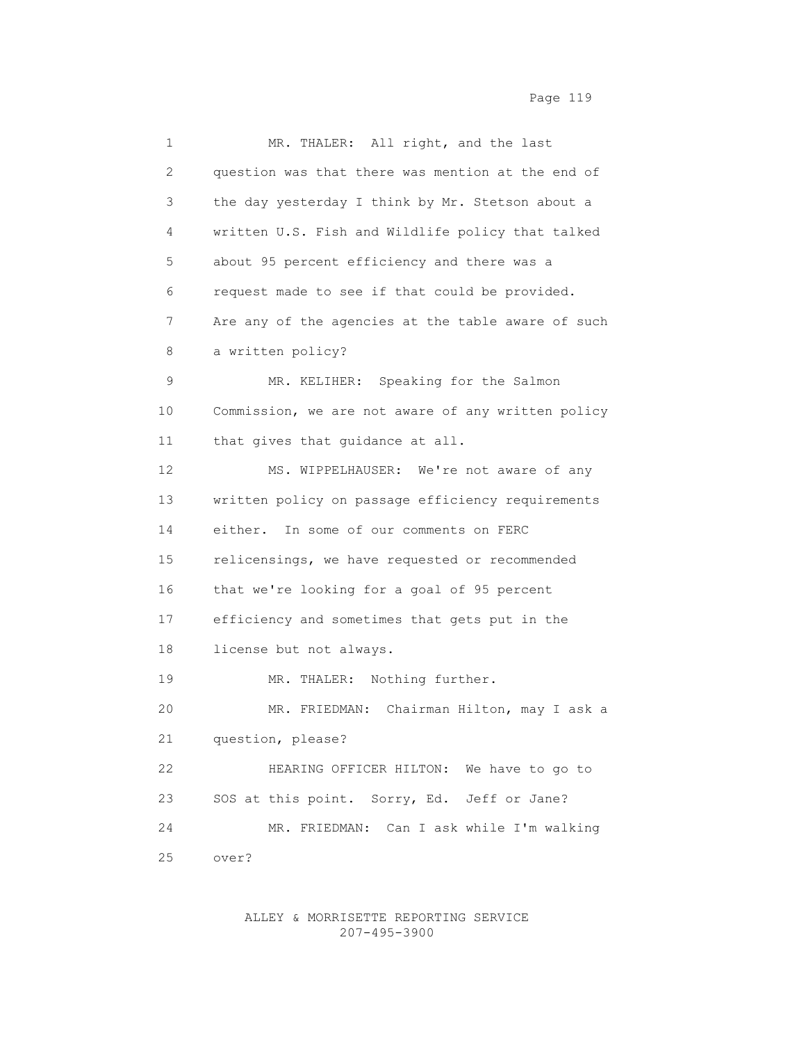1 MR. THALER: All right, and the last 2 question was that there was mention at the end of 3 the day yesterday I think by Mr. Stetson about a 4 written U.S. Fish and Wildlife policy that talked 5 about 95 percent efficiency and there was a 6 request made to see if that could be provided. 7 Are any of the agencies at the table aware of such 8 a written policy? 9 MR. KELIHER: Speaking for the Salmon 10 Commission, we are not aware of any written policy 11 that gives that guidance at all. 12 MS. WIPPELHAUSER: We're not aware of any 13 written policy on passage efficiency requirements 14 either. In some of our comments on FERC 15 relicensings, we have requested or recommended 16 that we're looking for a goal of 95 percent 17 efficiency and sometimes that gets put in the 18 license but not always. 19 MR. THALER: Nothing further. 20 MR. FRIEDMAN: Chairman Hilton, may I ask a 21 question, please? 22 HEARING OFFICER HILTON: We have to go to 23 SOS at this point. Sorry, Ed. Jeff or Jane? 24 MR. FRIEDMAN: Can I ask while I'm walking 25 over?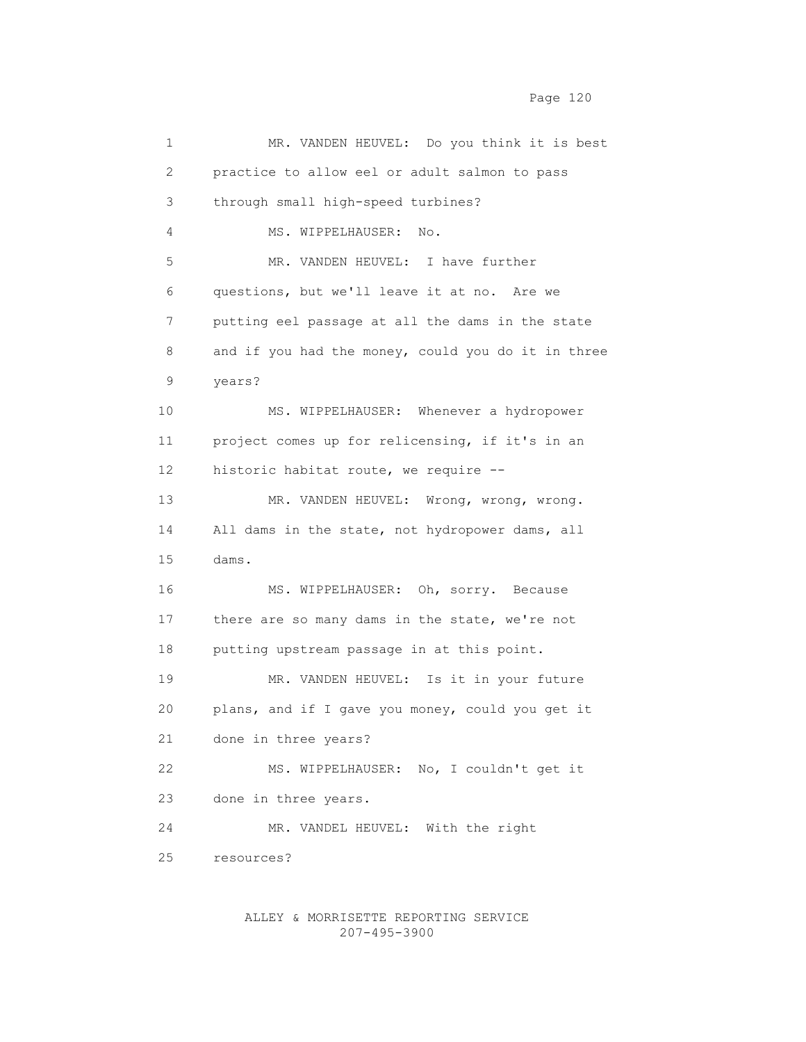| 1               | MR. VANDEN HEUVEL: Do you think it is best         |
|-----------------|----------------------------------------------------|
| 2               | practice to allow eel or adult salmon to pass      |
| 3               | through small high-speed turbines?                 |
| 4               | MS. WIPPELHAUSER:<br>No.                           |
| 5               | MR. VANDEN HEUVEL: I have further                  |
| 6               | questions, but we'll leave it at no. Are we        |
| 7               | putting eel passage at all the dams in the state   |
| 8               | and if you had the money, could you do it in three |
| 9               | years?                                             |
| 10              | MS. WIPPELHAUSER: Whenever a hydropower            |
| 11              | project comes up for relicensing, if it's in an    |
| 12 <sup>°</sup> | historic habitat route, we require --              |
| 13              | MR. VANDEN HEUVEL: Wrong, wrong, wrong.            |
| 14              | All dams in the state, not hydropower dams, all    |
| 15              | dams.                                              |
| 16              | MS. WIPPELHAUSER: Oh, sorry. Because               |
| 17              | there are so many dams in the state, we're not     |
| 18              | putting upstream passage in at this point.         |
| 19              | MR. VANDEN HEUVEL: Is it in your future            |
| 20              | plans, and if I gave you money, could you get it   |
| 21              | done in three years?                               |
| 22              | MS. WIPPELHAUSER: No, I couldn't get it            |
| 23              | done in three years.                               |
| 24              | MR. VANDEL HEUVEL: With the right                  |
| 25              | resources?                                         |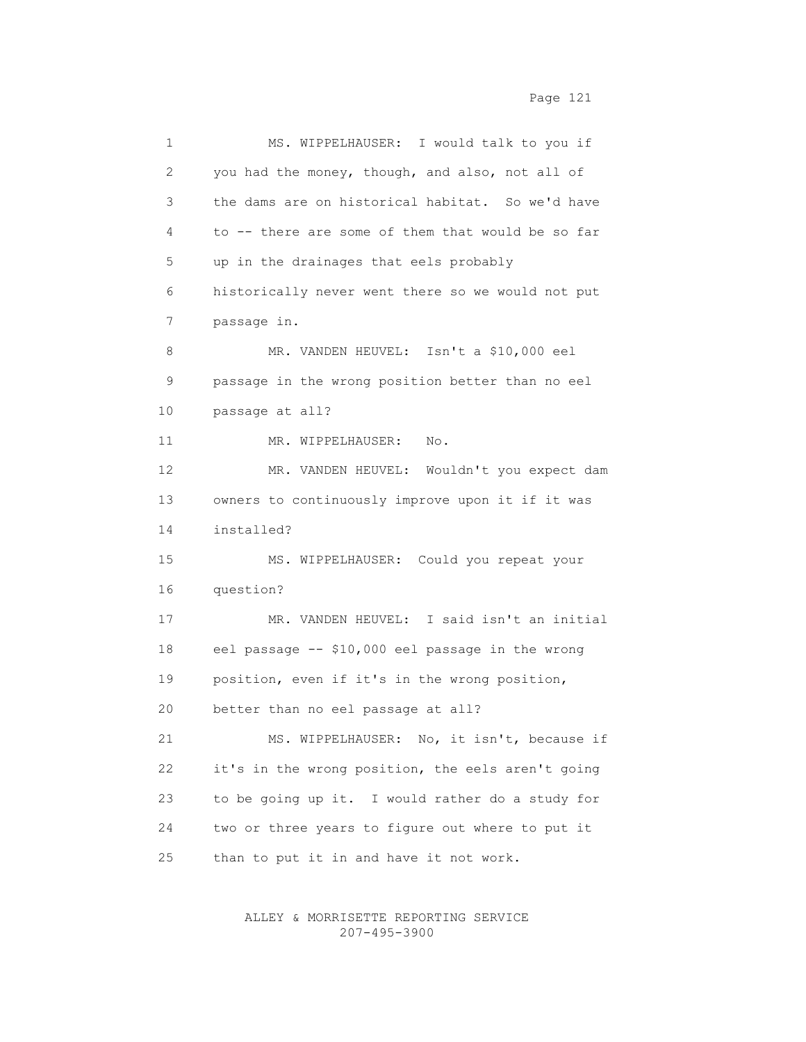| 1  | MS. WIPPELHAUSER: I would talk to you if          |
|----|---------------------------------------------------|
| 2  | you had the money, though, and also, not all of   |
| 3  | the dams are on historical habitat. So we'd have  |
| 4  | to -- there are some of them that would be so far |
| 5  | up in the drainages that eels probably            |
| 6  | historically never went there so we would not put |
| 7  | passage in.                                       |
| 8  | MR. VANDEN HEUVEL: Isn't a \$10,000 eel           |
| 9  | passage in the wrong position better than no eel  |
| 10 | passage at all?                                   |
| 11 | MR. WIPPELHAUSER:<br>No.                          |
| 12 | MR. VANDEN HEUVEL: Wouldn't you expect dam        |
| 13 | owners to continuously improve upon it if it was  |
| 14 | installed?                                        |
| 15 | MS. WIPPELHAUSER: Could you repeat your           |
| 16 | question?                                         |
| 17 | MR. VANDEN HEUVEL: I said isn't an initial        |
| 18 | eel passage -- \$10,000 eel passage in the wrong  |
| 19 | position, even if it's in the wrong position,     |
| 20 | better than no eel passage at all?                |
| 21 | MS. WIPPELHAUSER: No, it isn't, because if        |
| 22 | it's in the wrong position, the eels aren't going |
| 23 | to be going up it. I would rather do a study for  |
| 24 | two or three years to figure out where to put it  |
| 25 | than to put it in and have it not work.           |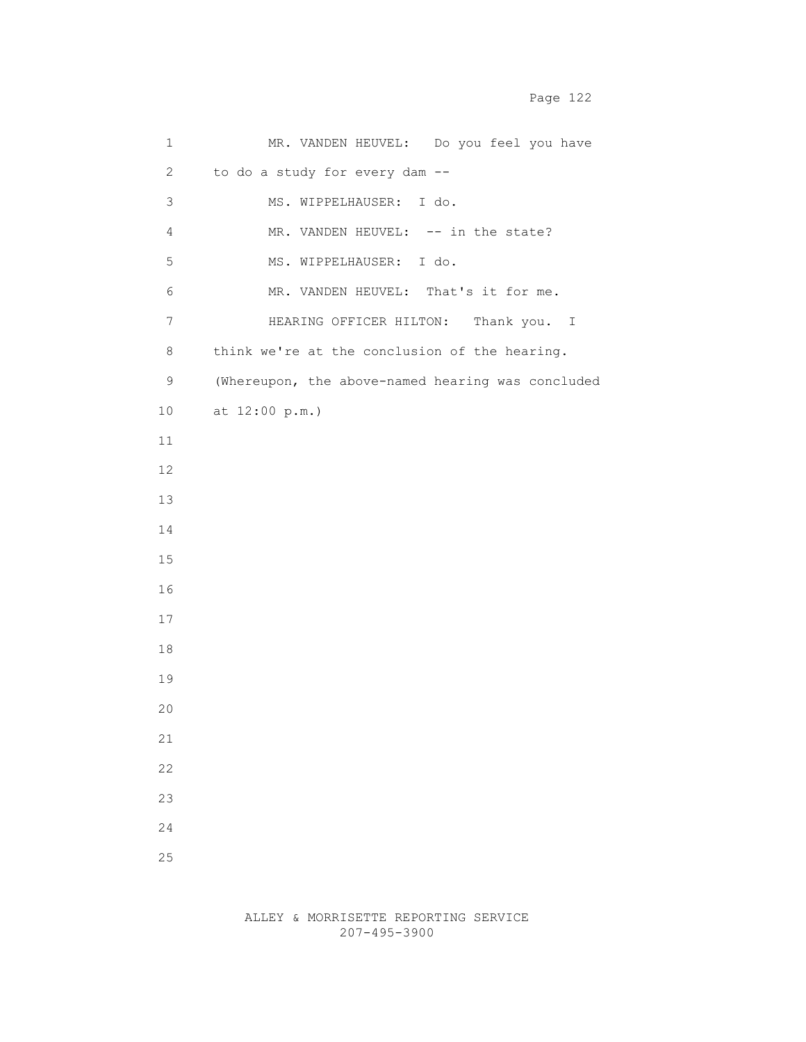| 1                | MR. VANDEN HEUVEL: Do you feel you have           |
|------------------|---------------------------------------------------|
| $\mathbf{2}$     | to do a study for every dam --                    |
| 3                | MS. WIPPELHAUSER: I do.                           |
| 4                | MR. VANDEN HEUVEL: -- in the state?               |
| 5                | MS. WIPPELHAUSER: I do.                           |
| 6                | MR. VANDEN HEUVEL: That's it for me.              |
| $\boldsymbol{7}$ | HEARING OFFICER HILTON: Thank you. I              |
| $8\,$            | think we're at the conclusion of the hearing.     |
| 9                | (Whereupon, the above-named hearing was concluded |
| 10               | at 12:00 p.m.)                                    |
| 11               |                                                   |
| 12               |                                                   |
| 13               |                                                   |
| 14               |                                                   |
| 15               |                                                   |
| 16               |                                                   |
| $17$             |                                                   |
| 18               |                                                   |
| 19               |                                                   |
| 20               |                                                   |
| 21               |                                                   |
| 22               |                                                   |
| 23               |                                                   |
| 24               |                                                   |
| 25               |                                                   |
|                  |                                                   |